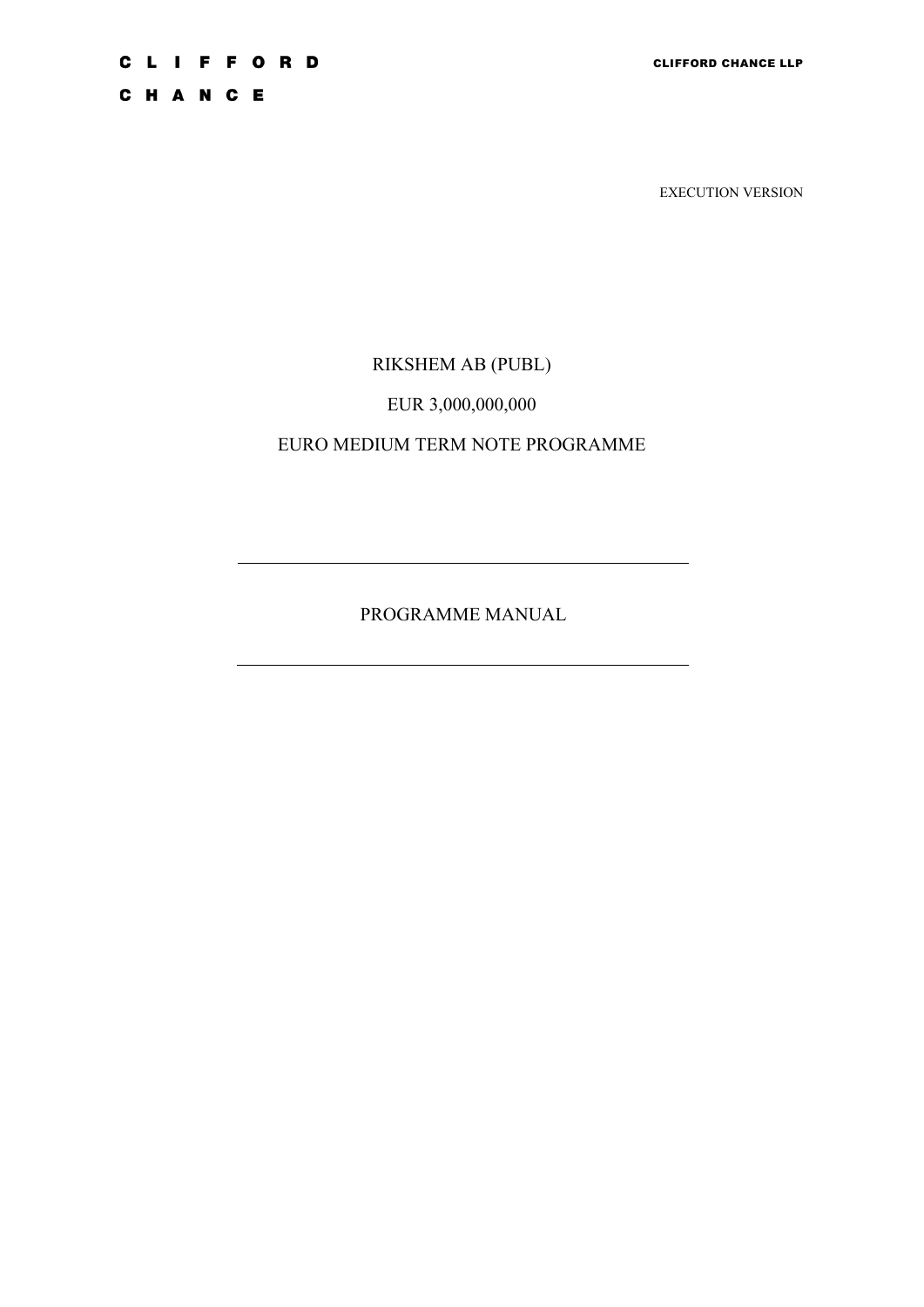# **CLIFFORD**

C H A N C E

EXECUTION VERSION

# RIKSHEM AB (PUBL)

# EUR 3,000,000,000

# EURO MEDIUM TERM NOTE PROGRAMME

PROGRAMME MANUAL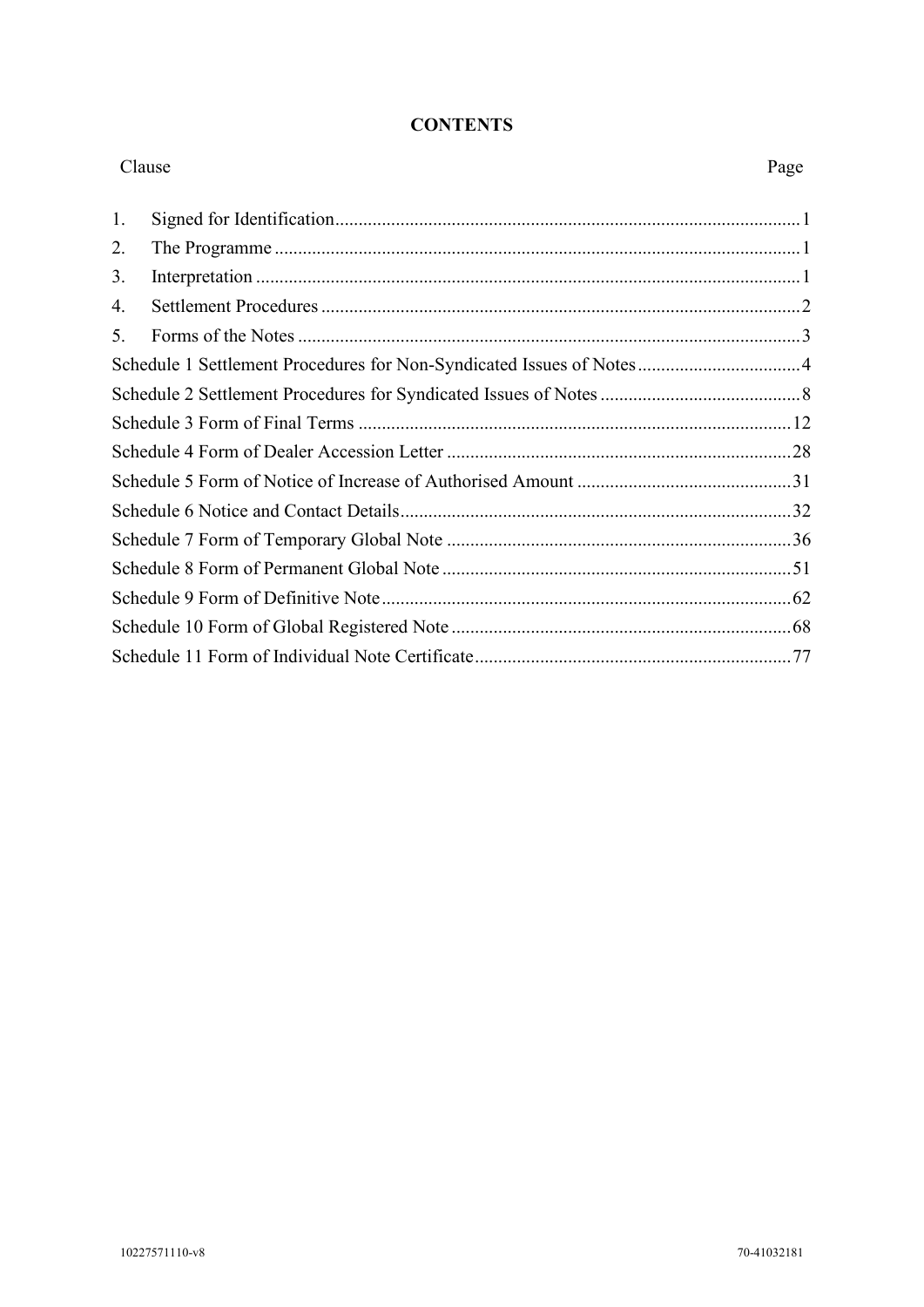| Clause |                                                                      | Page |
|--------|----------------------------------------------------------------------|------|
| 1.     |                                                                      |      |
| 2.     |                                                                      |      |
| 3.     |                                                                      |      |
| 4.     |                                                                      |      |
| 5.     |                                                                      |      |
|        | Schedule 1 Settlement Procedures for Non-Syndicated Issues of Notes4 |      |
|        |                                                                      |      |
|        |                                                                      |      |
|        |                                                                      |      |
|        |                                                                      |      |
|        |                                                                      |      |
|        |                                                                      |      |
|        |                                                                      |      |
|        |                                                                      |      |
|        |                                                                      |      |
|        |                                                                      |      |

# **CONTENTS**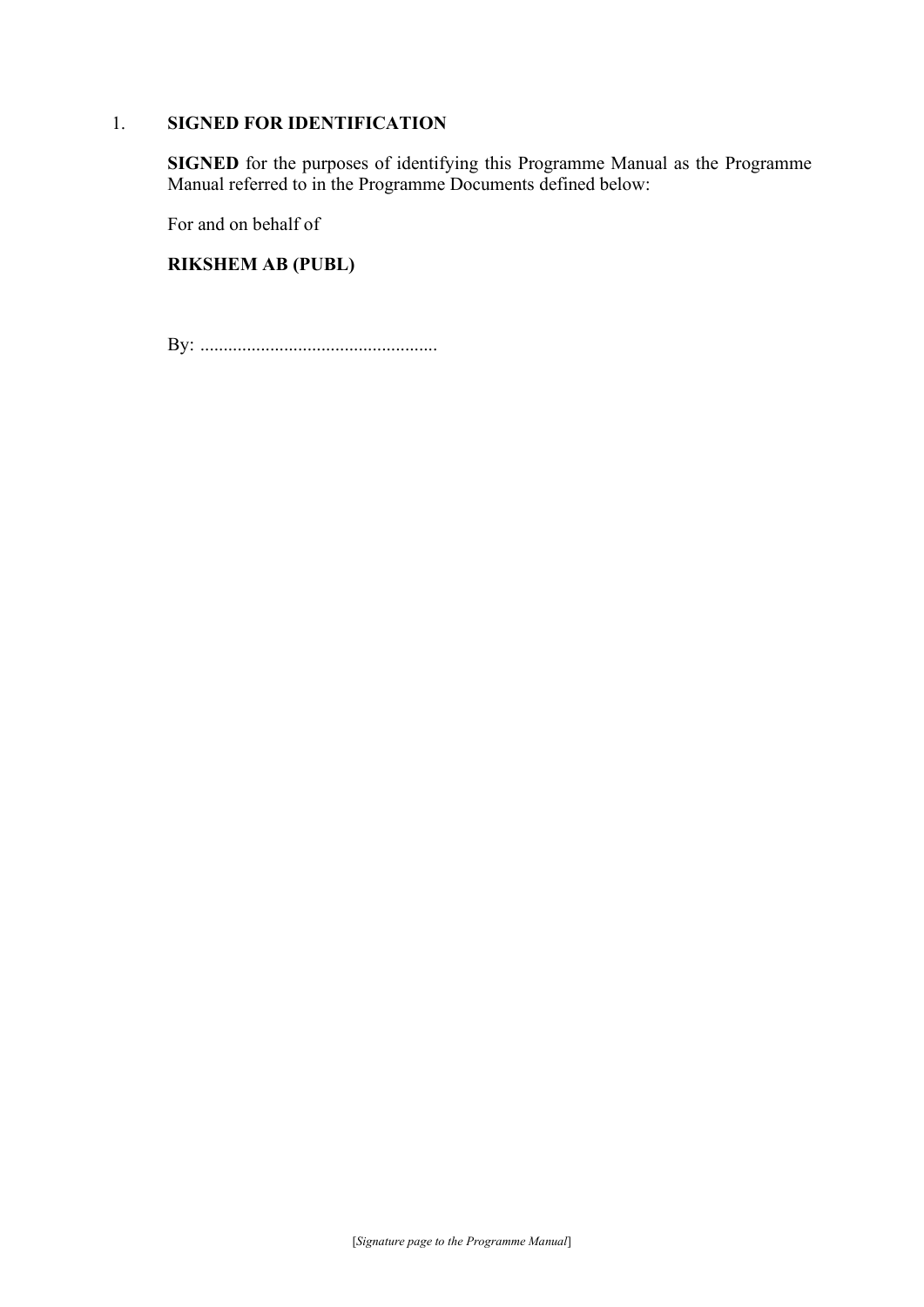# 1. **SIGNED FOR IDENTIFICATION**

**SIGNED** for the purposes of identifying this Programme Manual as the Programme Manual referred to in the Programme Documents defined below:

For and on behalf of

# **RIKSHEM AB (PUBL)**

By: ...................................................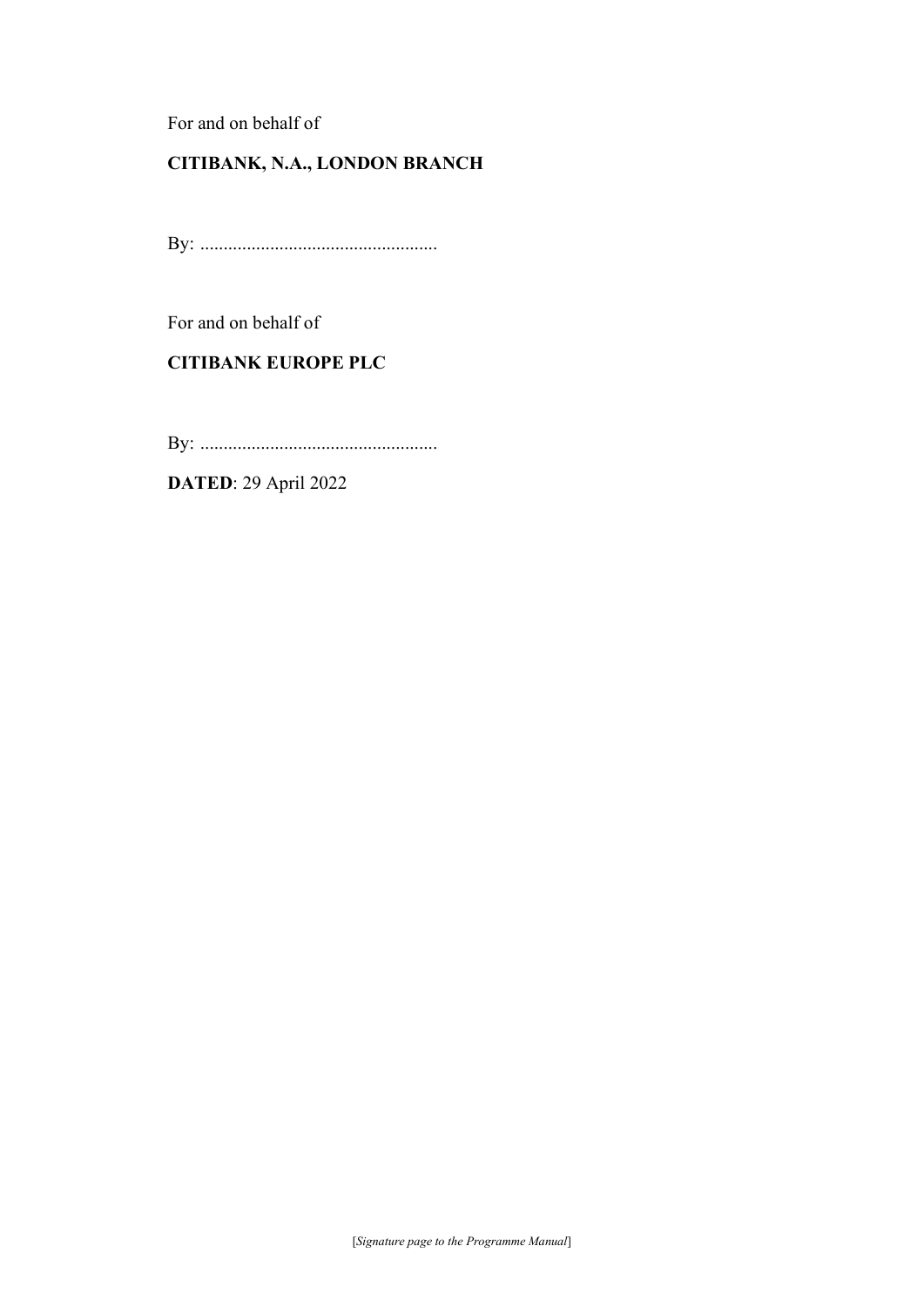For and on behalf of

# **CITIBANK, N.A., LONDON BRANCH**

By: ...................................................

For and on behalf of

# **CITIBANK EUROPE PLC**

By: ...................................................

**DATED**: 29 April 2022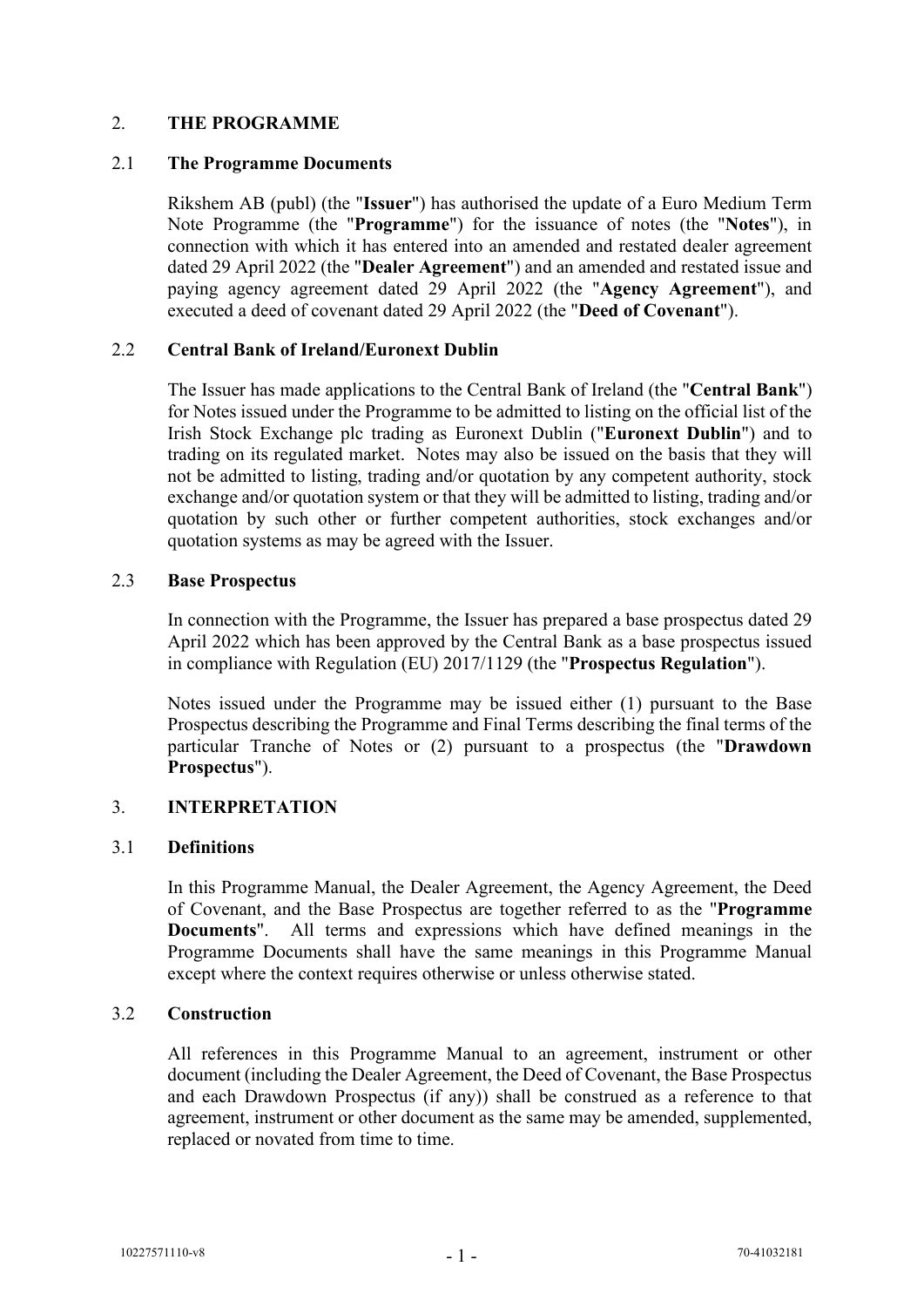## 2. **THE PROGRAMME**

#### 2.1 **The Programme Documents**

Rikshem AB (publ) (the "**Issuer**") has authorised the update of a Euro Medium Term Note Programme (the "**Programme**") for the issuance of notes (the "**Notes**"), in connection with which it has entered into an amended and restated dealer agreement dated 29 April 2022 (the "**Dealer Agreement**") and an amended and restated issue and paying agency agreement dated 29 April 2022 (the "**Agency Agreement**"), and executed a deed of covenant dated 29 April 2022 (the "**Deed of Covenant**").

#### 2.2 **Central Bank of Ireland/Euronext Dublin**

The Issuer has made applications to the Central Bank of Ireland (the "**Central Bank**") for Notes issued under the Programme to be admitted to listing on the official list of the Irish Stock Exchange plc trading as Euronext Dublin ("**Euronext Dublin**") and to trading on its regulated market. Notes may also be issued on the basis that they will not be admitted to listing, trading and/or quotation by any competent authority, stock exchange and/or quotation system or that they will be admitted to listing, trading and/or quotation by such other or further competent authorities, stock exchanges and/or quotation systems as may be agreed with the Issuer.

#### 2.3 **Base Prospectus**

In connection with the Programme, the Issuer has prepared a base prospectus dated 29 April 2022 which has been approved by the Central Bank as a base prospectus issued in compliance with Regulation (EU) 2017/1129 (the "**Prospectus Regulation**").

Notes issued under the Programme may be issued either (1) pursuant to the Base Prospectus describing the Programme and Final Terms describing the final terms of the particular Tranche of Notes or (2) pursuant to a prospectus (the "**Drawdown Prospectus**").

#### 3. **INTERPRETATION**

#### 3.1 **Definitions**

In this Programme Manual, the Dealer Agreement, the Agency Agreement, the Deed of Covenant, and the Base Prospectus are together referred to as the "**Programme Documents**". All terms and expressions which have defined meanings in the Programme Documents shall have the same meanings in this Programme Manual except where the context requires otherwise or unless otherwise stated.

#### 3.2 **Construction**

All references in this Programme Manual to an agreement, instrument or other document (including the Dealer Agreement, the Deed of Covenant, the Base Prospectus and each Drawdown Prospectus (if any)) shall be construed as a reference to that agreement, instrument or other document as the same may be amended, supplemented, replaced or novated from time to time.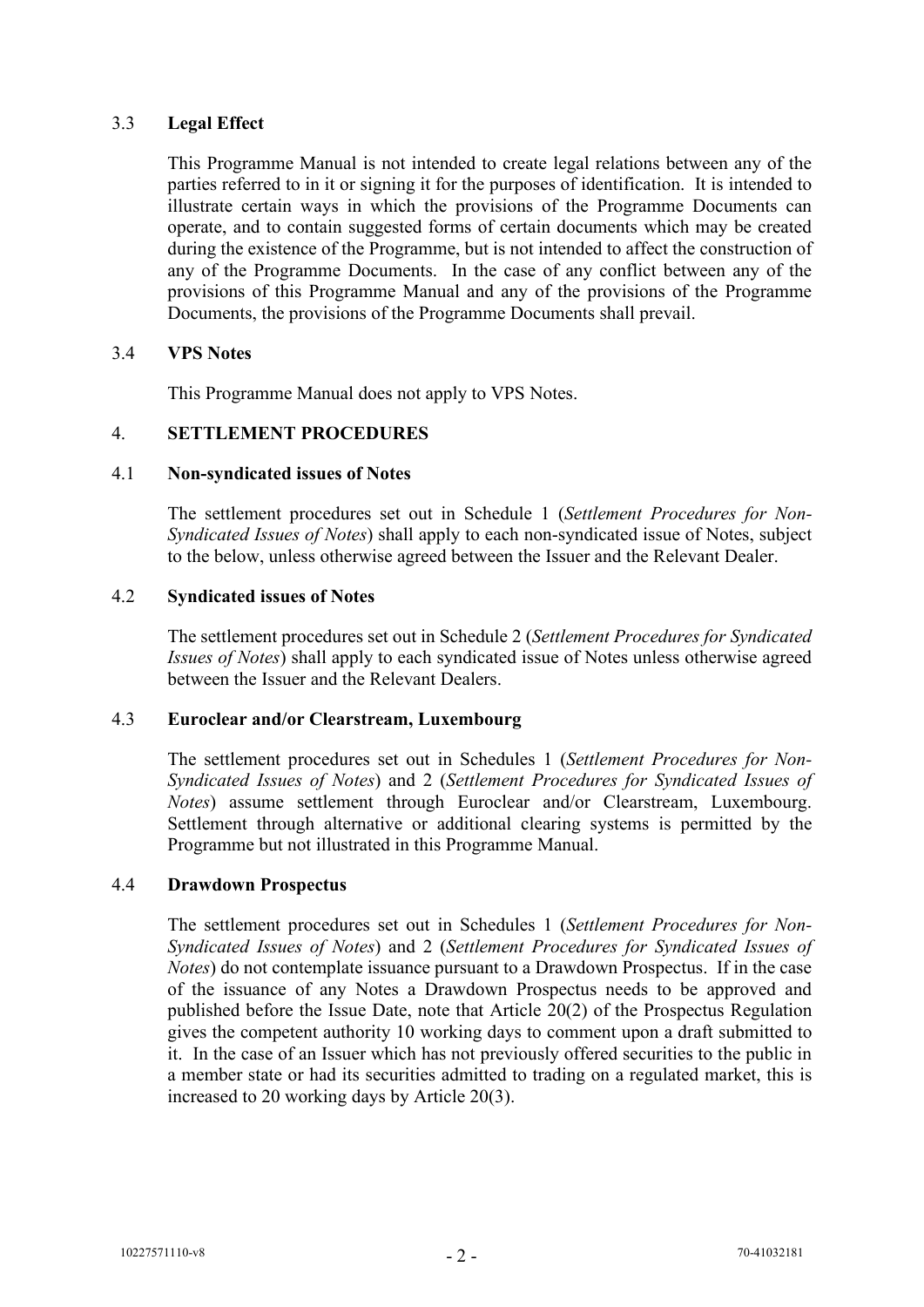## 3.3 **Legal Effect**

This Programme Manual is not intended to create legal relations between any of the parties referred to in it or signing it for the purposes of identification. It is intended to illustrate certain ways in which the provisions of the Programme Documents can operate, and to contain suggested forms of certain documents which may be created during the existence of the Programme, but is not intended to affect the construction of any of the Programme Documents. In the case of any conflict between any of the provisions of this Programme Manual and any of the provisions of the Programme Documents, the provisions of the Programme Documents shall prevail.

#### 3.4 **VPS Notes**

This Programme Manual does not apply to VPS Notes.

## 4. **SETTLEMENT PROCEDURES**

#### 4.1 **Non-syndicated issues of Notes**

The settlement procedures set out in [Schedule 1](#page-7-0) (*Settlement Procedures for Non-Syndicated Issues of Notes*) shall apply to each non-syndicated issue of Notes, subject to the below, unless otherwise agreed between the Issuer and the Relevant Dealer.

#### 4.2 **Syndicated issues of Notes**

The settlement procedures set out in [Schedule 2](#page-11-0) (*Settlement Procedures for Syndicated Issues of Notes*) shall apply to each syndicated issue of Notes unless otherwise agreed between the Issuer and the Relevant Dealers.

#### 4.3 **Euroclear and/or Clearstream, Luxembourg**

The settlement procedures set out in Schedules [1](#page-7-0) (*Settlement Procedures for Non-Syndicated Issues of Notes*) and [2](#page-11-0) (*Settlement Procedures for Syndicated Issues of Notes*) assume settlement through Euroclear and/or Clearstream, Luxembourg. Settlement through alternative or additional clearing systems is permitted by the Programme but not illustrated in this Programme Manual.

#### 4.4 **Drawdown Prospectus**

The settlement procedures set out in Schedules [1](#page-7-0) (*Settlement Procedures for Non-Syndicated Issues of Notes*) and [2](#page-11-0) (*Settlement Procedures for Syndicated Issues of Notes*) do not contemplate issuance pursuant to a Drawdown Prospectus. If in the case of the issuance of any Notes a Drawdown Prospectus needs to be approved and published before the Issue Date, note that Article 20(2) of the Prospectus Regulation gives the competent authority 10 working days to comment upon a draft submitted to it. In the case of an Issuer which has not previously offered securities to the public in a member state or had its securities admitted to trading on a regulated market, this is increased to 20 working days by Article 20(3).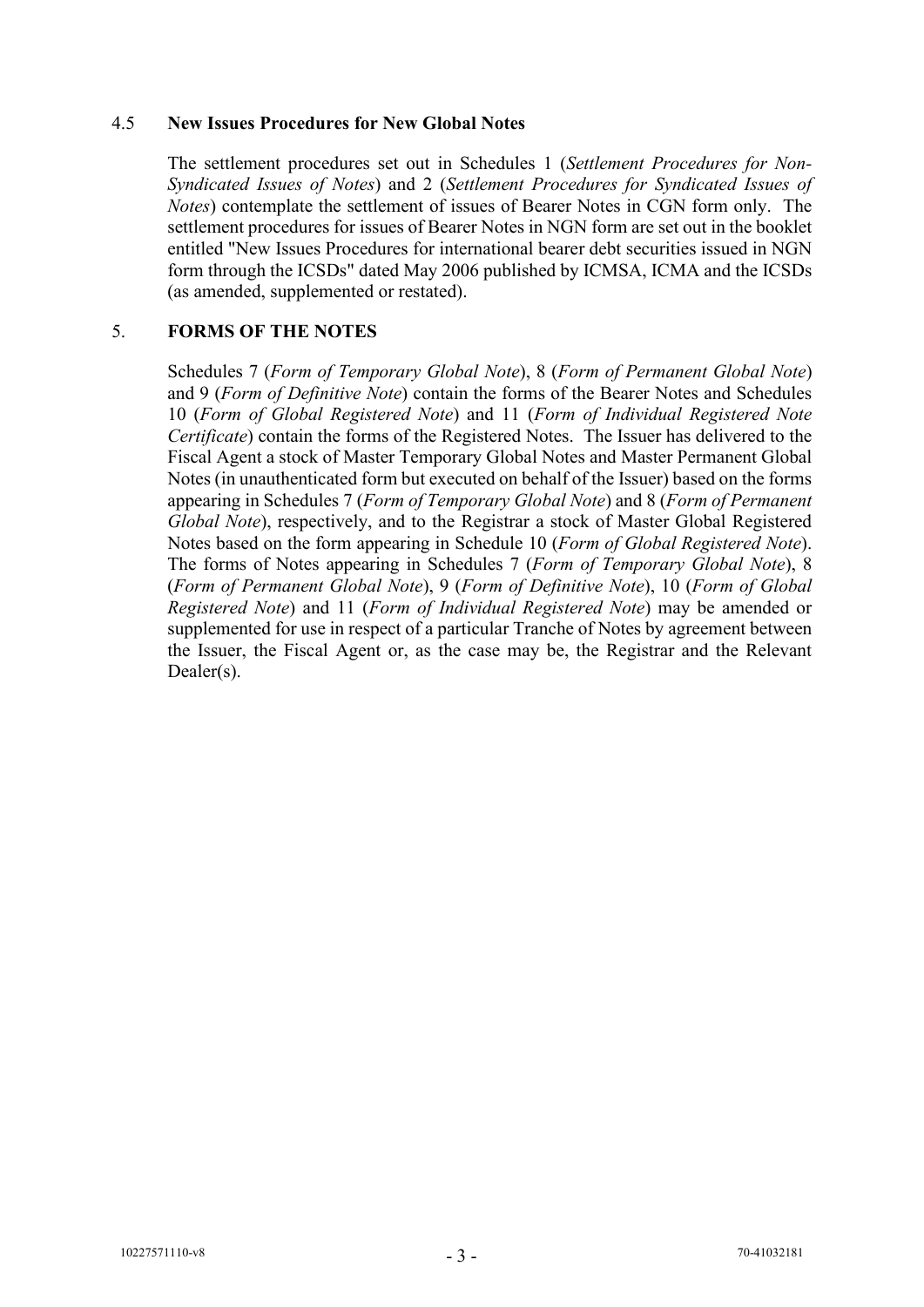#### 4.5 **New Issues Procedures for New Global Notes**

The settlement procedures set out in Schedules [1](#page-7-0) (*Settlement Procedures for Non-Syndicated Issues of Notes*) and [2](#page-11-0) (*Settlement Procedures for Syndicated Issues of Notes*) contemplate the settlement of issues of Bearer Notes in CGN form only. The settlement procedures for issues of Bearer Notes in NGN form are set out in the booklet entitled "New Issues Procedures for international bearer debt securities issued in NGN form through the ICSDs" dated May 2006 published by ICMSA, ICMA and the ICSDs (as amended, supplemented or restated).

## 5. **FORMS OF THE NOTES**

Schedules [7](#page-39-0) (*Form of Temporary Global Note*), [8](#page-54-0) (*Form of Permanent Global Note*) and [9](#page-65-0) (*Form of Definitive Note*) contain the forms of the Bearer Notes and Schedules [10](#page-71-0) (*Form of Global Registered Note*) and [11](#page-80-0) (*Form of Individual Registered Note Certificate*) contain the forms of the Registered Notes. The Issuer has delivered to the Fiscal Agent a stock of Master Temporary Global Notes and Master Permanent Global Notes (in unauthenticated form but executed on behalf of the Issuer) based on the forms appearing in Schedules [7](#page-39-0) (*Form of Temporary Global Note*) and [8](#page-54-0) (*Form of Permanent Global Note*), respectively, and to the Registrar a stock of Master Global Registered Notes based on the form appearing in Schedule [10](#page-71-0) (*Form of Global Registered Note*). The forms of Notes appearing in Schedules [7](#page-39-0) (*Form of Temporary Global Note*), [8](#page-54-0) (*Form of Permanent Global Note*), [9](#page-65-0) (*Form of Definitive Note*), [10](#page-71-0) (*Form of Global Registered Note*) and [11](#page-80-0) (*Form of Individual Registered Note*) may be amended or supplemented for use in respect of a particular Tranche of Notes by agreement between the Issuer, the Fiscal Agent or, as the case may be, the Registrar and the Relevant Dealer(s).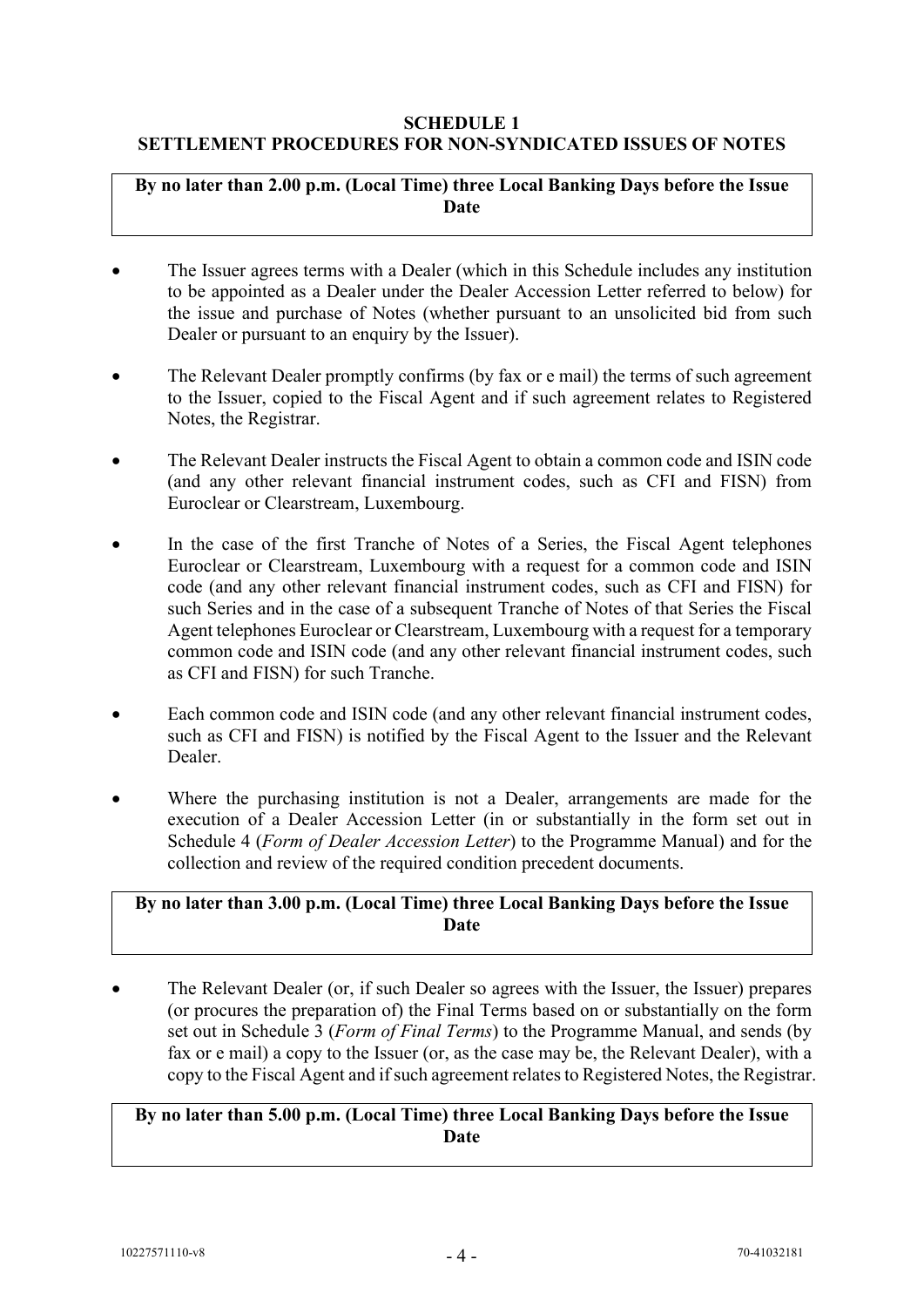#### <span id="page-7-0"></span>**SCHEDULE 1 SETTLEMENT PROCEDURES FOR NON-SYNDICATED ISSUES OF NOTES**

# **By no later than 2.00 p.m. (Local Time) three Local Banking Days before the Issue Date**

- The Issuer agrees terms with a Dealer (which in this Schedule includes any institution to be appointed as a Dealer under the Dealer Accession Letter referred to below) for the issue and purchase of Notes (whether pursuant to an unsolicited bid from such Dealer or pursuant to an enquiry by the Issuer).
- The Relevant Dealer promptly confirms (by fax or e mail) the terms of such agreement to the Issuer, copied to the Fiscal Agent and if such agreement relates to Registered Notes, the Registrar.
- The Relevant Dealer instructs the Fiscal Agent to obtain a common code and ISIN code (and any other relevant financial instrument codes, such as CFI and FISN) from Euroclear or Clearstream, Luxembourg.
- In the case of the first Tranche of Notes of a Series, the Fiscal Agent telephones Euroclear or Clearstream, Luxembourg with a request for a common code and ISIN code (and any other relevant financial instrument codes, such as CFI and FISN) for such Series and in the case of a subsequent Tranche of Notes of that Series the Fiscal Agent telephones Euroclear or Clearstream, Luxembourg with a request for a temporary common code and ISIN code (and any other relevant financial instrument codes, such as CFI and FISN) for such Tranche.
- Each common code and ISIN code (and any other relevant financial instrument codes, such as CFI and FISN) is notified by the Fiscal Agent to the Issuer and the Relevant Dealer.
- Where the purchasing institution is not a Dealer, arrangements are made for the execution of a Dealer Accession Letter (in or substantially in the form set out in [Schedule 4](#page-31-0) (*Form of Dealer Accession Letter*) to the Programme Manual) and for the collection and review of the required condition precedent documents.

**By no later than 3.00 p.m. (Local Time) three Local Banking Days before the Issue Date**

• The Relevant Dealer (or, if such Dealer so agrees with the Issuer, the Issuer) prepares (or procures the preparation of) the Final Terms based on or substantially on the form set out in [Schedule 3](#page-15-0) (*Form of Final Terms*) to the Programme Manual, and sends (by fax or e mail) a copy to the Issuer (or, as the case may be, the Relevant Dealer), with a copy to the Fiscal Agent and if such agreement relates to Registered Notes, the Registrar.

# **By no later than 5.00 p.m. (Local Time) three Local Banking Days before the Issue Date**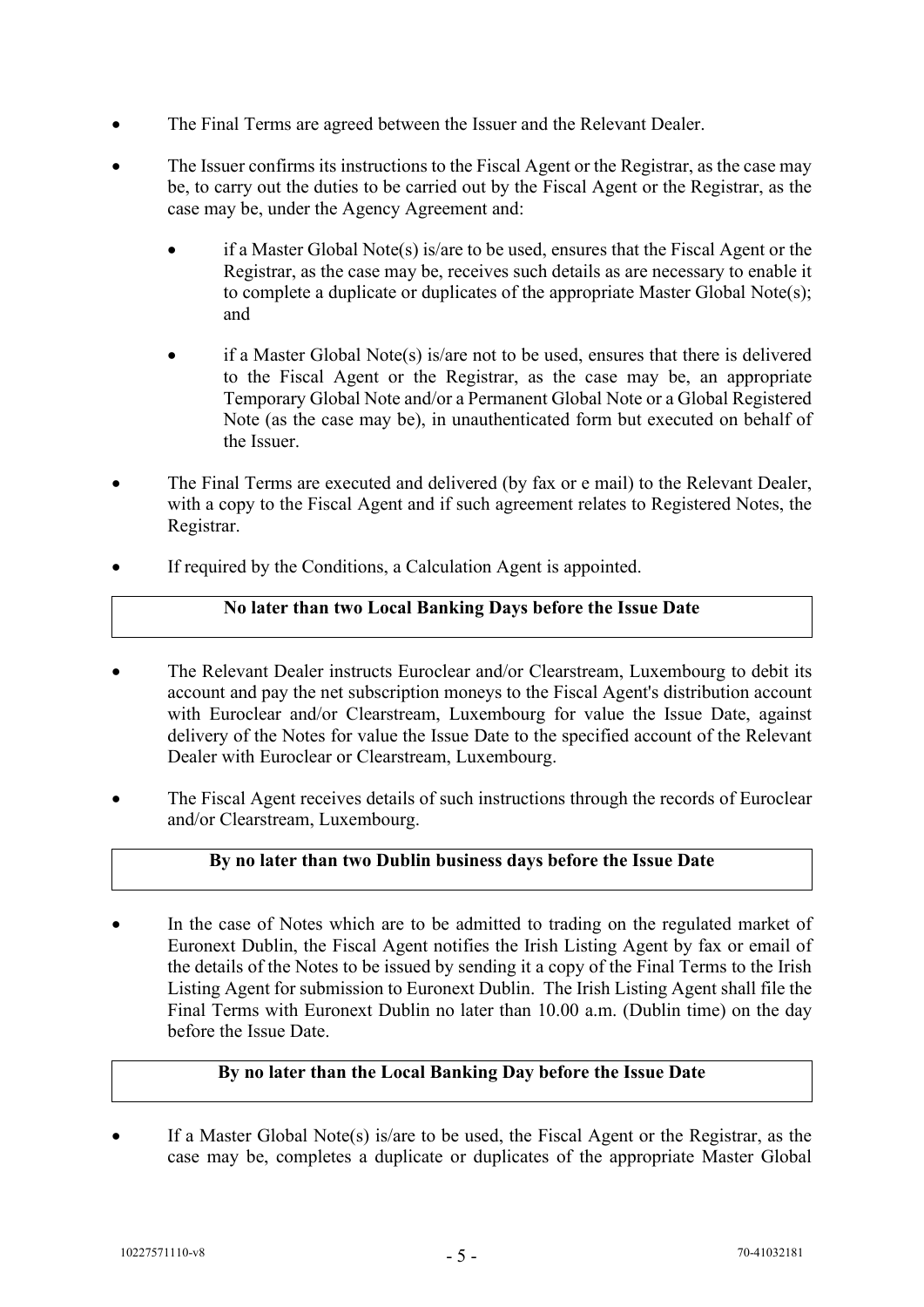- The Final Terms are agreed between the Issuer and the Relevant Dealer.
- The Issuer confirms its instructions to the Fiscal Agent or the Registrar, as the case may be, to carry out the duties to be carried out by the Fiscal Agent or the Registrar, as the case may be, under the Agency Agreement and:
	- if a Master Global Note(s) is/are to be used, ensures that the Fiscal Agent or the Registrar, as the case may be, receives such details as are necessary to enable it to complete a duplicate or duplicates of the appropriate Master Global Note(s); and
	- if a Master Global Note(s) is/are not to be used, ensures that there is delivered to the Fiscal Agent or the Registrar, as the case may be, an appropriate Temporary Global Note and/or a Permanent Global Note or a Global Registered Note (as the case may be), in unauthenticated form but executed on behalf of the Issuer.
- The Final Terms are executed and delivered (by fax or e mail) to the Relevant Dealer, with a copy to the Fiscal Agent and if such agreement relates to Registered Notes, the Registrar.
- If required by the Conditions, a Calculation Agent is appointed.

## **No later than two Local Banking Days before the Issue Date**

- The Relevant Dealer instructs Euroclear and/or Clearstream, Luxembourg to debit its account and pay the net subscription moneys to the Fiscal Agent's distribution account with Euroclear and/or Clearstream, Luxembourg for value the Issue Date, against delivery of the Notes for value the Issue Date to the specified account of the Relevant Dealer with Euroclear or Clearstream, Luxembourg.
- The Fiscal Agent receives details of such instructions through the records of Euroclear and/or Clearstream, Luxembourg.

## **By no later than two Dublin business days before the Issue Date**

In the case of Notes which are to be admitted to trading on the regulated market of Euronext Dublin, the Fiscal Agent notifies the Irish Listing Agent by fax or email of the details of the Notes to be issued by sending it a copy of the Final Terms to the Irish Listing Agent for submission to Euronext Dublin. The Irish Listing Agent shall file the Final Terms with Euronext Dublin no later than 10.00 a.m. (Dublin time) on the day before the Issue Date.

# **By no later than the Local Banking Day before the Issue Date**

If a Master Global Note(s) is/are to be used, the Fiscal Agent or the Registrar, as the case may be, completes a duplicate or duplicates of the appropriate Master Global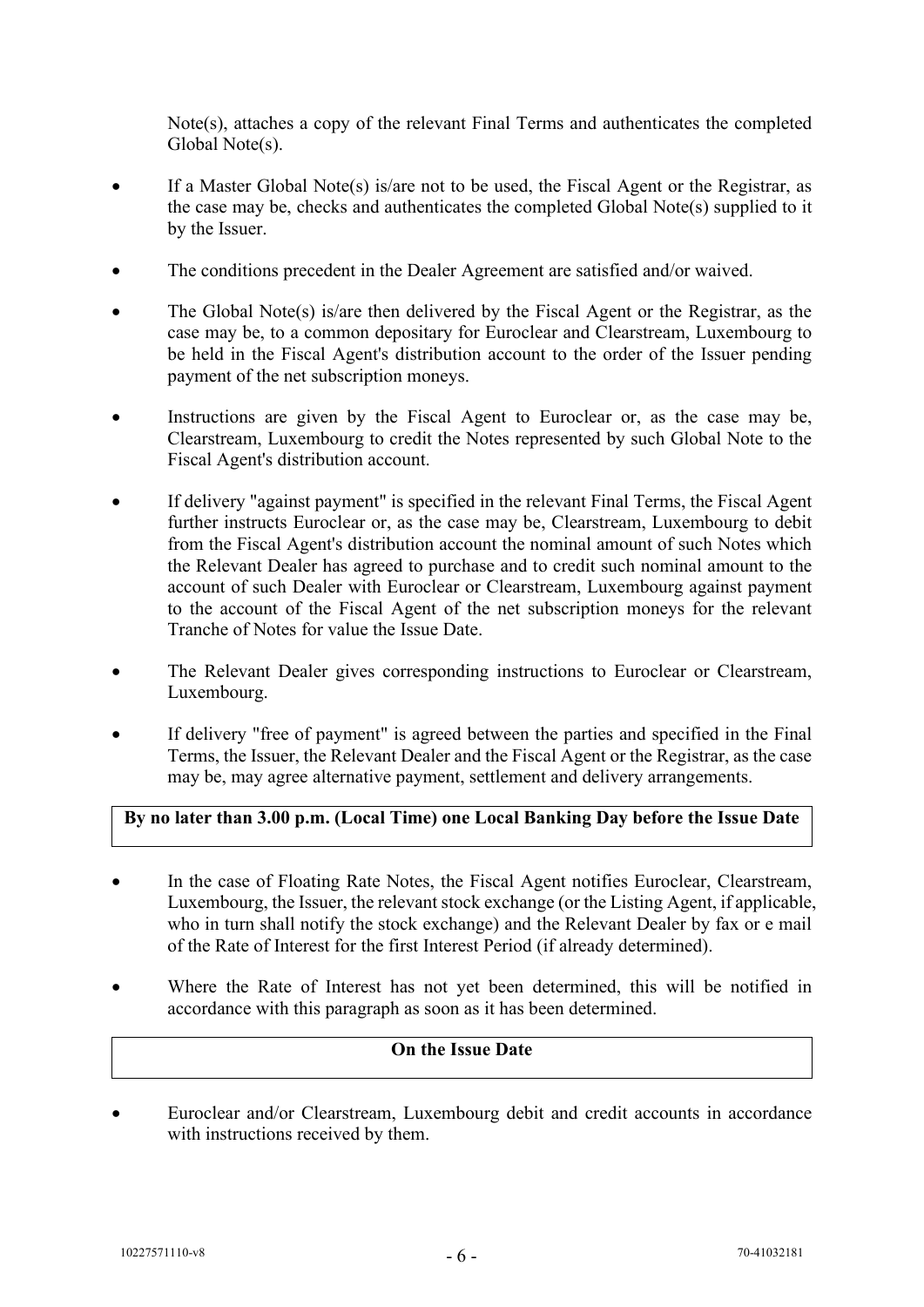Note(s), attaches a copy of the relevant Final Terms and authenticates the completed Global Note(s).

- If a Master Global Note(s) is/are not to be used, the Fiscal Agent or the Registrar, as the case may be, checks and authenticates the completed Global Note(s) supplied to it by the Issuer.
- The conditions precedent in the Dealer Agreement are satisfied and/or waived.
- The Global Note(s) is/are then delivered by the Fiscal Agent or the Registrar, as the case may be, to a common depositary for Euroclear and Clearstream, Luxembourg to be held in the Fiscal Agent's distribution account to the order of the Issuer pending payment of the net subscription moneys.
- Instructions are given by the Fiscal Agent to Euroclear or, as the case may be, Clearstream, Luxembourg to credit the Notes represented by such Global Note to the Fiscal Agent's distribution account.
- If delivery "against payment" is specified in the relevant Final Terms, the Fiscal Agent further instructs Euroclear or, as the case may be, Clearstream, Luxembourg to debit from the Fiscal Agent's distribution account the nominal amount of such Notes which the Relevant Dealer has agreed to purchase and to credit such nominal amount to the account of such Dealer with Euroclear or Clearstream, Luxembourg against payment to the account of the Fiscal Agent of the net subscription moneys for the relevant Tranche of Notes for value the Issue Date.
- The Relevant Dealer gives corresponding instructions to Euroclear or Clearstream, Luxembourg.
- If delivery "free of payment" is agreed between the parties and specified in the Final Terms, the Issuer, the Relevant Dealer and the Fiscal Agent or the Registrar, as the case may be, may agree alternative payment, settlement and delivery arrangements.

# **By no later than 3.00 p.m. (Local Time) one Local Banking Day before the Issue Date**

- In the case of Floating Rate Notes, the Fiscal Agent notifies Euroclear, Clearstream, Luxembourg, the Issuer, the relevant stock exchange (or the Listing Agent, if applicable, who in turn shall notify the stock exchange) and the Relevant Dealer by fax or e mail of the Rate of Interest for the first Interest Period (if already determined).
- Where the Rate of Interest has not yet been determined, this will be notified in accordance with this paragraph as soon as it has been determined.

# **On the Issue Date**

• Euroclear and/or Clearstream, Luxembourg debit and credit accounts in accordance with instructions received by them.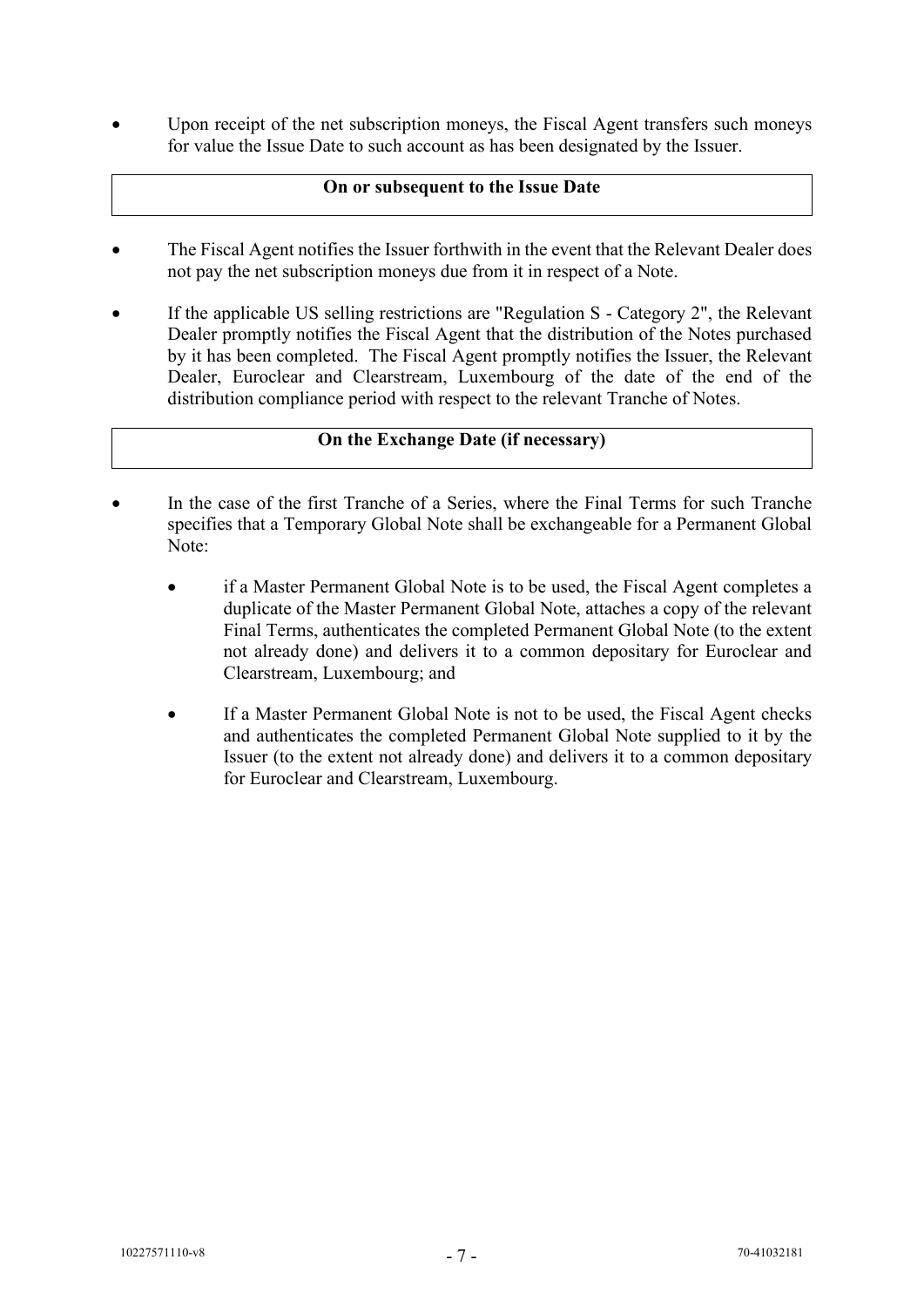Upon receipt of the net subscription moneys, the Fiscal Agent transfers such moneys for value the Issue Date to such account as has been designated by the Issuer.

## **On or subsequent to the Issue Date**

- The Fiscal Agent notifies the Issuer forthwith in the event that the Relevant Dealer does not pay the net subscription moneys due from it in respect of a Note.
- If the applicable US selling restrictions are "Regulation S Category 2", the Relevant Dealer promptly notifies the Fiscal Agent that the distribution of the Notes purchased by it has been completed. The Fiscal Agent promptly notifies the Issuer, the Relevant Dealer, Euroclear and Clearstream, Luxembourg of the date of the end of the distribution compliance period with respect to the relevant Tranche of Notes.

# **On the Exchange Date (if necessary)**

- In the case of the first Tranche of a Series, where the Final Terms for such Tranche specifies that a Temporary Global Note shall be exchangeable for a Permanent Global Note:
	- if a Master Permanent Global Note is to be used, the Fiscal Agent completes a duplicate of the Master Permanent Global Note, attaches a copy of the relevant Final Terms, authenticates the completed Permanent Global Note (to the extent not already done) and delivers it to a common depositary for Euroclear and Clearstream, Luxembourg; and
	- If a Master Permanent Global Note is not to be used, the Fiscal Agent checks and authenticates the completed Permanent Global Note supplied to it by the Issuer (to the extent not already done) and delivers it to a common depositary for Euroclear and Clearstream, Luxembourg.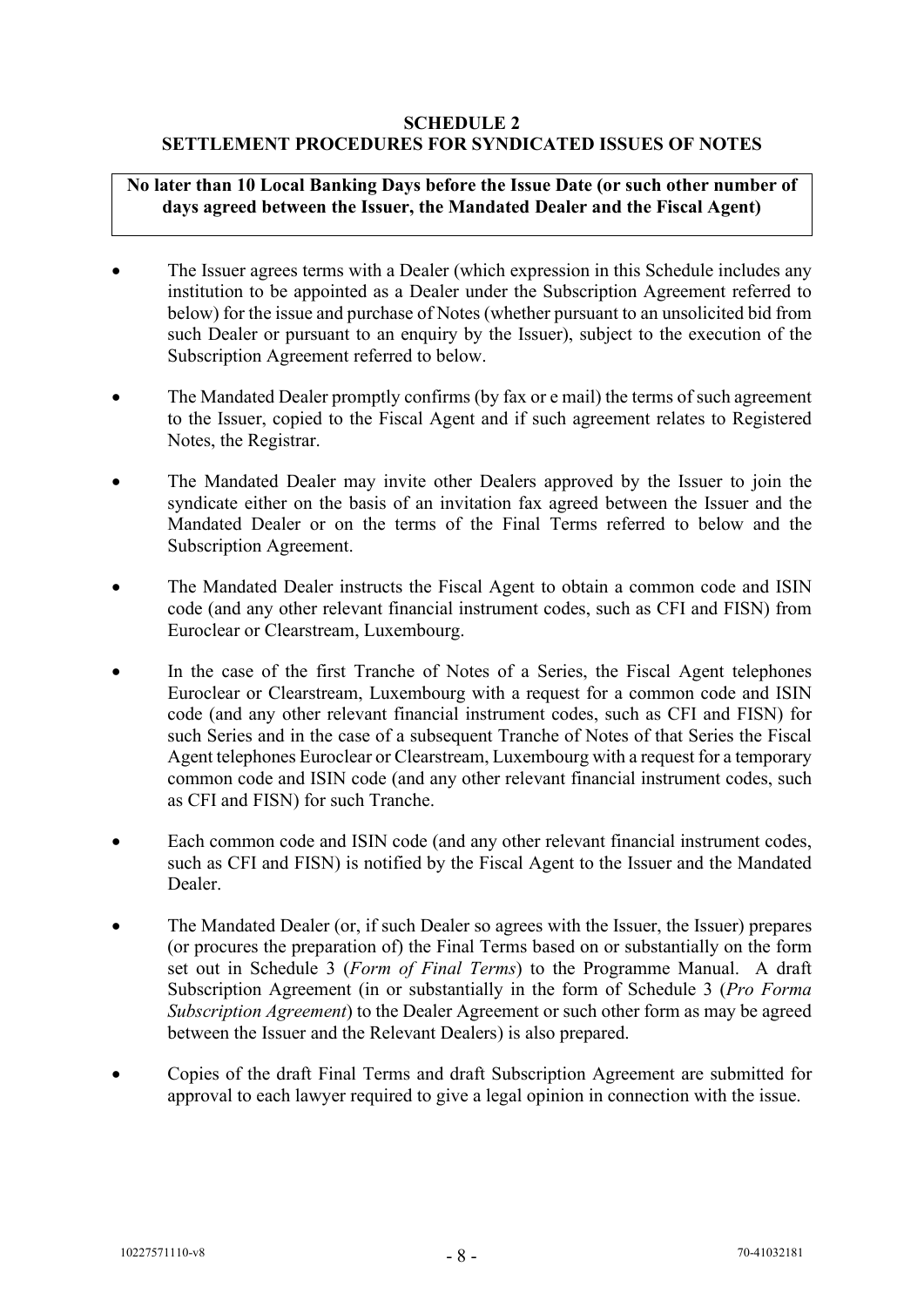## **SCHEDULE 2 SETTLEMENT PROCEDURES FOR SYNDICATED ISSUES OF NOTES**

# <span id="page-11-0"></span>**No later than 10 Local Banking Days before the Issue Date (or such other number of days agreed between the Issuer, the Mandated Dealer and the Fiscal Agent)**

- The Issuer agrees terms with a Dealer (which expression in this Schedule includes any institution to be appointed as a Dealer under the Subscription Agreement referred to below) for the issue and purchase of Notes (whether pursuant to an unsolicited bid from such Dealer or pursuant to an enquiry by the Issuer), subject to the execution of the Subscription Agreement referred to below.
- The Mandated Dealer promptly confirms (by fax or e mail) the terms of such agreement to the Issuer, copied to the Fiscal Agent and if such agreement relates to Registered Notes, the Registrar.
- The Mandated Dealer may invite other Dealers approved by the Issuer to join the syndicate either on the basis of an invitation fax agreed between the Issuer and the Mandated Dealer or on the terms of the Final Terms referred to below and the Subscription Agreement.
- The Mandated Dealer instructs the Fiscal Agent to obtain a common code and ISIN code (and any other relevant financial instrument codes, such as CFI and FISN) from Euroclear or Clearstream, Luxembourg.
- In the case of the first Tranche of Notes of a Series, the Fiscal Agent telephones Euroclear or Clearstream, Luxembourg with a request for a common code and ISIN code (and any other relevant financial instrument codes, such as CFI and FISN) for such Series and in the case of a subsequent Tranche of Notes of that Series the Fiscal Agent telephones Euroclear or Clearstream, Luxembourg with a request for a temporary common code and ISIN code (and any other relevant financial instrument codes, such as CFI and FISN) for such Tranche.
- Each common code and ISIN code (and any other relevant financial instrument codes, such as CFI and FISN) is notified by the Fiscal Agent to the Issuer and the Mandated Dealer.
- The Mandated Dealer (or, if such Dealer so agrees with the Issuer, the Issuer) prepares (or procures the preparation of) the Final Terms based on or substantially on the form set out in [Schedule 3](#page-15-0) (*Form of Final Terms*) to the Programme Manual. A draft Subscription Agreement (in or substantially in the form of Schedule 3 (*Pro Forma Subscription Agreement*) to the Dealer Agreement or such other form as may be agreed between the Issuer and the Relevant Dealers) is also prepared.
- Copies of the draft Final Terms and draft Subscription Agreement are submitted for approval to each lawyer required to give a legal opinion in connection with the issue.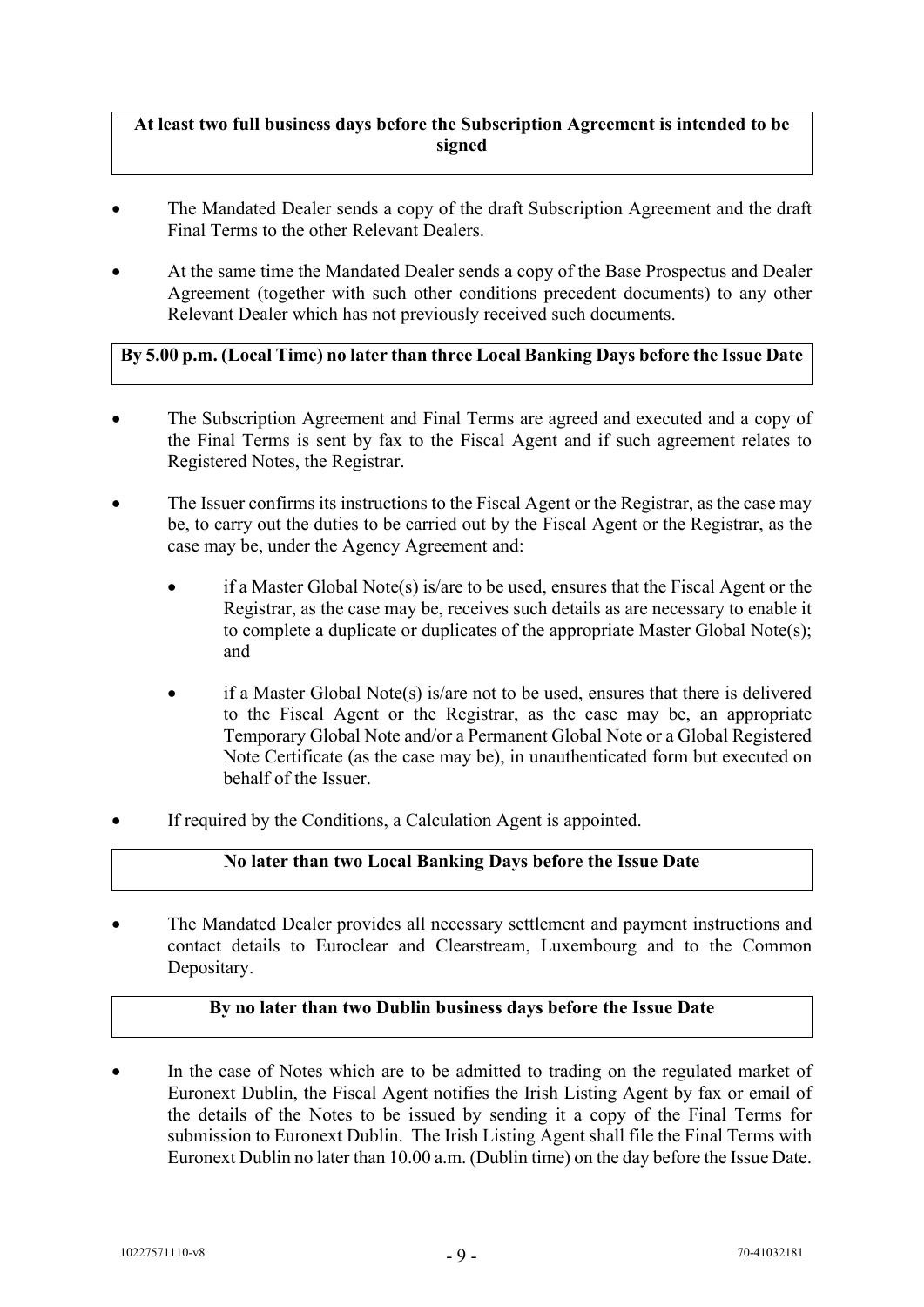## **At least two full business days before the Subscription Agreement is intended to be signed**

- The Mandated Dealer sends a copy of the draft Subscription Agreement and the draft Final Terms to the other Relevant Dealers.
- At the same time the Mandated Dealer sends a copy of the Base Prospectus and Dealer Agreement (together with such other conditions precedent documents) to any other Relevant Dealer which has not previously received such documents.

# **By 5.00 p.m. (Local Time) no later than three Local Banking Days before the Issue Date**

- The Subscription Agreement and Final Terms are agreed and executed and a copy of the Final Terms is sent by fax to the Fiscal Agent and if such agreement relates to Registered Notes, the Registrar.
- The Issuer confirms its instructions to the Fiscal Agent or the Registrar, as the case may be, to carry out the duties to be carried out by the Fiscal Agent or the Registrar, as the case may be, under the Agency Agreement and:
	- if a Master Global Note(s) is/are to be used, ensures that the Fiscal Agent or the Registrar, as the case may be, receives such details as are necessary to enable it to complete a duplicate or duplicates of the appropriate Master Global Note(s); and
	- if a Master Global Note(s) is/are not to be used, ensures that there is delivered to the Fiscal Agent or the Registrar, as the case may be, an appropriate Temporary Global Note and/or a Permanent Global Note or a Global Registered Note Certificate (as the case may be), in unauthenticated form but executed on behalf of the Issuer.
- If required by the Conditions, a Calculation Agent is appointed.

## **No later than two Local Banking Days before the Issue Date**

The Mandated Dealer provides all necessary settlement and payment instructions and contact details to Euroclear and Clearstream, Luxembourg and to the Common Depositary.

#### **By no later than two Dublin business days before the Issue Date**

In the case of Notes which are to be admitted to trading on the regulated market of Euronext Dublin, the Fiscal Agent notifies the Irish Listing Agent by fax or email of the details of the Notes to be issued by sending it a copy of the Final Terms for submission to Euronext Dublin. The Irish Listing Agent shall file the Final Terms with Euronext Dublin no later than 10.00 a.m. (Dublin time) on the day before the Issue Date.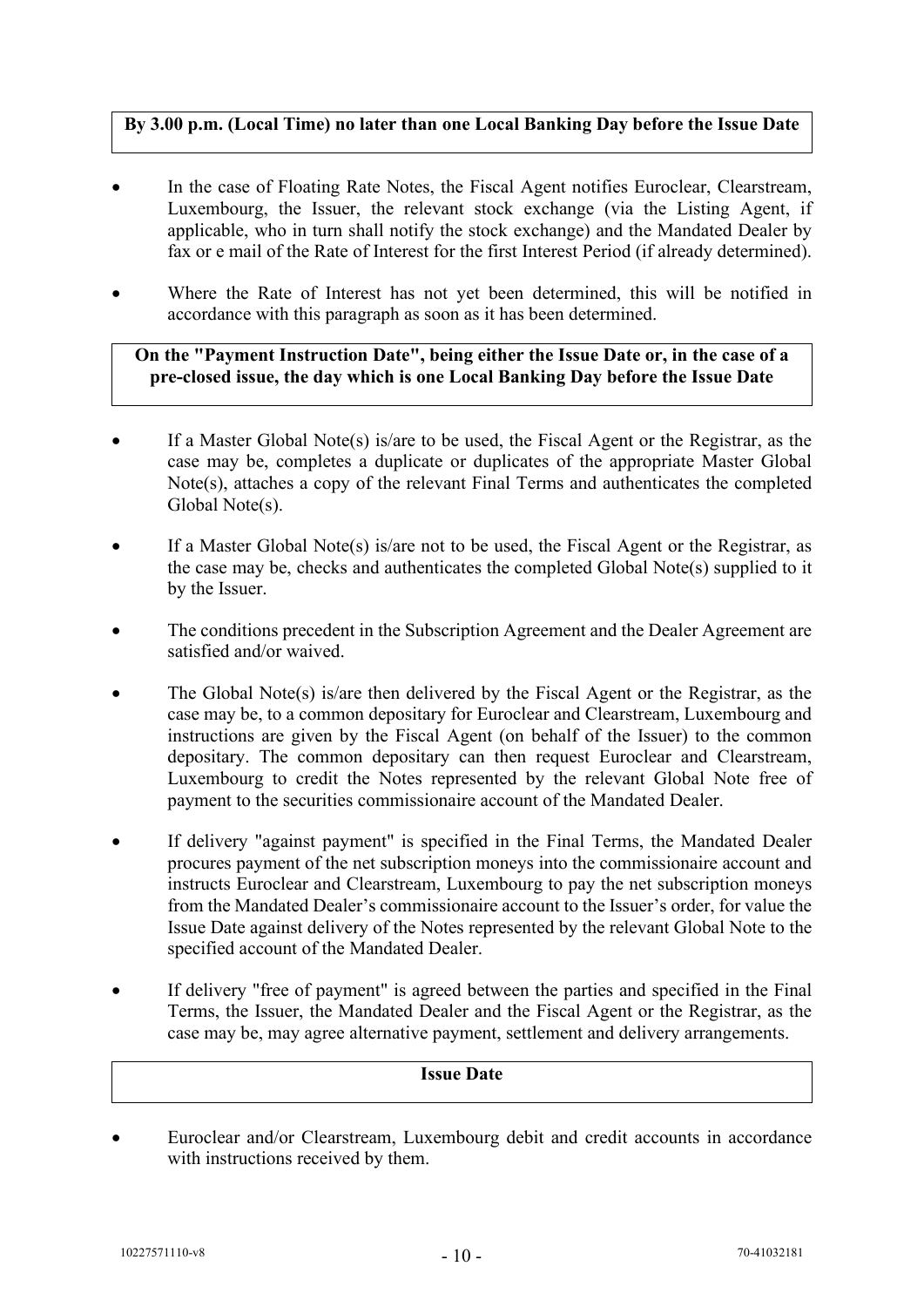# **By 3.00 p.m. (Local Time) no later than one Local Banking Day before the Issue Date**

- In the case of Floating Rate Notes, the Fiscal Agent notifies Euroclear, Clearstream, Luxembourg, the Issuer, the relevant stock exchange (via the Listing Agent, if applicable, who in turn shall notify the stock exchange) and the Mandated Dealer by fax or e mail of the Rate of Interest for the first Interest Period (if already determined).
- Where the Rate of Interest has not yet been determined, this will be notified in accordance with this paragraph as soon as it has been determined.

# **On the "Payment Instruction Date", being either the Issue Date or, in the case of a pre-closed issue, the day which is one Local Banking Day before the Issue Date**

- If a Master Global Note(s) is/are to be used, the Fiscal Agent or the Registrar, as the case may be, completes a duplicate or duplicates of the appropriate Master Global Note(s), attaches a copy of the relevant Final Terms and authenticates the completed Global Note(s).
- If a Master Global Note(s) is/are not to be used, the Fiscal Agent or the Registrar, as the case may be, checks and authenticates the completed Global Note(s) supplied to it by the Issuer.
- The conditions precedent in the Subscription Agreement and the Dealer Agreement are satisfied and/or waived.
- The Global Note(s) is/are then delivered by the Fiscal Agent or the Registrar, as the case may be, to a common depositary for Euroclear and Clearstream, Luxembourg and instructions are given by the Fiscal Agent (on behalf of the Issuer) to the common depositary. The common depositary can then request Euroclear and Clearstream, Luxembourg to credit the Notes represented by the relevant Global Note free of payment to the securities commissionaire account of the Mandated Dealer.
- If delivery "against payment" is specified in the Final Terms, the Mandated Dealer procures payment of the net subscription moneys into the commissionaire account and instructs Euroclear and Clearstream, Luxembourg to pay the net subscription moneys from the Mandated Dealer's commissionaire account to the Issuer's order, for value the Issue Date against delivery of the Notes represented by the relevant Global Note to the specified account of the Mandated Dealer.
- If delivery "free of payment" is agreed between the parties and specified in the Final Terms, the Issuer, the Mandated Dealer and the Fiscal Agent or the Registrar, as the case may be, may agree alternative payment, settlement and delivery arrangements.

# **Issue Date**

• Euroclear and/or Clearstream, Luxembourg debit and credit accounts in accordance with instructions received by them.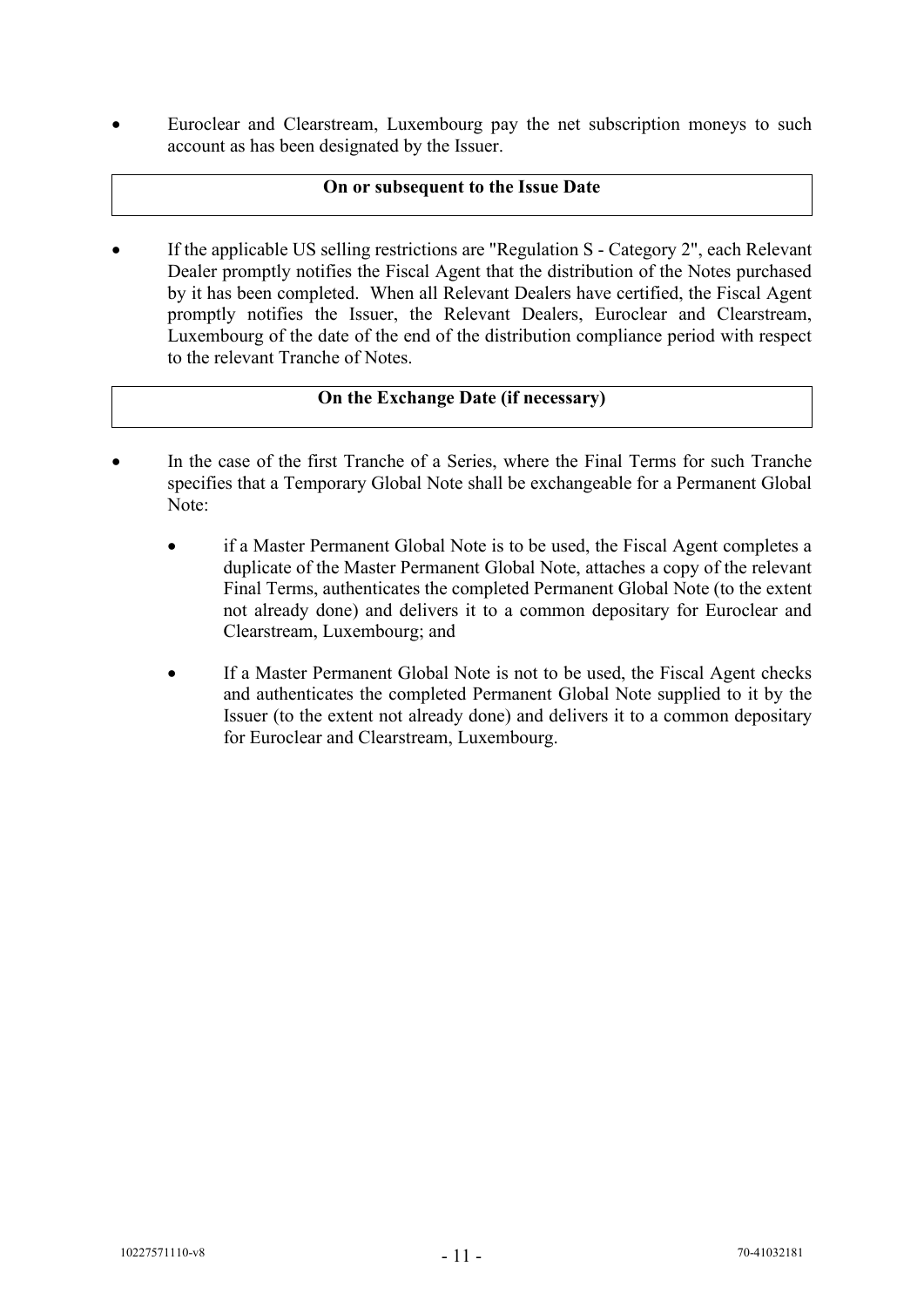• Euroclear and Clearstream, Luxembourg pay the net subscription moneys to such account as has been designated by the Issuer.

## **On or subsequent to the Issue Date**

If the applicable US selling restrictions are "Regulation S - Category 2", each Relevant Dealer promptly notifies the Fiscal Agent that the distribution of the Notes purchased by it has been completed. When all Relevant Dealers have certified, the Fiscal Agent promptly notifies the Issuer, the Relevant Dealers, Euroclear and Clearstream, Luxembourg of the date of the end of the distribution compliance period with respect to the relevant Tranche of Notes.

# **On the Exchange Date (if necessary)**

- In the case of the first Tranche of a Series, where the Final Terms for such Tranche specifies that a Temporary Global Note shall be exchangeable for a Permanent Global Note:
	- if a Master Permanent Global Note is to be used, the Fiscal Agent completes a duplicate of the Master Permanent Global Note, attaches a copy of the relevant Final Terms, authenticates the completed Permanent Global Note (to the extent not already done) and delivers it to a common depositary for Euroclear and Clearstream, Luxembourg; and
	- If a Master Permanent Global Note is not to be used, the Fiscal Agent checks and authenticates the completed Permanent Global Note supplied to it by the Issuer (to the extent not already done) and delivers it to a common depositary for Euroclear and Clearstream, Luxembourg.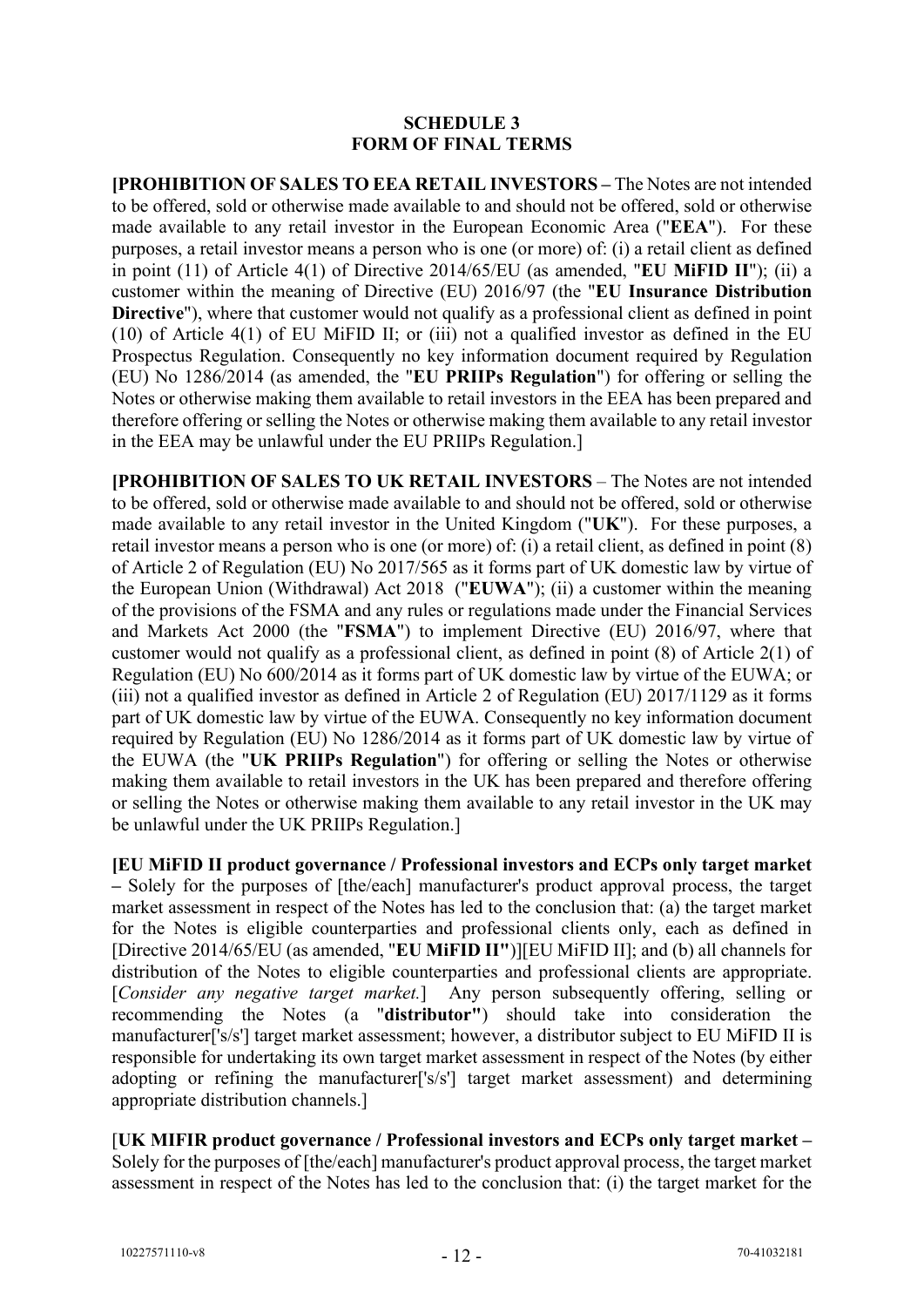## **SCHEDULE 3 FORM OF FINAL TERMS**

<span id="page-15-0"></span>**[PROHIBITION OF SALES TO EEA RETAIL INVESTORS –** The Notes are not intended to be offered, sold or otherwise made available to and should not be offered, sold or otherwise made available to any retail investor in the European Economic Area ("**EEA**"). For these purposes, a retail investor means a person who is one (or more) of: (i) a retail client as defined in point (11) of Article 4(1) of Directive 2014/65/EU (as amended, "**EU MiFID II**"); (ii) a customer within the meaning of Directive (EU) 2016/97 (the "**EU Insurance Distribution Directive**"), where that customer would not qualify as a professional client as defined in point (10) of Article 4(1) of EU MiFID II; or (iii) not a qualified investor as defined in the EU Prospectus Regulation. Consequently no key information document required by Regulation (EU) No 1286/2014 (as amended, the "**EU PRIIPs Regulation**") for offering or selling the Notes or otherwise making them available to retail investors in the EEA has been prepared and therefore offering or selling the Notes or otherwise making them available to any retail investor in the EEA may be unlawful under the EU PRIIPs Regulation.]

**[PROHIBITION OF SALES TO UK RETAIL INVESTORS** – The Notes are not intended to be offered, sold or otherwise made available to and should not be offered, sold or otherwise made available to any retail investor in the United Kingdom ("**UK**"). For these purposes, a retail investor means a person who is one (or more) of: (i) a retail client, as defined in point (8) of Article 2 of Regulation (EU) No 2017/565 as it forms part of UK domestic law by virtue of the European Union (Withdrawal) Act 2018 ("**EUWA**"); (ii) a customer within the meaning of the provisions of the FSMA and any rules or regulations made under the Financial Services and Markets Act 2000 (the "**FSMA**") to implement Directive (EU) 2016/97, where that customer would not qualify as a professional client, as defined in point (8) of Article 2(1) of Regulation (EU) No 600/2014 as it forms part of UK domestic law by virtue of the EUWA; or (iii) not a qualified investor as defined in Article 2 of Regulation (EU) 2017/1129 as it forms part of UK domestic law by virtue of the EUWA. Consequently no key information document required by Regulation (EU) No 1286/2014 as it forms part of UK domestic law by virtue of the EUWA (the "**UK PRIIPs Regulation**") for offering or selling the Notes or otherwise making them available to retail investors in the UK has been prepared and therefore offering or selling the Notes or otherwise making them available to any retail investor in the UK may be unlawful under the UK PRIIPs Regulation.]

**[EU MiFID II product governance / Professional investors and ECPs only target market –** Solely for the purposes of [the/each] manufacturer's product approval process, the target market assessment in respect of the Notes has led to the conclusion that: (a) the target market for the Notes is eligible counterparties and professional clients only, each as defined in [Directive 2014/65/EU (as amended, "**EU MiFID II"**)][EU MiFID II]; and (b) all channels for distribution of the Notes to eligible counterparties and professional clients are appropriate. [*Consider any negative target market.*] Any person subsequently offering, selling or recommending the Notes (a "**distributor"**) should take into consideration the manufacturer['s/s'] target market assessment; however, a distributor subject to EU MiFID II is responsible for undertaking its own target market assessment in respect of the Notes (by either adopting or refining the manufacturer['s/s'] target market assessment) and determining appropriate distribution channels.]

[**UK MIFIR product governance / Professional investors and ECPs only target market –** Solely for the purposes of [the/each] manufacturer's product approval process, the target market assessment in respect of the Notes has led to the conclusion that: (i) the target market for the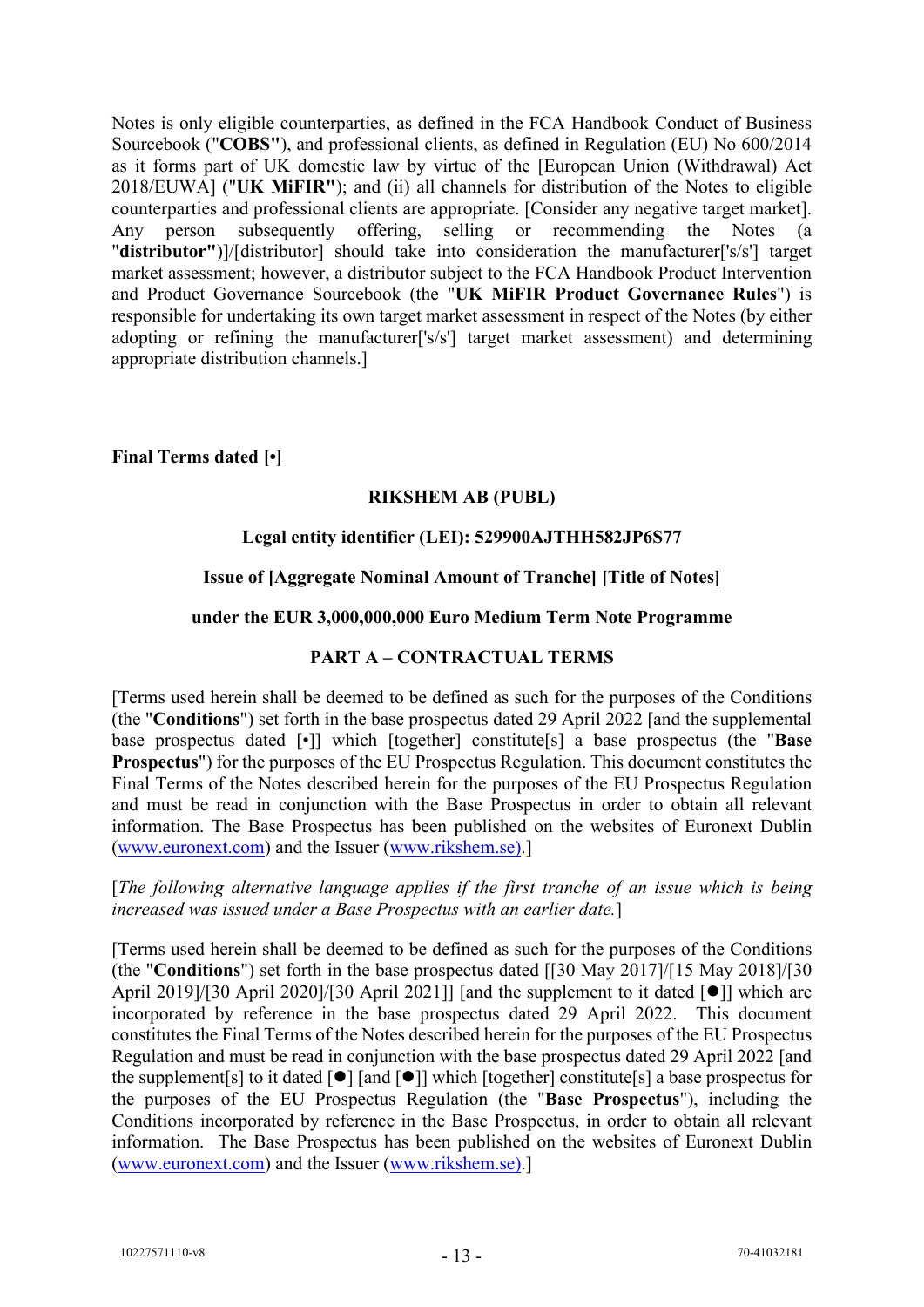Notes is only eligible counterparties, as defined in the FCA Handbook Conduct of Business Sourcebook ("**COBS"**), and professional clients, as defined in Regulation (EU) No 600/2014 as it forms part of UK domestic law by virtue of the [European Union (Withdrawal) Act 2018/EUWA] ("**UK MiFIR"**); and (ii) all channels for distribution of the Notes to eligible counterparties and professional clients are appropriate. [Consider any negative target market].<br>Any person subsequently offering, selling or recommending the Notes (a Any person subsequently offering, selling or recommending the Notes (a "**distributor"**)]/[distributor] should take into consideration the manufacturer['s/s'] target market assessment; however, a distributor subject to the FCA Handbook Product Intervention and Product Governance Sourcebook (the "**UK MiFIR Product Governance Rules**") is responsible for undertaking its own target market assessment in respect of the Notes (by either adopting or refining the manufacturer['s/s'] target market assessment) and determining appropriate distribution channels.]

## **Final Terms dated [•]**

# **RIKSHEM AB (PUBL)**

## **Legal entity identifier (LEI): 529900AJTHH582JP6S77**

## **Issue of [Aggregate Nominal Amount of Tranche] [Title of Notes]**

#### **under the EUR 3,000,000,000 Euro Medium Term Note Programme**

#### **PART A – CONTRACTUAL TERMS**

[Terms used herein shall be deemed to be defined as such for the purposes of the Conditions (the "**Conditions**") set forth in the base prospectus dated 29 April 2022 [and the supplemental base prospectus dated [•]] which [together] constitute[s] a base prospectus (the "**Base Prospectus**") for the purposes of the EU Prospectus Regulation. This document constitutes the Final Terms of the Notes described herein for the purposes of the EU Prospectus Regulation and must be read in conjunction with the Base Prospectus in order to obtain all relevant information. The Base Prospectus has been published on the websites of Euronext Dublin [\(www.euronext.com\)](http://www.euronext.com/) and the Issuer [\(www.rikshem.se\).](http://www.rikshem.se)/)]

#### [*The following alternative language applies if the first tranche of an issue which is being increased was issued under a Base Prospectus with an earlier date.*]

[Terms used herein shall be deemed to be defined as such for the purposes of the Conditions (the "**Conditions**") set forth in the base prospectus dated [[30 May 2017]/[15 May 2018]/[30 April 2019]/[30 April 2020]/[30 April 2021]] [and the supplement to it dated  $\lceil \bullet \rceil$ ] which are incorporated by reference in the base prospectus dated 29 April 2022. This document constitutes the Final Terms of the Notes described herein for the purposes of the EU Prospectus Regulation and must be read in conjunction with the base prospectus dated 29 April 2022 [and the supplement[s] to it dated  $\lceil \bullet \rceil$  [and  $\lceil \bullet \rceil$ ] which [together] constitute[s] a base prospectus for the purposes of the EU Prospectus Regulation (the "**Base Prospectus**"), including the Conditions incorporated by reference in the Base Prospectus, in order to obtain all relevant information. The Base Prospectus has been published on the websites of Euronext Dublin [\(www.euronext.com\)](http://www.euronext.com/) and the Issuer [\(www.rikshem.se\).](http://www.rikshem.se)/)]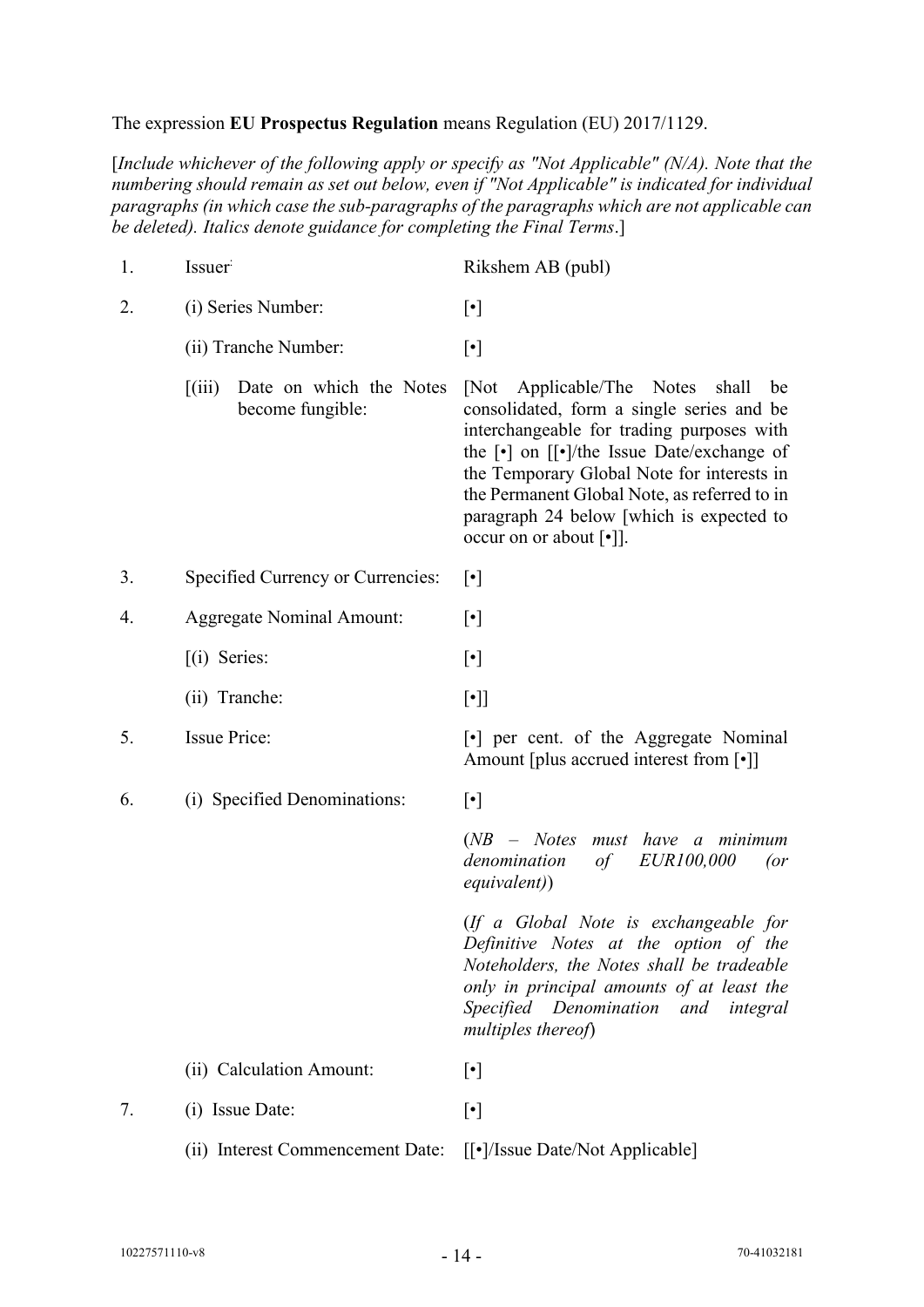The expression **EU Prospectus Regulation** means Regulation (EU) 2017/1129.

[*Include whichever of the following apply or specify as "Not Applicable" (N/A). Note that the numbering should remain as set out below, even if "Not Applicable" is indicated for individual paragraphs (in which case the sub-paragraphs of the paragraphs which are not applicable can be deleted). Italics denote guidance for completing the Final Terms*.]

| 1. | Issuer <sup>:</sup>                                                            | Rikshem AB (publ)                                                                                                                                                                                                                                                                                                                                                                             |  |  |
|----|--------------------------------------------------------------------------------|-----------------------------------------------------------------------------------------------------------------------------------------------------------------------------------------------------------------------------------------------------------------------------------------------------------------------------------------------------------------------------------------------|--|--|
| 2. | (i) Series Number:                                                             | $[\cdot]$                                                                                                                                                                                                                                                                                                                                                                                     |  |  |
|    | (ii) Tranche Number:                                                           | $[\cdot]$                                                                                                                                                                                                                                                                                                                                                                                     |  |  |
|    | Date on which the Notes<br>$\left[ \mathrm{(iii)} \right]$<br>become fungible: | [Not Applicable/The Notes shall<br>be<br>consolidated, form a single series and be<br>interchangeable for trading purposes with<br>the $\lceil \cdot \rceil$ on $\lceil \lceil \cdot \rceil$ /the Issue Date/exchange of<br>the Temporary Global Note for interests in<br>the Permanent Global Note, as referred to in<br>paragraph 24 below [which is expected to<br>occur on or about [•]]. |  |  |
| 3. | Specified Currency or Currencies:                                              | $\lceil \cdot \rceil$                                                                                                                                                                                                                                                                                                                                                                         |  |  |
| 4. | <b>Aggregate Nominal Amount:</b>                                               | $[\cdot]$                                                                                                                                                                                                                                                                                                                                                                                     |  |  |
|    | [(i) Series:                                                                   | $[\cdot]$                                                                                                                                                                                                                                                                                                                                                                                     |  |  |
|    | (ii) Tranche:                                                                  | $[\cdot]$                                                                                                                                                                                                                                                                                                                                                                                     |  |  |
| 5. | <b>Issue Price:</b>                                                            | [•] per cent. of the Aggregate Nominal<br>Amount [plus accrued interest from [•]]                                                                                                                                                                                                                                                                                                             |  |  |
| 6. | (i) Specified Denominations:                                                   | $\lceil \cdot \rceil$                                                                                                                                                                                                                                                                                                                                                                         |  |  |
|    |                                                                                | $(NB - Notes must have a minimum$<br>denomination<br>of<br><i>EUR100,000</i><br>(<br>equivalent)                                                                                                                                                                                                                                                                                              |  |  |
|    |                                                                                | (If a Global Note is exchangeable for<br>Definitive Notes at the option of the<br>Noteholders, the Notes shall be tradeable<br>only in principal amounts of at least the<br>Specified Denomination and integral<br>multiples thereof)                                                                                                                                                         |  |  |
|    | (ii) Calculation Amount:                                                       | $[\cdot]$                                                                                                                                                                                                                                                                                                                                                                                     |  |  |
| 7. | (i) Issue Date:                                                                | $[\cdot]$                                                                                                                                                                                                                                                                                                                                                                                     |  |  |
|    | (ii) Interest Commencement Date:                                               | [[•]/Issue Date/Not Applicable]                                                                                                                                                                                                                                                                                                                                                               |  |  |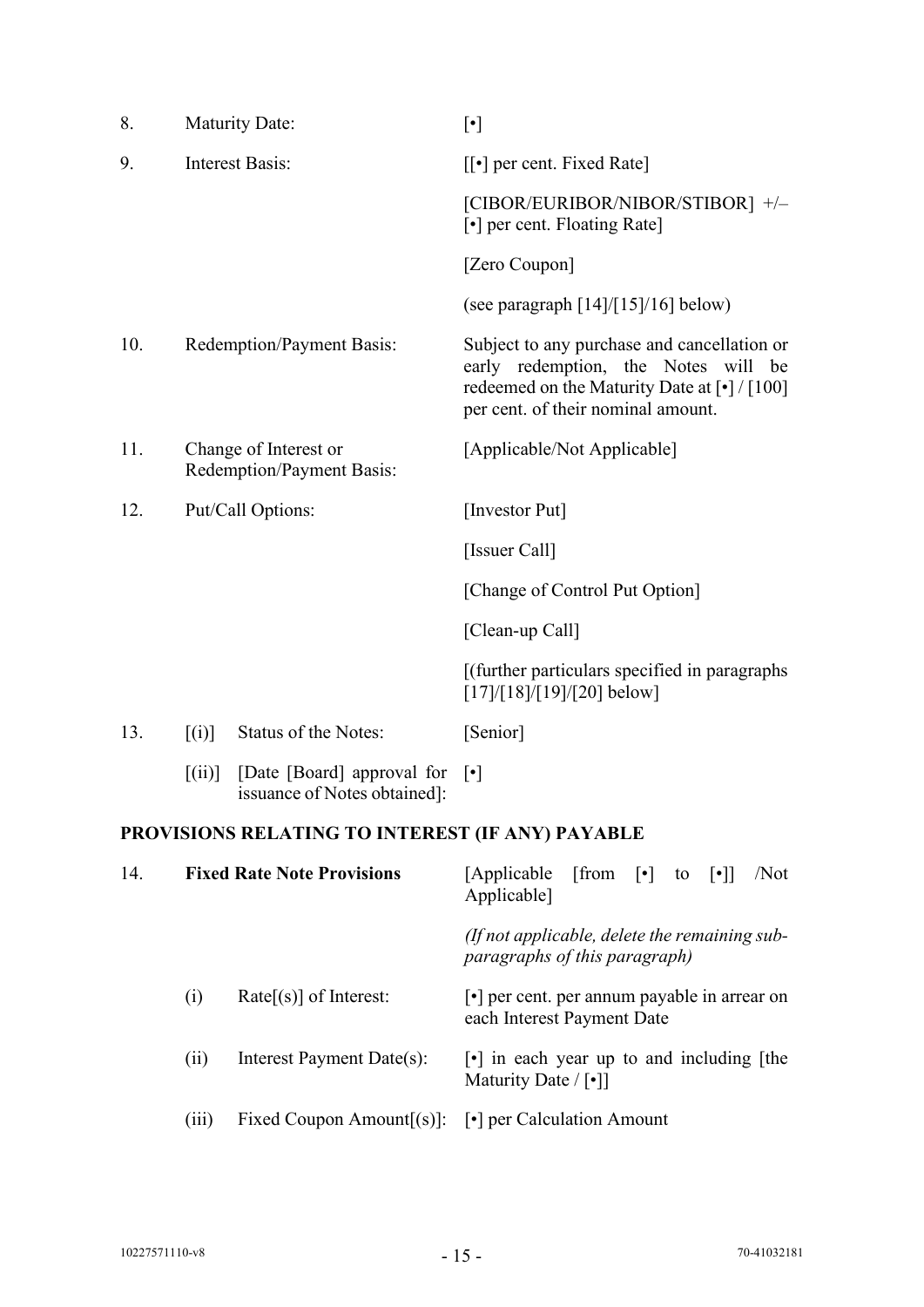| 8.  |                                                  | <b>Maturity Date:</b>                                      | $[\cdot]$                                                                                                                                                                                              |  |  |
|-----|--------------------------------------------------|------------------------------------------------------------|--------------------------------------------------------------------------------------------------------------------------------------------------------------------------------------------------------|--|--|
| 9.  |                                                  | <b>Interest Basis:</b>                                     | $\left[\left[\bullet\right]\right]$ per cent. Fixed Rate]                                                                                                                                              |  |  |
|     |                                                  |                                                            | [CIBOR/EURIBOR/NIBOR/STIBOR] +/-<br>[•] per cent. Floating Rate]                                                                                                                                       |  |  |
|     |                                                  |                                                            | [Zero Coupon]                                                                                                                                                                                          |  |  |
|     |                                                  |                                                            | (see paragraph $[14]/[15]/16$ ] below)                                                                                                                                                                 |  |  |
| 10. |                                                  | Redemption/Payment Basis:                                  | Subject to any purchase and cancellation or<br>early redemption, the Notes will be<br>redeemed on the Maturity Date at $\lceil \cdot \rceil / \lceil 100 \rceil$<br>per cent. of their nominal amount. |  |  |
| 11. |                                                  | Change of Interest or<br>Redemption/Payment Basis:         | [Applicable/Not Applicable]                                                                                                                                                                            |  |  |
| 12. |                                                  | Put/Call Options:                                          | [Investor Put]                                                                                                                                                                                         |  |  |
|     |                                                  |                                                            | [Issuer Call]                                                                                                                                                                                          |  |  |
|     |                                                  |                                                            | [Change of Control Put Option]                                                                                                                                                                         |  |  |
|     |                                                  |                                                            | [Clean-up Call]                                                                                                                                                                                        |  |  |
|     |                                                  |                                                            | [(further particulars specified in paragraphs<br>$[17]/[18]/[19]/[20]$ below]                                                                                                                          |  |  |
| 13. | [(i)]                                            | Status of the Notes:                                       | [Senior]                                                                                                                                                                                               |  |  |
|     | [(ii)]                                           | [Date [Board] approval for<br>issuance of Notes obtained]: | $\lceil \cdot \rceil$                                                                                                                                                                                  |  |  |
|     | PROVISIONS RELATING TO INTEREST (IF ANY) PAYABLE |                                                            |                                                                                                                                                                                                        |  |  |

| 14. |                   | <b>Fixed Rate Note Provisions</b>                              |                                                                                              | [Applicable [from $\lceil \cdot \rceil$ to $\lceil \cdot \rceil$ ] |  | /Not |
|-----|-------------------|----------------------------------------------------------------|----------------------------------------------------------------------------------------------|--------------------------------------------------------------------|--|------|
|     |                   |                                                                | (If not applicable, delete the remaining sub-<br>paragraphs of this paragraph)               |                                                                    |  |      |
|     | $\left( i\right)$ | $Rate[s]$ of Interest:                                         | $\lceil \cdot \rceil$ per cent. per annum payable in arrear on<br>each Interest Payment Date |                                                                    |  |      |
|     | (11)              | Interest Payment Date(s):                                      | $\lceil \cdot \rceil$ in each year up to and including [the<br>Maturity Date $/$ [•]]        |                                                                    |  |      |
|     | (111 )            | Fixed Coupon Amount $[(s)]$ : $[\cdot]$ per Calculation Amount |                                                                                              |                                                                    |  |      |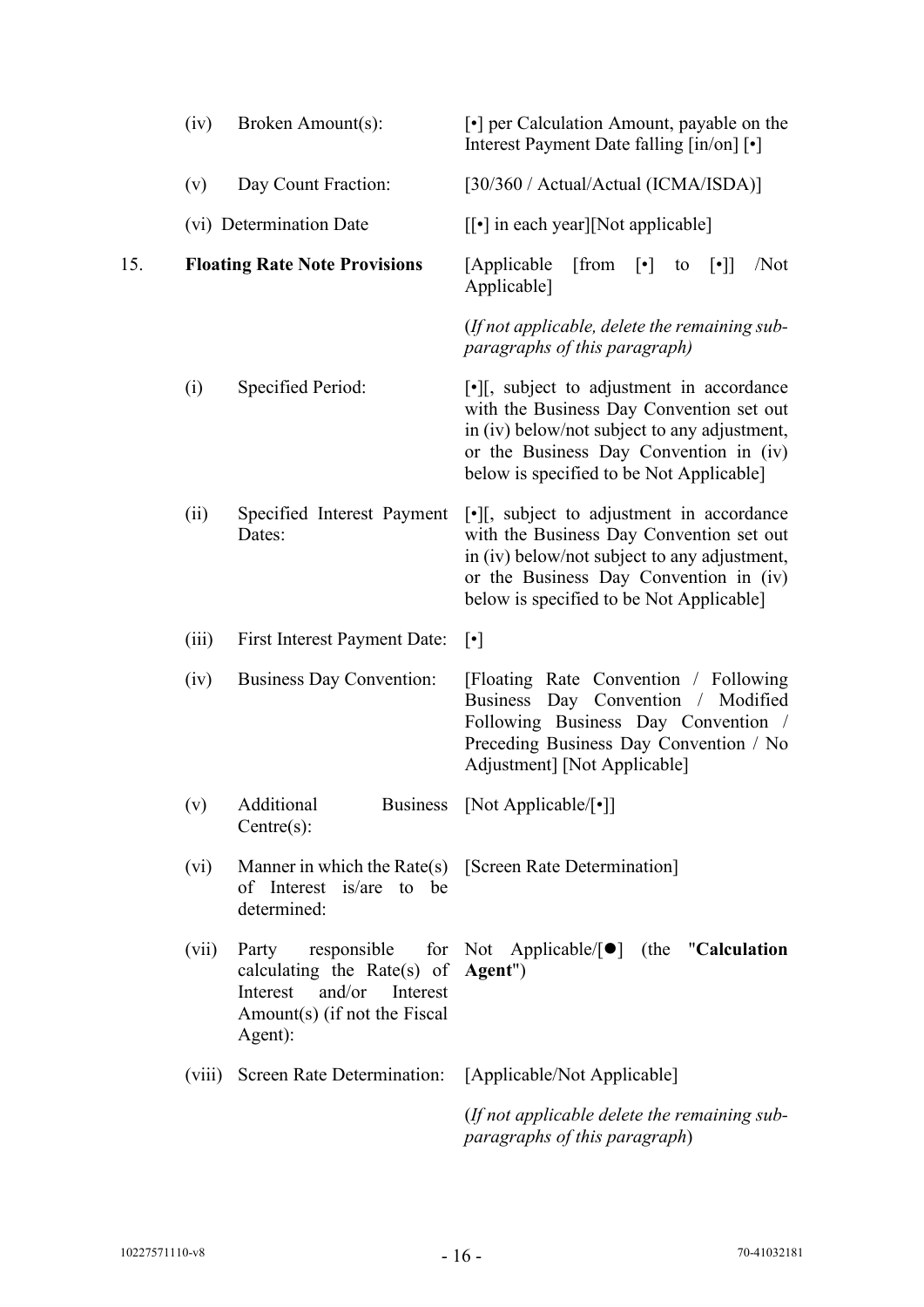|     | (iv)    | Broken Amount(s):                                                                                                                         | [•] per Calculation Amount, payable on the<br>Interest Payment Date falling [in/on] [.]                                                                                                                                     |
|-----|---------|-------------------------------------------------------------------------------------------------------------------------------------------|-----------------------------------------------------------------------------------------------------------------------------------------------------------------------------------------------------------------------------|
|     | (v)     | Day Count Fraction:                                                                                                                       | [30/360 / Actual/Actual (ICMA/ISDA)]                                                                                                                                                                                        |
|     |         | (vi) Determination Date                                                                                                                   | [[•] in each year][Not applicable]                                                                                                                                                                                          |
| 15. |         | <b>Floating Rate Note Provisions</b>                                                                                                      | $[from \; \; \lceil \cdot \rceil]$<br>[Applicable]<br>$[\cdot]$<br>/Not<br>to<br>Applicable]                                                                                                                                |
|     |         |                                                                                                                                           | (If not applicable, delete the remaining sub-<br>paragraphs of this paragraph)                                                                                                                                              |
|     | (i)     | Specified Period:                                                                                                                         | [•][, subject to adjustment in accordance<br>with the Business Day Convention set out<br>in (iv) below/not subject to any adjustment,<br>or the Business Day Convention in (iv)<br>below is specified to be Not Applicable] |
|     | (ii)    | Specified Interest Payment<br>Dates:                                                                                                      | [•][, subject to adjustment in accordance<br>with the Business Day Convention set out<br>in (iv) below/not subject to any adjustment,<br>or the Business Day Convention in (iv)<br>below is specified to be Not Applicable] |
|     | (iii)   | First Interest Payment Date:                                                                                                              | $\lceil \cdot \rceil$                                                                                                                                                                                                       |
|     | (iv)    | <b>Business Day Convention:</b>                                                                                                           | [Floating Rate Convention / Following<br>Business Day Convention / Modified<br>Following Business Day Convention /<br>Preceding Business Day Convention / No<br>Adjustment] [Not Applicable]                                |
|     | (v)     | Additional<br>Centre(s):                                                                                                                  | Business [Not Applicable/[•]]                                                                                                                                                                                               |
|     | $(v_i)$ | of Interest is/are to be<br>determined:                                                                                                   | Manner in which the Rate(s) [Screen Rate Determination]                                                                                                                                                                     |
|     | (vii)   | responsible<br>Party<br>calculating the Rate(s) of $Agent")$<br>and/or<br>Interest<br>Interest<br>Amount(s) (if not the Fiscal<br>Agent): | for Not Applicable/ $\lceil \bullet \rceil$ (the "Calculation"                                                                                                                                                              |
|     |         | (viii) Screen Rate Determination:                                                                                                         | [Applicable/Not Applicable]                                                                                                                                                                                                 |
|     |         |                                                                                                                                           | (If not applicable delete the remaining sub-<br>paragraphs of this paragraph)                                                                                                                                               |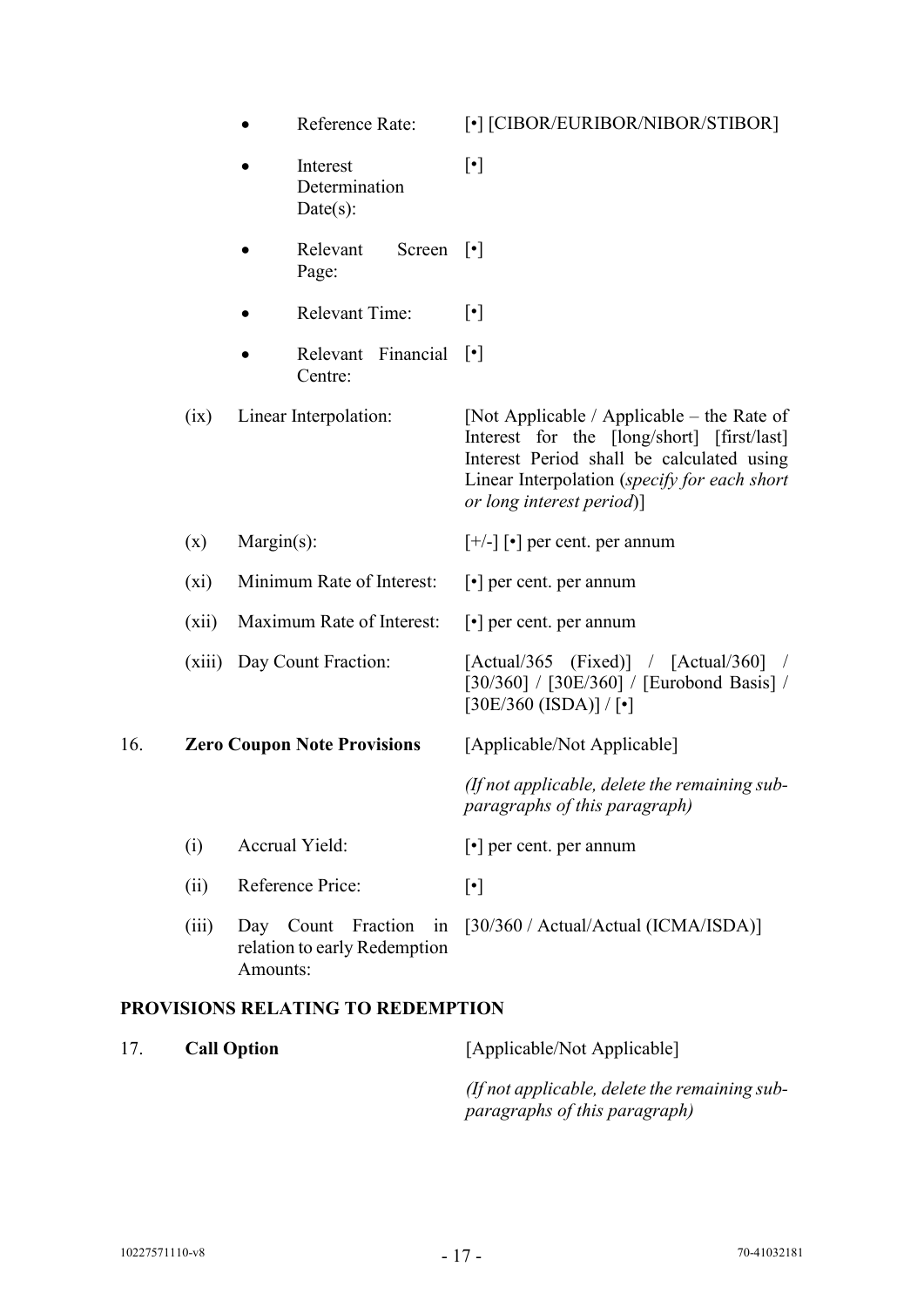- Interest Determination Date(s): [•]
- Relevant Page: Screen [•]
- Relevant Time:  $\lceil \cdot \rceil$
- Relevant Financial [•] Centre:

(ix) Linear Interpolation: [Not Applicable / Applicable – the Rate of Interest for the [long/short] [first/last] Interest Period shall be calculated using Linear Interpolation (*specify for each short or long interest period*)]

 $[30E/360 (ISDA)] / [•]$ 

- (x) Margin(s):  $[+/]-]$  [•] per cent. per annum
- (xi) Minimum Rate of Interest: [•] per cent. per annum
- (xii) Maximum Rate of Interest: [•] per cent. per annum

(xiii) Day Count Fraction: [Actual/365 (Fixed)] / [Actual/360] /

# 16. **Zero Coupon Note Provisions** [Applicable/Not Applicable]

*(If not applicable, delete the remaining subparagraphs of this paragraph)*

[30/360] / [30E/360] / [Eurobond Basis] /

- (i) Accrual Yield: [•] per cent. per annum
- (ii) Reference Price: [•]
- (iii) Day Count Fraction in [30/360 / Actual/Actual (ICMA/ISDA)] relation to early Redemption Amounts:

# **PROVISIONS RELATING TO REDEMPTION**

| 17. | <b>Call Option</b> | [Applicable/Not Applicable]                                                    |
|-----|--------------------|--------------------------------------------------------------------------------|
|     |                    | (If not applicable, delete the remaining sub-<br>paragraphs of this paragraph) |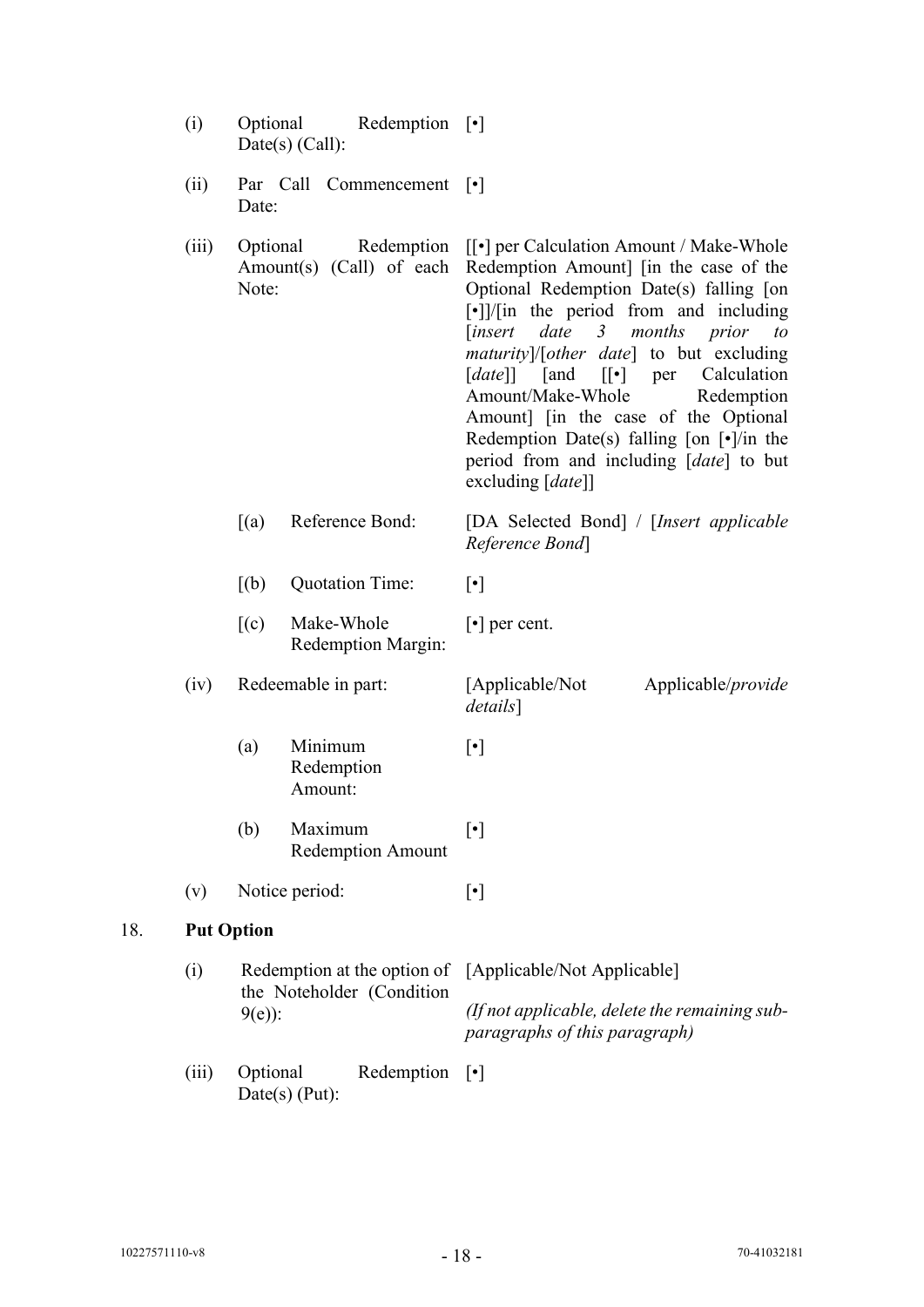| (i)   |                                                                      | Optional<br>Redemption $[\cdot]$<br>$Date(s)$ (Call): |                                                                                                                                                                                                                                                                                                                                                                                                                                                                                                                                                                                         |
|-------|----------------------------------------------------------------------|-------------------------------------------------------|-----------------------------------------------------------------------------------------------------------------------------------------------------------------------------------------------------------------------------------------------------------------------------------------------------------------------------------------------------------------------------------------------------------------------------------------------------------------------------------------------------------------------------------------------------------------------------------------|
| (ii)  | Date:                                                                | Par Call Commencement                                 | $\left  \cdot \right $                                                                                                                                                                                                                                                                                                                                                                                                                                                                                                                                                                  |
| (iii) | Optional<br>Note:                                                    | Redemption<br>Amount(s) (Call) of each                | $\lceil \cdot \rceil$ per Calculation Amount / Make-Whole<br>Redemption Amount] [in the case of the<br>Optional Redemption Date(s) falling [on<br>$\lceil \cdot \rceil$ //in the period from and including<br>date 3<br>months<br><i>insert</i><br>prior<br>to<br><i>maturity</i> ]/[ <i>other date</i> ] to but excluding<br>[and [[•] per Calculation<br>$\lceil date \rceil$<br>Amount/Make-Whole<br>Redemption<br>Amount] [in the case of the Optional<br>Redemption Date(s) falling [on $[\cdot]$ /in the<br>period from and including [date] to but<br>excluding [ <i>date</i> ]] |
|       | (a)                                                                  | Reference Bond:                                       | [DA Selected Bond] / [Insert applicable<br>Reference Bond                                                                                                                                                                                                                                                                                                                                                                                                                                                                                                                               |
|       | [(b)]                                                                | <b>Quotation Time:</b>                                | $[\cdot]$                                                                                                                                                                                                                                                                                                                                                                                                                                                                                                                                                                               |
|       | (c)                                                                  | Make-Whole<br><b>Redemption Margin:</b>               | $\lceil \cdot \rceil$ per cent.                                                                                                                                                                                                                                                                                                                                                                                                                                                                                                                                                         |
| (iv)  |                                                                      | Redeemable in part:                                   | [Applicable/Not<br>Applicable/ <i>provide</i><br>details]                                                                                                                                                                                                                                                                                                                                                                                                                                                                                                                               |
|       | (a)                                                                  | Minimum<br>Redemption<br>Amount:                      | $[\cdot]$                                                                                                                                                                                                                                                                                                                                                                                                                                                                                                                                                                               |
|       | (b)                                                                  | Maximum<br><b>Redemption Amount</b>                   | $[\cdot]$                                                                                                                                                                                                                                                                                                                                                                                                                                                                                                                                                                               |
| (v)   |                                                                      | Notice period:                                        | $[\cdot]$                                                                                                                                                                                                                                                                                                                                                                                                                                                                                                                                                                               |
|       | <b>Put Option</b>                                                    |                                                       |                                                                                                                                                                                                                                                                                                                                                                                                                                                                                                                                                                                         |
| (i)   | Redemption at the option of<br>the Noteholder (Condition<br>$9(e)$ : |                                                       | [Applicable/Not Applicable]                                                                                                                                                                                                                                                                                                                                                                                                                                                                                                                                                             |
|       |                                                                      |                                                       | (If not applicable, delete the remaining sub-<br>paragraphs of this paragraph)                                                                                                                                                                                                                                                                                                                                                                                                                                                                                                          |
| (iii) | Optional<br>Redemption<br>$Date(s)$ (Put):                           |                                                       | $\lceil \cdot \rceil$                                                                                                                                                                                                                                                                                                                                                                                                                                                                                                                                                                   |

18.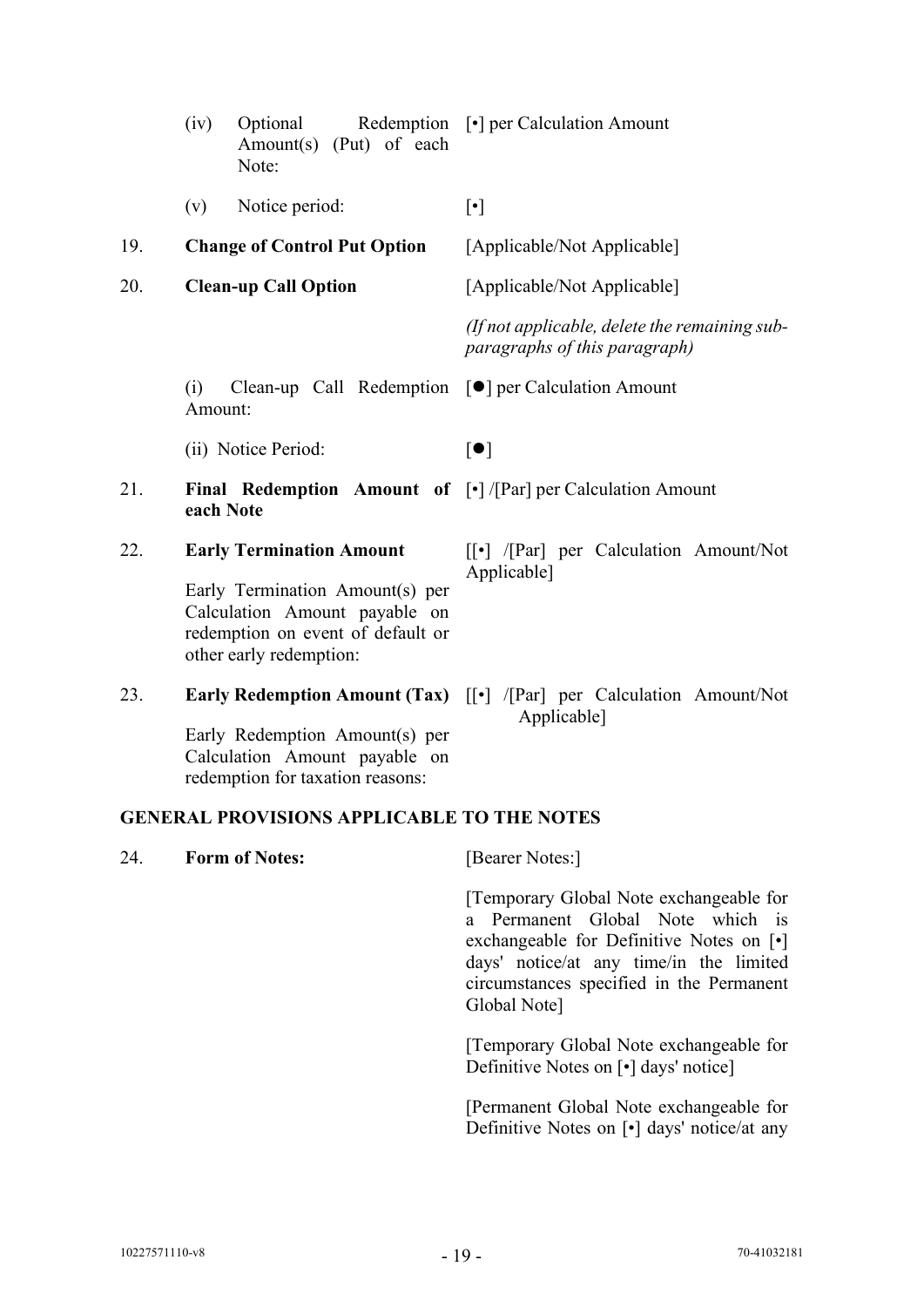- (iv) Optional Redemption [•] per Calculation Amount Amount(s) (Put) of each Note:
- (v) Notice period: [•]

#### 19. **Change of Control Put Option** [Applicable/Not Applicable]

20. **Clean-up Call Option** [Applicable/Not Applicable]

*(If not applicable, delete the remaining subparagraphs of this paragraph)*

(i) Clean-up Call Redemption [<sup>o</sup>] per Calculation Amount Amount:

(ii) Notice Period:  $\lceil \bullet \rceil$ 

- 21. **Final Redemption Amount of**  [•] /[Par] per Calculation Amount **each Note**
- 22. **Early Termination Amount**

Early Termination Amount(s) per Calculation Amount payable on redemption on event of default or other early redemption:

23. **Early Redemption Amount (Tax)** [[•] /[Par] per Calculation Amount/Not

Early Redemption Amount(s) per Calculation Amount payable on redemption for taxation reasons:

[[•] /[Par] per Calculation Amount/Not Applicable]

Applicable]

#### **GENERAL PROVISIONS APPLICABLE TO THE NOTES**

24. **Form of Notes:** [Bearer Notes:] [Temporary Global Note exchangeable for a Permanent Global Note which is exchangeable for Definitive Notes on [•] days' notice/at any time/in the limited circumstances specified in the Permanent Global Note] [Temporary Global Note exchangeable for Definitive Notes on [•] days' notice] [Permanent Global Note exchangeable for Definitive Notes on [•] days' notice/at any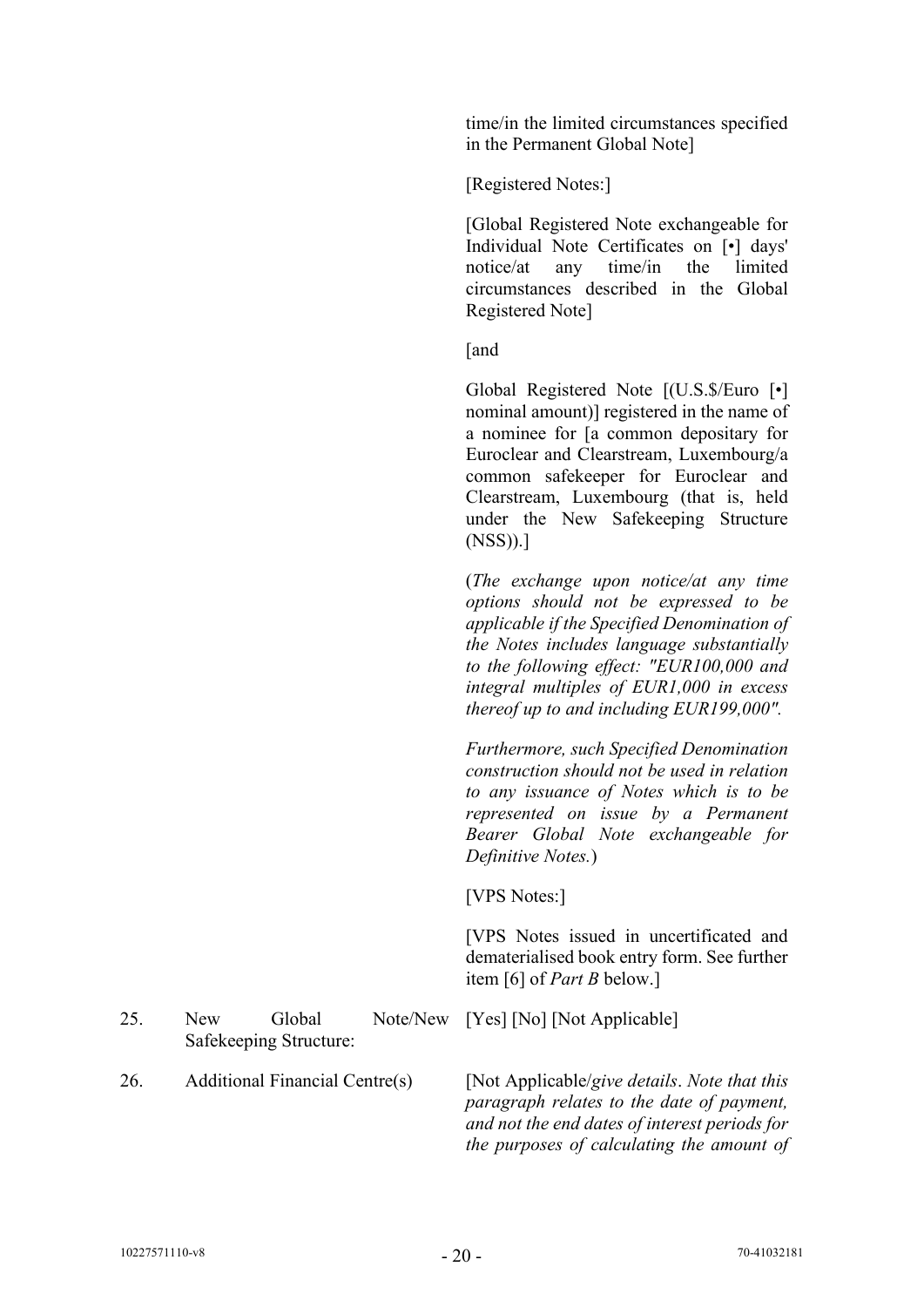time/in the limited circumstances specified in the Permanent Global Note]

[Registered Notes:]

[Global Registered Note exchangeable for Individual Note Certificates on [•] days' notice/at any time/in the limited circumstances described in the Global Registered Note]

[and

Global Registered Note [(U.S.\$/Euro [•] nominal amount)] registered in the name of a nominee for [a common depositary for Euroclear and Clearstream, Luxembourg/a common safekeeper for Euroclear and Clearstream, Luxembourg (that is, held under the New Safekeeping Structure (NSS)).]

(*The exchange upon notice/at any time options should not be expressed to be applicable if the Specified Denomination of the Notes includes language substantially to the following effect: "EUR100,000 and integral multiples of EUR1,000 in excess thereof up to and including EUR199,000".*

*Furthermore, such Specified Denomination construction should not be used in relation to any issuance of Notes which is to be represented on issue by a Permanent Bearer Global Note exchangeable for Definitive Notes.*)

[VPS Notes:]

[VPS Notes issued in uncertificated and dematerialised book entry form. See further item [6] of *Part B* below.]

*the purposes of calculating the amount of* 

| 25. | New | Global<br>Safekeeping Structure: | Note/New [Yes] [No] [Not Applicable]                                                                                                       |
|-----|-----|----------------------------------|--------------------------------------------------------------------------------------------------------------------------------------------|
| 26. |     | Additional Financial Centre(s)   | [Not Applicable/give details. Note that this<br>paragraph relates to the date of payment,<br>and not the end dates of interest periods for |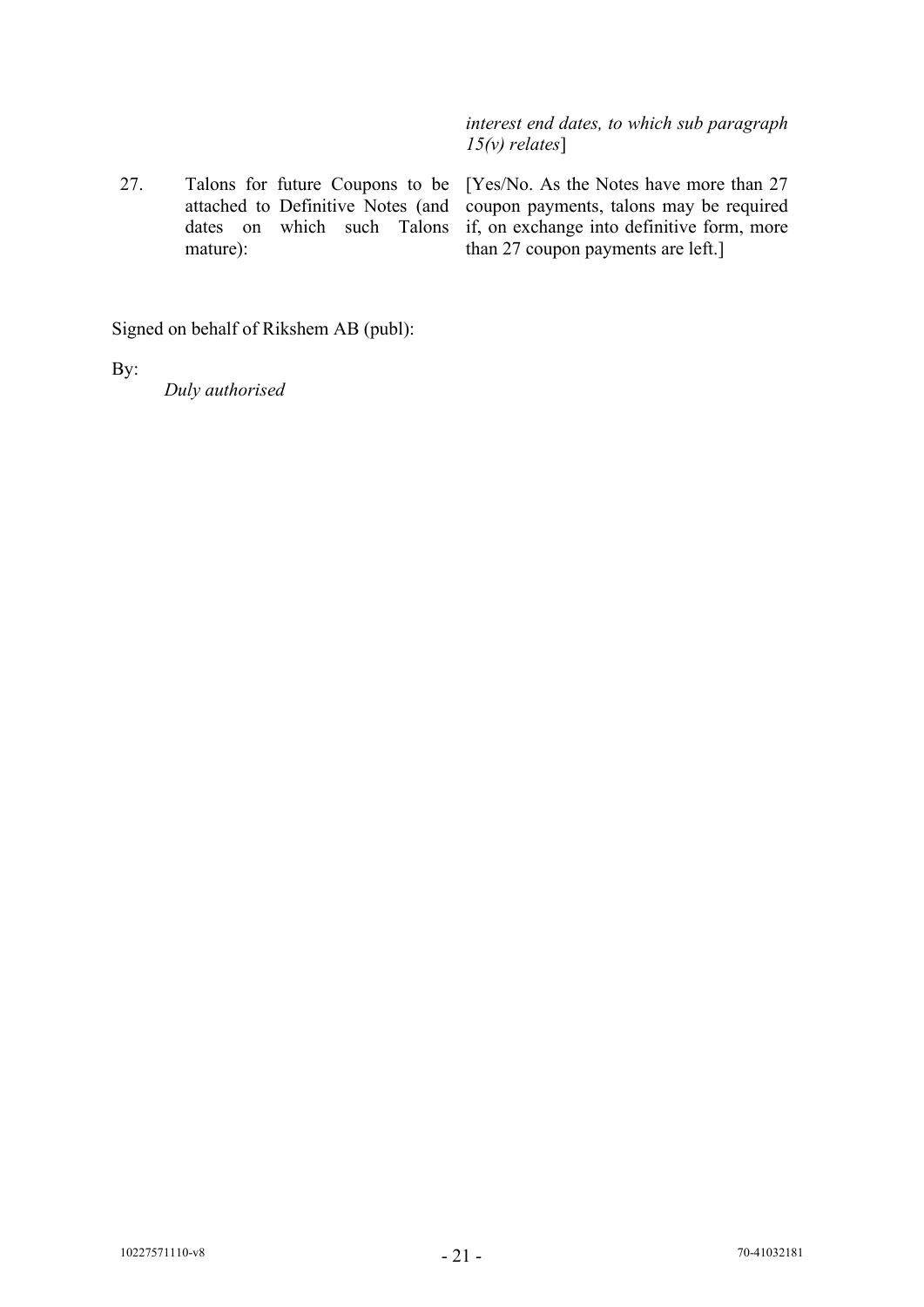*interest end dates, to which sub paragraph 15(v) relates*]

27. Talons for future Coupons to be [Yes/No. As the Notes have more than 27 dates on which such Talons mature):

attached to Definitive Notes (and coupon payments, talons may be required if, on exchange into definitive form, more than 27 coupon payments are left.]

Signed on behalf of Rikshem AB (publ):

By:

*Duly authorised*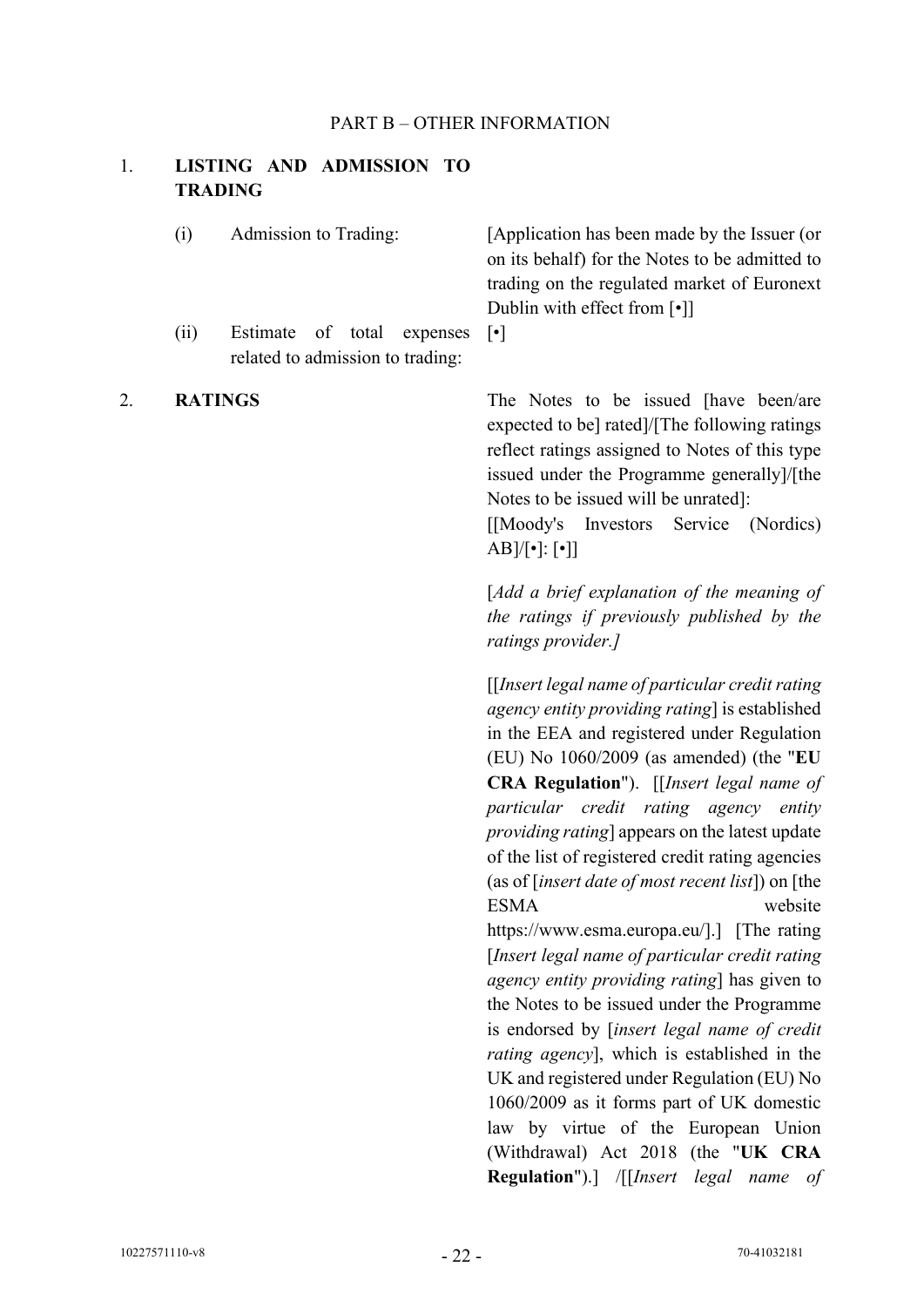#### PART B – OTHER INFORMATION

# 1. **LISTING AND ADMISSION TO TRADING**

(i) Admission to Trading: [Application has been made by the Issuer (or on its behalf) for the Notes to be admitted to trading on the regulated market of Euronext Dublin with effect from [•]] (ii) Estimate of total expenses related to admission to trading: [•]

2. **RATINGS** The Notes to be issued [have been/are expected to be] rated]/[The following ratings reflect ratings assigned to Notes of this type issued under the Programme generally]/[the Notes to be issued will be unrated]:

> [[Moody's Investors Service (Nordics)  $AB]/[\cdot]$ :  $[\cdot]$

> [*Add a brief explanation of the meaning of the ratings if previously published by the ratings provider.]*

> [[*Insert legal name of particular credit rating agency entity providing rating*] is established in the EEA and registered under Regulation (EU) No 1060/2009 (as amended) (the "**EU CRA Regulation**"). [[*Insert legal name of particular credit rating agency entity providing rating*] appears on the latest update of the list of registered credit rating agencies (as of [*insert date of most recent list*]) on [the ESMA website https://www.esma.europa.eu/].] [The rating [*Insert legal name of particular credit rating agency entity providing rating*] has given to the Notes to be issued under the Programme is endorsed by [*insert legal name of credit rating agency*], which is established in the UK and registered under Regulation (EU) No 1060/2009 as it forms part of UK domestic law by virtue of the European Union (Withdrawal) Act 2018 (the "**UK CRA Regulation**").] /[[*Insert legal name of*

 $10227571110-v8$  - 22 - 70-41032181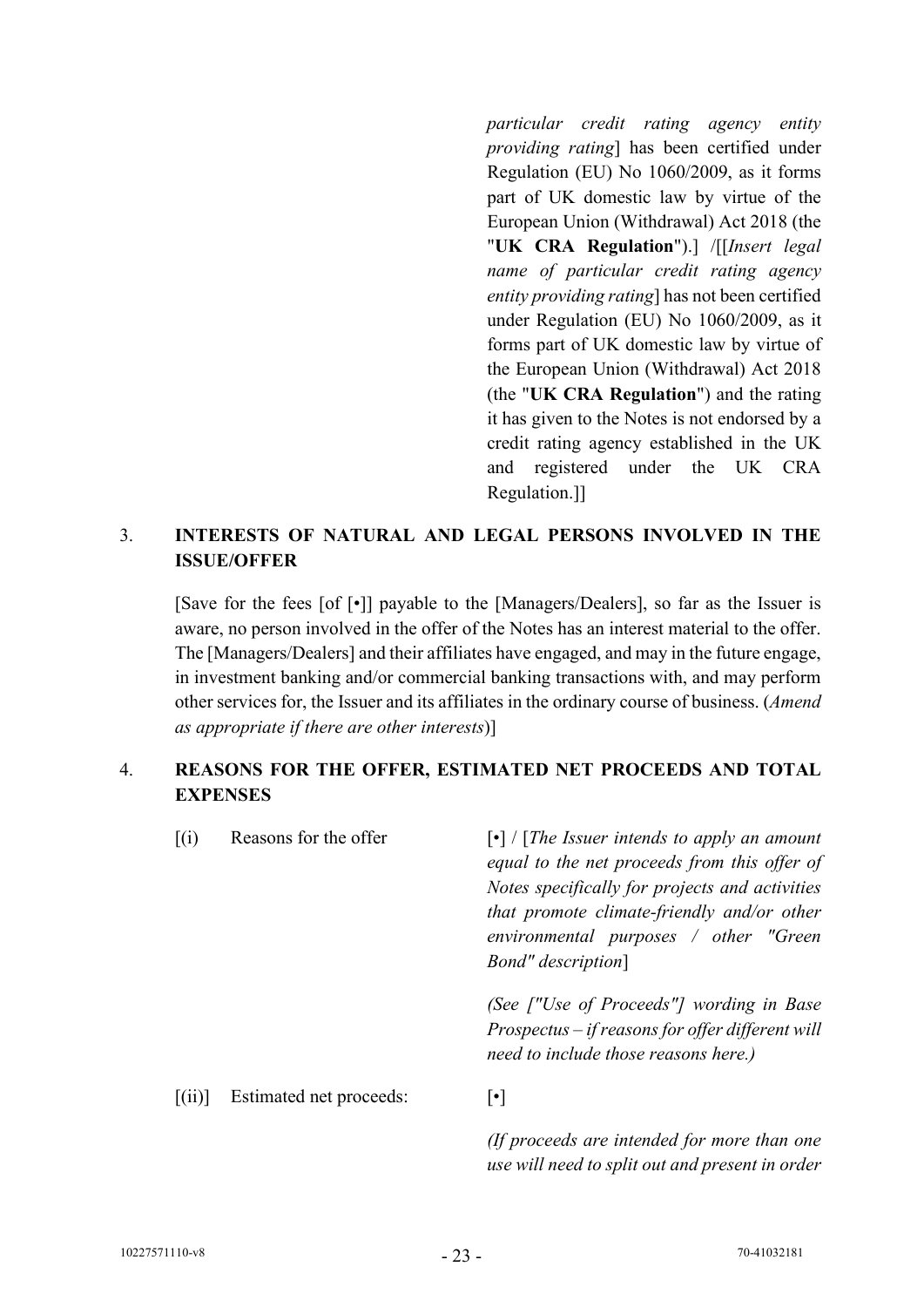*particular credit rating agency entity providing rating*] has been certified under Regulation (EU) No 1060/2009, as it forms part of UK domestic law by virtue of the European Union (Withdrawal) Act 2018 (the "**UK CRA Regulation**").] /[[*Insert legal name of particular credit rating agency entity providing rating*] has not been certified under Regulation (EU) No 1060/2009, as it forms part of UK domestic law by virtue of the European Union (Withdrawal) Act 2018 (the "**UK CRA Regulation**") and the rating it has given to the Notes is not endorsed by a credit rating agency established in the UK and registered under the UK CRA Regulation.]]

# 3. **INTERESTS OF NATURAL AND LEGAL PERSONS INVOLVED IN THE ISSUE/OFFER**

[Save for the fees [of [•]] payable to the [Managers/Dealers], so far as the Issuer is aware, no person involved in the offer of the Notes has an interest material to the offer. The [Managers/Dealers] and their affiliates have engaged, and may in the future engage, in investment banking and/or commercial banking transactions with, and may perform other services for, the Issuer and its affiliates in the ordinary course of business. (*Amend as appropriate if there are other interests*)]

# 4. **REASONS FOR THE OFFER, ESTIMATED NET PROCEEDS AND TOTAL EXPENSES**

| $\left[ \mathrm{(}i\mathrm{)}\right]$ | Reasons for the offer   | $\lceil \cdot \rceil$ / [The Issuer intends to apply an amount<br>equal to the net proceeds from this offer of<br>Notes specifically for projects and activities<br>that promote climate-friendly and/or other<br>environmental purposes $\ell$ other "Green"<br><i>Bond"</i> description] |
|---------------------------------------|-------------------------|--------------------------------------------------------------------------------------------------------------------------------------------------------------------------------------------------------------------------------------------------------------------------------------------|
|                                       |                         | (See ["Use of Proceeds"] wording in Base<br>$Proofus - if reasons for offer different will$<br>need to include those reasons here.)                                                                                                                                                        |
| [(ii)]                                | Estimated net proceeds: | $\lceil \bullet \rceil$                                                                                                                                                                                                                                                                    |
|                                       |                         | (If proceeds are intended for more than one<br>use will need to split out and present in order                                                                                                                                                                                             |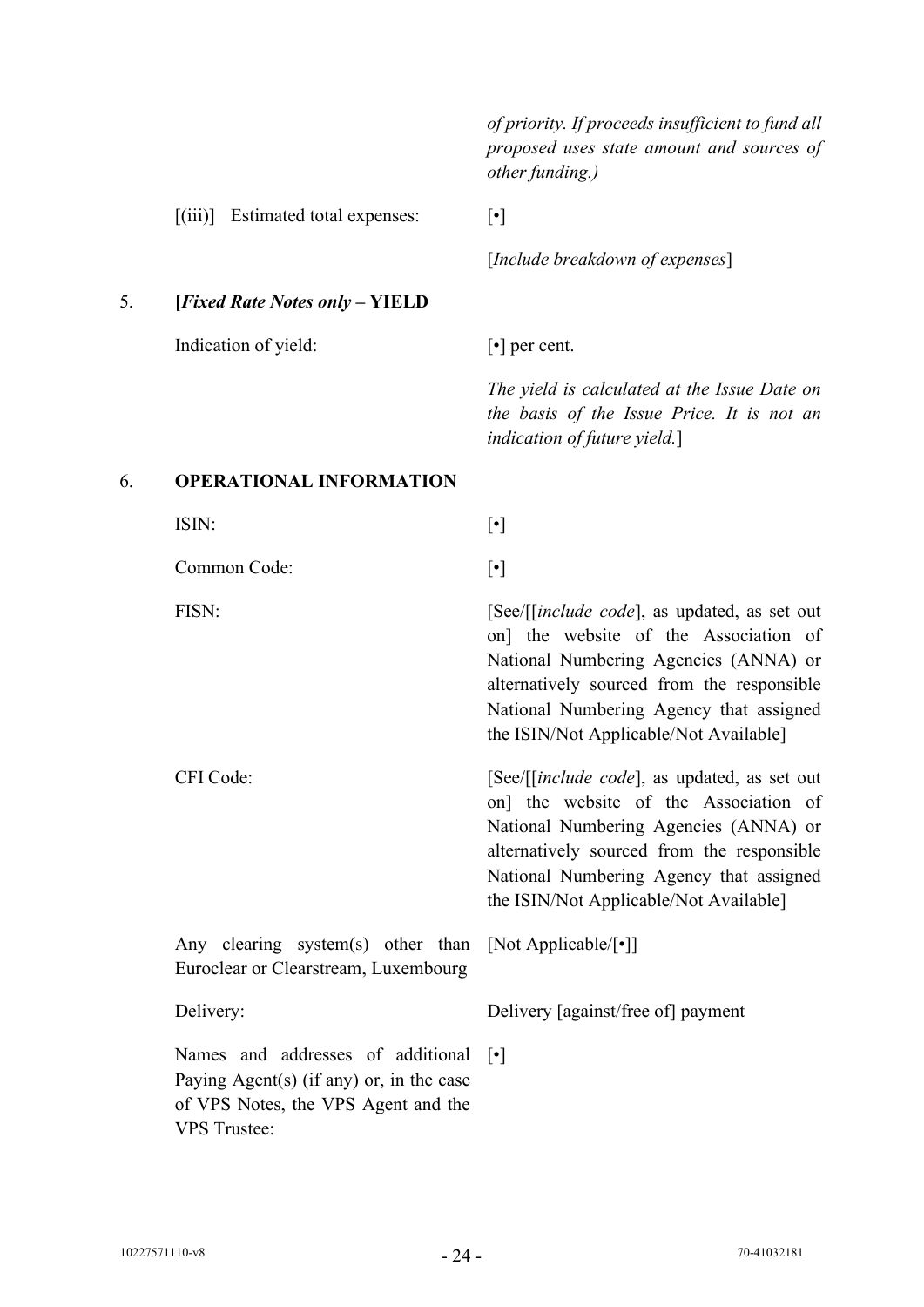*of priority. If proceeds insufficient to fund all proposed uses state amount and sources of other funding.)*

[(iii)] Estimated total expenses:  $\lceil \cdot \rceil$ 

[*Include breakdown of expenses*]

5. **[***Fixed Rate Notes only* **– YIELD**

Indication of yield:  $[\cdot]$  per cent.

*The yield is calculated at the Issue Date on the basis of the Issue Price. It is not an indication of future yield.*]

## 6. **OPERATIONAL INFORMATION**

| ISIN:                                                                                                                                       | $[\cdot]$                                                                                                                                                                                                                                                                  |
|---------------------------------------------------------------------------------------------------------------------------------------------|----------------------------------------------------------------------------------------------------------------------------------------------------------------------------------------------------------------------------------------------------------------------------|
| Common Code:                                                                                                                                | $[\cdot]$                                                                                                                                                                                                                                                                  |
| FISN:                                                                                                                                       | [See/[ <i>[include code</i> ], as updated, as set out<br>on] the website of the Association of<br>National Numbering Agencies (ANNA) or<br>alternatively sourced from the responsible<br>National Numbering Agency that assigned<br>the ISIN/Not Applicable/Not Available] |
| CFI Code:                                                                                                                                   | [See/[[include code], as updated, as set out<br>on] the website of the Association of<br>National Numbering Agencies (ANNA) or<br>alternatively sourced from the responsible<br>National Numbering Agency that assigned<br>the ISIN/Not Applicable/Not Available]          |
| Any clearing system(s) other than<br>Euroclear or Clearstream, Luxembourg                                                                   | [Not Applicable/ $[\cdot]$ ]                                                                                                                                                                                                                                               |
| Delivery:                                                                                                                                   | Delivery [against/free of] payment                                                                                                                                                                                                                                         |
| Names and addresses of additional<br>Paying Agent(s) (if any) or, in the case<br>of VPS Notes, the VPS Agent and the<br><b>VPS</b> Trustee: | $\lceil \cdot \rceil$                                                                                                                                                                                                                                                      |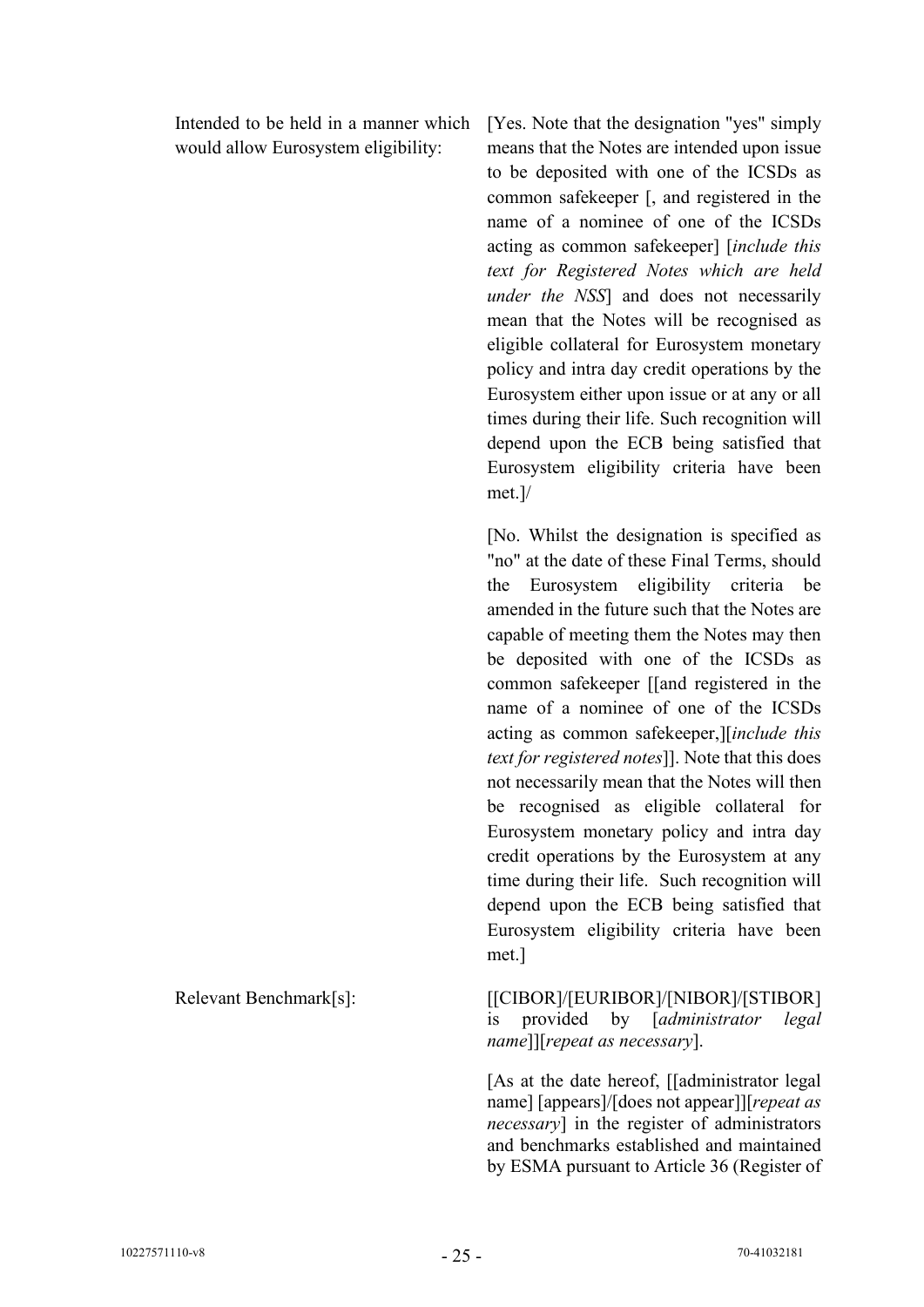Intended to be held in a manner which would allow Eurosystem eligibility:

[Yes. Note that the designation "yes" simply means that the Notes are intended upon issue to be deposited with one of the ICSDs as common safekeeper [, and registered in the name of a nominee of one of the ICSDs acting as common safekeeper] [*include this text for Registered Notes which are held under the NSS*] and does not necessarily mean that the Notes will be recognised as eligible collateral for Eurosystem monetary policy and intra day credit operations by the Eurosystem either upon issue or at any or all times during their life. Such recognition will depend upon the ECB being satisfied that Eurosystem eligibility criteria have been met.]/

[No. Whilst the designation is specified as "no" at the date of these Final Terms, should the Eurosystem eligibility criteria be amended in the future such that the Notes are capable of meeting them the Notes may then be deposited with one of the ICSDs as common safekeeper [[and registered in the name of a nominee of one of the ICSDs acting as common safekeeper,][*include this text for registered notes*]]. Note that this does not necessarily mean that the Notes will then be recognised as eligible collateral for Eurosystem monetary policy and intra day credit operations by the Eurosystem at any time during their life. Such recognition will depend upon the ECB being satisfied that Eurosystem eligibility criteria have been met.]

Relevant Benchmark[s]: [[CIBOR]/[EURIBOR]/[NIBOR]/[STIBOR] is provided by [*administrator legal name*]][*repeat as necessary*].

> [As at the date hereof, [[administrator legal] name] [appears]/[does not appear]][*repeat as necessary*] in the register of administrators and benchmarks established and maintained by ESMA pursuant to Article 36 (Register of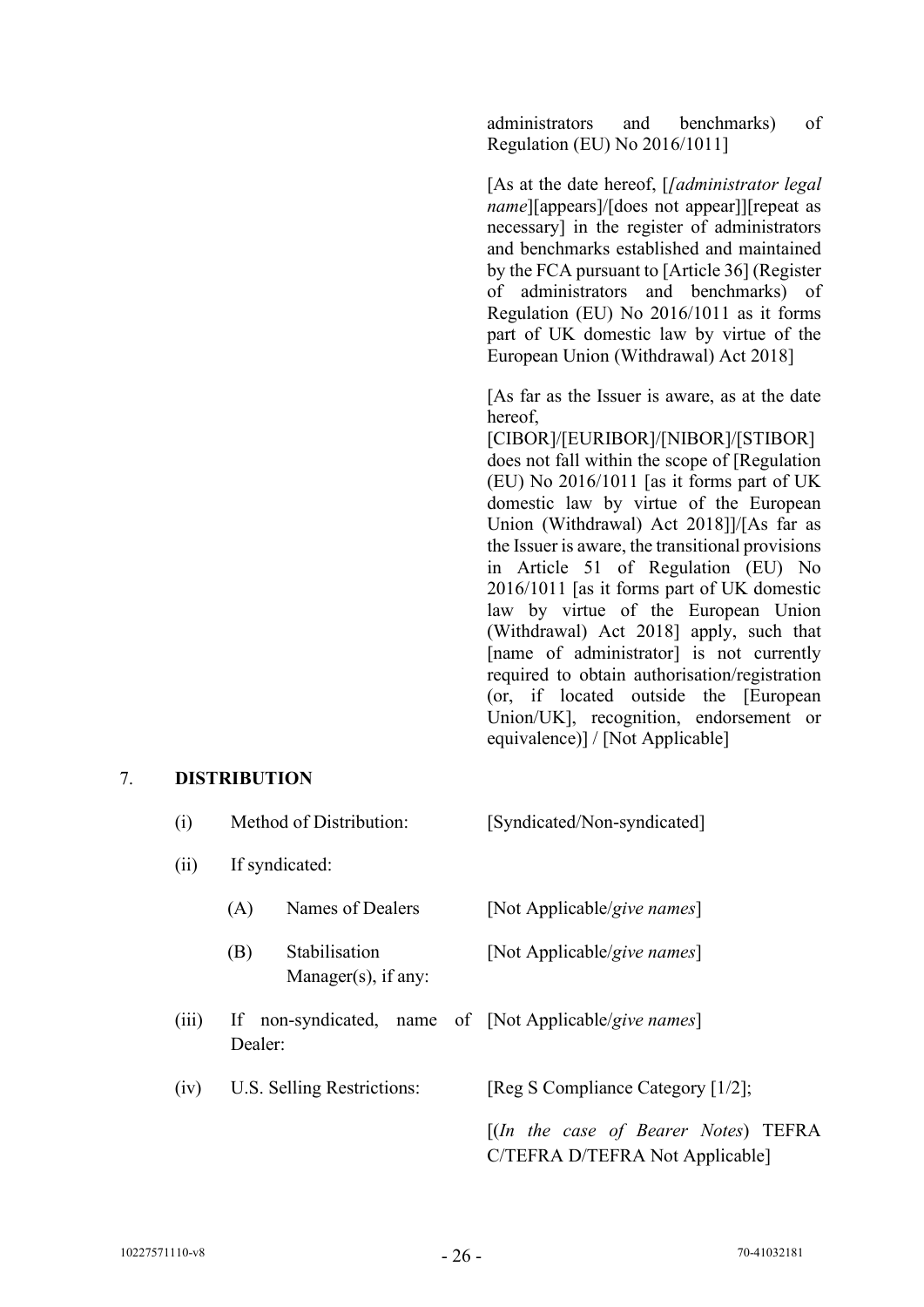administrators and benchmarks) of Regulation (EU) No 2016/1011]

[As at the date hereof, [*[administrator legal name*][appears]/[does not appear]][repeat as necessary] in the register of administrators and benchmarks established and maintained by the FCA pursuant to [Article 36] (Register of administrators and benchmarks) of Regulation (EU) No 2016/1011 as it forms part of UK domestic law by virtue of the European Union (Withdrawal) Act 2018]

[As far as the Issuer is aware, as at the date hereof,

[CIBOR]/[EURIBOR]/[NIBOR]/[STIBOR] does not fall within the scope of [Regulation (EU) No 2016/1011 [as it forms part of UK domestic law by virtue of the European Union (Withdrawal) Act 2018]]/[As far as the Issuer is aware, the transitional provisions in Article 51 of Regulation (EU) No 2016/1011 [as it forms part of UK domestic law by virtue of the European Union (Withdrawal) Act 2018] apply, such that [name of administrator] is not currently required to obtain authorisation/registration (or, if located outside the [European Union/UK], recognition, endorsement or equivalence)] / [Not Applicable]

#### 7. **DISTRIBUTION**

| (i)   | Method of Distribution:                         | [Syndicated/Non-syndicated]                                              |
|-------|-------------------------------------------------|--------------------------------------------------------------------------|
| (ii)  | If syndicated:                                  |                                                                          |
|       | Names of Dealers<br>(A)                         | [Not Applicable/give names]                                              |
|       | Stabilisation<br>(B)<br>Manager $(s)$ , if any: | [Not Applicable/give names]                                              |
| (iii) | If -<br>Dealer:                                 | non-syndicated, name of [Not Applicable/give names]                      |
| (iv)  | U.S. Selling Restrictions:                      | [Reg S Compliance Category $[1/2]$ ;                                     |
|       |                                                 | [(In the case of Bearer Notes) TEFRA]<br>C/TEFRA D/TEFRA Not Applicable] |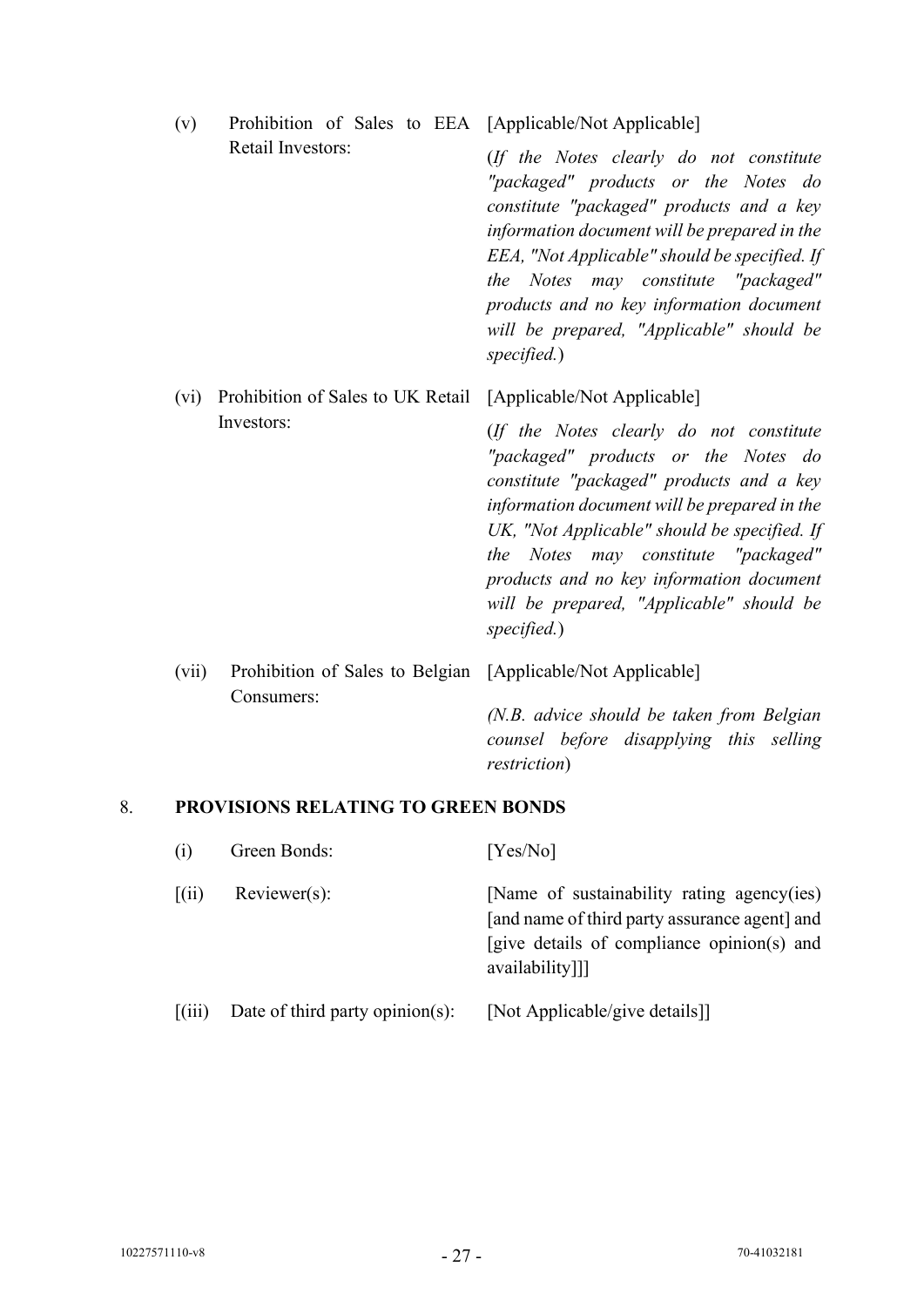| (v)     | Prohibition of Sales to EEA [Applicable/Not Applicable]                   |                                                                                                                                                                                                                                                                                                                                                                                                         |
|---------|---------------------------------------------------------------------------|---------------------------------------------------------------------------------------------------------------------------------------------------------------------------------------------------------------------------------------------------------------------------------------------------------------------------------------------------------------------------------------------------------|
|         | Retail Investors:                                                         | (If the Notes clearly do not constitute<br>"packaged" products or the Notes do<br>constitute "packaged" products and a key<br>information document will be prepared in the<br>EEA, "Not Applicable" should be specified. If<br>the Notes may constitute "packaged"<br>products and no key information document<br>will be prepared, "Applicable" should be<br>specified.)                               |
| $(v_i)$ | Prohibition of Sales to UK Retail<br>Investors:                           | [Applicable/Not Applicable]<br>(If the Notes clearly do not constitute<br>"packaged" products or the Notes do<br>constitute "packaged" products and a key<br>information document will be prepared in the<br>UK, "Not Applicable" should be specified. If<br>the Notes may constitute "packaged"<br>products and no key information document<br>will be prepared, "Applicable" should be<br>specified.) |
| (vii)   | Prohibition of Sales to Belgian [Applicable/Not Applicable]<br>Consumers: | (N.B. advice should be taken from Belgian<br>counsel before disapplying this selling                                                                                                                                                                                                                                                                                                                    |

# 8. **PROVISIONS RELATING TO GREEN BONDS**

| (i)                | Green Bonds:                    | Yes/No                                                                                                                                                       |
|--------------------|---------------------------------|--------------------------------------------------------------------------------------------------------------------------------------------------------------|
| $\left( 11\right)$ | Reviewer(s):                    | [Name of sustainability rating agency(ies)<br>[and name of third party assurance agent] and<br>[give details of compliance opinion(s) and<br>availability]]] |
| [(iii)]            | Date of third party opinion(s): | [Not Applicable/give details]]                                                                                                                               |

*restriction*)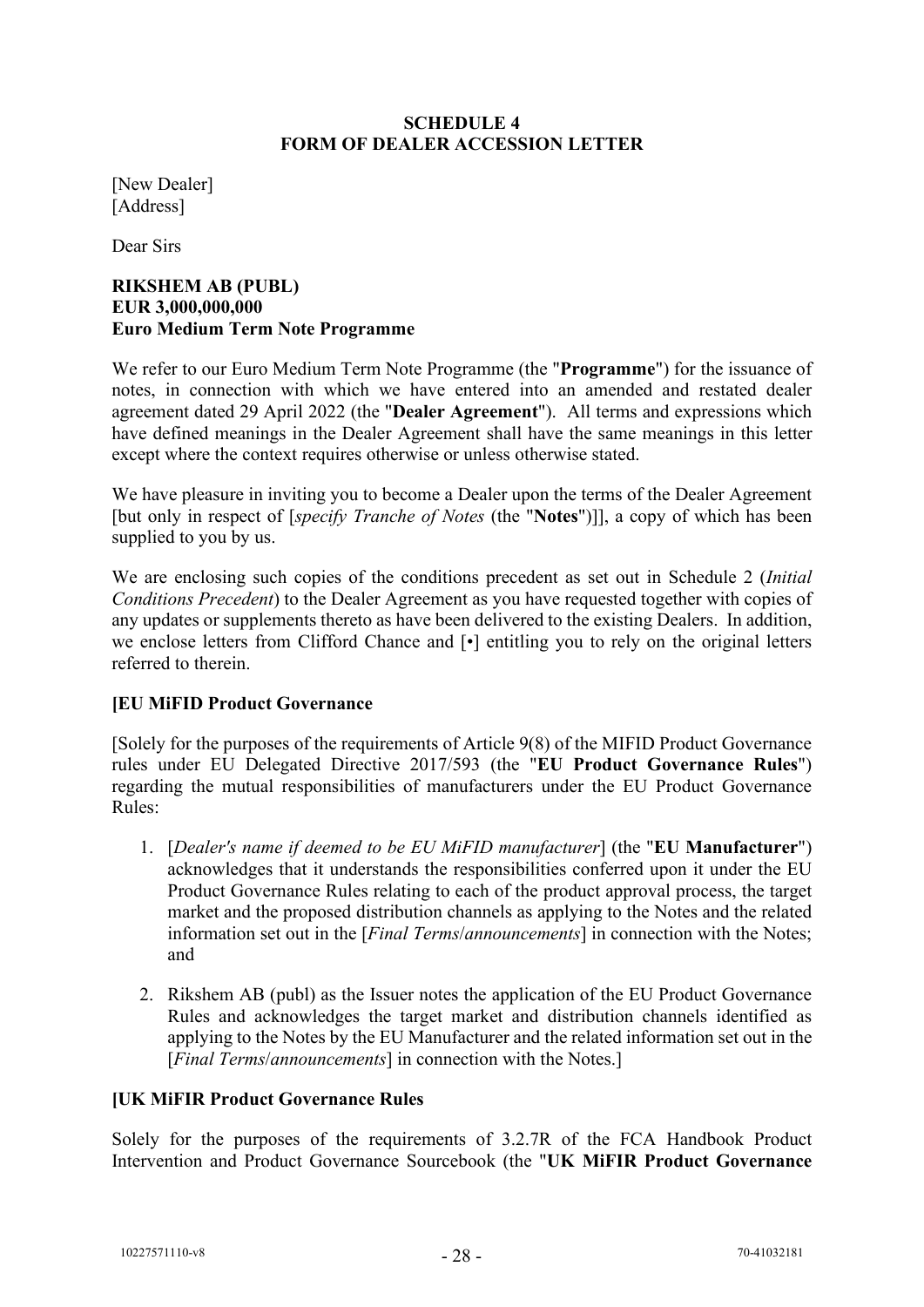#### **SCHEDULE 4 FORM OF DEALER ACCESSION LETTER**

<span id="page-31-0"></span>[New Dealer] [Address]

Dear Sirs

# **RIKSHEM AB (PUBL) EUR 3,000,000,000 Euro Medium Term Note Programme**

We refer to our Euro Medium Term Note Programme (the "**Programme**") for the issuance of notes, in connection with which we have entered into an amended and restated dealer agreement dated 29 April 2022 (the "**Dealer Agreement**"). All terms and expressions which have defined meanings in the Dealer Agreement shall have the same meanings in this letter except where the context requires otherwise or unless otherwise stated.

We have pleasure in inviting you to become a Dealer upon the terms of the Dealer Agreement [but only in respect of [*specify Tranche of Notes* (the "**Notes**")]], a copy of which has been supplied to you by us.

We are enclosing such copies of the conditions precedent as set out in Schedule 2 (*Initial Conditions Precedent*) to the Dealer Agreement as you have requested together with copies of any updates or supplements thereto as have been delivered to the existing Dealers. In addition, we enclose letters from Clifford Chance and [•] entitling you to rely on the original letters referred to therein.

# **[EU MiFID Product Governance**

[Solely for the purposes of the requirements of Article 9(8) of the MIFID Product Governance rules under EU Delegated Directive 2017/593 (the "**EU Product Governance Rules**") regarding the mutual responsibilities of manufacturers under the EU Product Governance Rules:

- 1. [*Dealer's name if deemed to be EU MiFID manufacturer*] (the "**EU Manufacturer**") acknowledges that it understands the responsibilities conferred upon it under the EU Product Governance Rules relating to each of the product approval process, the target market and the proposed distribution channels as applying to the Notes and the related information set out in the [*Final Terms*/*announcements*] in connection with the Notes; and
- 2. Rikshem AB (publ) as the Issuer notes the application of the EU Product Governance Rules and acknowledges the target market and distribution channels identified as applying to the Notes by the EU Manufacturer and the related information set out in the [*Final Terms*/*announcements*] in connection with the Notes.]

# **[UK MiFIR Product Governance Rules**

Solely for the purposes of the requirements of 3.2.7R of the FCA Handbook Product Intervention and Product Governance Sourcebook (the "**UK MiFIR Product Governance**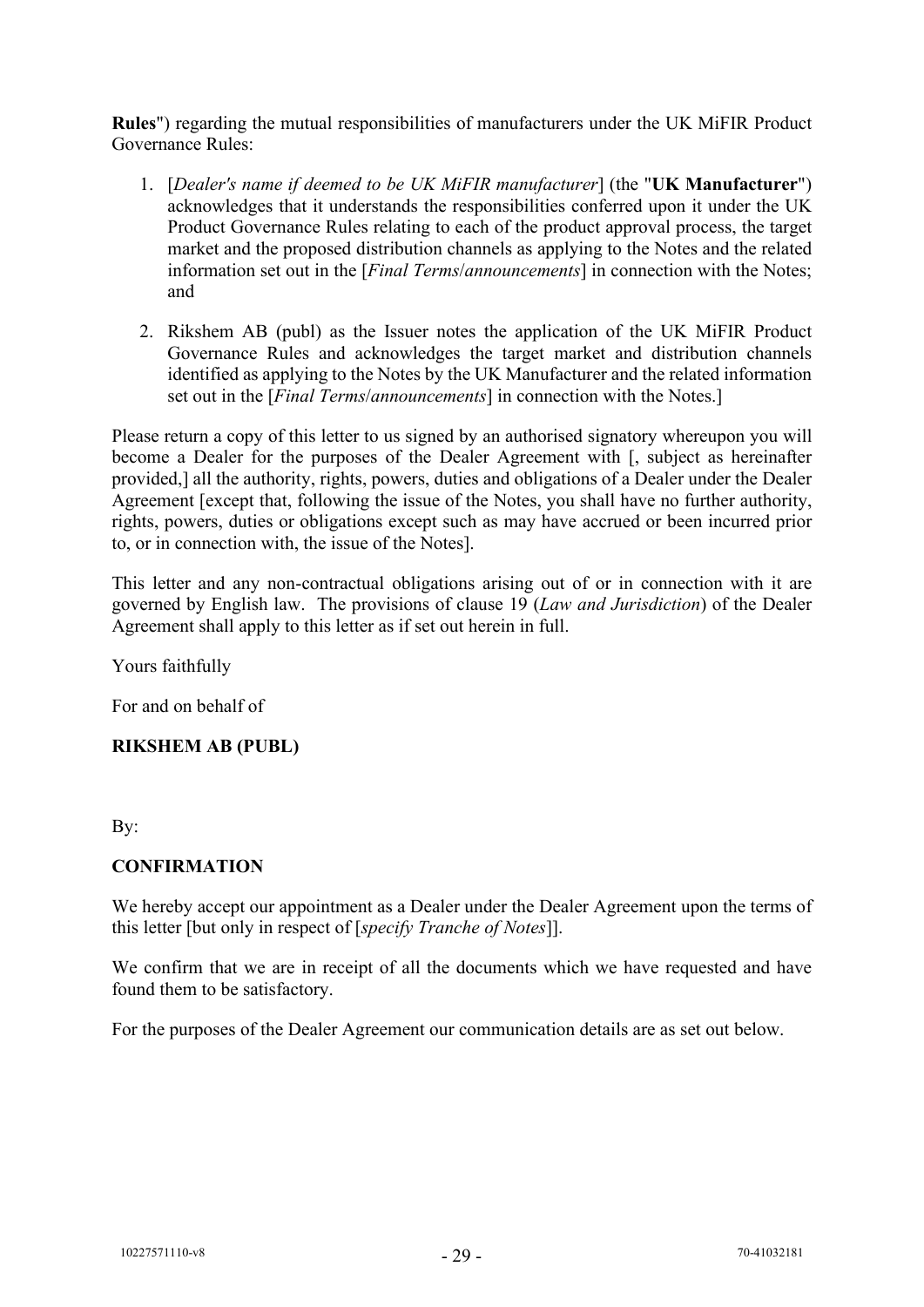**Rules**") regarding the mutual responsibilities of manufacturers under the UK MiFIR Product Governance Rules:

- 1. [*Dealer's name if deemed to be UK MiFIR manufacturer*] (the "**UK Manufacturer**") acknowledges that it understands the responsibilities conferred upon it under the UK Product Governance Rules relating to each of the product approval process, the target market and the proposed distribution channels as applying to the Notes and the related information set out in the [*Final Terms*/*announcements*] in connection with the Notes; and
- 2. Rikshem AB (publ) as the Issuer notes the application of the UK MiFIR Product Governance Rules and acknowledges the target market and distribution channels identified as applying to the Notes by the UK Manufacturer and the related information set out in the [*Final Terms*/*announcements*] in connection with the Notes.]

Please return a copy of this letter to us signed by an authorised signatory whereupon you will become a Dealer for the purposes of the Dealer Agreement with [, subject as hereinafter provided,] all the authority, rights, powers, duties and obligations of a Dealer under the Dealer Agreement [except that, following the issue of the Notes, you shall have no further authority, rights, powers, duties or obligations except such as may have accrued or been incurred prior to, or in connection with, the issue of the Notes].

This letter and any non-contractual obligations arising out of or in connection with it are governed by English law. The provisions of clause 19 (*Law and Jurisdiction*) of the Dealer Agreement shall apply to this letter as if set out herein in full.

Yours faithfully

For and on behalf of

# **RIKSHEM AB (PUBL)**

By:

# **CONFIRMATION**

We hereby accept our appointment as a Dealer under the Dealer Agreement upon the terms of this letter [but only in respect of [*specify Tranche of Notes*]].

We confirm that we are in receipt of all the documents which we have requested and have found them to be satisfactory.

For the purposes of the Dealer Agreement our communication details are as set out below.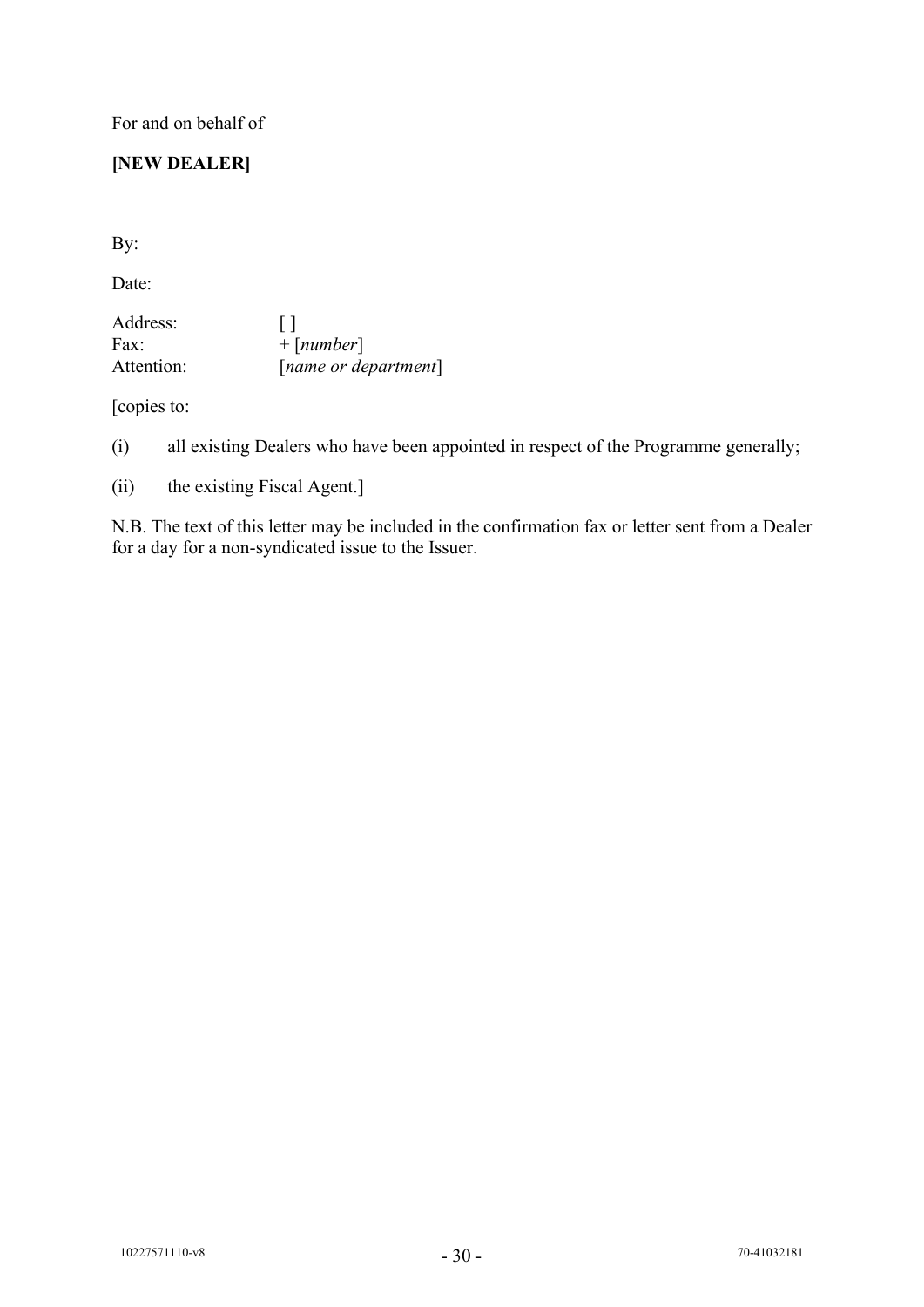For and on behalf of

# **[NEW DEALER]**

By:

Date:

Address: [ ] Fax:  $+$  [*number*]<br>Attention: [*name or de* [*name or department*]

[copies to:

(i) all existing Dealers who have been appointed in respect of the Programme generally;

(ii) the existing Fiscal Agent.]

N.B. The text of this letter may be included in the confirmation fax or letter sent from a Dealer for a day for a non-syndicated issue to the Issuer.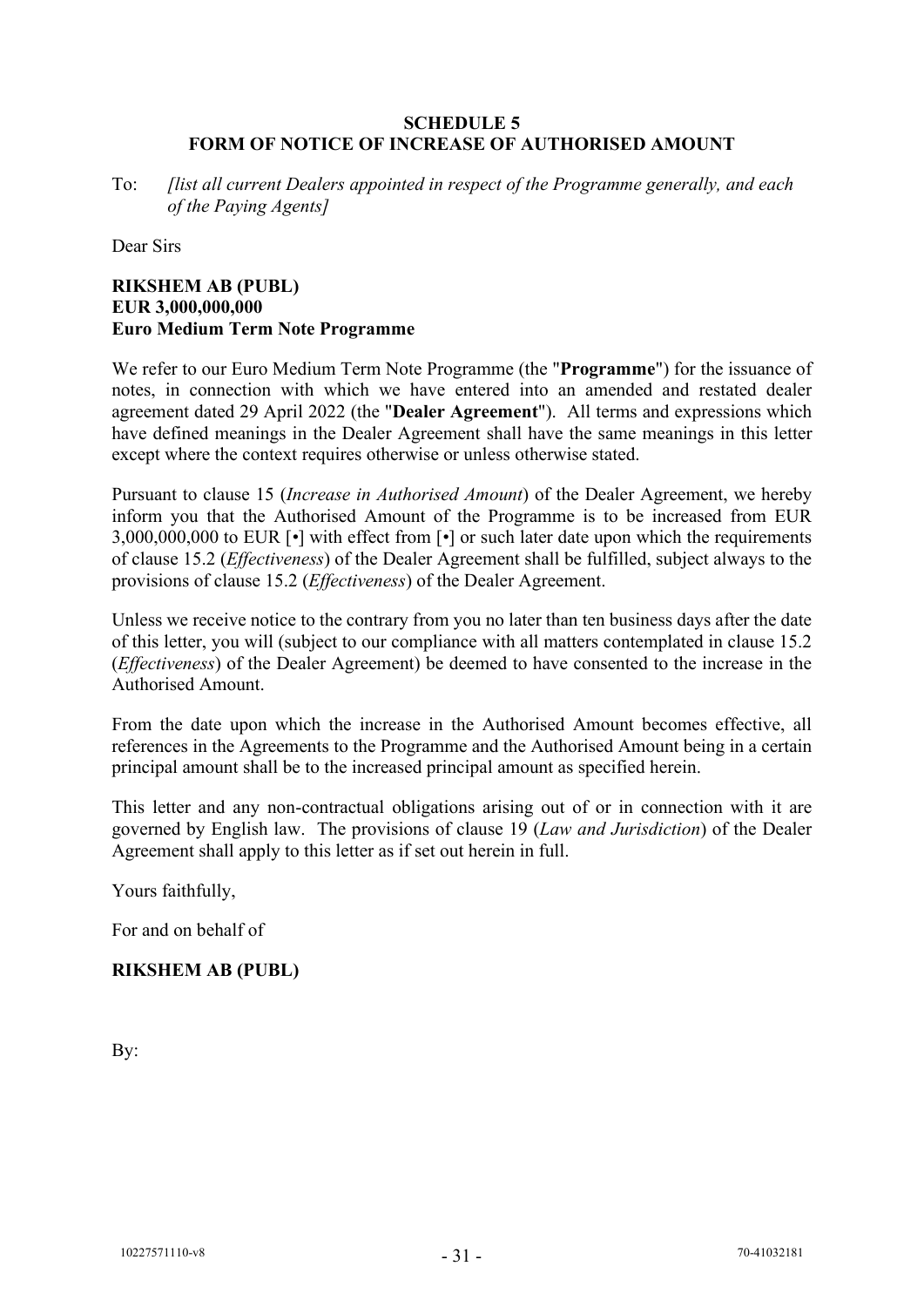#### **SCHEDULE 5 FORM OF NOTICE OF INCREASE OF AUTHORISED AMOUNT**

To: *[list all current Dealers appointed in respect of the Programme generally, and each of the Paying Agents]*

Dear Sirs

# **RIKSHEM AB (PUBL) EUR 3,000,000,000 Euro Medium Term Note Programme**

We refer to our Euro Medium Term Note Programme (the "**Programme**") for the issuance of notes, in connection with which we have entered into an amended and restated dealer agreement dated 29 April 2022 (the "**Dealer Agreement**"). All terms and expressions which have defined meanings in the Dealer Agreement shall have the same meanings in this letter except where the context requires otherwise or unless otherwise stated.

Pursuant to clause 15 (*Increase in Authorised Amount*) of the Dealer Agreement, we hereby inform you that the Authorised Amount of the Programme is to be increased from EUR 3,000,000,000 to EUR [*•*] with effect from [*•*] or such later date upon which the requirements of clause 15.2 (*Effectiveness*) of the Dealer Agreement shall be fulfilled, subject always to the provisions of clause 15.2 (*Effectiveness*) of the Dealer Agreement.

Unless we receive notice to the contrary from you no later than ten business days after the date of this letter, you will (subject to our compliance with all matters contemplated in clause 15.2 (*Effectiveness*) of the Dealer Agreement) be deemed to have consented to the increase in the Authorised Amount.

From the date upon which the increase in the Authorised Amount becomes effective, all references in the Agreements to the Programme and the Authorised Amount being in a certain principal amount shall be to the increased principal amount as specified herein.

This letter and any non-contractual obligations arising out of or in connection with it are governed by English law. The provisions of clause 19 (*Law and Jurisdiction*) of the Dealer Agreement shall apply to this letter as if set out herein in full.

Yours faithfully,

For and on behalf of

# **RIKSHEM AB (PUBL)**

By: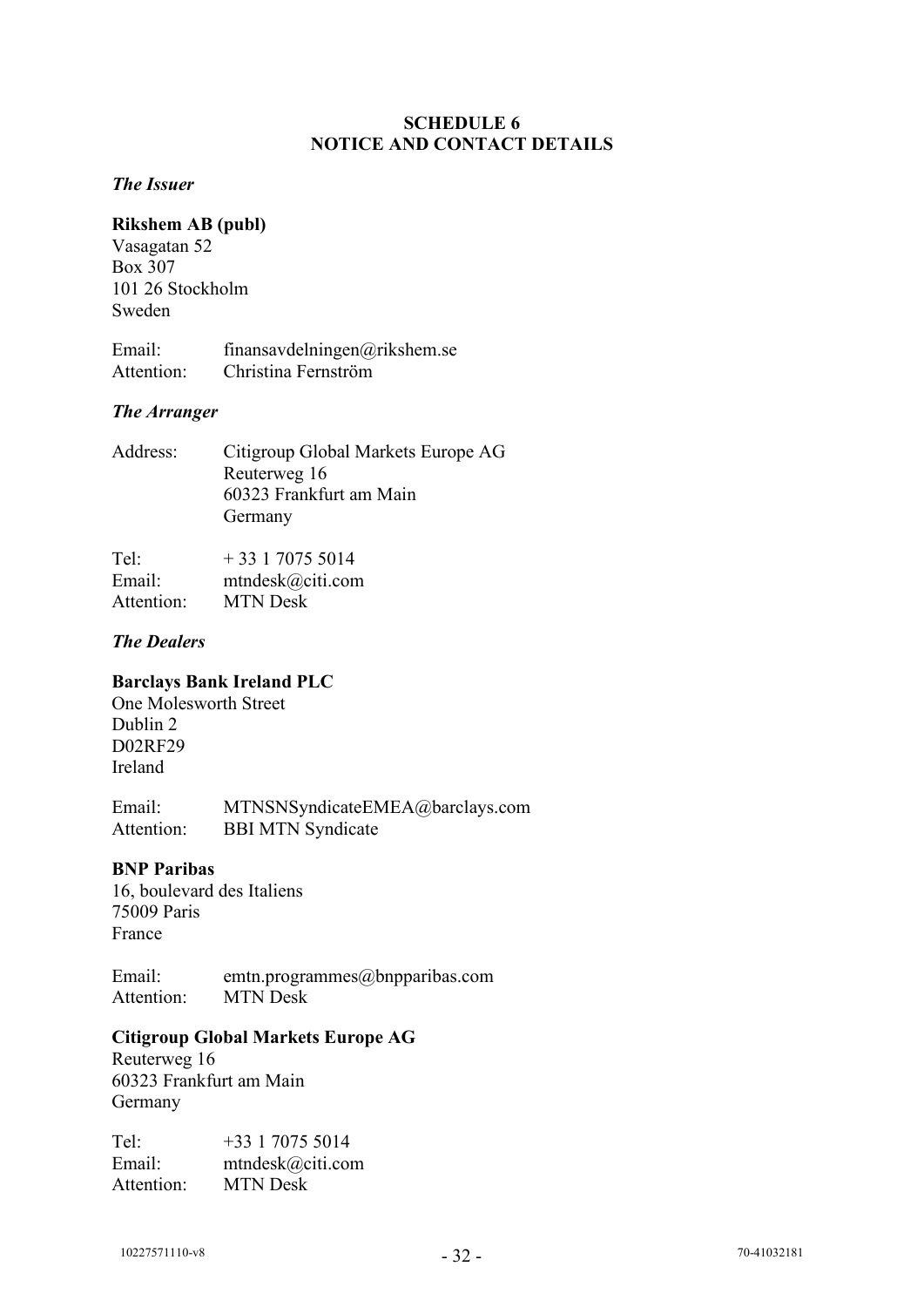## **SCHEDULE 6 NOTICE AND CONTACT DETAILS**

#### *The Issuer*

#### **Rikshem AB (publ)**

Vasagatan 52 Box 307 101 26 Stockholm Sweden

Email: finansavdelningen@rikshem.se Attention: Christina Fernström

#### *The Arranger*

| Address: | Citigroup Global Markets Europe AG |
|----------|------------------------------------|
|          | Reuterweg 16                       |
|          | 60323 Frankfurt am Main            |
|          | Germany                            |

Tel:  $+33170755014$ Email: mtndesk@citi.com Attention: MTN Desk

#### *The Dealers*

## **Barclays Bank Ireland PLC**

One Molesworth Street Dublin 2 D02RF29 Ireland

Email: MTNSNSyndicateEMEA@barclays.com Attention: BBI MTN Syndicate

#### **BNP Paribas**

16, boulevard des Italiens 75009 Paris France

Email: emtn.programmes@bnpparibas.com Attention: MTN Desk

## **Citigroup Global Markets Europe AG**

Reuterweg 16 60323 Frankfurt am Main Germany

Tel: +33 1 7075 5014<br>Email: mtndesk@citi.com mtndesk@citi.com<br>MTN Desk Attention: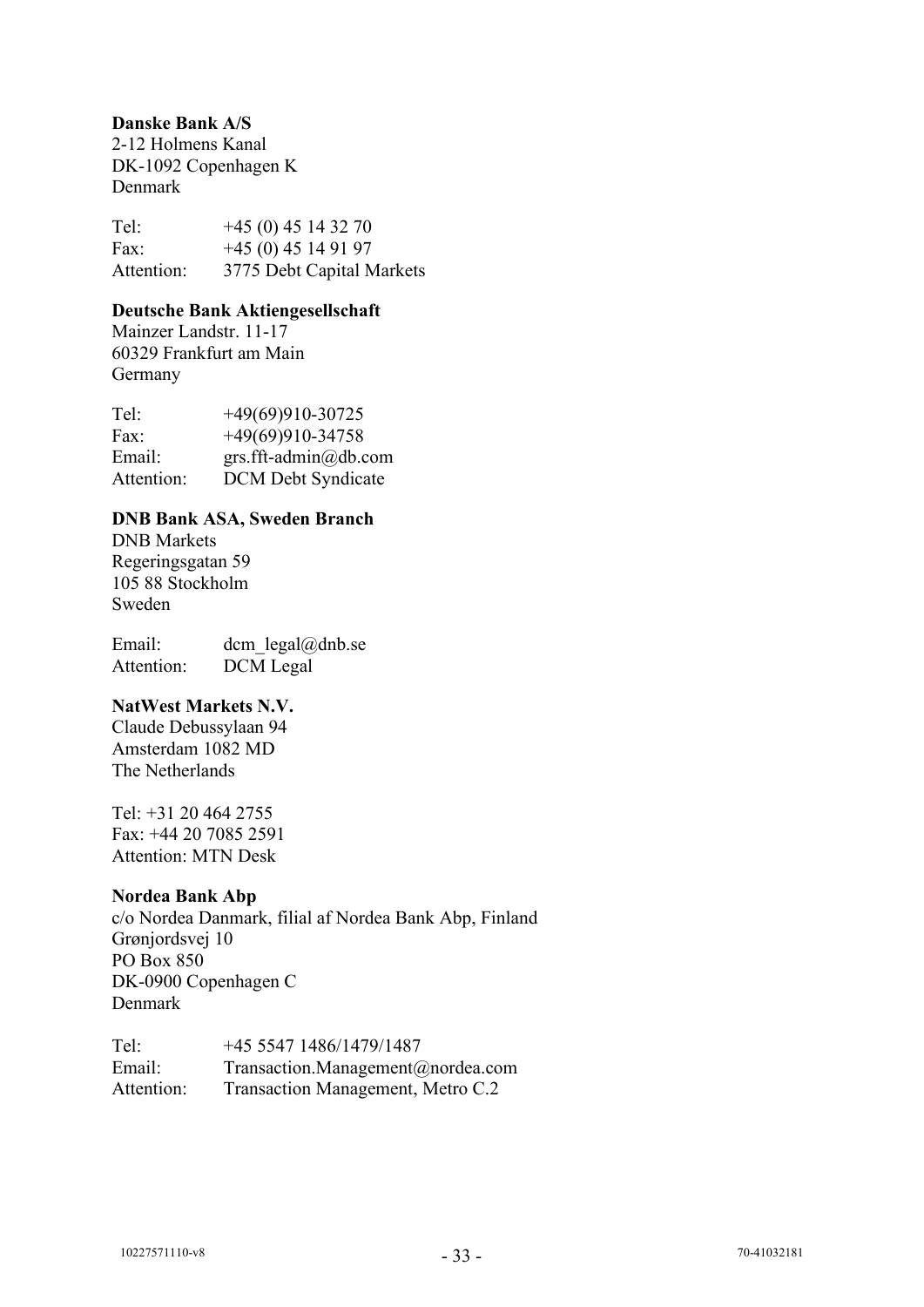### **Danske Bank A/S**

2-12 Holmens Kanal DK-1092 Copenhagen K Denmark

Tel:  $+45(0) 45 14 32 70$ Fax:  $+45(0) 45 14 91 97$ Attention: 3775 Debt Capital Markets

### **Deutsche Bank Aktiengesellschaft**

Mainzer Landstr. 11-17 60329 Frankfurt am Main Germany

Tel: +49(69)910-30725 Fax:  $+49(69)910-34758$ <br>Email:  $ers.fft-admin(\omega)db.c$ grs.fft-admin@db.com Attention: DCM Debt Syndicate

# **DNB Bank ASA, Sweden Branch**

DNB Markets Regeringsgatan 59 105 88 Stockholm Sweden

Email: dcm legal@dnb.se Attention: DCM Legal

### **NatWest Markets N.V.**

Claude Debussylaan 94 Amsterdam 1082 MD The Netherlands

Tel: +31 20 464 2755 Fax: +44 20 7085 2591 Attention: MTN Desk

### **Nordea Bank Abp**

c/o Nordea Danmark, filial af Nordea Bank Abp, Finland Grønjordsvej 10 PO Box 850 DK-0900 Copenhagen C Denmark

Tel: +45 5547 1486/1479/1487 Email: Transaction.Management@nordea.com Attention: Transaction Management, Metro C.2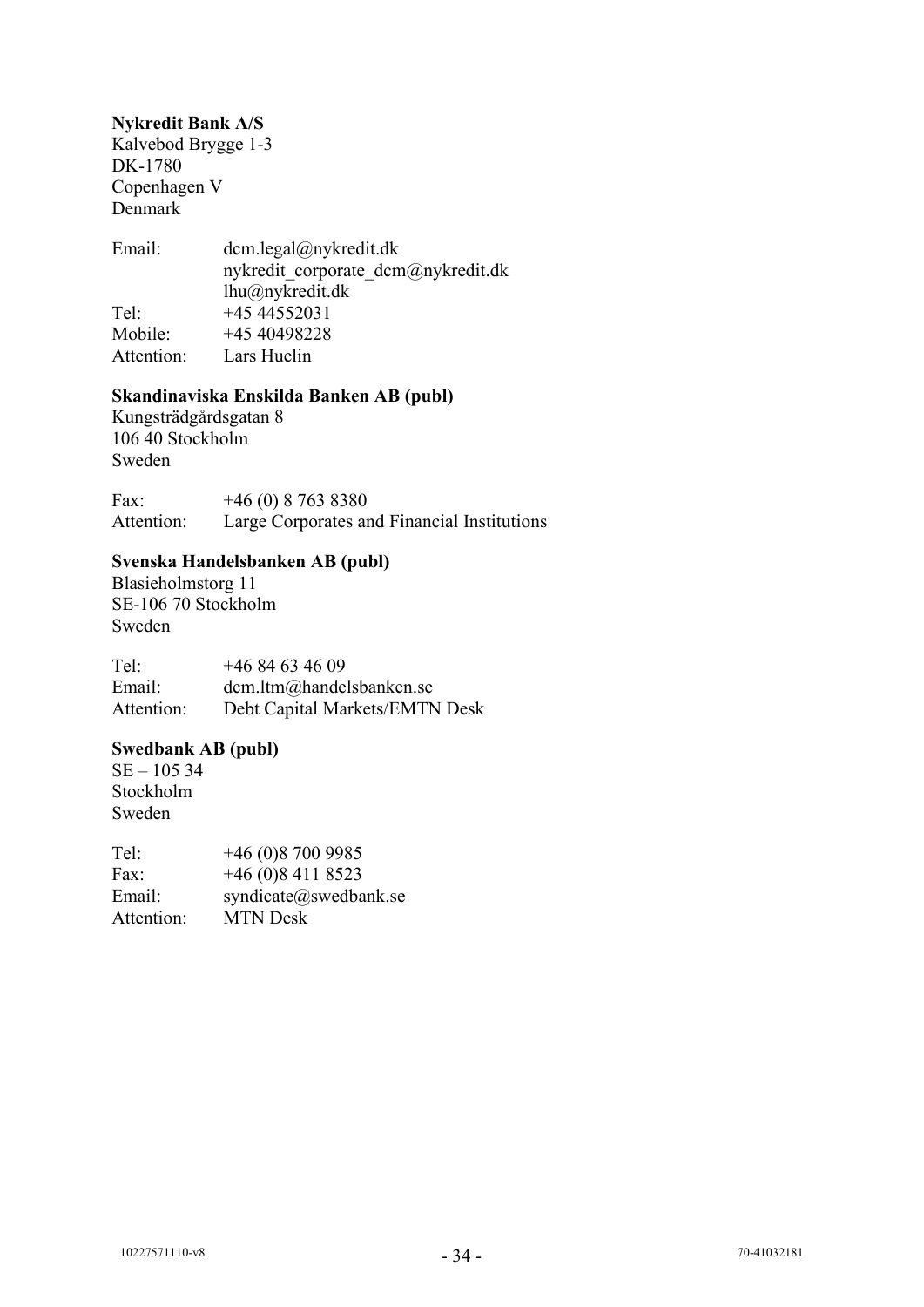### **Nykredit Bank A/S**

Kalvebod Brygge 1-3 DK-1780 Copenhagen V Denmark

Email: dcm.legal@nykredit.dk nykredit\_corporate\_dcm@nykredit.dk lhu@nykredit.dk Tel: +45 44552031 Mobile: +45 40498228 Attention: Lars Huelin

### **Skandinaviska Enskilda Banken AB (publ)**

Kungsträdgårdsgatan 8 106 40 Stockholm Sweden

Fax:  $+46(0) 8 763 8380$ Attention: Large Corporates and Financial Institutions

### **Svenska Handelsbanken AB (publ)**

Blasieholmstorg 11 SE-106 70 Stockholm Sweden

Tel: +46 84 63 46 09 Email: dcm.ltm@handelsbanken.se Attention: Debt Capital Markets/EMTN Desk

### **Swedbank AB (publ)**

SE – 105 34 Stockholm Sweden

| $+46(0)87009985$      |
|-----------------------|
| $+46(0)84118523$      |
| syndicate@swedbank.se |
| <b>MTN</b> Desk       |
|                       |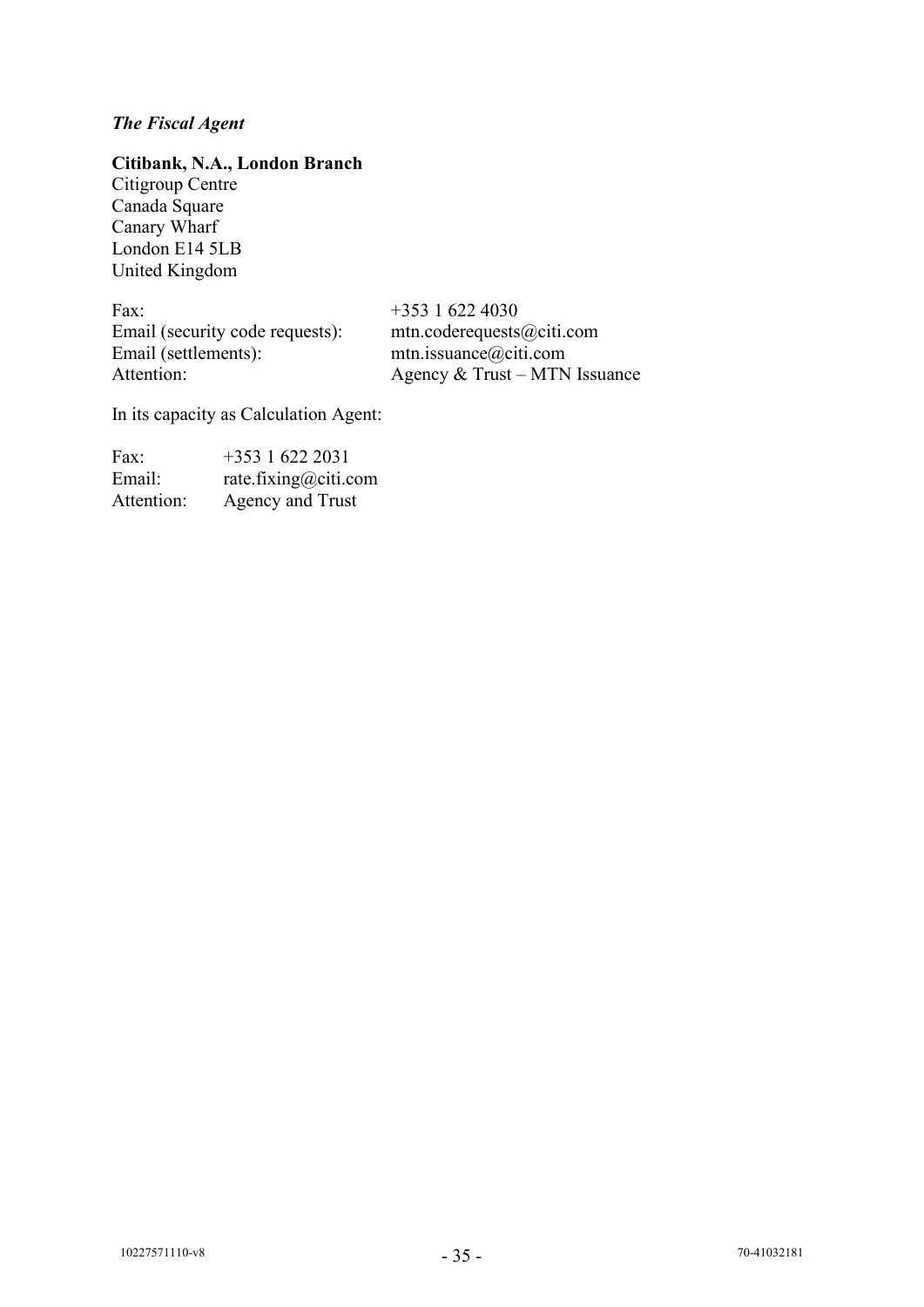### *The Fiscal Agent*

### **Citibank, N.A., London Branch**

Citigroup Centre Canada Square Canary Wharf London E14 5LB United Kingdom

Fax:  $+353 \t1 622 \t4030$ <br>Email (security code requests): mtn.coderequests@citi.com Email (security code requests):<br>Email (settlements): Email (settlements): mtn.issuance@citi.com<br>Attention: Agency & Trust – MTN

Agency & Trust – MTN Issuance

In its capacity as Calculation Agent:

| Fax:       | $+35316222031$       |
|------------|----------------------|
| Email:     | rate.fixing@citi.com |
| Attention: | Agency and Trust     |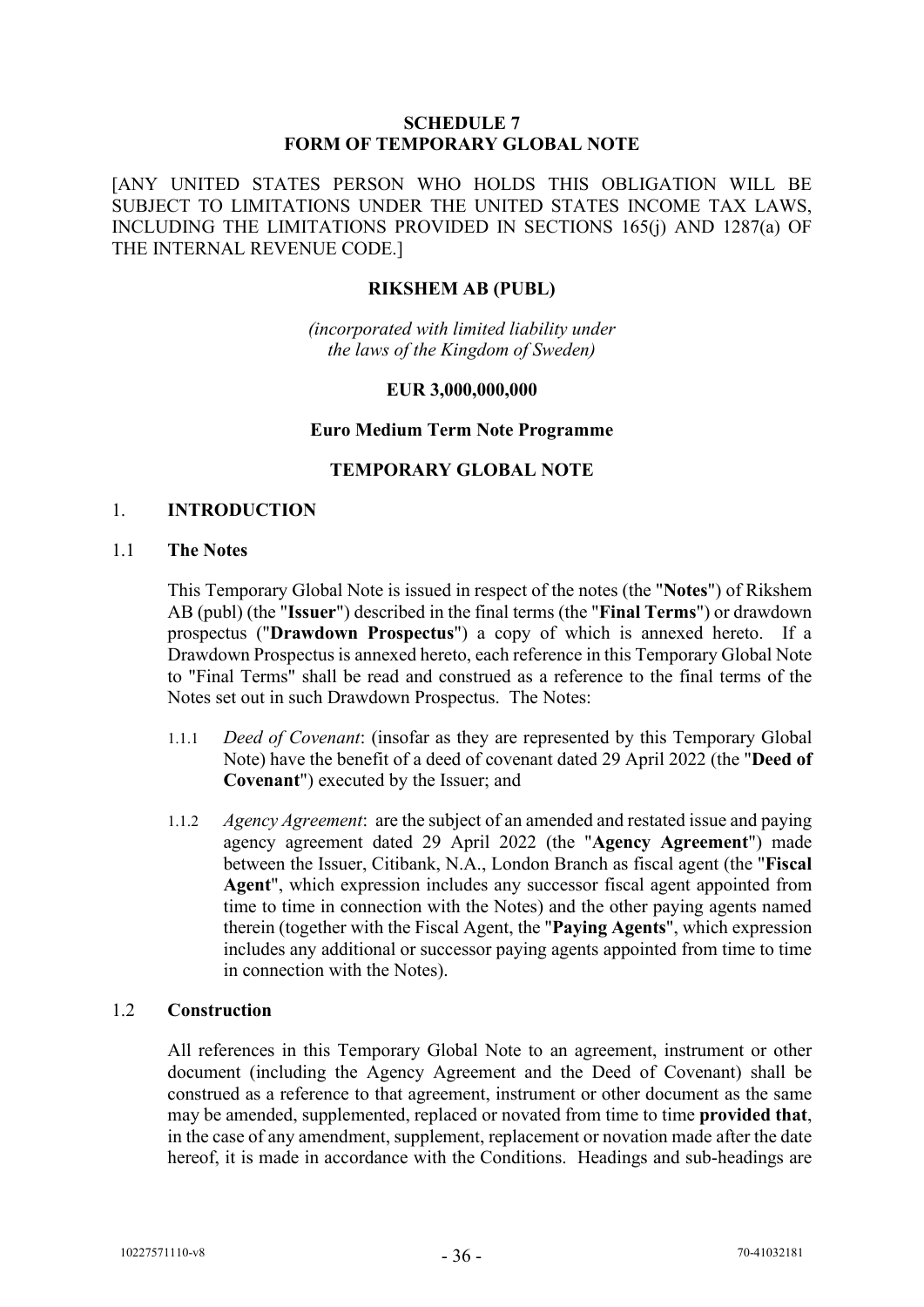#### **SCHEDULE 7 FORM OF TEMPORARY GLOBAL NOTE**

[ANY UNITED STATES PERSON WHO HOLDS THIS OBLIGATION WILL BE SUBJECT TO LIMITATIONS UNDER THE UNITED STATES INCOME TAX LAWS, INCLUDING THE LIMITATIONS PROVIDED IN SECTIONS 165(j) AND 1287(a) OF THE INTERNAL REVENUE CODE.]

### **RIKSHEM AB (PUBL)**

*(incorporated with limited liability under the laws of the Kingdom of Sweden)*

### **EUR 3,000,000,000**

### **Euro Medium Term Note Programme**

### **TEMPORARY GLOBAL NOTE**

### 1. **INTRODUCTION**

#### 1.1 **The Notes**

This Temporary Global Note is issued in respect of the notes (the "**Notes**") of Rikshem AB (publ) (the "**Issuer**") described in the final terms (the "**Final Terms**") or drawdown prospectus ("**Drawdown Prospectus**") a copy of which is annexed hereto. If a Drawdown Prospectus is annexed hereto, each reference in this Temporary Global Note to "Final Terms" shall be read and construed as a reference to the final terms of the Notes set out in such Drawdown Prospectus. The Notes:

- 1.1.1 *Deed of Covenant*: (insofar as they are represented by this Temporary Global Note) have the benefit of a deed of covenant dated 29 April 2022 (the "**Deed of Covenant**") executed by the Issuer; and
- 1.1.2 *Agency Agreement*: are the subject of an amended and restated issue and paying agency agreement dated 29 April 2022 (the "**Agency Agreement**") made between the Issuer, Citibank, N.A., London Branch as fiscal agent (the "**Fiscal Agent**", which expression includes any successor fiscal agent appointed from time to time in connection with the Notes) and the other paying agents named therein (together with the Fiscal Agent, the "**Paying Agents**", which expression includes any additional or successor paying agents appointed from time to time in connection with the Notes).

### 1.2 **Construction**

All references in this Temporary Global Note to an agreement, instrument or other document (including the Agency Agreement and the Deed of Covenant) shall be construed as a reference to that agreement, instrument or other document as the same may be amended, supplemented, replaced or novated from time to time **provided that**, in the case of any amendment, supplement, replacement or novation made after the date hereof, it is made in accordance with the Conditions. Headings and sub-headings are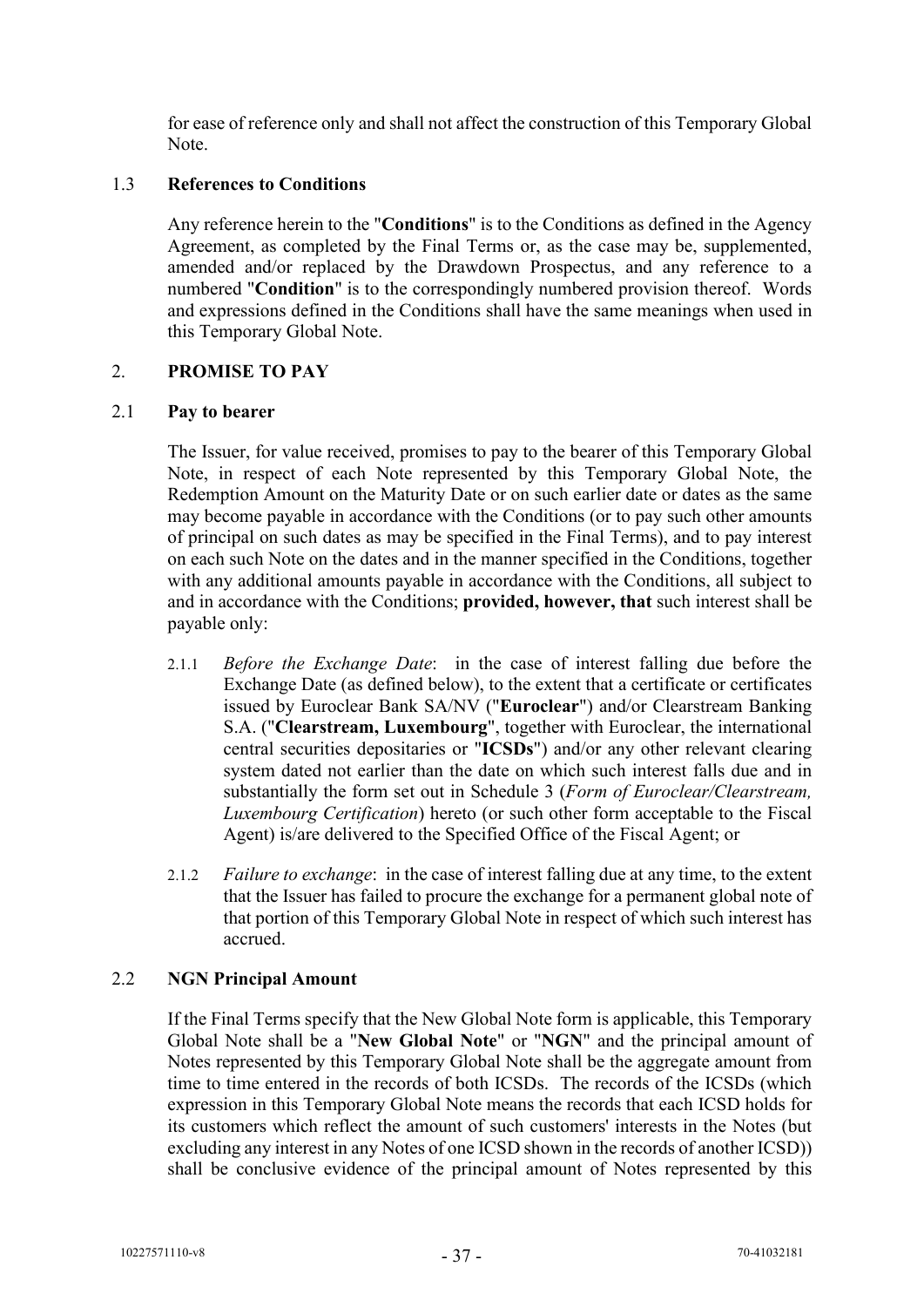for ease of reference only and shall not affect the construction of this Temporary Global Note.

### 1.3 **References to Conditions**

Any reference herein to the "**Conditions**" is to the Conditions as defined in the Agency Agreement, as completed by the Final Terms or, as the case may be, supplemented, amended and/or replaced by the Drawdown Prospectus, and any reference to a numbered "**Condition**" is to the correspondingly numbered provision thereof. Words and expressions defined in the Conditions shall have the same meanings when used in this Temporary Global Note.

### 2. **PROMISE TO PAY**

### 2.1 **Pay to bearer**

The Issuer, for value received, promises to pay to the bearer of this Temporary Global Note, in respect of each Note represented by this Temporary Global Note, the Redemption Amount on the Maturity Date or on such earlier date or dates as the same may become payable in accordance with the Conditions (or to pay such other amounts of principal on such dates as may be specified in the Final Terms), and to pay interest on each such Note on the dates and in the manner specified in the Conditions, together with any additional amounts payable in accordance with the Conditions, all subject to and in accordance with the Conditions; **provided, however, that** such interest shall be payable only:

- 2.1.1 *Before the Exchange Date*: in the case of interest falling due before the Exchange Date (as defined below), to the extent that a certificate or certificates issued by Euroclear Bank SA/NV ("**Euroclear**") and/or Clearstream Banking S.A. ("**Clearstream, Luxembourg**", together with Euroclear, the international central securities depositaries or "**ICSDs**") and/or any other relevant clearing system dated not earlier than the date on which such interest falls due and in substantially the form set out in [Schedule 3](#page-52-0) (*Form of Euroclear/Clearstream, Luxembourg Certification*) hereto (or such other form acceptable to the Fiscal Agent) is/are delivered to the Specified Office of the Fiscal Agent; or
- 2.1.2 *Failure to exchange*: in the case of interest falling due at any time, to the extent that the Issuer has failed to procure the exchange for a permanent global note of that portion of this Temporary Global Note in respect of which such interest has accrued.

### 2.2 **NGN Principal Amount**

If the Final Terms specify that the New Global Note form is applicable, this Temporary Global Note shall be a "**New Global Note**" or "**NGN**" and the principal amount of Notes represented by this Temporary Global Note shall be the aggregate amount from time to time entered in the records of both ICSDs. The records of the ICSDs (which expression in this Temporary Global Note means the records that each ICSD holds for its customers which reflect the amount of such customers' interests in the Notes (but excluding any interest in any Notes of one ICSD shown in the records of another ICSD)) shall be conclusive evidence of the principal amount of Notes represented by this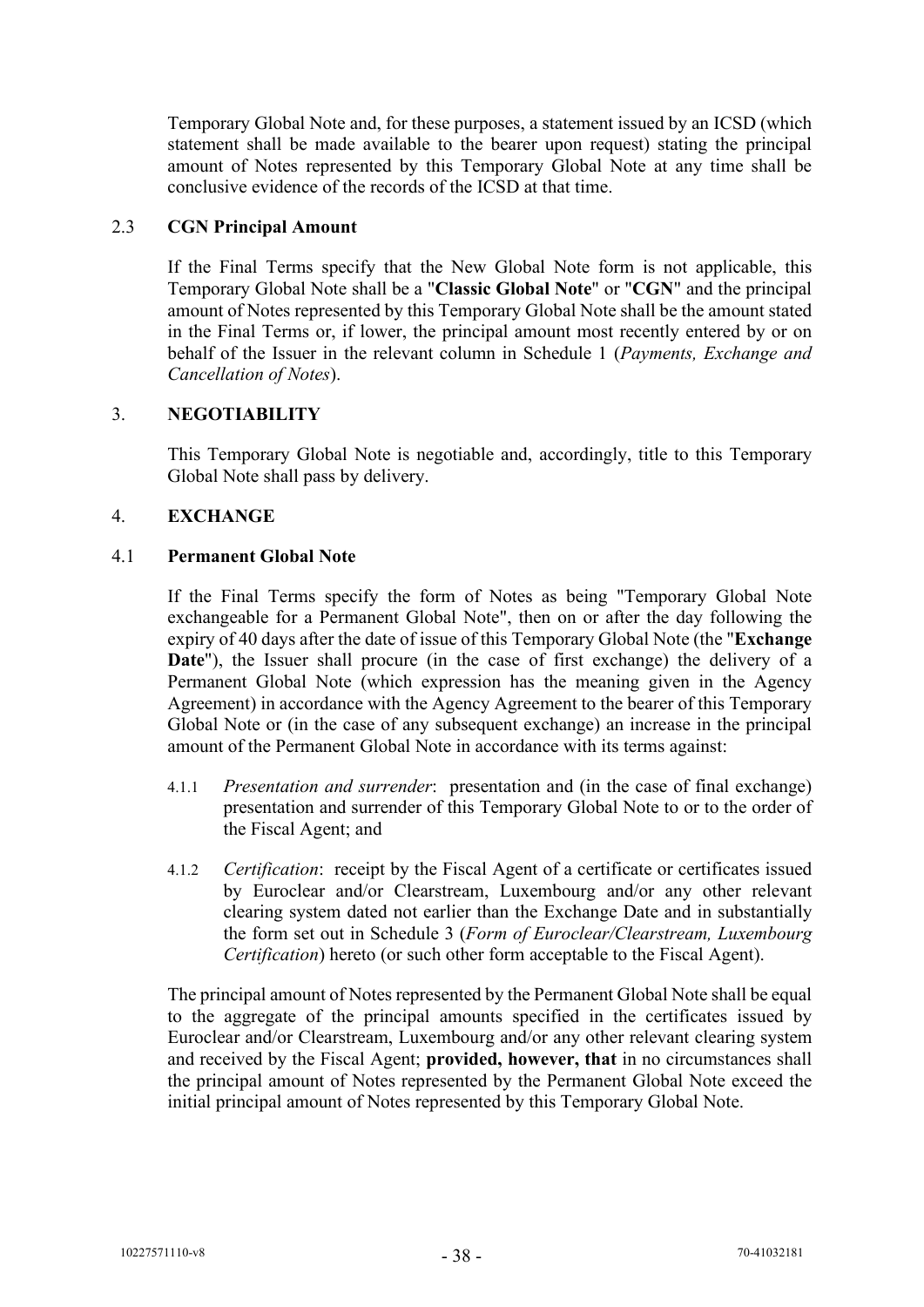Temporary Global Note and, for these purposes, a statement issued by an ICSD (which statement shall be made available to the bearer upon request) stating the principal amount of Notes represented by this Temporary Global Note at any time shall be conclusive evidence of the records of the ICSD at that time.

### 2.3 **CGN Principal Amount**

If the Final Terms specify that the New Global Note form is not applicable, this Temporary Global Note shall be a "**Classic Global Note**" or "**CGN**" and the principal amount of Notes represented by this Temporary Global Note shall be the amount stated in the Final Terms or, if lower, the principal amount most recently entered by or on behalf of the Issuer in the relevant column in [Schedule 1](#page-49-0) (*Payments, Exchange and Cancellation of Notes*).

### 3. **NEGOTIABILITY**

This Temporary Global Note is negotiable and, accordingly, title to this Temporary Global Note shall pass by delivery.

### 4. **EXCHANGE**

### 4.1 **Permanent Global Note**

If the Final Terms specify the form of Notes as being "Temporary Global Note exchangeable for a Permanent Global Note", then on or after the day following the expiry of 40 days after the date of issue of this Temporary Global Note (the "**Exchange Date**"), the Issuer shall procure (in the case of first exchange) the delivery of a Permanent Global Note (which expression has the meaning given in the Agency Agreement) in accordance with the Agency Agreement to the bearer of this Temporary Global Note or (in the case of any subsequent exchange) an increase in the principal amount of the Permanent Global Note in accordance with its terms against:

- 4.1.1 *Presentation and surrender*: presentation and (in the case of final exchange) presentation and surrender of this Temporary Global Note to or to the order of the Fiscal Agent; and
- 4.1.2 *Certification*: receipt by the Fiscal Agent of a certificate or certificates issued by Euroclear and/or Clearstream, Luxembourg and/or any other relevant clearing system dated not earlier than the Exchange Date and in substantially the form set out in [Schedule 3](#page-52-0) (*Form of Euroclear/Clearstream, Luxembourg Certification*) hereto (or such other form acceptable to the Fiscal Agent).

The principal amount of Notes represented by the Permanent Global Note shall be equal to the aggregate of the principal amounts specified in the certificates issued by Euroclear and/or Clearstream, Luxembourg and/or any other relevant clearing system and received by the Fiscal Agent; **provided, however, that** in no circumstances shall the principal amount of Notes represented by the Permanent Global Note exceed the initial principal amount of Notes represented by this Temporary Global Note.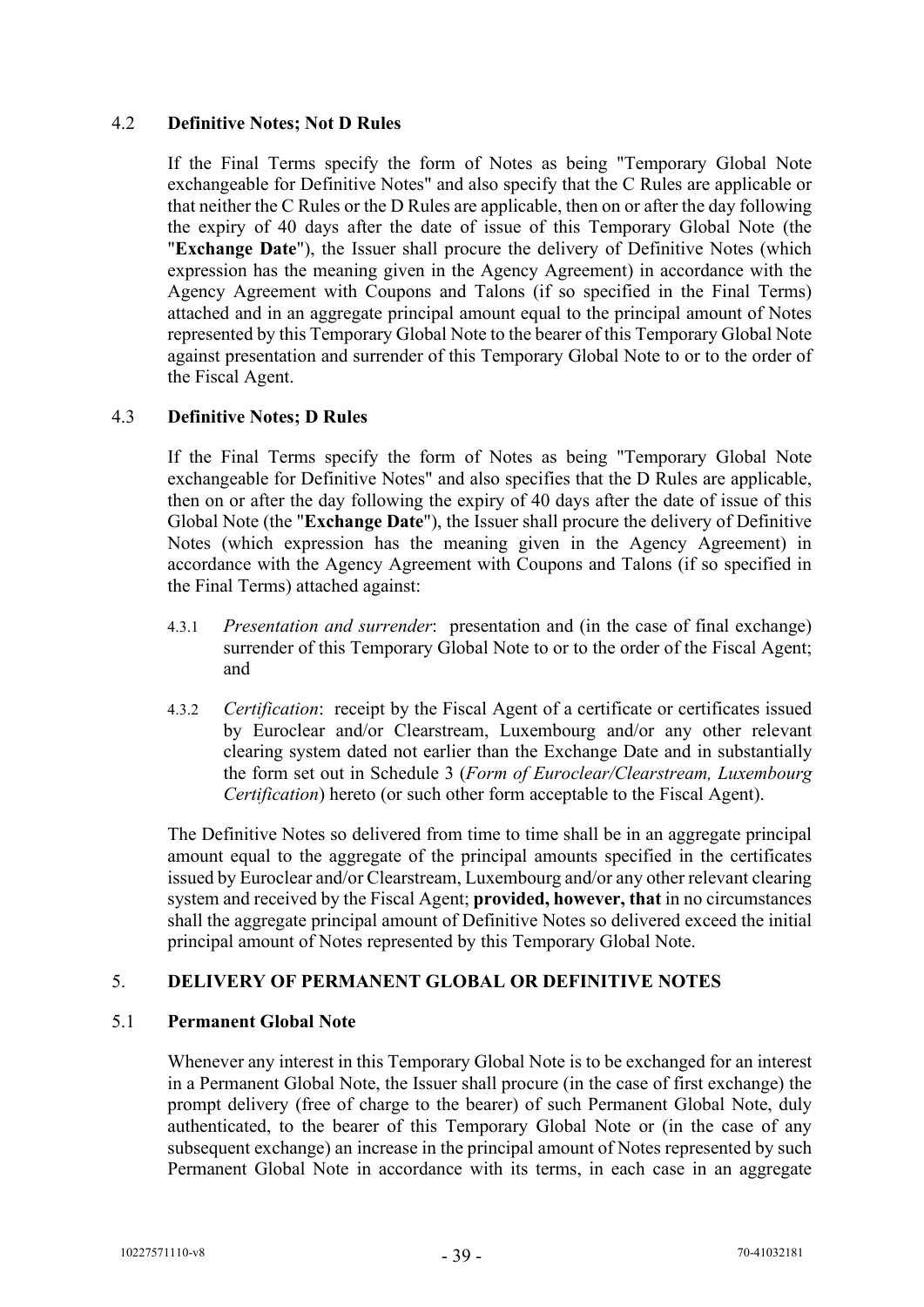### 4.2 **Definitive Notes; Not D Rules**

If the Final Terms specify the form of Notes as being "Temporary Global Note exchangeable for Definitive Notes" and also specify that the C Rules are applicable or that neither the C Rules or the D Rules are applicable, then on or after the day following the expiry of 40 days after the date of issue of this Temporary Global Note (the "**Exchange Date**"), the Issuer shall procure the delivery of Definitive Notes (which expression has the meaning given in the Agency Agreement) in accordance with the Agency Agreement with Coupons and Talons (if so specified in the Final Terms) attached and in an aggregate principal amount equal to the principal amount of Notes represented by this Temporary Global Note to the bearer of this Temporary Global Note against presentation and surrender of this Temporary Global Note to or to the order of the Fiscal Agent.

### 4.3 **Definitive Notes; D Rules**

If the Final Terms specify the form of Notes as being "Temporary Global Note exchangeable for Definitive Notes" and also specifies that the D Rules are applicable, then on or after the day following the expiry of 40 days after the date of issue of this Global Note (the "**Exchange Date**"), the Issuer shall procure the delivery of Definitive Notes (which expression has the meaning given in the Agency Agreement) in accordance with the Agency Agreement with Coupons and Talons (if so specified in the Final Terms) attached against:

- 4.3.1 *Presentation and surrender*: presentation and (in the case of final exchange) surrender of this Temporary Global Note to or to the order of the Fiscal Agent; and
- 4.3.2 *Certification*: receipt by the Fiscal Agent of a certificate or certificates issued by Euroclear and/or Clearstream, Luxembourg and/or any other relevant clearing system dated not earlier than the Exchange Date and in substantially the form set out in [Schedule 3](#page-52-0) (*Form of Euroclear/Clearstream, Luxembourg Certification*) hereto (or such other form acceptable to the Fiscal Agent).

The Definitive Notes so delivered from time to time shall be in an aggregate principal amount equal to the aggregate of the principal amounts specified in the certificates issued by Euroclear and/or Clearstream, Luxembourg and/or any other relevant clearing system and received by the Fiscal Agent; **provided, however, that** in no circumstances shall the aggregate principal amount of Definitive Notes so delivered exceed the initial principal amount of Notes represented by this Temporary Global Note.

### <span id="page-42-0"></span>5. **DELIVERY OF PERMANENT GLOBAL OR DEFINITIVE NOTES**

### 5.1 **Permanent Global Note**

Whenever any interest in this Temporary Global Note is to be exchanged for an interest in a Permanent Global Note, the Issuer shall procure (in the case of first exchange) the prompt delivery (free of charge to the bearer) of such Permanent Global Note, duly authenticated, to the bearer of this Temporary Global Note or (in the case of any subsequent exchange) an increase in the principal amount of Notes represented by such Permanent Global Note in accordance with its terms, in each case in an aggregate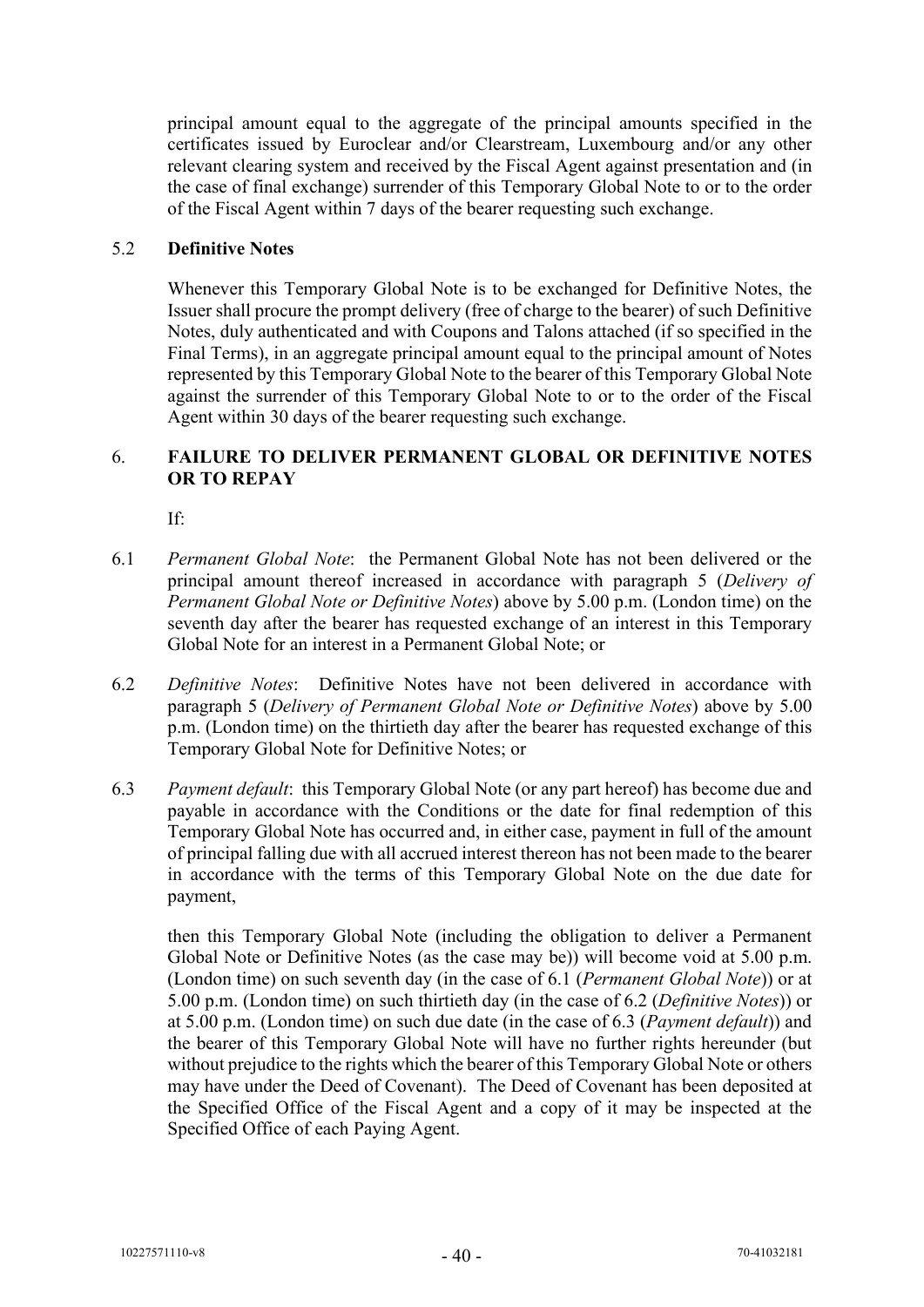principal amount equal to the aggregate of the principal amounts specified in the certificates issued by Euroclear and/or Clearstream, Luxembourg and/or any other relevant clearing system and received by the Fiscal Agent against presentation and (in the case of final exchange) surrender of this Temporary Global Note to or to the order of the Fiscal Agent within 7 days of the bearer requesting such exchange.

### 5.2 **Definitive Notes**

Whenever this Temporary Global Note is to be exchanged for Definitive Notes, the Issuer shall procure the prompt delivery (free of charge to the bearer) of such Definitive Notes, duly authenticated and with Coupons and Talons attached (if so specified in the Final Terms), in an aggregate principal amount equal to the principal amount of Notes represented by this Temporary Global Note to the bearer of this Temporary Global Note against the surrender of this Temporary Global Note to or to the order of the Fiscal Agent within 30 days of the bearer requesting such exchange.

### 6. **FAILURE TO DELIVER PERMANENT GLOBAL OR DEFINITIVE NOTES OR TO REPAY**

If:

- 6.1 *Permanent Global Note*: the Permanent Global Note has not been delivered or the principal amount thereof increased in accordance with paragraph [5](#page-42-0) (*Delivery of Permanent Global Note or Definitive Notes*) above by 5.00 p.m. (London time) on the seventh day after the bearer has requested exchange of an interest in this Temporary Global Note for an interest in a Permanent Global Note; or
- 6.2 *Definitive Notes*: Definitive Notes have not been delivered in accordance with paragraph [5](#page-42-0) (*Delivery of Permanent Global Note or Definitive Notes*) above by 5.00 p.m. (London time) on the thirtieth day after the bearer has requested exchange of this Temporary Global Note for Definitive Notes; or
- 6.3 *Payment default*: this Temporary Global Note (or any part hereof) has become due and payable in accordance with the Conditions or the date for final redemption of this Temporary Global Note has occurred and, in either case, payment in full of the amount of principal falling due with all accrued interest thereon has not been made to the bearer in accordance with the terms of this Temporary Global Note on the due date for payment,

then this Temporary Global Note (including the obligation to deliver a Permanent Global Note or Definitive Notes (as the case may be)) will become void at 5.00 p.m. (London time) on such seventh day (in the case of 6.1 (*Permanent Global Note*)) or at 5.00 p.m. (London time) on such thirtieth day (in the case of 6.2 (*Definitive Notes*)) or at 5.00 p.m. (London time) on such due date (in the case of 6.3 (*Payment default*)) and the bearer of this Temporary Global Note will have no further rights hereunder (but without prejudice to the rights which the bearer of this Temporary Global Note or others may have under the Deed of Covenant). The Deed of Covenant has been deposited at the Specified Office of the Fiscal Agent and a copy of it may be inspected at the Specified Office of each Paying Agent.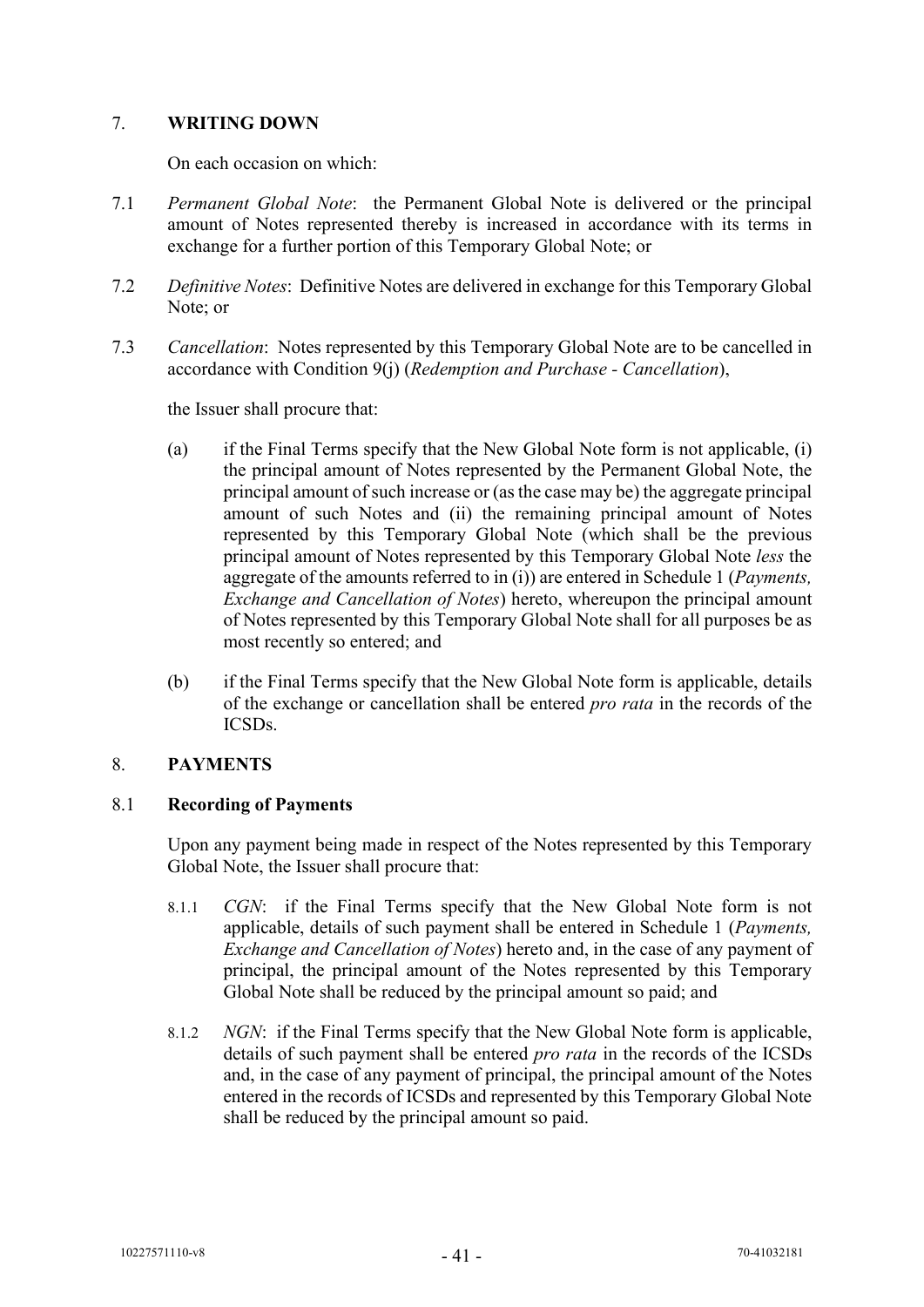### 7. **WRITING DOWN**

On each occasion on which:

- 7.1 *Permanent Global Note*: the Permanent Global Note is delivered or the principal amount of Notes represented thereby is increased in accordance with its terms in exchange for a further portion of this Temporary Global Note; or
- 7.2 *Definitive Notes*: Definitive Notes are delivered in exchange for this Temporary Global Note; or
- 7.3 *Cancellation*: Notes represented by this Temporary Global Note are to be cancelled in accordance with Condition 9(j) (*Redemption and Purchase - Cancellation*),

the Issuer shall procure that:

- (a) if the Final Terms specify that the New Global Note form is not applicable, (i) the principal amount of Notes represented by the Permanent Global Note, the principal amount of such increase or (as the case may be) the aggregate principal amount of such Notes and (ii) the remaining principal amount of Notes represented by this Temporary Global Note (which shall be the previous principal amount of Notes represented by this Temporary Global Note *less* the aggregate of the amounts referred to in (i)) are entered i[n Schedule 1](#page-49-0) (*Payments, Exchange and Cancellation of Notes*) hereto, whereupon the principal amount of Notes represented by this Temporary Global Note shall for all purposes be as most recently so entered; and
- (b) if the Final Terms specify that the New Global Note form is applicable, details of the exchange or cancellation shall be entered *pro rata* in the records of the ICSDs.

### 8. **PAYMENTS**

### 8.1 **Recording of Payments**

Upon any payment being made in respect of the Notes represented by this Temporary Global Note, the Issuer shall procure that:

- 8.1.1 *CGN*: if the Final Terms specify that the New Global Note form is not applicable, details of such payment shall be entered in [Schedule 1](#page-49-0) (*Payments, Exchange and Cancellation of Notes*) hereto and, in the case of any payment of principal, the principal amount of the Notes represented by this Temporary Global Note shall be reduced by the principal amount so paid; and
- 8.1.2 *NGN*: if the Final Terms specify that the New Global Note form is applicable, details of such payment shall be entered *pro rata* in the records of the ICSDs and, in the case of any payment of principal, the principal amount of the Notes entered in the records of ICSDs and represented by this Temporary Global Note shall be reduced by the principal amount so paid.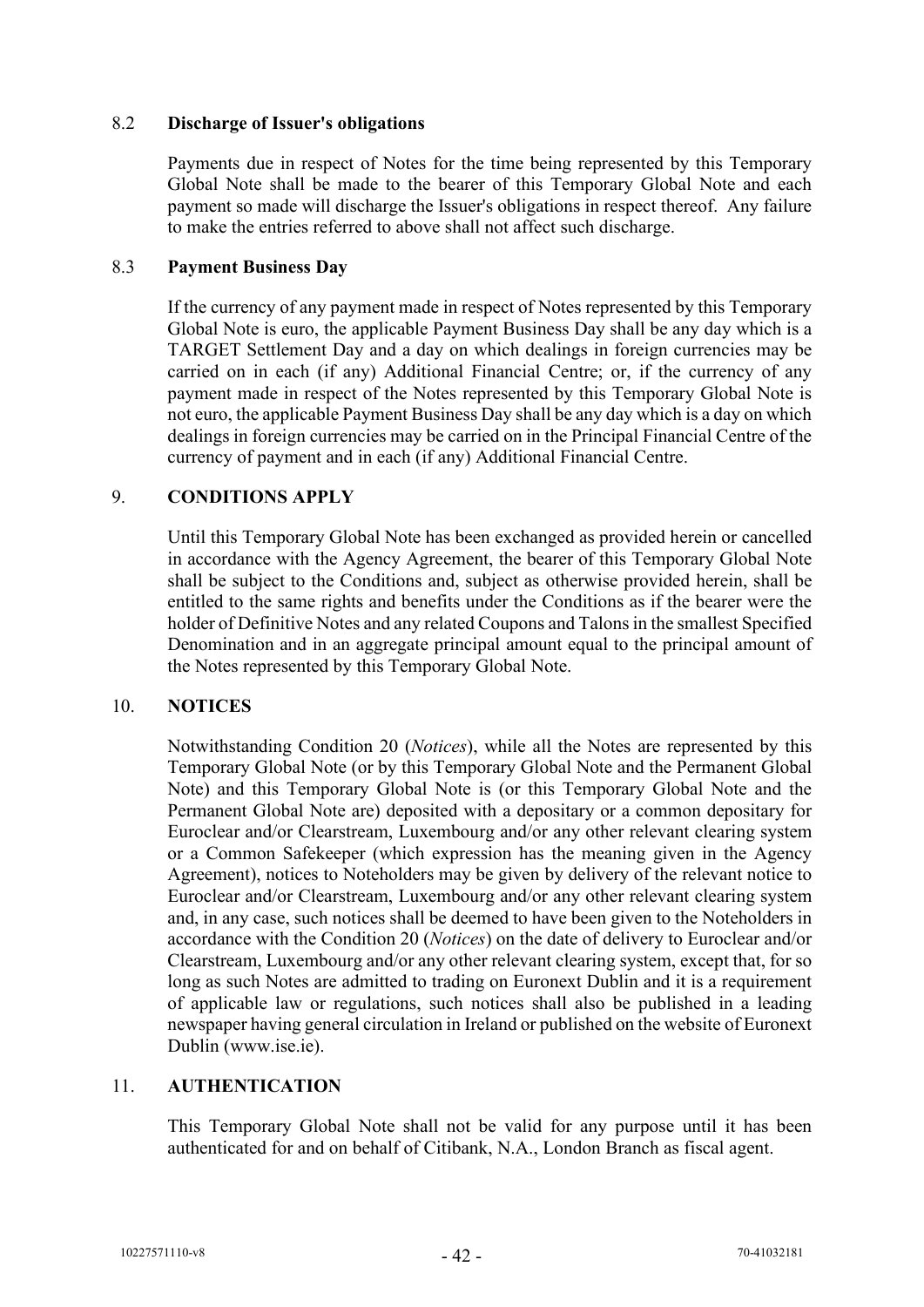### 8.2 **Discharge of Issuer's obligations**

Payments due in respect of Notes for the time being represented by this Temporary Global Note shall be made to the bearer of this Temporary Global Note and each payment so made will discharge the Issuer's obligations in respect thereof. Any failure to make the entries referred to above shall not affect such discharge.

### 8.3 **Payment Business Day**

If the currency of any payment made in respect of Notes represented by this Temporary Global Note is euro, the applicable Payment Business Day shall be any day which is a TARGET Settlement Day and a day on which dealings in foreign currencies may be carried on in each (if any) Additional Financial Centre; or, if the currency of any payment made in respect of the Notes represented by this Temporary Global Note is not euro, the applicable Payment Business Day shall be any day which is a day on which dealings in foreign currencies may be carried on in the Principal Financial Centre of the currency of payment and in each (if any) Additional Financial Centre.

### 9. **CONDITIONS APPLY**

Until this Temporary Global Note has been exchanged as provided herein or cancelled in accordance with the Agency Agreement, the bearer of this Temporary Global Note shall be subject to the Conditions and, subject as otherwise provided herein, shall be entitled to the same rights and benefits under the Conditions as if the bearer were the holder of Definitive Notes and any related Coupons and Talons in the smallest Specified Denomination and in an aggregate principal amount equal to the principal amount of the Notes represented by this Temporary Global Note.

### 10. **NOTICES**

Notwithstanding Condition 20 (*Notices*), while all the Notes are represented by this Temporary Global Note (or by this Temporary Global Note and the Permanent Global Note) and this Temporary Global Note is (or this Temporary Global Note and the Permanent Global Note are) deposited with a depositary or a common depositary for Euroclear and/or Clearstream, Luxembourg and/or any other relevant clearing system or a Common Safekeeper (which expression has the meaning given in the Agency Agreement), notices to Noteholders may be given by delivery of the relevant notice to Euroclear and/or Clearstream, Luxembourg and/or any other relevant clearing system and, in any case, such notices shall be deemed to have been given to the Noteholders in accordance with the Condition 20 (*Notices*) on the date of delivery to Euroclear and/or Clearstream, Luxembourg and/or any other relevant clearing system, except that, for so long as such Notes are admitted to trading on Euronext Dublin and it is a requirement of applicable law or regulations, such notices shall also be published in a leading newspaper having general circulation in Ireland or published on the website of Euronext Dublin (www.ise.ie).

### 11. **AUTHENTICATION**

This Temporary Global Note shall not be valid for any purpose until it has been authenticated for and on behalf of Citibank, N.A., London Branch as fiscal agent.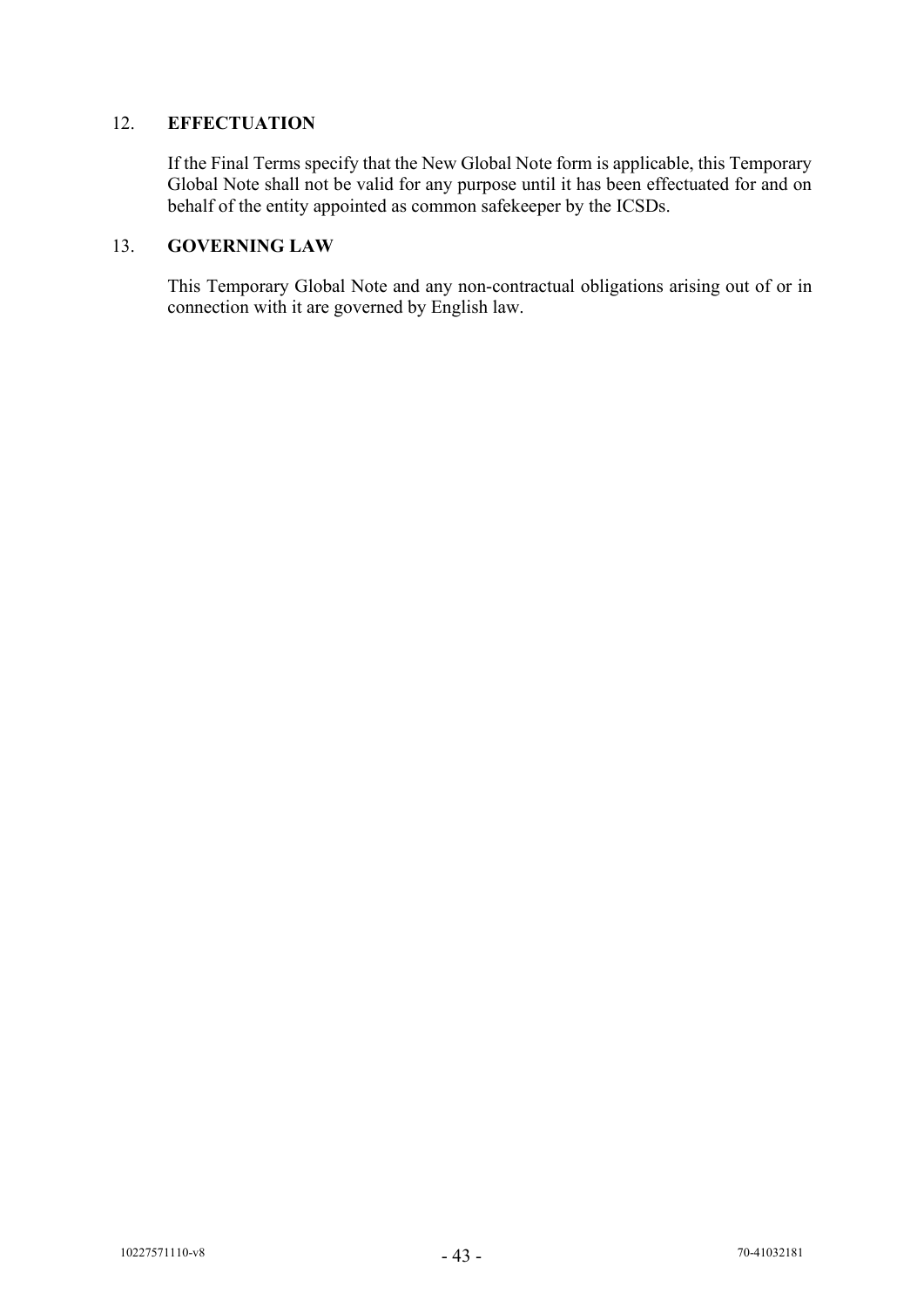### 12. **EFFECTUATION**

If the Final Terms specify that the New Global Note form is applicable, this Temporary Global Note shall not be valid for any purpose until it has been effectuated for and on behalf of the entity appointed as common safekeeper by the ICSDs.

### 13. **GOVERNING LAW**

This Temporary Global Note and any non-contractual obligations arising out of or in connection with it are governed by English law.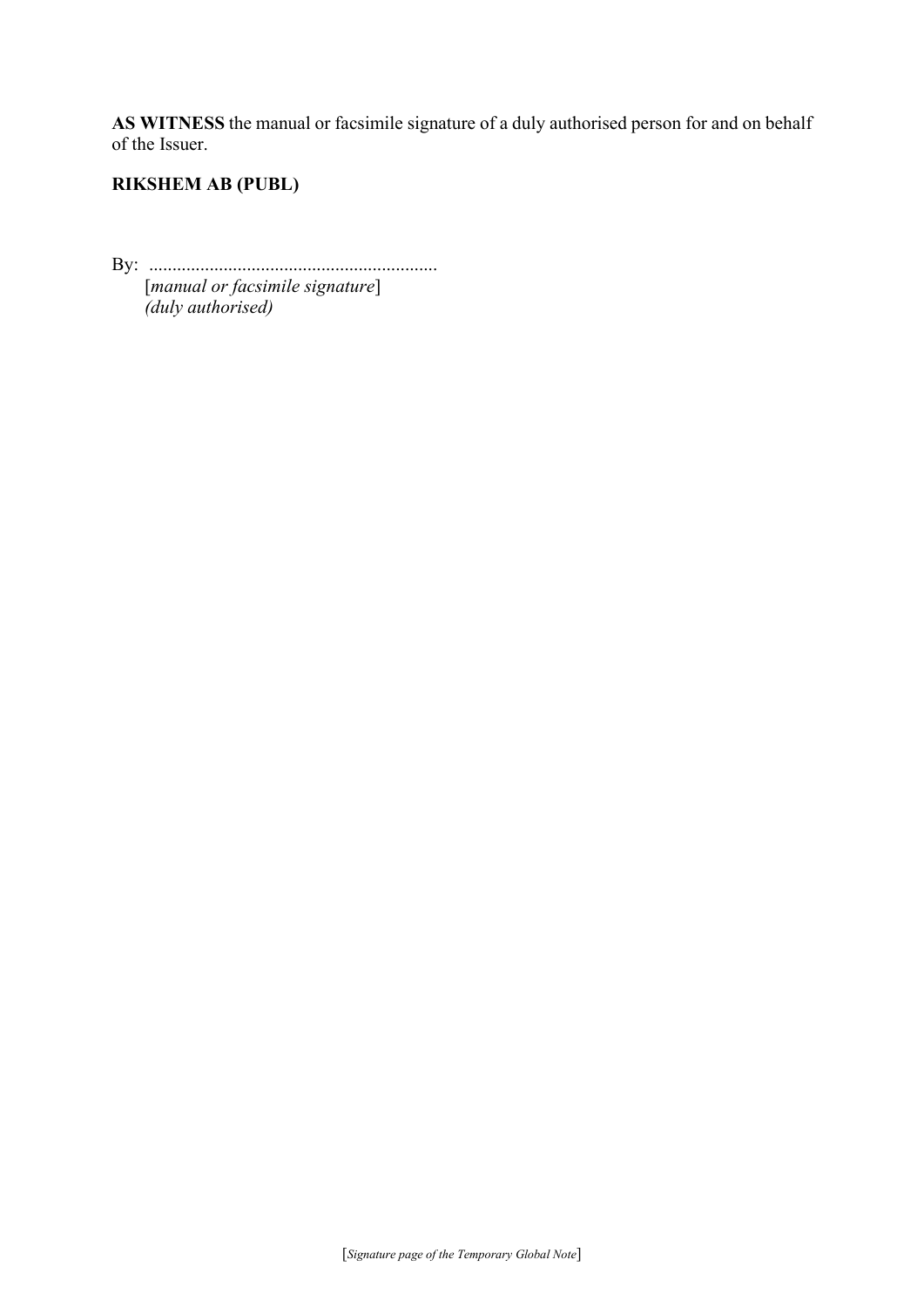**AS WITNESS** the manual or facsimile signature of a duly authorised person for and on behalf of the Issuer.

# **RIKSHEM AB (PUBL)**

By: ..............................................................

[*manual or facsimile signature*] *(duly authorised)*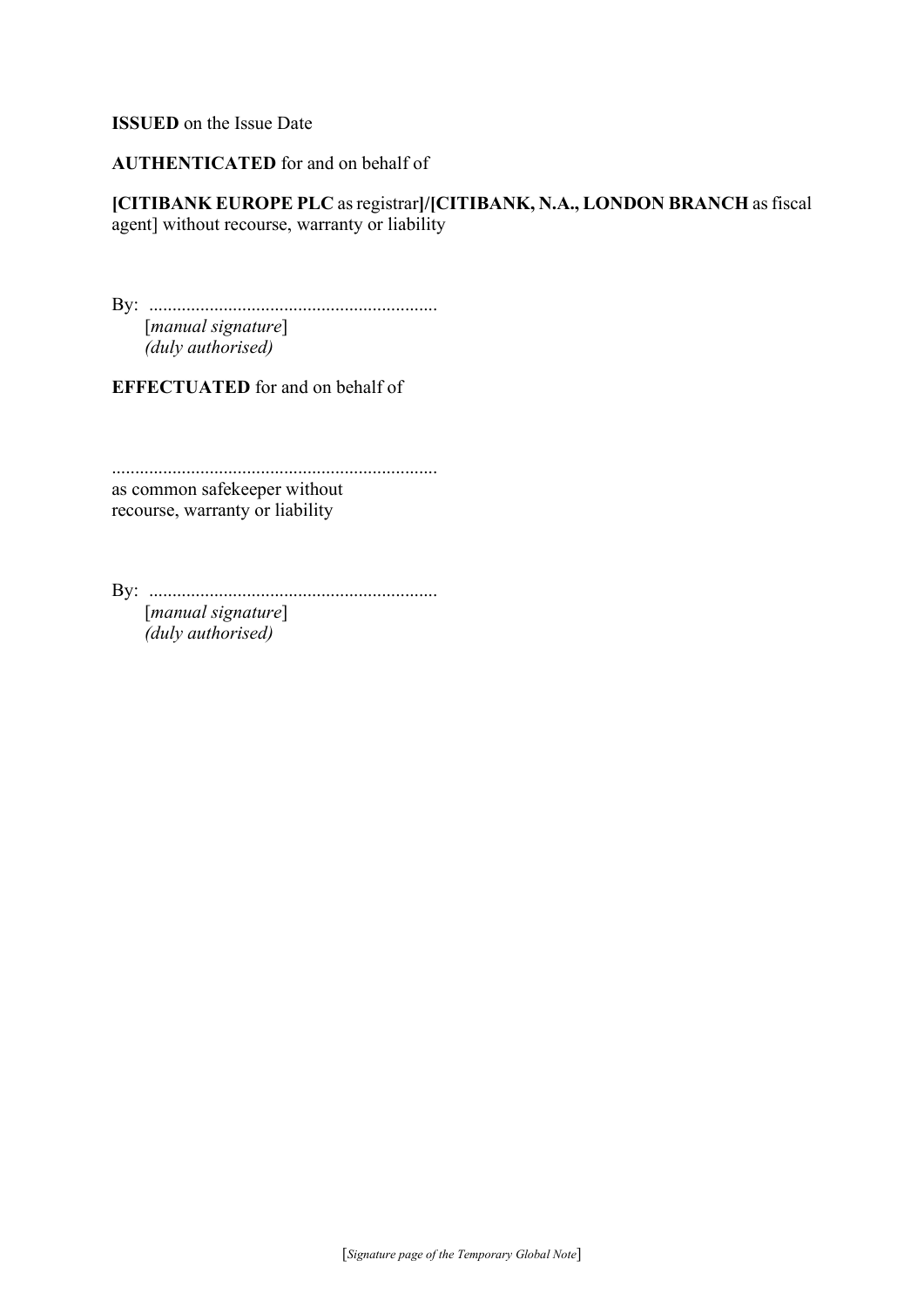**ISSUED** on the Issue Date

**AUTHENTICATED** for and on behalf of

**[CITIBANK EUROPE PLC** as registrar**]/[CITIBANK, N.A., LONDON BRANCH** as fiscal agent] without recourse, warranty or liability

By: .............................................................. [*manual signature*] *(duly authorised)*

**EFFECTUATED** for and on behalf of

...................................................................... as common safekeeper without recourse, warranty or liability

By: ..............................................................

[*manual signature*] *(duly authorised)*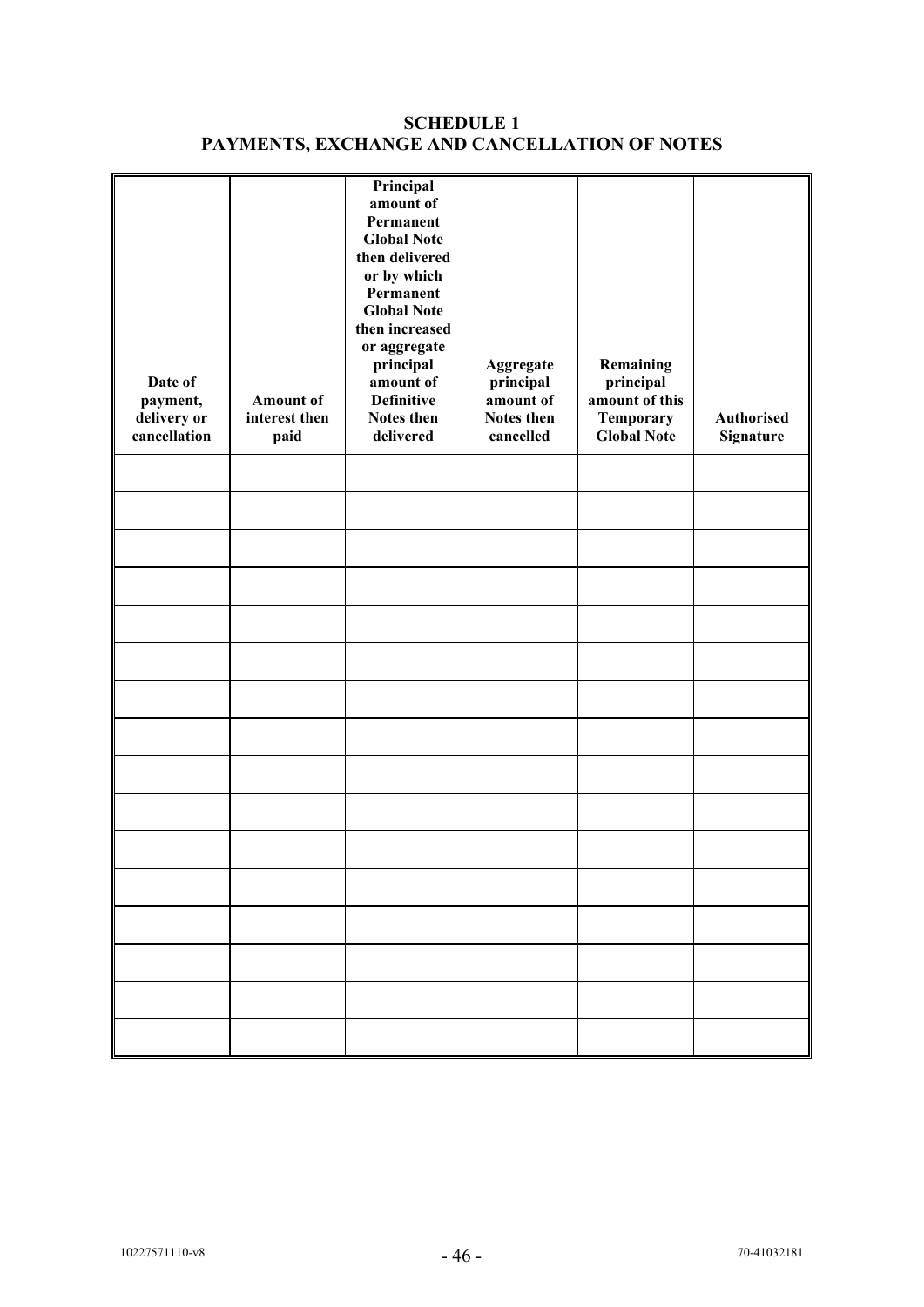<span id="page-49-0"></span>

| Date of<br>payment,<br>delivery or<br>cancellation | <b>Amount of</b><br>interest then<br>paid | Principal<br>amount of<br>Permanent<br><b>Global Note</b><br>then delivered<br>or by which<br>Permanent<br><b>Global Note</b><br>then increased<br>or aggregate<br>principal<br>amount of<br><b>Definitive</b><br><b>Notes then</b><br>delivered | Aggregate<br>principal<br>amount of<br><b>Notes then</b><br>cancelled | Remaining<br>principal<br>amount of this<br><b>Temporary</b><br><b>Global Note</b> | <b>Authorised</b><br>Signature |
|----------------------------------------------------|-------------------------------------------|--------------------------------------------------------------------------------------------------------------------------------------------------------------------------------------------------------------------------------------------------|-----------------------------------------------------------------------|------------------------------------------------------------------------------------|--------------------------------|
|                                                    |                                           |                                                                                                                                                                                                                                                  |                                                                       |                                                                                    |                                |
|                                                    |                                           |                                                                                                                                                                                                                                                  |                                                                       |                                                                                    |                                |
|                                                    |                                           |                                                                                                                                                                                                                                                  |                                                                       |                                                                                    |                                |
|                                                    |                                           |                                                                                                                                                                                                                                                  |                                                                       |                                                                                    |                                |
|                                                    |                                           |                                                                                                                                                                                                                                                  |                                                                       |                                                                                    |                                |
|                                                    |                                           |                                                                                                                                                                                                                                                  |                                                                       |                                                                                    |                                |
|                                                    |                                           |                                                                                                                                                                                                                                                  |                                                                       |                                                                                    |                                |
|                                                    |                                           |                                                                                                                                                                                                                                                  |                                                                       |                                                                                    |                                |
|                                                    |                                           |                                                                                                                                                                                                                                                  |                                                                       |                                                                                    |                                |
|                                                    |                                           |                                                                                                                                                                                                                                                  |                                                                       |                                                                                    |                                |
|                                                    |                                           |                                                                                                                                                                                                                                                  |                                                                       |                                                                                    |                                |
|                                                    |                                           |                                                                                                                                                                                                                                                  |                                                                       |                                                                                    |                                |
|                                                    |                                           |                                                                                                                                                                                                                                                  |                                                                       |                                                                                    |                                |
|                                                    |                                           |                                                                                                                                                                                                                                                  |                                                                       |                                                                                    |                                |

### **SCHEDULE 1 PAYMENTS, EXCHANGE AND CANCELLATION OF NOTES**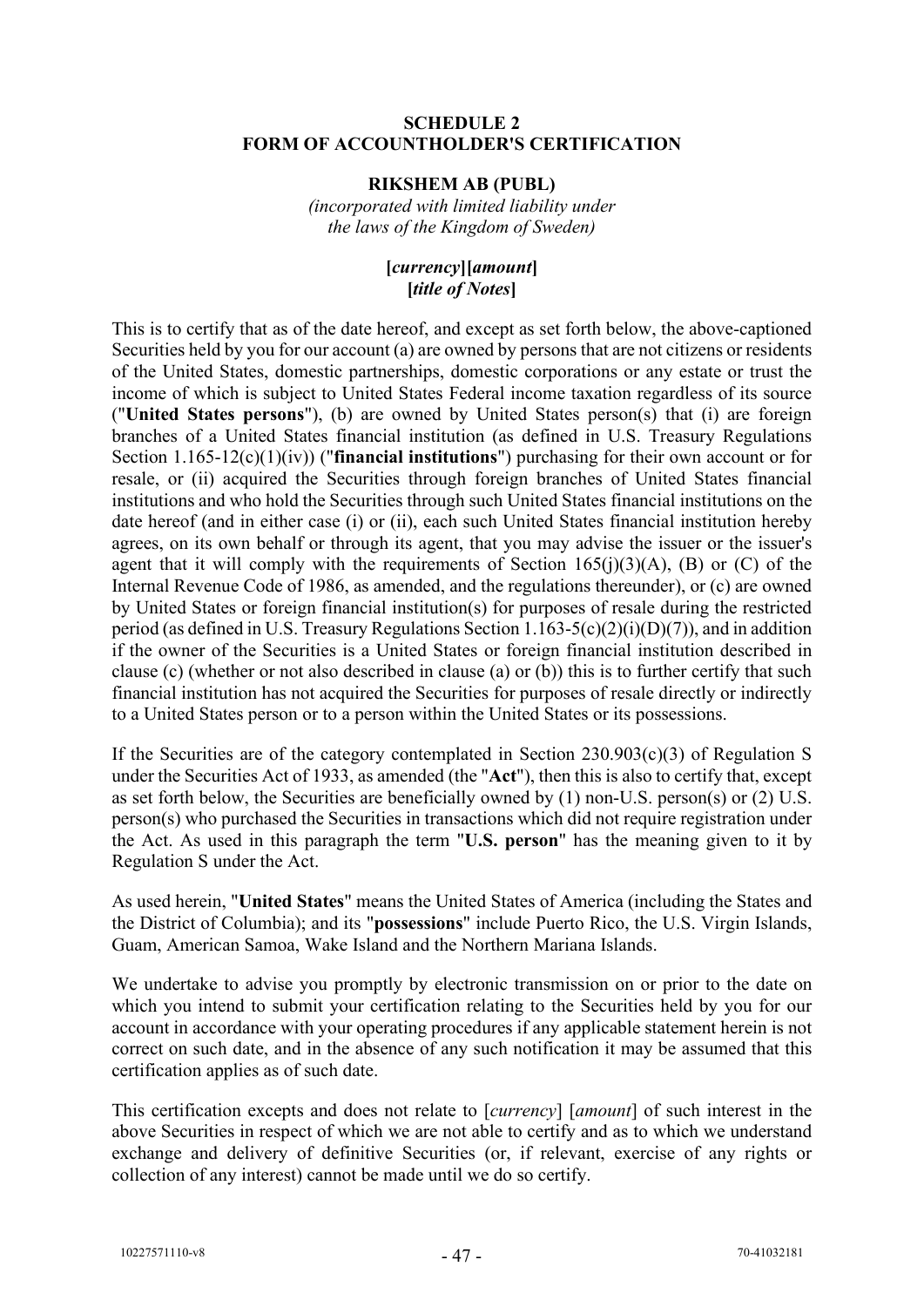#### **SCHEDULE 2 FORM OF ACCOUNTHOLDER'S CERTIFICATION**

#### **RIKSHEM AB (PUBL)**

*(incorporated with limited liability under the laws of the Kingdom of Sweden)*

### **[***currency***][***amount***] [***title of Notes***]**

This is to certify that as of the date hereof, and except as set forth below, the above-captioned Securities held by you for our account (a) are owned by persons that are not citizens or residents of the United States, domestic partnerships, domestic corporations or any estate or trust the income of which is subject to United States Federal income taxation regardless of its source ("**United States persons**"), (b) are owned by United States person(s) that (i) are foreign branches of a United States financial institution (as defined in U.S. Treasury Regulations Section 1.165-12(c)(1)(iv)) ("**financial institutions**") purchasing for their own account or for resale, or (ii) acquired the Securities through foreign branches of United States financial institutions and who hold the Securities through such United States financial institutions on the date hereof (and in either case (i) or (ii), each such United States financial institution hereby agrees, on its own behalf or through its agent, that you may advise the issuer or the issuer's agent that it will comply with the requirements of Section  $165(i)(3)(A)$ , (B) or (C) of the Internal Revenue Code of 1986, as amended, and the regulations thereunder), or (c) are owned by United States or foreign financial institution(s) for purposes of resale during the restricted period (as defined in U.S. Treasury Regulations Section 1.163-5(c)(2)(i)(D)(7)), and in addition if the owner of the Securities is a United States or foreign financial institution described in clause (c) (whether or not also described in clause (a) or (b)) this is to further certify that such financial institution has not acquired the Securities for purposes of resale directly or indirectly to a United States person or to a person within the United States or its possessions.

If the Securities are of the category contemplated in Section 230.903(c)(3) of Regulation S under the Securities Act of 1933, as amended (the "**Act**"), then this is also to certify that, except as set forth below, the Securities are beneficially owned by (1) non-U.S. person(s) or (2) U.S. person(s) who purchased the Securities in transactions which did not require registration under the Act. As used in this paragraph the term "**U.S. person**" has the meaning given to it by Regulation S under the Act.

As used herein, "**United States**" means the United States of America (including the States and the District of Columbia); and its "**possessions**" include Puerto Rico, the U.S. Virgin Islands, Guam, American Samoa, Wake Island and the Northern Mariana Islands.

We undertake to advise you promptly by electronic transmission on or prior to the date on which you intend to submit your certification relating to the Securities held by you for our account in accordance with your operating procedures if any applicable statement herein is not correct on such date, and in the absence of any such notification it may be assumed that this certification applies as of such date.

This certification excepts and does not relate to [*currency*] [*amount*] of such interest in the above Securities in respect of which we are not able to certify and as to which we understand exchange and delivery of definitive Securities (or, if relevant, exercise of any rights or collection of any interest) cannot be made until we do so certify.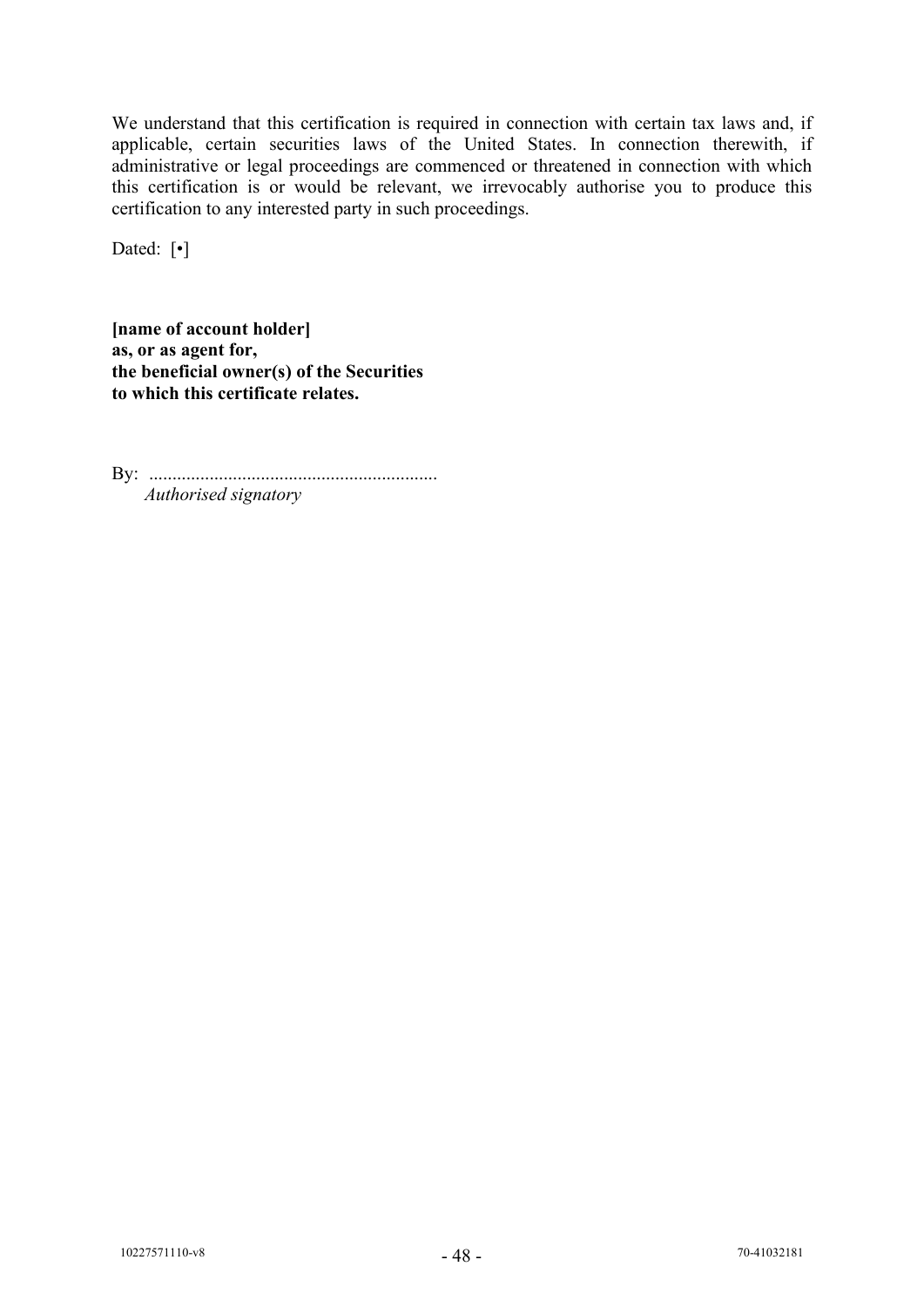We understand that this certification is required in connection with certain tax laws and, if applicable, certain securities laws of the United States. In connection therewith, if administrative or legal proceedings are commenced or threatened in connection with which this certification is or would be relevant, we irrevocably authorise you to produce this certification to any interested party in such proceedings.

Dated: [ $\cdot$ ]

**[name of account holder] as, or as agent for, the beneficial owner(s) of the Securities to which this certificate relates.**

By: .............................................................. *Authorised signatory*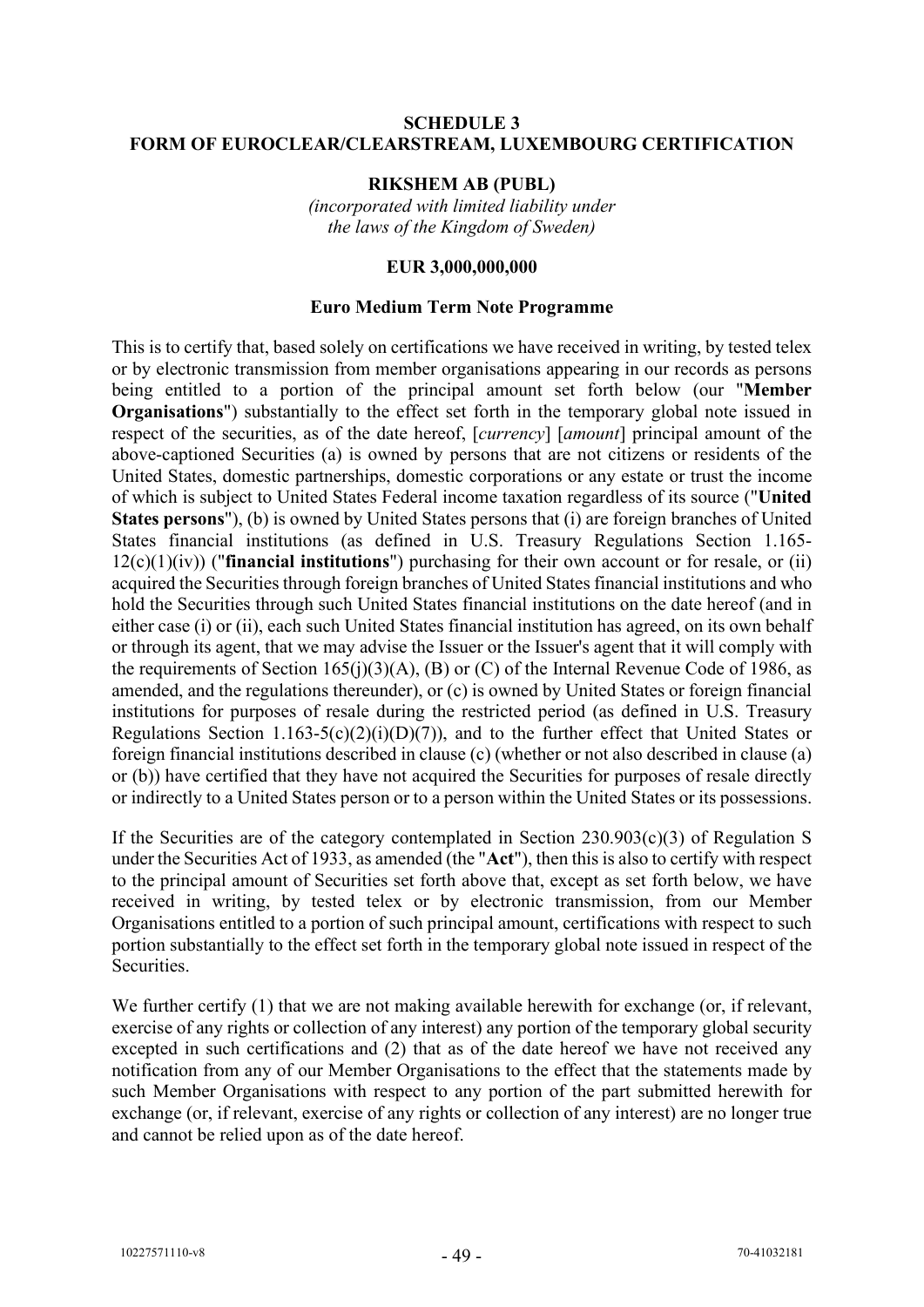#### <span id="page-52-0"></span>**SCHEDULE 3 FORM OF EUROCLEAR/CLEARSTREAM, LUXEMBOURG CERTIFICATION**

#### **RIKSHEM AB (PUBL)**

*(incorporated with limited liability under the laws of the Kingdom of Sweden)*

#### **EUR 3,000,000,000**

#### **Euro Medium Term Note Programme**

This is to certify that, based solely on certifications we have received in writing, by tested telex or by electronic transmission from member organisations appearing in our records as persons being entitled to a portion of the principal amount set forth below (our "**Member Organisations**") substantially to the effect set forth in the temporary global note issued in respect of the securities, as of the date hereof, [*currency*] [*amount*] principal amount of the above-captioned Securities (a) is owned by persons that are not citizens or residents of the United States, domestic partnerships, domestic corporations or any estate or trust the income of which is subject to United States Federal income taxation regardless of its source ("**United States persons**"), (b) is owned by United States persons that (i) are foreign branches of United States financial institutions (as defined in U.S. Treasury Regulations Section 1.165- 12(c)(1)(iv)) ("**financial institutions**") purchasing for their own account or for resale, or (ii) acquired the Securities through foreign branches of United States financial institutions and who hold the Securities through such United States financial institutions on the date hereof (and in either case (i) or (ii), each such United States financial institution has agreed, on its own behalf or through its agent, that we may advise the Issuer or the Issuer's agent that it will comply with the requirements of Section 165(j)(3)(A), (B) or (C) of the Internal Revenue Code of 1986, as amended, and the regulations thereunder), or (c) is owned by United States or foreign financial institutions for purposes of resale during the restricted period (as defined in U.S. Treasury Regulations Section 1.163-5(c)(2)(i)(D)(7)), and to the further effect that United States or foreign financial institutions described in clause (c) (whether or not also described in clause (a) or (b)) have certified that they have not acquired the Securities for purposes of resale directly or indirectly to a United States person or to a person within the United States or its possessions.

If the Securities are of the category contemplated in Section 230.903(c)(3) of Regulation S under the Securities Act of 1933, as amended (the "**Act**"), then this is also to certify with respect to the principal amount of Securities set forth above that, except as set forth below, we have received in writing, by tested telex or by electronic transmission, from our Member Organisations entitled to a portion of such principal amount, certifications with respect to such portion substantially to the effect set forth in the temporary global note issued in respect of the Securities.

We further certify (1) that we are not making available herewith for exchange (or, if relevant, exercise of any rights or collection of any interest) any portion of the temporary global security excepted in such certifications and (2) that as of the date hereof we have not received any notification from any of our Member Organisations to the effect that the statements made by such Member Organisations with respect to any portion of the part submitted herewith for exchange (or, if relevant, exercise of any rights or collection of any interest) are no longer true and cannot be relied upon as of the date hereof.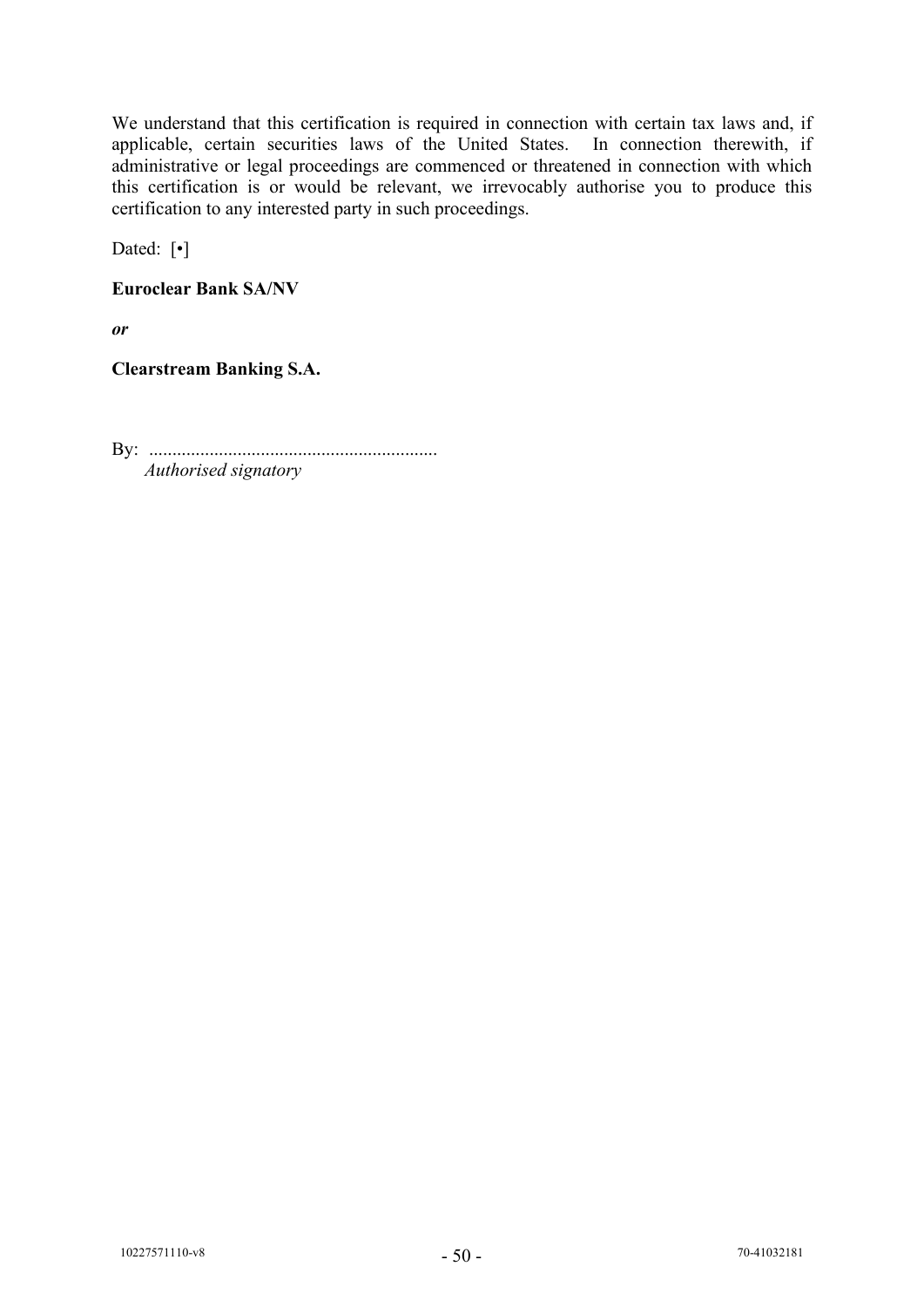We understand that this certification is required in connection with certain tax laws and, if applicable, certain securities laws of the United States. In connection therewith, if administrative or legal proceedings are commenced or threatened in connection with which this certification is or would be relevant, we irrevocably authorise you to produce this certification to any interested party in such proceedings.

Dated: [ $\cdot$ ]

**Euroclear Bank SA/NV**

*or*

**Clearstream Banking S.A.**

By: .............................................................. *Authorised signatory*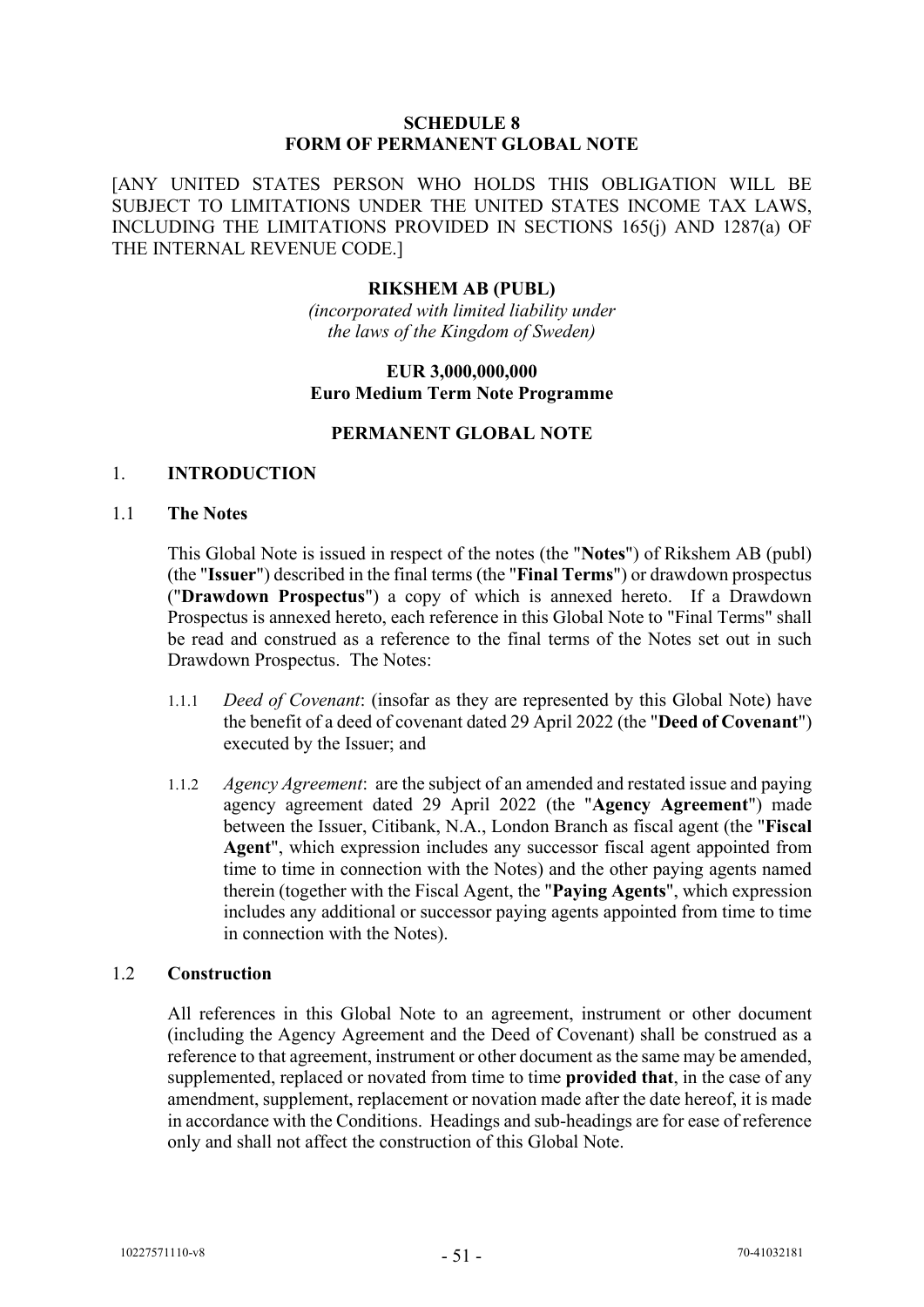### **SCHEDULE 8 FORM OF PERMANENT GLOBAL NOTE**

[ANY UNITED STATES PERSON WHO HOLDS THIS OBLIGATION WILL BE SUBJECT TO LIMITATIONS UNDER THE UNITED STATES INCOME TAX LAWS, INCLUDING THE LIMITATIONS PROVIDED IN SECTIONS 165(j) AND 1287(a) OF THE INTERNAL REVENUE CODE.]

#### **RIKSHEM AB (PUBL)**

*(incorporated with limited liability under the laws of the Kingdom of Sweden)*

### **EUR 3,000,000,000 Euro Medium Term Note Programme**

### **PERMANENT GLOBAL NOTE**

#### 1. **INTRODUCTION**

#### 1.1 **The Notes**

This Global Note is issued in respect of the notes (the "**Notes**") of Rikshem AB (publ) (the "**Issuer**") described in the final terms (the "**Final Terms**") or drawdown prospectus ("**Drawdown Prospectus**") a copy of which is annexed hereto. If a Drawdown Prospectus is annexed hereto, each reference in this Global Note to "Final Terms" shall be read and construed as a reference to the final terms of the Notes set out in such Drawdown Prospectus. The Notes:

- 1.1.1 *Deed of Covenant*: (insofar as they are represented by this Global Note) have the benefit of a deed of covenant dated 29 April 2022 (the "**Deed of Covenant**") executed by the Issuer; and
- 1.1.2 *Agency Agreement*: are the subject of an amended and restated issue and paying agency agreement dated 29 April 2022 (the "**Agency Agreement**") made between the Issuer, Citibank, N.A., London Branch as fiscal agent (the "**Fiscal Agent**", which expression includes any successor fiscal agent appointed from time to time in connection with the Notes) and the other paying agents named therein (together with the Fiscal Agent, the "**Paying Agents**", which expression includes any additional or successor paying agents appointed from time to time in connection with the Notes).

#### 1.2 **Construction**

All references in this Global Note to an agreement, instrument or other document (including the Agency Agreement and the Deed of Covenant) shall be construed as a reference to that agreement, instrument or other document as the same may be amended, supplemented, replaced or novated from time to time **provided that**, in the case of any amendment, supplement, replacement or novation made after the date hereof, it is made in accordance with the Conditions. Headings and sub-headings are for ease of reference only and shall not affect the construction of this Global Note.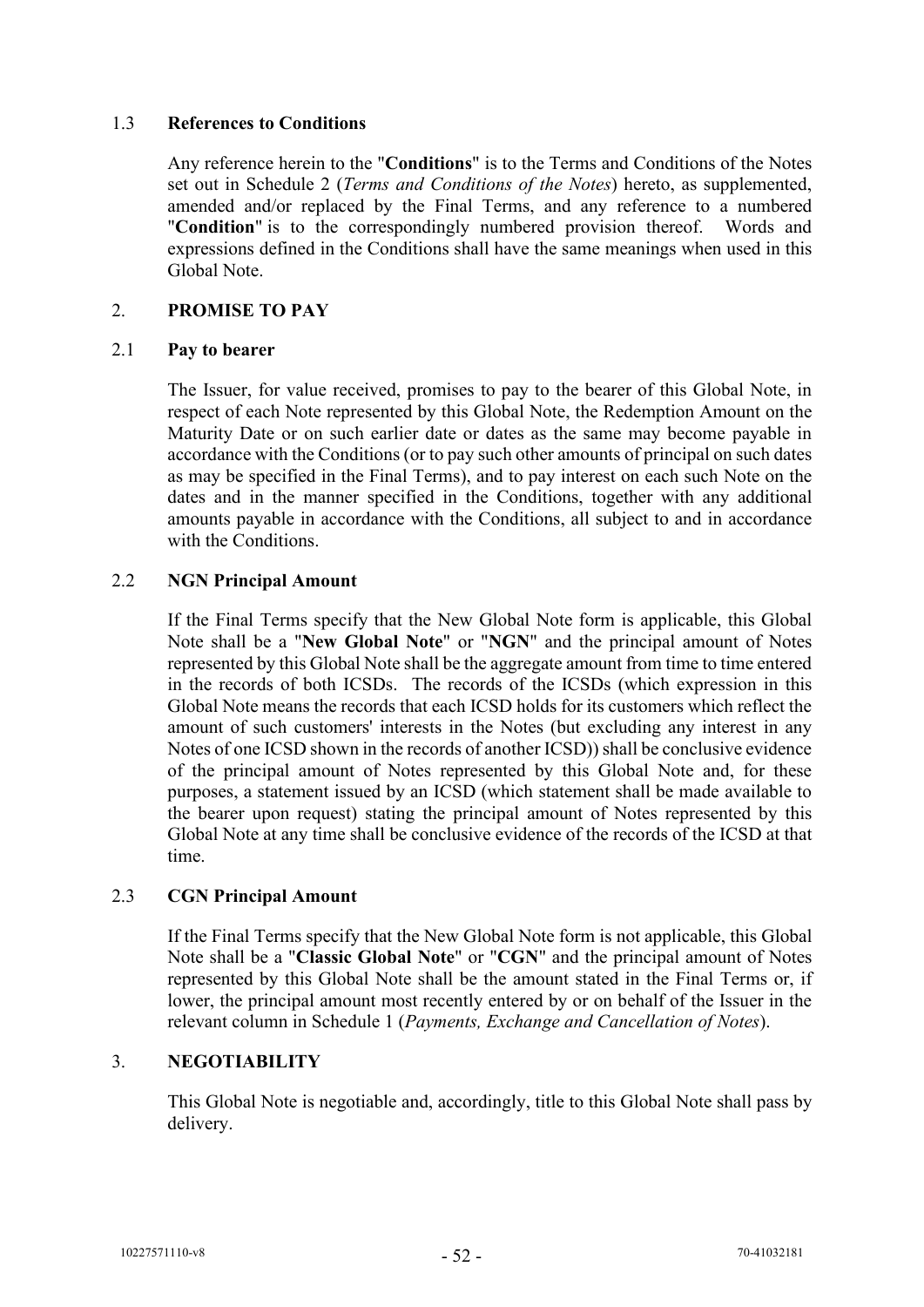### 1.3 **References to Conditions**

Any reference herein to the "**Conditions**" is to the Terms and Conditions of the Notes set out in [Schedule 2](#page-64-0) (*Terms and Conditions of the Notes*) hereto, as supplemented, amended and/or replaced by the Final Terms, and any reference to a numbered "**Condition**" is to the correspondingly numbered provision thereof. Words and expressions defined in the Conditions shall have the same meanings when used in this Global Note.

### 2. **PROMISE TO PAY**

### 2.1 **Pay to bearer**

The Issuer, for value received, promises to pay to the bearer of this Global Note, in respect of each Note represented by this Global Note, the Redemption Amount on the Maturity Date or on such earlier date or dates as the same may become payable in accordance with the Conditions (or to pay such other amounts of principal on such dates as may be specified in the Final Terms), and to pay interest on each such Note on the dates and in the manner specified in the Conditions, together with any additional amounts payable in accordance with the Conditions, all subject to and in accordance with the Conditions.

### 2.2 **NGN Principal Amount**

If the Final Terms specify that the New Global Note form is applicable, this Global Note shall be a "**New Global Note**" or "**NGN**" and the principal amount of Notes represented by this Global Note shall be the aggregate amount from time to time entered in the records of both ICSDs. The records of the ICSDs (which expression in this Global Note means the records that each ICSD holds for its customers which reflect the amount of such customers' interests in the Notes (but excluding any interest in any Notes of one ICSD shown in the records of another ICSD)) shall be conclusive evidence of the principal amount of Notes represented by this Global Note and, for these purposes, a statement issued by an ICSD (which statement shall be made available to the bearer upon request) stating the principal amount of Notes represented by this Global Note at any time shall be conclusive evidence of the records of the ICSD at that time.

### 2.3 **CGN Principal Amount**

If the Final Terms specify that the New Global Note form is not applicable, this Global Note shall be a "**Classic Global Note**" or "**CGN**" and the principal amount of Notes represented by this Global Note shall be the amount stated in the Final Terms or, if lower, the principal amount most recently entered by or on behalf of the Issuer in the relevant column in [Schedule 1](#page-49-0) (*Payments, Exchange and Cancellation of Notes*).

### 3. **NEGOTIABILITY**

This Global Note is negotiable and, accordingly, title to this Global Note shall pass by delivery.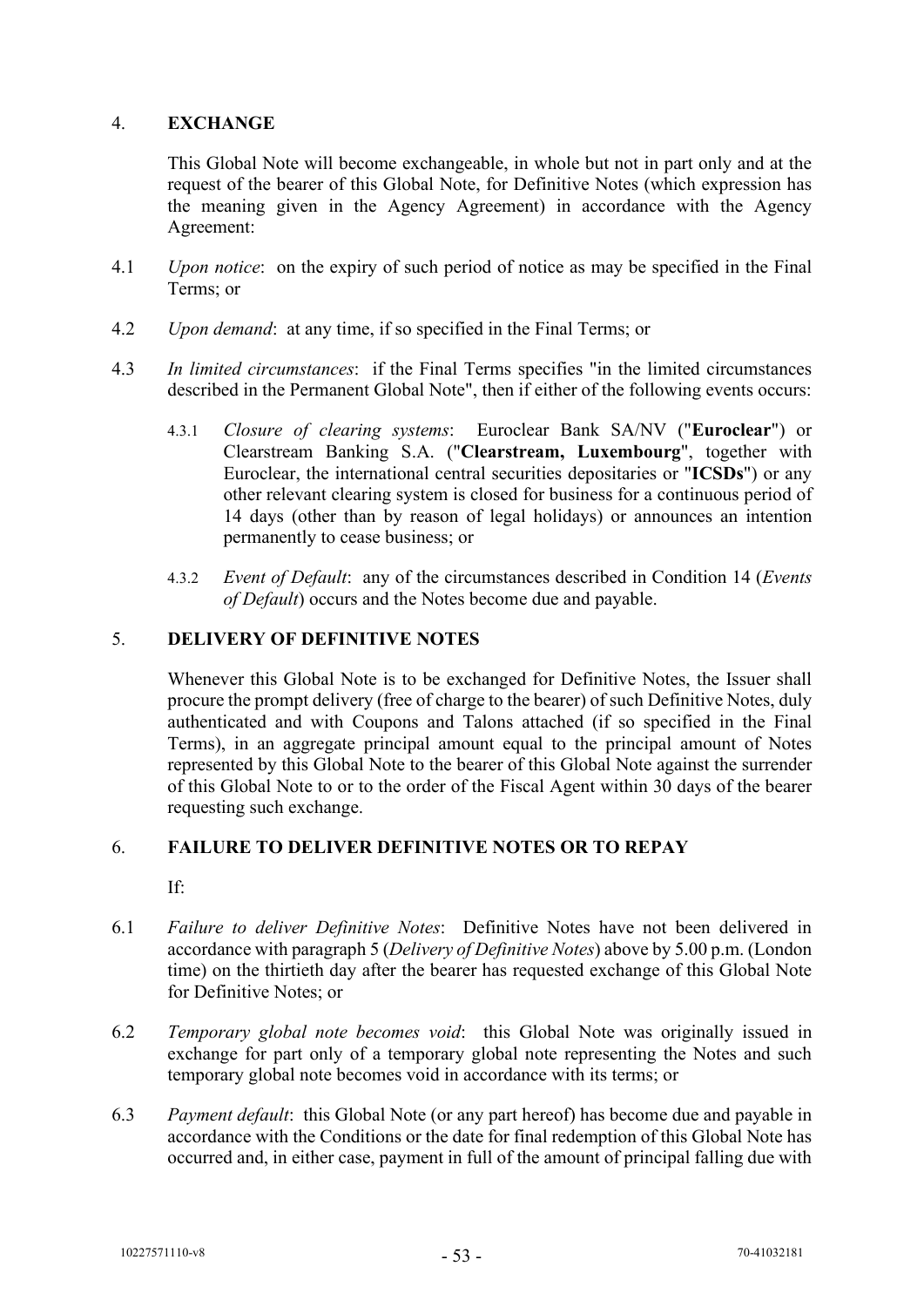### 4. **EXCHANGE**

This Global Note will become exchangeable, in whole but not in part only and at the request of the bearer of this Global Note, for Definitive Notes (which expression has the meaning given in the Agency Agreement) in accordance with the Agency Agreement:

- 4.1 *Upon notice*: on the expiry of such period of notice as may be specified in the Final Terms; or
- 4.2 *Upon demand*: at any time, if so specified in the Final Terms; or
- 4.3 *In limited circumstances*: if the Final Terms specifies "in the limited circumstances described in the Permanent Global Note", then if either of the following events occurs:
	- 4.3.1 *Closure of clearing systems*: Euroclear Bank SA/NV ("**Euroclear**") or Clearstream Banking S.A. ("**Clearstream, Luxembourg**", together with Euroclear, the international central securities depositaries or "**ICSDs**") or any other relevant clearing system is closed for business for a continuous period of 14 days (other than by reason of legal holidays) or announces an intention permanently to cease business; or
	- 4.3.2 *Event of Default*: any of the circumstances described in Condition 14 (*Events of Default*) occurs and the Notes become due and payable.

### <span id="page-56-0"></span>5. **DELIVERY OF DEFINITIVE NOTES**

Whenever this Global Note is to be exchanged for Definitive Notes, the Issuer shall procure the prompt delivery (free of charge to the bearer) of such Definitive Notes, duly authenticated and with Coupons and Talons attached (if so specified in the Final Terms), in an aggregate principal amount equal to the principal amount of Notes represented by this Global Note to the bearer of this Global Note against the surrender of this Global Note to or to the order of the Fiscal Agent within 30 days of the bearer requesting such exchange.

### 6. **FAILURE TO DELIVER DEFINITIVE NOTES OR TO REPAY**

If:

- 6.1 *Failure to deliver Definitive Notes*: Definitive Notes have not been delivered in accordance with paragrap[h 5](#page-56-0) (*Delivery of Definitive Notes*) above by 5.00 p.m. (London time) on the thirtieth day after the bearer has requested exchange of this Global Note for Definitive Notes; or
- 6.2 *Temporary global note becomes void*: this Global Note was originally issued in exchange for part only of a temporary global note representing the Notes and such temporary global note becomes void in accordance with its terms; or
- 6.3 *Payment default*: this Global Note (or any part hereof) has become due and payable in accordance with the Conditions or the date for final redemption of this Global Note has occurred and, in either case, payment in full of the amount of principal falling due with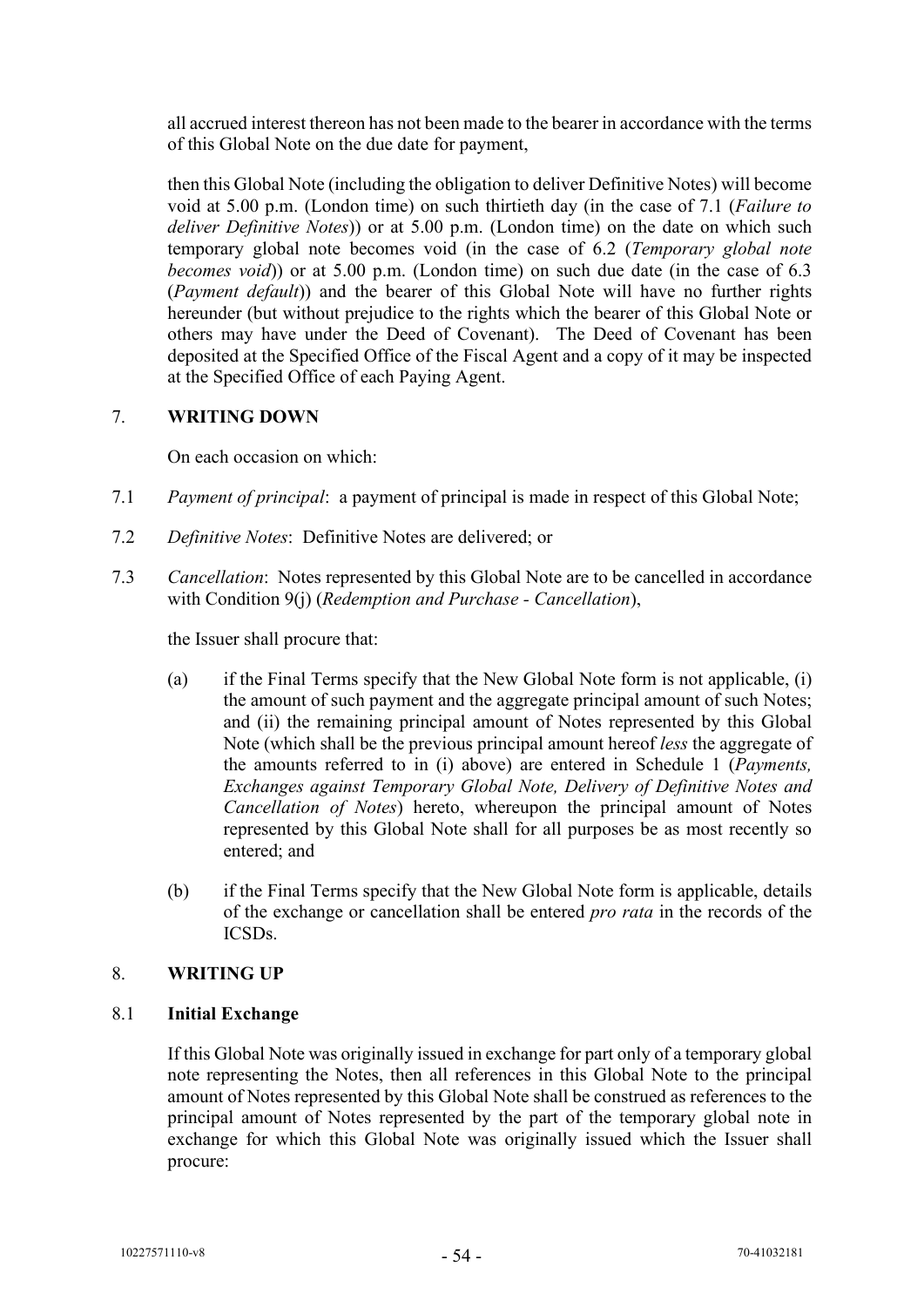all accrued interest thereon has not been made to the bearer in accordance with the terms of this Global Note on the due date for payment,

then this Global Note (including the obligation to deliver Definitive Notes) will become void at 5.00 p.m. (London time) on such thirtieth day (in the case of 7.1 (*Failure to deliver Definitive Notes*)) or at 5.00 p.m. (London time) on the date on which such temporary global note becomes void (in the case of 6.2 (*Temporary global note becomes void*)) or at 5.00 p.m. (London time) on such due date (in the case of 6.3 (*Payment default*)) and the bearer of this Global Note will have no further rights hereunder (but without prejudice to the rights which the bearer of this Global Note or others may have under the Deed of Covenant). The Deed of Covenant has been deposited at the Specified Office of the Fiscal Agent and a copy of it may be inspected at the Specified Office of each Paying Agent.

### 7. **WRITING DOWN**

On each occasion on which:

- 7.1 *Payment of principal*: a payment of principal is made in respect of this Global Note;
- 7.2 *Definitive Notes*: Definitive Notes are delivered; or
- 7.3 *Cancellation*: Notes represented by this Global Note are to be cancelled in accordance with Condition 9(j) (*Redemption and Purchase - Cancellation*),

the Issuer shall procure that:

- (a) if the Final Terms specify that the New Global Note form is not applicable, (i) the amount of such payment and the aggregate principal amount of such Notes; and (ii) the remaining principal amount of Notes represented by this Global Note (which shall be the previous principal amount hereof *less* the aggregate of the amounts referred to in (i) above) are entered in [Schedule 1](#page-63-0) (*Payments, Exchanges against Temporary Global Note, Delivery of Definitive Notes and Cancellation of Notes*) hereto, whereupon the principal amount of Notes represented by this Global Note shall for all purposes be as most recently so entered; and
- (b) if the Final Terms specify that the New Global Note form is applicable, details of the exchange or cancellation shall be entered *pro rata* in the records of the ICSDs.

### 8. **WRITING UP**

### 8.1 **Initial Exchange**

If this Global Note was originally issued in exchange for part only of a temporary global note representing the Notes, then all references in this Global Note to the principal amount of Notes represented by this Global Note shall be construed as references to the principal amount of Notes represented by the part of the temporary global note in exchange for which this Global Note was originally issued which the Issuer shall procure: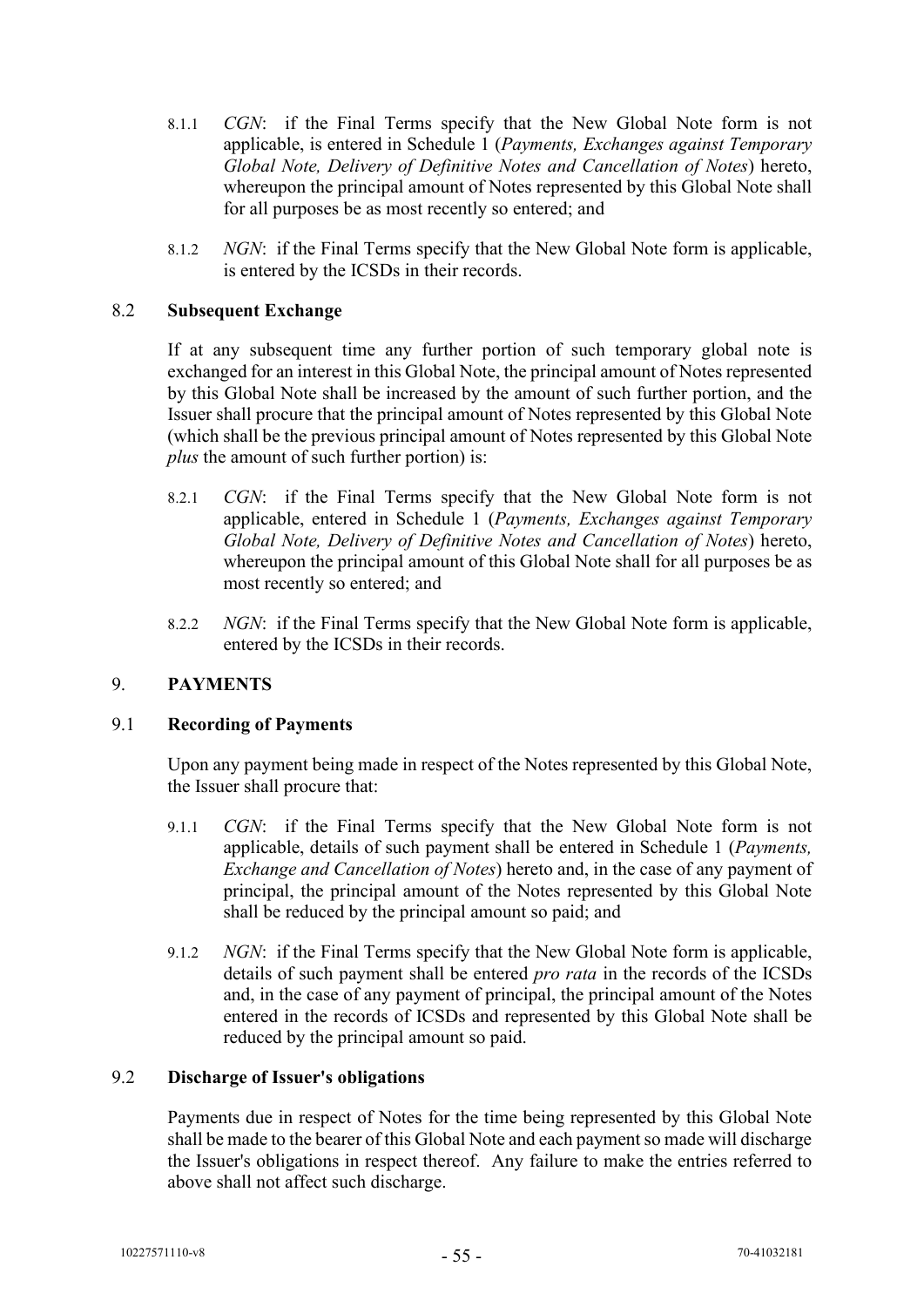- 8.1.1 *CGN*: if the Final Terms specify that the New Global Note form is not applicable, is entered in [Schedule 1](#page-63-0) (*Payments, Exchanges against Temporary Global Note, Delivery of Definitive Notes and Cancellation of Notes*) hereto, whereupon the principal amount of Notes represented by this Global Note shall for all purposes be as most recently so entered; and
- 8.1.2 *NGN*: if the Final Terms specify that the New Global Note form is applicable, is entered by the ICSDs in their records.

### 8.2 **Subsequent Exchange**

If at any subsequent time any further portion of such temporary global note is exchanged for an interest in this Global Note, the principal amount of Notes represented by this Global Note shall be increased by the amount of such further portion, and the Issuer shall procure that the principal amount of Notes represented by this Global Note (which shall be the previous principal amount of Notes represented by this Global Note *plus* the amount of such further portion) is:

- 8.2.1 *CGN*: if the Final Terms specify that the New Global Note form is not applicable, entered in [Schedule 1](#page-63-0) (*Payments, Exchanges against Temporary Global Note, Delivery of Definitive Notes and Cancellation of Notes*) hereto, whereupon the principal amount of this Global Note shall for all purposes be as most recently so entered; and
- 8.2.2 *NGN*: if the Final Terms specify that the New Global Note form is applicable, entered by the ICSDs in their records.

### 9. **PAYMENTS**

### 9.1 **Recording of Payments**

Upon any payment being made in respect of the Notes represented by this Global Note, the Issuer shall procure that:

- 9.1.1 *CGN*: if the Final Terms specify that the New Global Note form is not applicable, details of such payment shall be entered in [Schedule 1](#page-49-0) (*Payments, Exchange and Cancellation of Notes*) hereto and, in the case of any payment of principal, the principal amount of the Notes represented by this Global Note shall be reduced by the principal amount so paid; and
- 9.1.2 *NGN*: if the Final Terms specify that the New Global Note form is applicable, details of such payment shall be entered *pro rata* in the records of the ICSDs and, in the case of any payment of principal, the principal amount of the Notes entered in the records of ICSDs and represented by this Global Note shall be reduced by the principal amount so paid.

### 9.2 **Discharge of Issuer's obligations**

Payments due in respect of Notes for the time being represented by this Global Note shall be made to the bearer of this Global Note and each payment so made will discharge the Issuer's obligations in respect thereof. Any failure to make the entries referred to above shall not affect such discharge.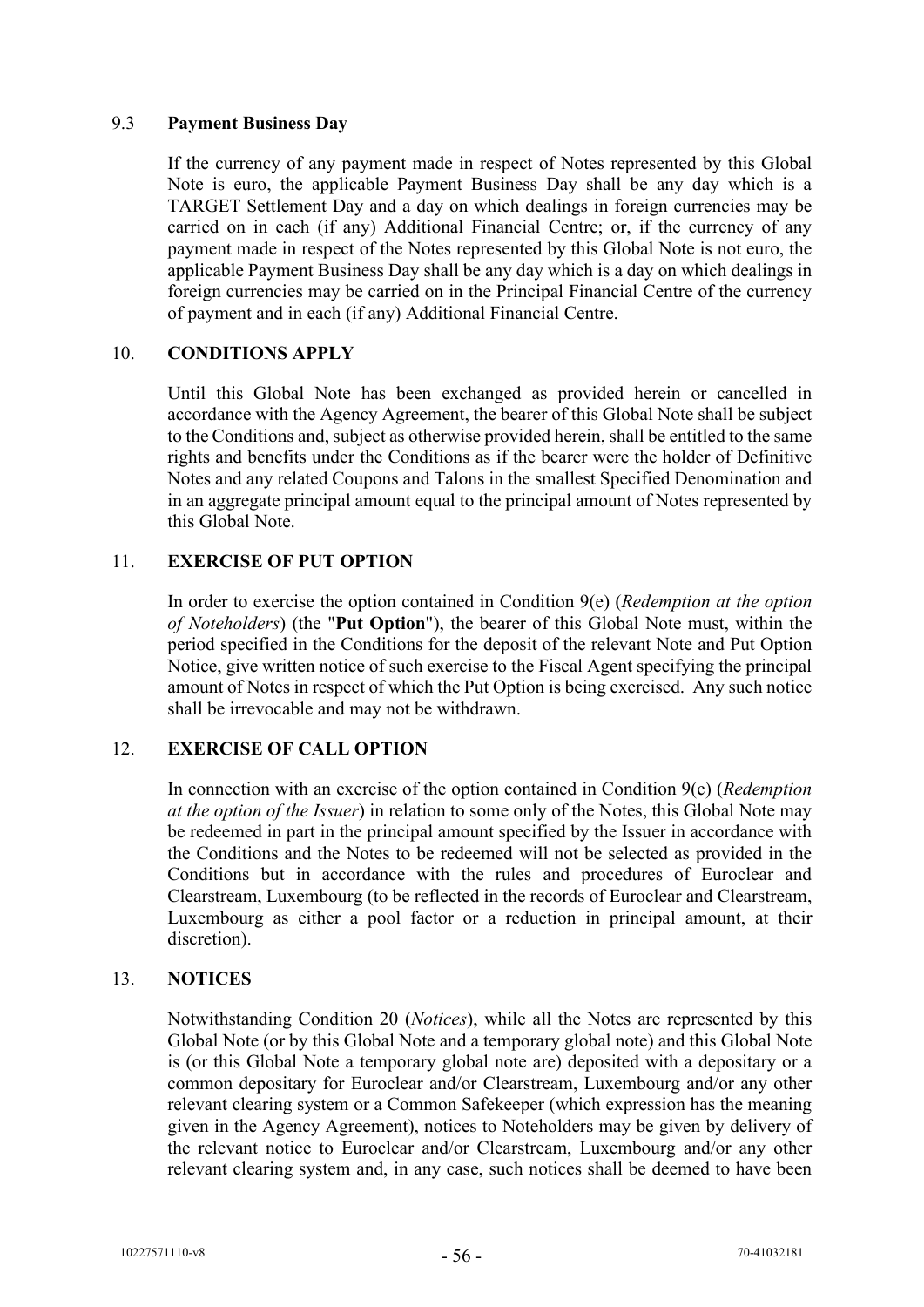### 9.3 **Payment Business Day**

If the currency of any payment made in respect of Notes represented by this Global Note is euro, the applicable Payment Business Day shall be any day which is a TARGET Settlement Day and a day on which dealings in foreign currencies may be carried on in each (if any) Additional Financial Centre; or, if the currency of any payment made in respect of the Notes represented by this Global Note is not euro, the applicable Payment Business Day shall be any day which is a day on which dealings in foreign currencies may be carried on in the Principal Financial Centre of the currency of payment and in each (if any) Additional Financial Centre.

### 10. **CONDITIONS APPLY**

Until this Global Note has been exchanged as provided herein or cancelled in accordance with the Agency Agreement, the bearer of this Global Note shall be subject to the Conditions and, subject as otherwise provided herein, shall be entitled to the same rights and benefits under the Conditions as if the bearer were the holder of Definitive Notes and any related Coupons and Talons in the smallest Specified Denomination and in an aggregate principal amount equal to the principal amount of Notes represented by this Global Note.

### 11. **EXERCISE OF PUT OPTION**

In order to exercise the option contained in Condition 9(e) (*Redemption at the option of Noteholders*) (the "**Put Option**"), the bearer of this Global Note must, within the period specified in the Conditions for the deposit of the relevant Note and Put Option Notice, give written notice of such exercise to the Fiscal Agent specifying the principal amount of Notes in respect of which the Put Option is being exercised. Any such notice shall be irrevocable and may not be withdrawn.

### 12. **EXERCISE OF CALL OPTION**

In connection with an exercise of the option contained in Condition 9(c) (*Redemption at the option of the Issuer*) in relation to some only of the Notes, this Global Note may be redeemed in part in the principal amount specified by the Issuer in accordance with the Conditions and the Notes to be redeemed will not be selected as provided in the Conditions but in accordance with the rules and procedures of Euroclear and Clearstream, Luxembourg (to be reflected in the records of Euroclear and Clearstream, Luxembourg as either a pool factor or a reduction in principal amount, at their discretion).

### 13. **NOTICES**

Notwithstanding Condition 20 (*Notices*), while all the Notes are represented by this Global Note (or by this Global Note and a temporary global note) and this Global Note is (or this Global Note a temporary global note are) deposited with a depositary or a common depositary for Euroclear and/or Clearstream, Luxembourg and/or any other relevant clearing system or a Common Safekeeper (which expression has the meaning given in the Agency Agreement), notices to Noteholders may be given by delivery of the relevant notice to Euroclear and/or Clearstream, Luxembourg and/or any other relevant clearing system and, in any case, such notices shall be deemed to have been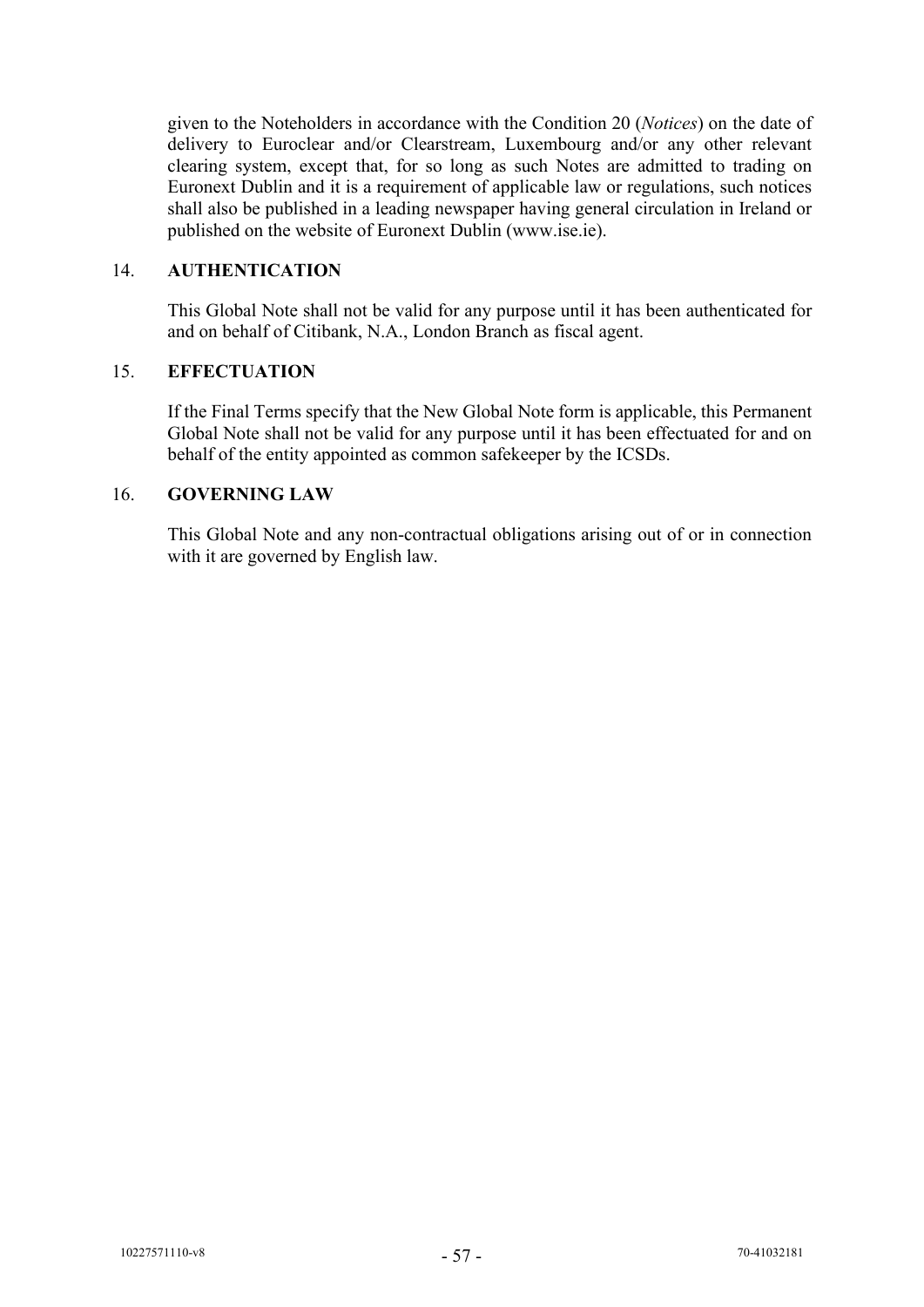given to the Noteholders in accordance with the Condition 20 (*Notices*) on the date of delivery to Euroclear and/or Clearstream, Luxembourg and/or any other relevant clearing system, except that, for so long as such Notes are admitted to trading on Euronext Dublin and it is a requirement of applicable law or regulations, such notices shall also be published in a leading newspaper having general circulation in Ireland or published on the website of Euronext Dublin (www.ise.ie).

### 14. **AUTHENTICATION**

This Global Note shall not be valid for any purpose until it has been authenticated for and on behalf of Citibank, N.A., London Branch as fiscal agent.

#### 15. **EFFECTUATION**

If the Final Terms specify that the New Global Note form is applicable, this Permanent Global Note shall not be valid for any purpose until it has been effectuated for and on behalf of the entity appointed as common safekeeper by the ICSDs.

#### 16. **GOVERNING LAW**

This Global Note and any non-contractual obligations arising out of or in connection with it are governed by English law.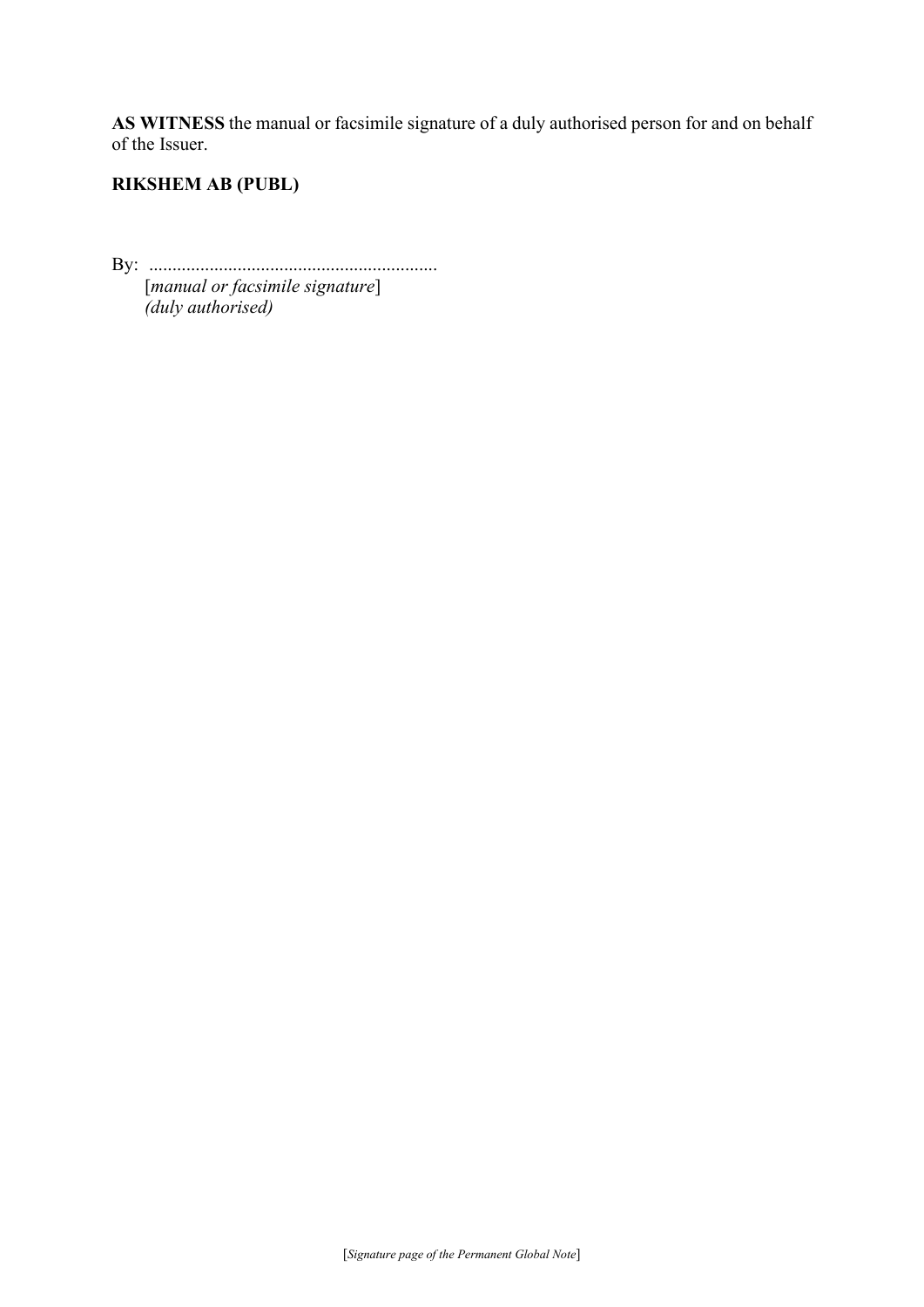**AS WITNESS** the manual or facsimile signature of a duly authorised person for and on behalf of the Issuer.

# **RIKSHEM AB (PUBL)**

By: ..............................................................

[*manual or facsimile signature*] *(duly authorised)*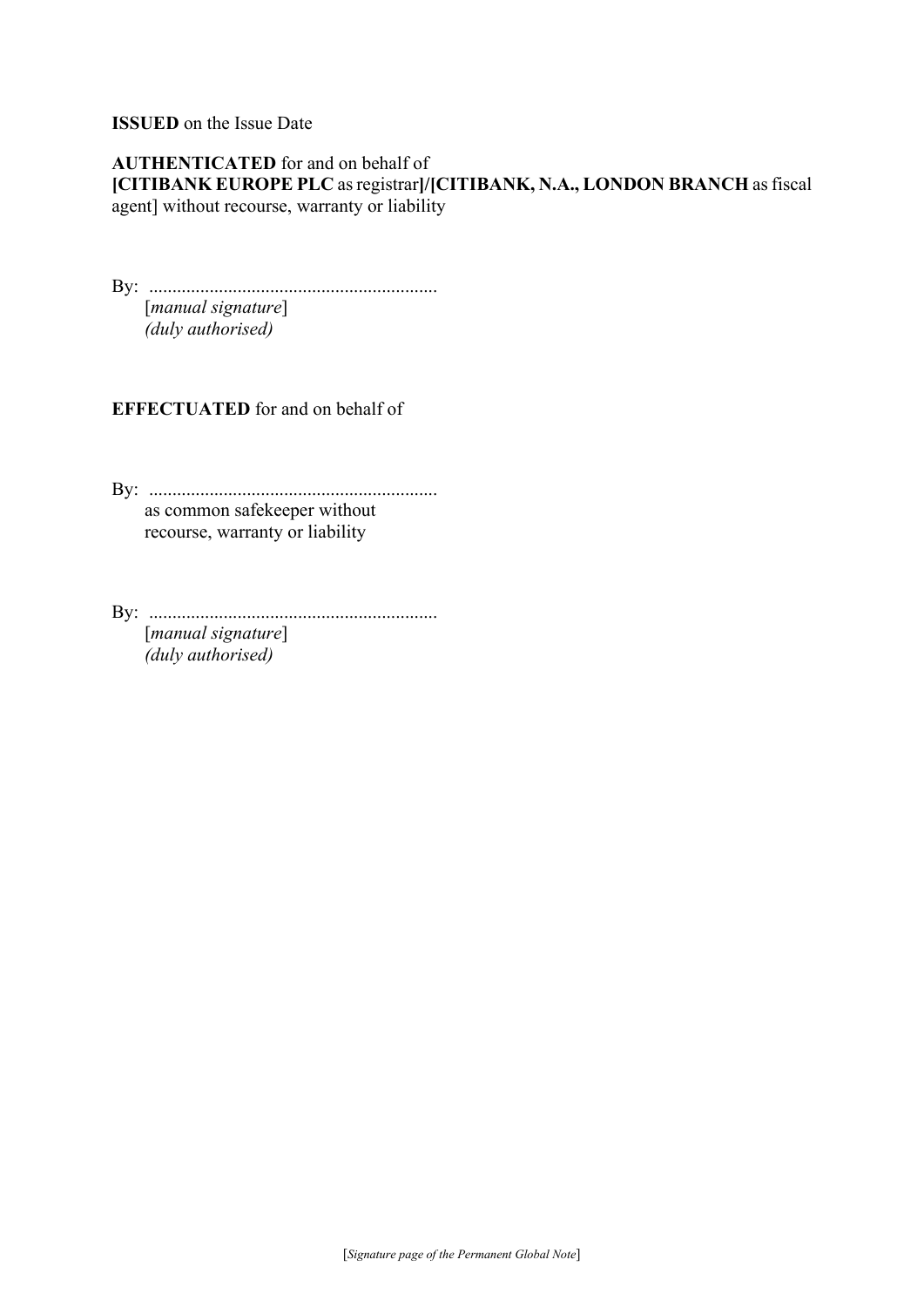**ISSUED** on the Issue Date

**AUTHENTICATED** for and on behalf of **[CITIBANK EUROPE PLC** as registrar**]/[CITIBANK, N.A., LONDON BRANCH** as fiscal agent] without recourse, warranty or liability

By: .............................................................. [*manual signature*] *(duly authorised)*

**EFFECTUATED** for and on behalf of

By: .............................................................. as common safekeeper without recourse, warranty or liability

By: ..............................................................

[*manual signature*] *(duly authorised)*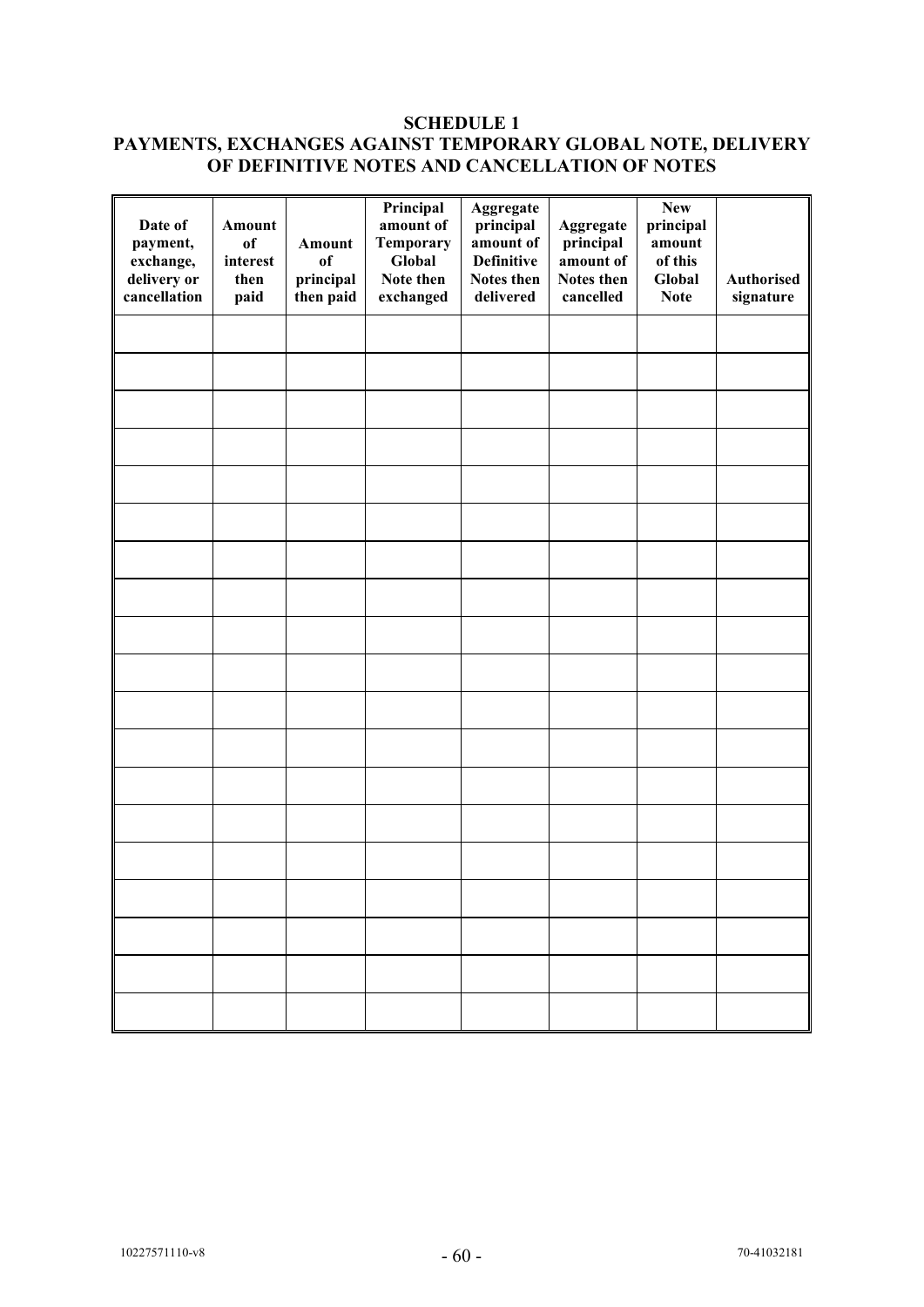#### **SCHEDULE 1**

# <span id="page-63-0"></span>**PAYMENTS, EXCHANGES AGAINST TEMPORARY GLOBAL NOTE, DELIVERY OF DEFINITIVE NOTES AND CANCELLATION OF NOTES**

| Date of<br>payment,<br>exchange,<br>delivery or<br>cancellation | Amount<br><sub>of</sub><br>interest<br>then<br>paid | Amount<br>of<br>principal<br>then paid | Principal<br>amount of<br><b>Temporary</b><br>Global<br>Note then<br>exchanged | Aggregate<br>principal<br>amount of<br><b>Definitive</b><br>Notes then<br>delivered | Aggregate<br>principal<br>amount of<br>Notes then<br>cancelled | <b>New</b><br>principal<br>amount<br>of this<br>Global<br><b>Note</b> | <b>Authorised</b><br>signature |
|-----------------------------------------------------------------|-----------------------------------------------------|----------------------------------------|--------------------------------------------------------------------------------|-------------------------------------------------------------------------------------|----------------------------------------------------------------|-----------------------------------------------------------------------|--------------------------------|
|                                                                 |                                                     |                                        |                                                                                |                                                                                     |                                                                |                                                                       |                                |
|                                                                 |                                                     |                                        |                                                                                |                                                                                     |                                                                |                                                                       |                                |
|                                                                 |                                                     |                                        |                                                                                |                                                                                     |                                                                |                                                                       |                                |
|                                                                 |                                                     |                                        |                                                                                |                                                                                     |                                                                |                                                                       |                                |
|                                                                 |                                                     |                                        |                                                                                |                                                                                     |                                                                |                                                                       |                                |
|                                                                 |                                                     |                                        |                                                                                |                                                                                     |                                                                |                                                                       |                                |
|                                                                 |                                                     |                                        |                                                                                |                                                                                     |                                                                |                                                                       |                                |
|                                                                 |                                                     |                                        |                                                                                |                                                                                     |                                                                |                                                                       |                                |
|                                                                 |                                                     |                                        |                                                                                |                                                                                     |                                                                |                                                                       |                                |
|                                                                 |                                                     |                                        |                                                                                |                                                                                     |                                                                |                                                                       |                                |
|                                                                 |                                                     |                                        |                                                                                |                                                                                     |                                                                |                                                                       |                                |
|                                                                 |                                                     |                                        |                                                                                |                                                                                     |                                                                |                                                                       |                                |
|                                                                 |                                                     |                                        |                                                                                |                                                                                     |                                                                |                                                                       |                                |
|                                                                 |                                                     |                                        |                                                                                |                                                                                     |                                                                |                                                                       |                                |
|                                                                 |                                                     |                                        |                                                                                |                                                                                     |                                                                |                                                                       |                                |
|                                                                 |                                                     |                                        |                                                                                |                                                                                     |                                                                |                                                                       |                                |
|                                                                 |                                                     |                                        |                                                                                |                                                                                     |                                                                |                                                                       |                                |
|                                                                 |                                                     |                                        |                                                                                |                                                                                     |                                                                |                                                                       |                                |
|                                                                 |                                                     |                                        |                                                                                |                                                                                     |                                                                |                                                                       |                                |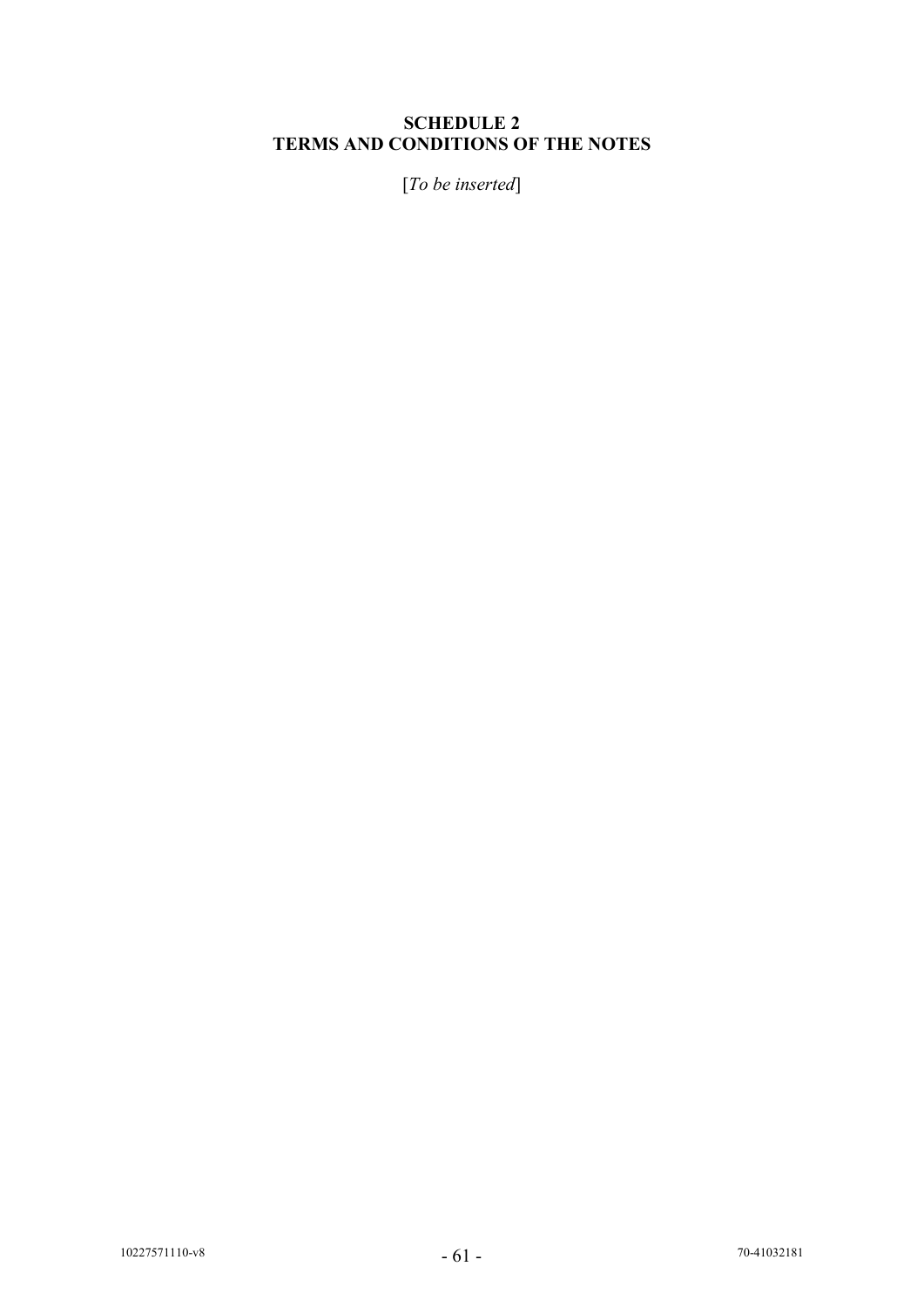## <span id="page-64-0"></span>**SCHEDULE 2 TERMS AND CONDITIONS OF THE NOTES**

[*To be inserted*]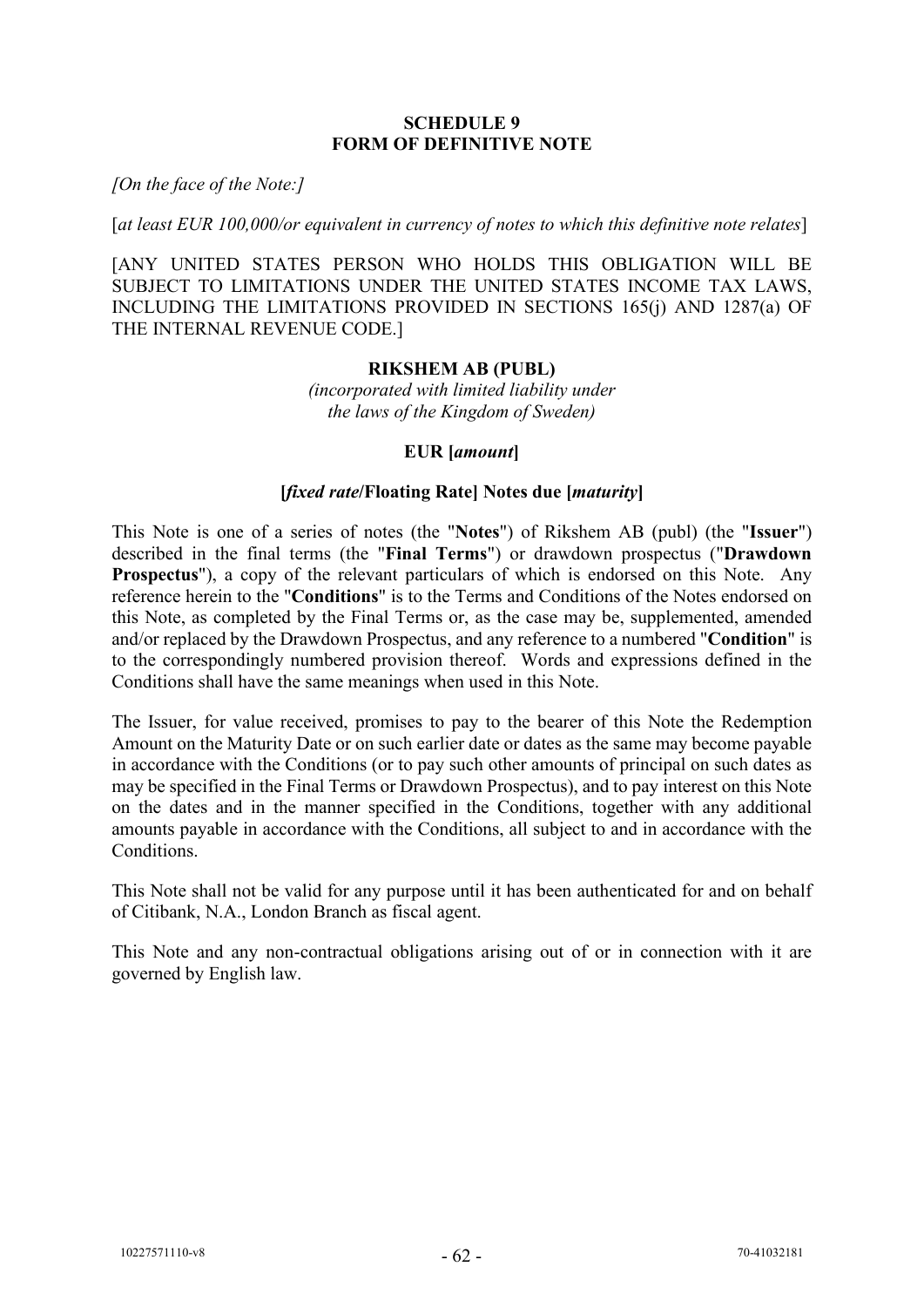### **SCHEDULE 9 FORM OF DEFINITIVE NOTE**

*[On the face of the Note:]*

[*at least EUR 100,000/or equivalent in currency of notes to which this definitive note relates*]

[ANY UNITED STATES PERSON WHO HOLDS THIS OBLIGATION WILL BE SUBJECT TO LIMITATIONS UNDER THE UNITED STATES INCOME TAX LAWS, INCLUDING THE LIMITATIONS PROVIDED IN SECTIONS 165(j) AND 1287(a) OF THE INTERNAL REVENUE CODE.]

### **RIKSHEM AB (PUBL)**

*(incorporated with limited liability under the laws of the Kingdom of Sweden)*

### **EUR [***amount***]**

#### **[***fixed rate***/Floating Rate] Notes due [***maturity***]**

This Note is one of a series of notes (the "**Notes**") of Rikshem AB (publ) (the "**Issuer**") described in the final terms (the "**Final Terms**") or drawdown prospectus ("**Drawdown Prospectus**"), a copy of the relevant particulars of which is endorsed on this Note. Any reference herein to the "**Conditions**" is to the Terms and Conditions of the Notes endorsed on this Note, as completed by the Final Terms or, as the case may be, supplemented, amended and/or replaced by the Drawdown Prospectus, and any reference to a numbered "**Condition**" is to the correspondingly numbered provision thereof. Words and expressions defined in the Conditions shall have the same meanings when used in this Note.

The Issuer, for value received, promises to pay to the bearer of this Note the Redemption Amount on the Maturity Date or on such earlier date or dates as the same may become payable in accordance with the Conditions (or to pay such other amounts of principal on such dates as may be specified in the Final Terms or Drawdown Prospectus), and to pay interest on this Note on the dates and in the manner specified in the Conditions, together with any additional amounts payable in accordance with the Conditions, all subject to and in accordance with the Conditions.

This Note shall not be valid for any purpose until it has been authenticated for and on behalf of Citibank, N.A., London Branch as fiscal agent.

This Note and any non-contractual obligations arising out of or in connection with it are governed by English law.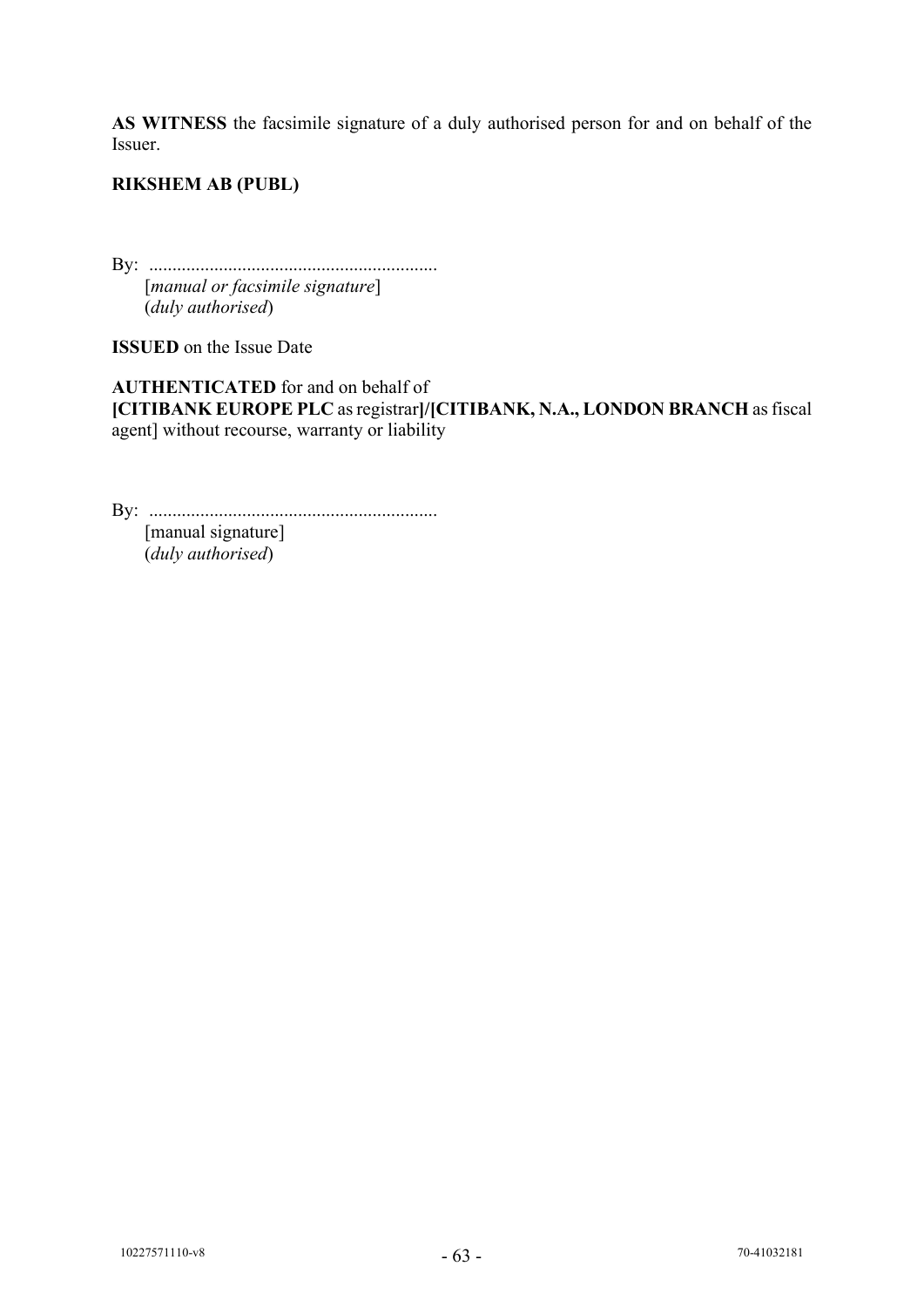**AS WITNESS** the facsimile signature of a duly authorised person for and on behalf of the Issuer.

### **RIKSHEM AB (PUBL)**

By: .............................................................. [*manual or facsimile signature*] (*duly authorised*)

**ISSUED** on the Issue Date

**AUTHENTICATED** for and on behalf of **[CITIBANK EUROPE PLC** as registrar**]/[CITIBANK, N.A., LONDON BRANCH** as fiscal agent] without recourse, warranty or liability

By: .............................................................. [manual signature] (*duly authorised*)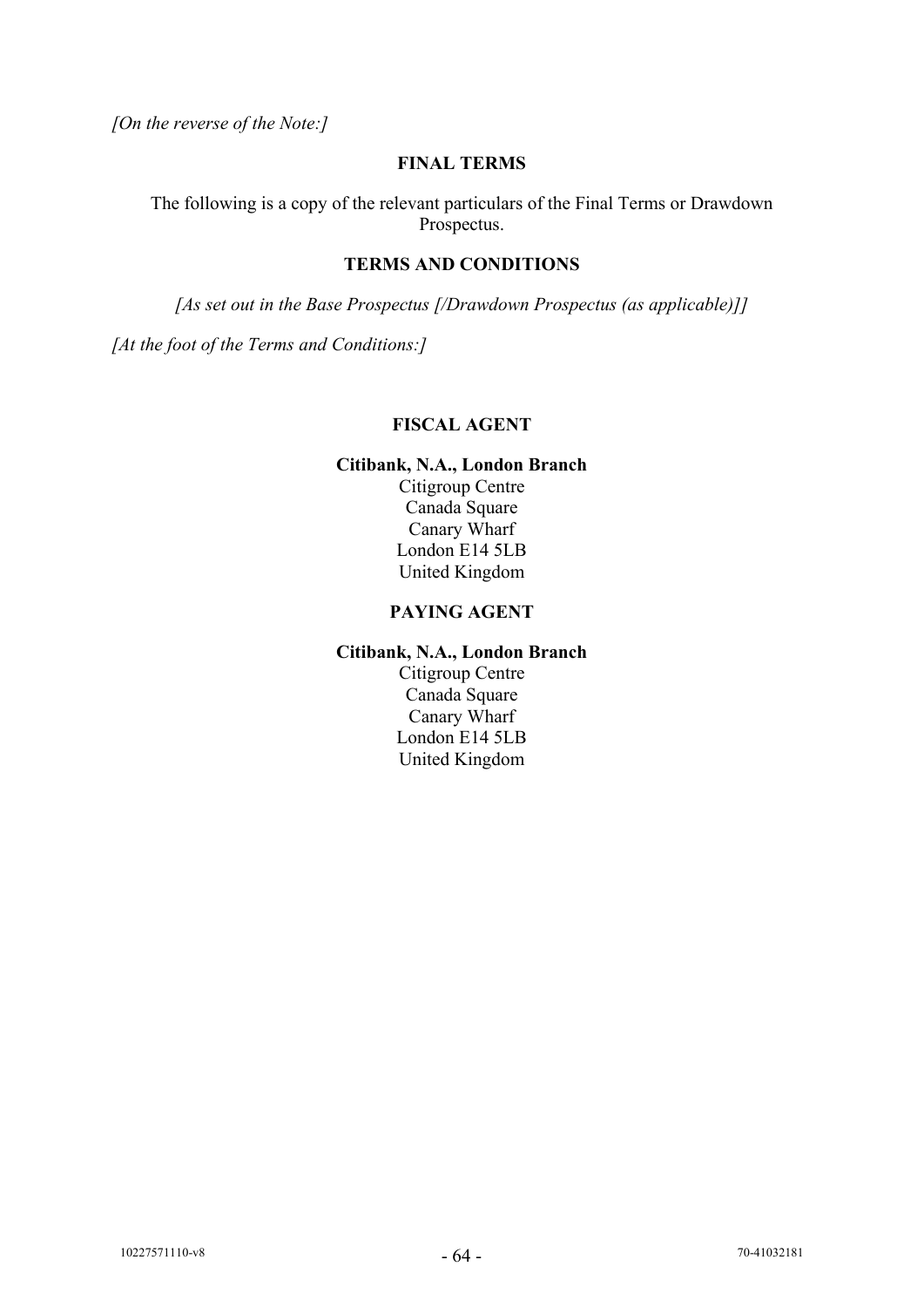*[On the reverse of the Note:]*

### **FINAL TERMS**

The following is a copy of the relevant particulars of the Final Terms or Drawdown Prospectus.

### **TERMS AND CONDITIONS**

*[As set out in the Base Prospectus [/Drawdown Prospectus (as applicable)]]*

*[At the foot of the Terms and Conditions:]*

### **FISCAL AGENT**

### **Citibank, N.A., London Branch** Citigroup Centre Canada Square Canary Wharf London E14 5LB United Kingdom

### **PAYING AGENT**

### **Citibank, N.A., London Branch**

Citigroup Centre Canada Square Canary Wharf London E14 5LB United Kingdom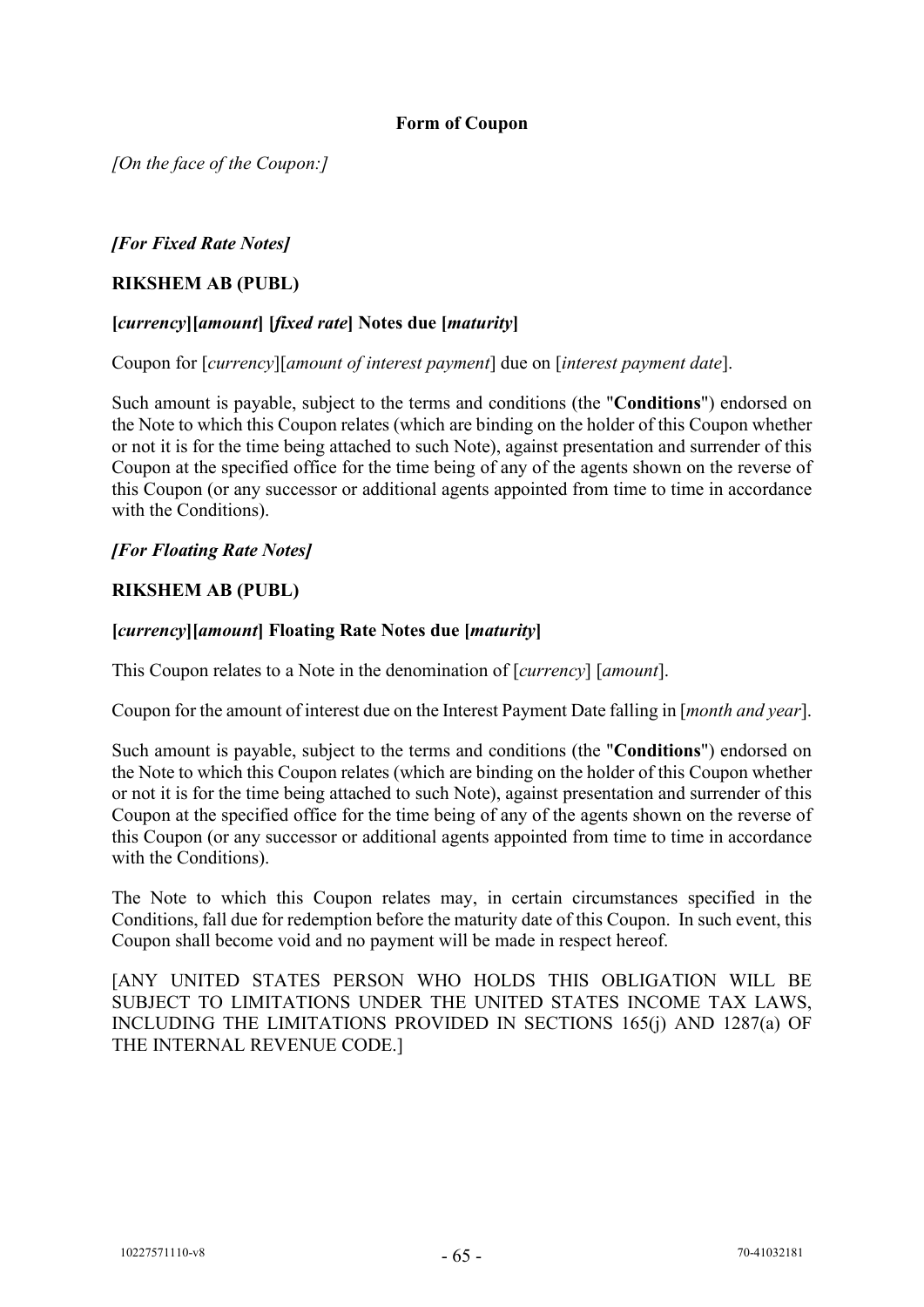### **Form of Coupon**

*[On the face of the Coupon:]*

*[For Fixed Rate Notes]*

### **RIKSHEM AB (PUBL)**

### **[***currency***][***amount***] [***fixed rate***] Notes due [***maturity***]**

Coupon for [*currency*][*amount of interest payment*] due on [*interest payment date*].

Such amount is payable, subject to the terms and conditions (the "**Conditions**") endorsed on the Note to which this Coupon relates (which are binding on the holder of this Coupon whether or not it is for the time being attached to such Note), against presentation and surrender of this Coupon at the specified office for the time being of any of the agents shown on the reverse of this Coupon (or any successor or additional agents appointed from time to time in accordance with the Conditions).

### *[For Floating Rate Notes]*

### **RIKSHEM AB (PUBL)**

### **[***currency***][***amount***] Floating Rate Notes due [***maturity***]**

This Coupon relates to a Note in the denomination of [*currency*] [*amount*].

Coupon for the amount of interest due on the Interest Payment Date falling in [*month and year*].

Such amount is payable, subject to the terms and conditions (the "**Conditions**") endorsed on the Note to which this Coupon relates (which are binding on the holder of this Coupon whether or not it is for the time being attached to such Note), against presentation and surrender of this Coupon at the specified office for the time being of any of the agents shown on the reverse of this Coupon (or any successor or additional agents appointed from time to time in accordance with the Conditions).

The Note to which this Coupon relates may, in certain circumstances specified in the Conditions, fall due for redemption before the maturity date of this Coupon. In such event, this Coupon shall become void and no payment will be made in respect hereof.

[ANY UNITED STATES PERSON WHO HOLDS THIS OBLIGATION WILL BE SUBJECT TO LIMITATIONS UNDER THE UNITED STATES INCOME TAX LAWS, INCLUDING THE LIMITATIONS PROVIDED IN SECTIONS 165(j) AND 1287(a) OF THE INTERNAL REVENUE CODE.]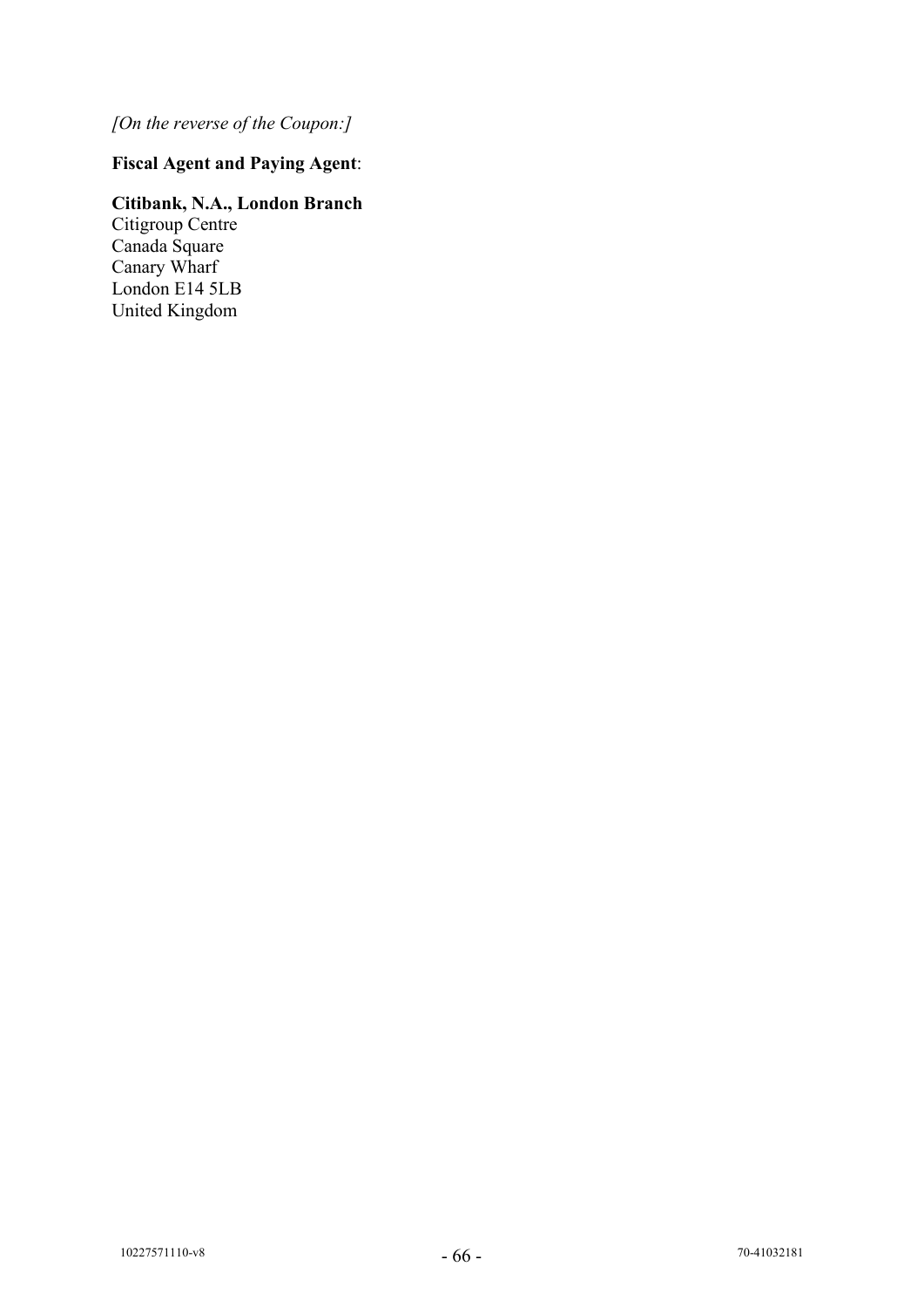*[On the reverse of the Coupon:]*

# **Fiscal Agent and Paying Agent**:

# **Citibank, N.A., London Branch**

Citigroup Centre Canada Square Canary Wharf London E14 5LB United Kingdom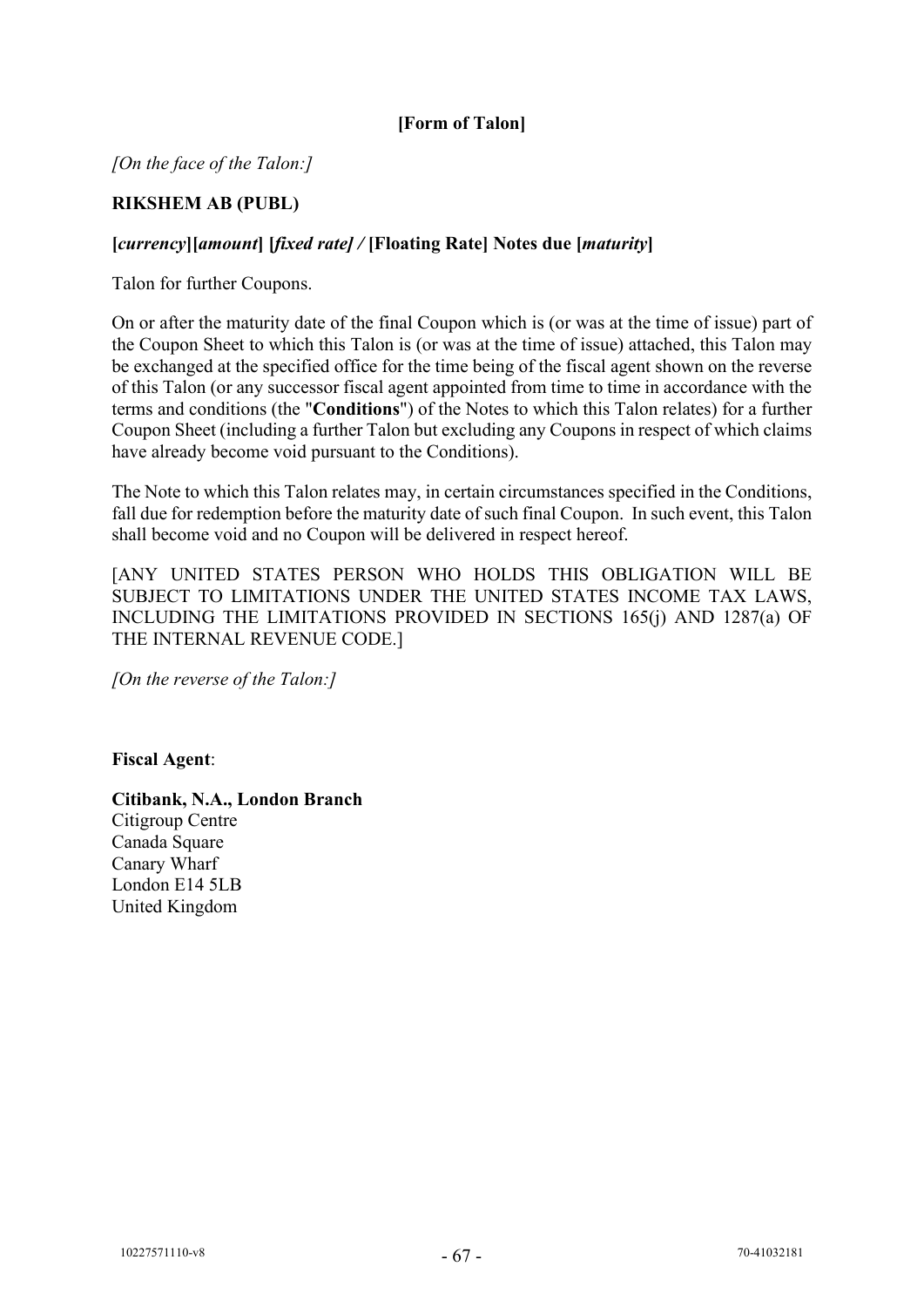### **[Form of Talon]**

*[On the face of the Talon:]*

### **RIKSHEM AB (PUBL)**

### **[***currency***][***amount***] [***fixed rate] /* **[Floating Rate] Notes due [***maturity***]**

Talon for further Coupons.

On or after the maturity date of the final Coupon which is (or was at the time of issue) part of the Coupon Sheet to which this Talon is (or was at the time of issue) attached, this Talon may be exchanged at the specified office for the time being of the fiscal agent shown on the reverse of this Talon (or any successor fiscal agent appointed from time to time in accordance with the terms and conditions (the "**Conditions**") of the Notes to which this Talon relates) for a further Coupon Sheet (including a further Talon but excluding any Coupons in respect of which claims have already become void pursuant to the Conditions).

The Note to which this Talon relates may, in certain circumstances specified in the Conditions, fall due for redemption before the maturity date of such final Coupon. In such event, this Talon shall become void and no Coupon will be delivered in respect hereof.

[ANY UNITED STATES PERSON WHO HOLDS THIS OBLIGATION WILL BE SUBJECT TO LIMITATIONS UNDER THE UNITED STATES INCOME TAX LAWS, INCLUDING THE LIMITATIONS PROVIDED IN SECTIONS 165(j) AND 1287(a) OF THE INTERNAL REVENUE CODE.]

*[On the reverse of the Talon:]*

### **Fiscal Agent**:

**Citibank, N.A., London Branch** Citigroup Centre Canada Square Canary Wharf London E14 5LB United Kingdom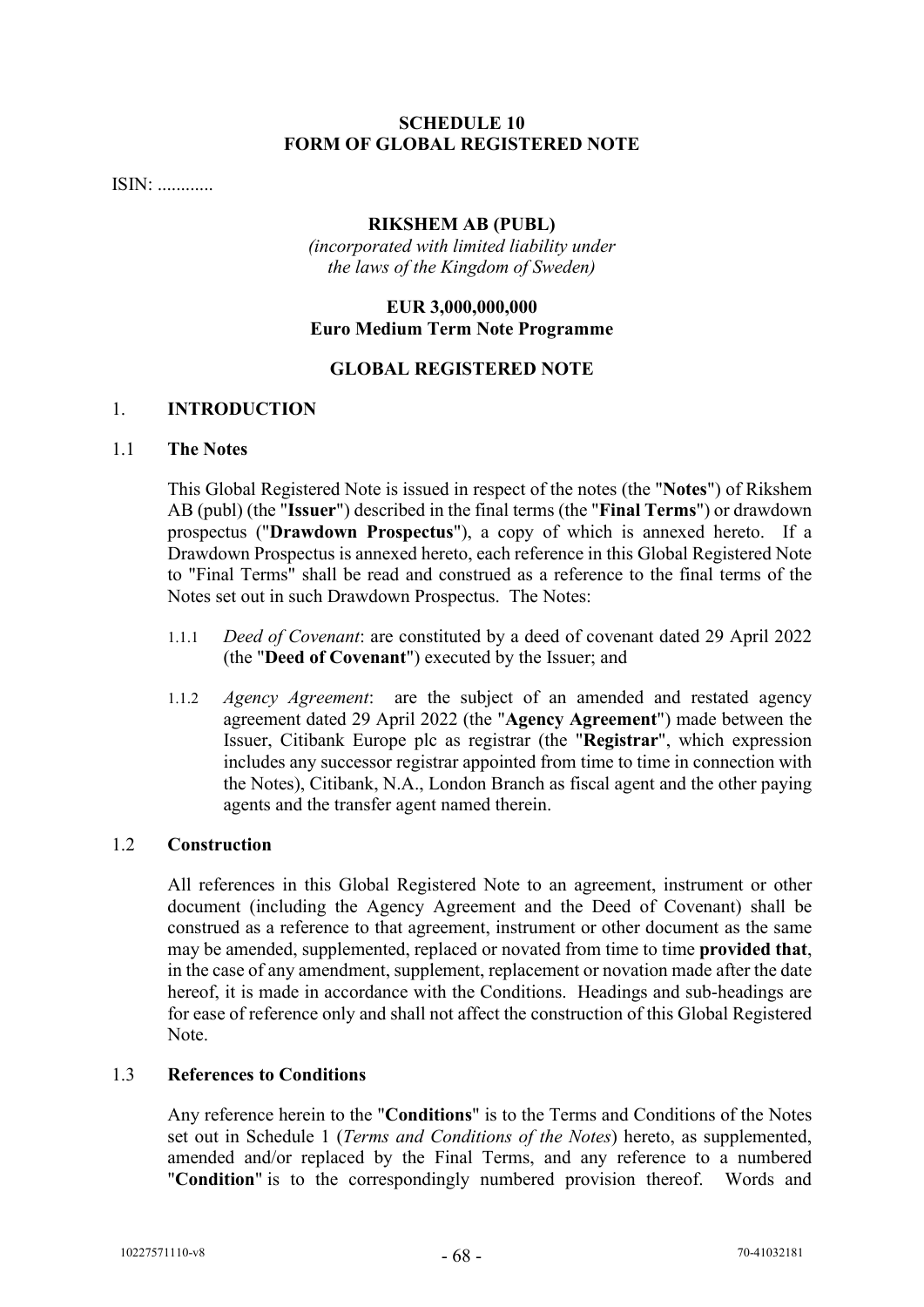### **SCHEDULE 10 FORM OF GLOBAL REGISTERED NOTE**

ISIN: ............

#### **RIKSHEM AB (PUBL)**

*(incorporated with limited liability under the laws of the Kingdom of Sweden)*

### **EUR 3,000,000,000 Euro Medium Term Note Programme**

#### **GLOBAL REGISTERED NOTE**

#### 1. **INTRODUCTION**

#### 1.1 **The Notes**

This Global Registered Note is issued in respect of the notes (the "**Notes**") of Rikshem AB (publ) (the "**Issuer**") described in the final terms (the "**Final Terms**") or drawdown prospectus ("**Drawdown Prospectus**"), a copy of which is annexed hereto. If a Drawdown Prospectus is annexed hereto, each reference in this Global Registered Note to "Final Terms" shall be read and construed as a reference to the final terms of the Notes set out in such Drawdown Prospectus. The Notes:

- 1.1.1 *Deed of Covenant*: are constituted by a deed of covenant dated 29 April 2022 (the "**Deed of Covenant**") executed by the Issuer; and
- 1.1.2 *Agency Agreement*: are the subject of an amended and restated agency agreement dated 29 April 2022 (the "**Agency Agreement**") made between the Issuer, Citibank Europe plc as registrar (the "**Registrar**", which expression includes any successor registrar appointed from time to time in connection with the Notes), Citibank, N.A., London Branch as fiscal agent and the other paying agents and the transfer agent named therein.

### 1.2 **Construction**

All references in this Global Registered Note to an agreement, instrument or other document (including the Agency Agreement and the Deed of Covenant) shall be construed as a reference to that agreement, instrument or other document as the same may be amended, supplemented, replaced or novated from time to time **provided that**, in the case of any amendment, supplement, replacement or novation made after the date hereof, it is made in accordance with the Conditions. Headings and sub-headings are for ease of reference only and shall not affect the construction of this Global Registered Note.

### 1.3 **References to Conditions**

Any reference herein to the "**Conditions**" is to the Terms and Conditions of the Notes set out in Schedule 1 (*Terms and Conditions of the Notes*) hereto, as supplemented, amended and/or replaced by the Final Terms, and any reference to a numbered "**Condition**" is to the correspondingly numbered provision thereof. Words and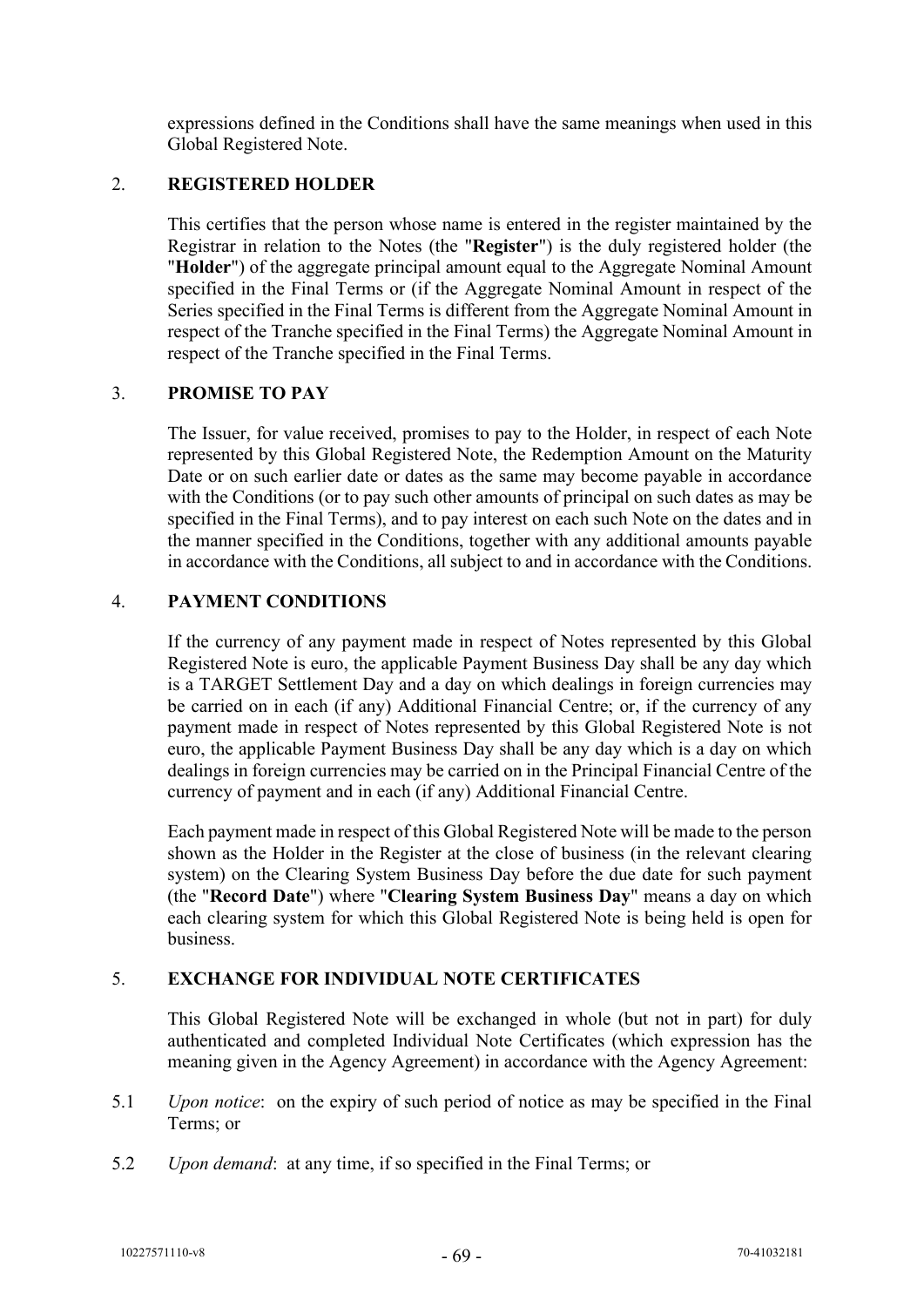expressions defined in the Conditions shall have the same meanings when used in this Global Registered Note.

### 2. **REGISTERED HOLDER**

This certifies that the person whose name is entered in the register maintained by the Registrar in relation to the Notes (the "**Register**") is the duly registered holder (the "**Holder**") of the aggregate principal amount equal to the Aggregate Nominal Amount specified in the Final Terms or (if the Aggregate Nominal Amount in respect of the Series specified in the Final Terms is different from the Aggregate Nominal Amount in respect of the Tranche specified in the Final Terms) the Aggregate Nominal Amount in respect of the Tranche specified in the Final Terms.

### 3. **PROMISE TO PAY**

The Issuer, for value received, promises to pay to the Holder, in respect of each Note represented by this Global Registered Note, the Redemption Amount on the Maturity Date or on such earlier date or dates as the same may become payable in accordance with the Conditions (or to pay such other amounts of principal on such dates as may be specified in the Final Terms), and to pay interest on each such Note on the dates and in the manner specified in the Conditions, together with any additional amounts payable in accordance with the Conditions, all subject to and in accordance with the Conditions.

### 4. **PAYMENT CONDITIONS**

If the currency of any payment made in respect of Notes represented by this Global Registered Note is euro, the applicable Payment Business Day shall be any day which is a TARGET Settlement Day and a day on which dealings in foreign currencies may be carried on in each (if any) Additional Financial Centre; or, if the currency of any payment made in respect of Notes represented by this Global Registered Note is not euro, the applicable Payment Business Day shall be any day which is a day on which dealings in foreign currencies may be carried on in the Principal Financial Centre of the currency of payment and in each (if any) Additional Financial Centre.

Each payment made in respect of this Global Registered Note will be made to the person shown as the Holder in the Register at the close of business (in the relevant clearing system) on the Clearing System Business Day before the due date for such payment (the "**Record Date**") where "**Clearing System Business Day**" means a day on which each clearing system for which this Global Registered Note is being held is open for business.

# 5. **EXCHANGE FOR INDIVIDUAL NOTE CERTIFICATES**

This Global Registered Note will be exchanged in whole (but not in part) for duly authenticated and completed Individual Note Certificates (which expression has the meaning given in the Agency Agreement) in accordance with the Agency Agreement:

- 5.1 *Upon notice*: on the expiry of such period of notice as may be specified in the Final Terms; or
- 5.2 *Upon demand*: at any time, if so specified in the Final Terms; or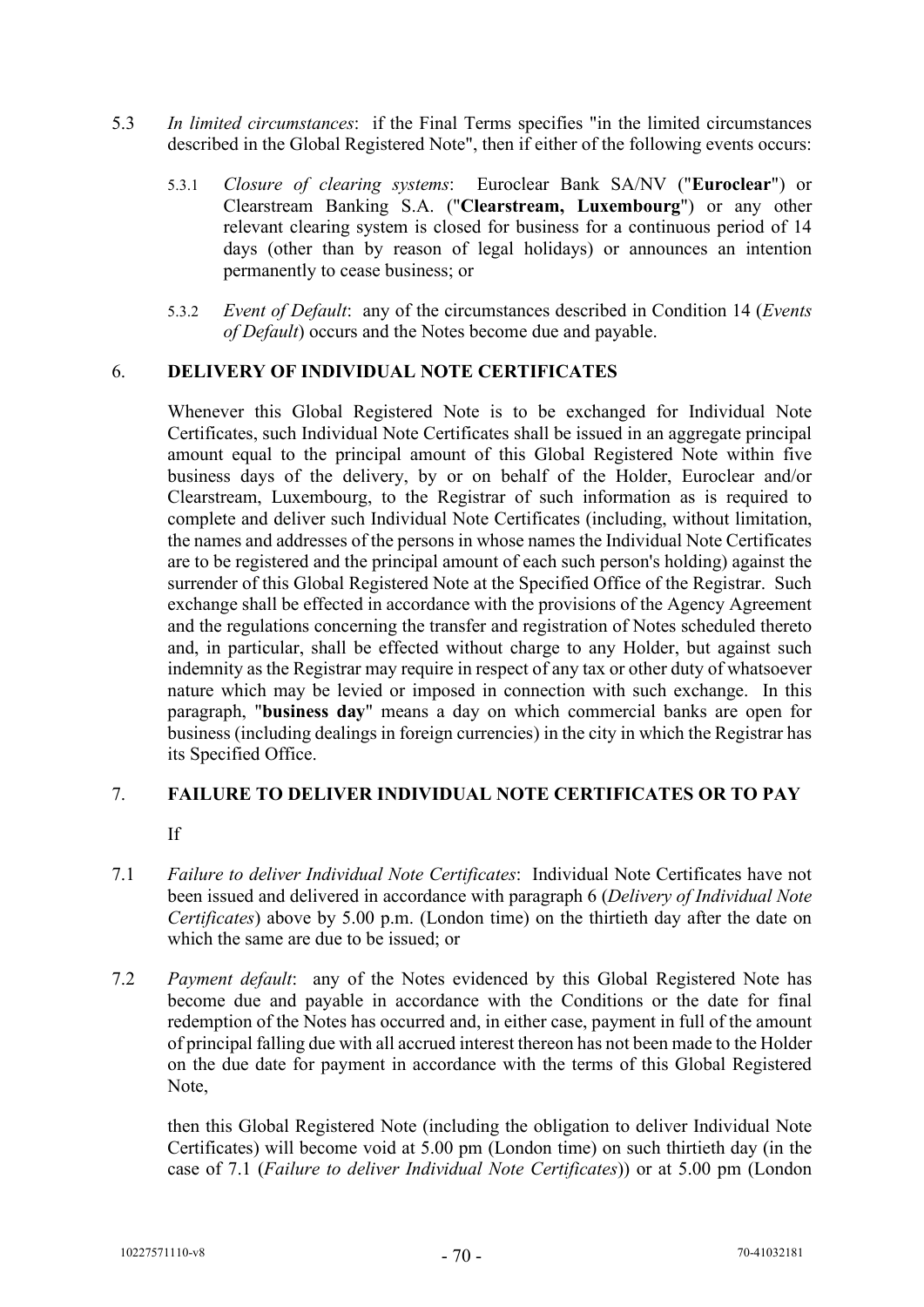- 5.3 *In limited circumstances*: if the Final Terms specifies "in the limited circumstances described in the Global Registered Note", then if either of the following events occurs:
	- 5.3.1 *Closure of clearing systems*: Euroclear Bank SA/NV ("**Euroclear**") or Clearstream Banking S.A. ("**Clearstream, Luxembourg**") or any other relevant clearing system is closed for business for a continuous period of 14 days (other than by reason of legal holidays) or announces an intention permanently to cease business; or
	- 5.3.2 *Event of Default*: any of the circumstances described in Condition 14 (*Events of Default*) occurs and the Notes become due and payable.

### 6. **DELIVERY OF INDIVIDUAL NOTE CERTIFICATES**

Whenever this Global Registered Note is to be exchanged for Individual Note Certificates, such Individual Note Certificates shall be issued in an aggregate principal amount equal to the principal amount of this Global Registered Note within five business days of the delivery, by or on behalf of the Holder, Euroclear and/or Clearstream, Luxembourg, to the Registrar of such information as is required to complete and deliver such Individual Note Certificates (including, without limitation, the names and addresses of the persons in whose names the Individual Note Certificates are to be registered and the principal amount of each such person's holding) against the surrender of this Global Registered Note at the Specified Office of the Registrar. Such exchange shall be effected in accordance with the provisions of the Agency Agreement and the regulations concerning the transfer and registration of Notes scheduled thereto and, in particular, shall be effected without charge to any Holder, but against such indemnity as the Registrar may require in respect of any tax or other duty of whatsoever nature which may be levied or imposed in connection with such exchange. In this paragraph, "**business day**" means a day on which commercial banks are open for business (including dealings in foreign currencies) in the city in which the Registrar has its Specified Office.

# 7. **FAILURE TO DELIVER INDIVIDUAL NOTE CERTIFICATES OR TO PAY**

- If
- 7.1 *Failure to deliver Individual Note Certificates*: Individual Note Certificates have not been issued and delivered in accordance with paragraph [6](#page-56-0) (*Delivery of Individual Note Certificates*) above by 5.00 p.m. (London time) on the thirtieth day after the date on which the same are due to be issued; or
- 7.2 *Payment default*: any of the Notes evidenced by this Global Registered Note has become due and payable in accordance with the Conditions or the date for final redemption of the Notes has occurred and, in either case, payment in full of the amount of principal falling due with all accrued interest thereon has not been made to the Holder on the due date for payment in accordance with the terms of this Global Registered Note,

then this Global Registered Note (including the obligation to deliver Individual Note Certificates) will become void at 5.00 pm (London time) on such thirtieth day (in the case of 7.1 (*Failure to deliver Individual Note Certificates*)) or at 5.00 pm (London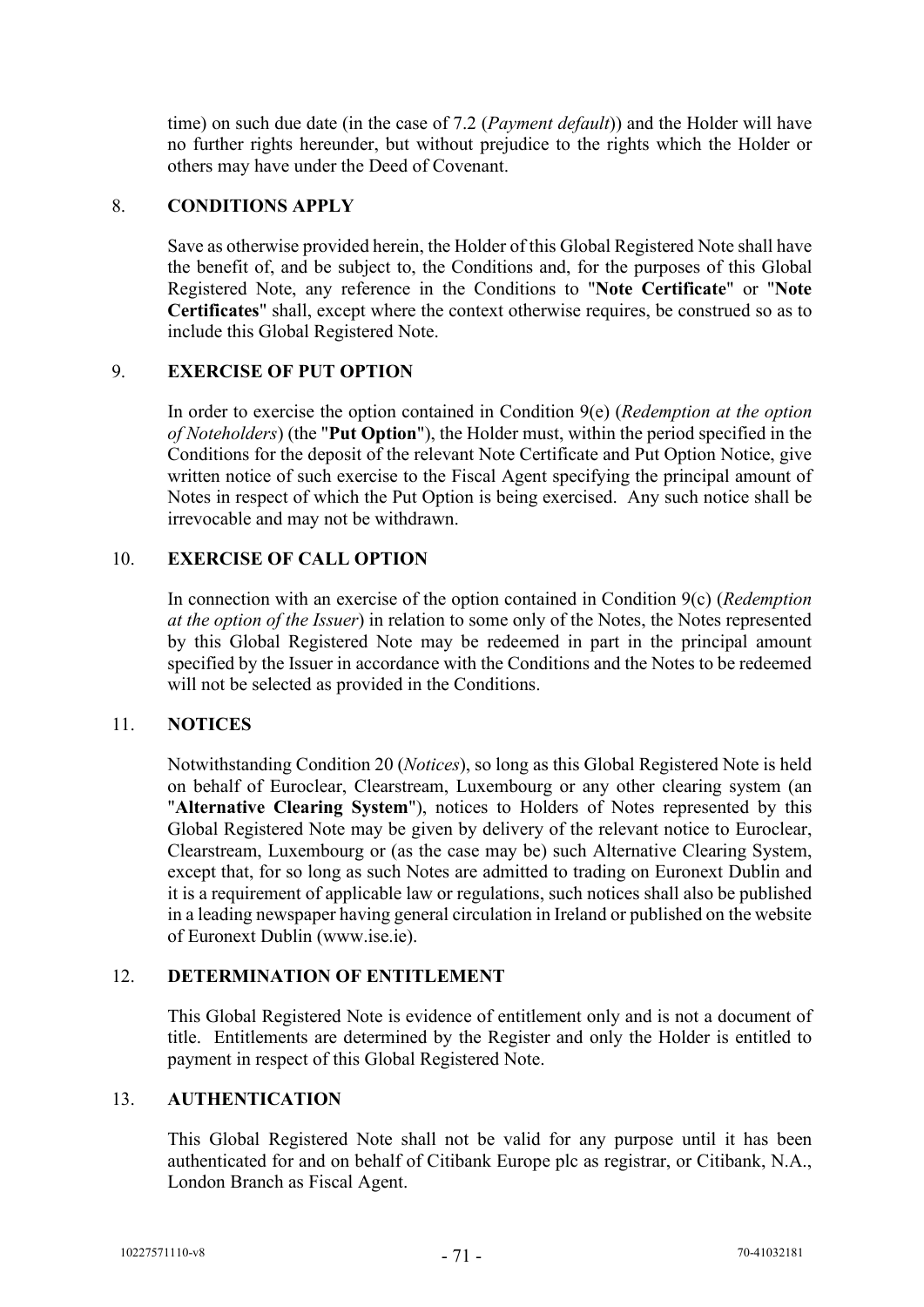time) on such due date (in the case of 7.2 (*Payment default*)) and the Holder will have no further rights hereunder, but without prejudice to the rights which the Holder or others may have under the Deed of Covenant.

#### 8. **CONDITIONS APPLY**

Save as otherwise provided herein, the Holder of this Global Registered Note shall have the benefit of, and be subject to, the Conditions and, for the purposes of this Global Registered Note, any reference in the Conditions to "**Note Certificate**" or "**Note Certificates**" shall, except where the context otherwise requires, be construed so as to include this Global Registered Note.

#### 9. **EXERCISE OF PUT OPTION**

In order to exercise the option contained in Condition 9(e) (*Redemption at the option of Noteholders*) (the "**Put Option**"), the Holder must, within the period specified in the Conditions for the deposit of the relevant Note Certificate and Put Option Notice, give written notice of such exercise to the Fiscal Agent specifying the principal amount of Notes in respect of which the Put Option is being exercised. Any such notice shall be irrevocable and may not be withdrawn.

### 10. **EXERCISE OF CALL OPTION**

In connection with an exercise of the option contained in Condition 9(c) (*Redemption at the option of the Issuer*) in relation to some only of the Notes, the Notes represented by this Global Registered Note may be redeemed in part in the principal amount specified by the Issuer in accordance with the Conditions and the Notes to be redeemed will not be selected as provided in the Conditions.

#### 11. **NOTICES**

Notwithstanding Condition 20 (*Notices*), so long as this Global Registered Note is held on behalf of Euroclear, Clearstream, Luxembourg or any other clearing system (an "**Alternative Clearing System**"), notices to Holders of Notes represented by this Global Registered Note may be given by delivery of the relevant notice to Euroclear, Clearstream, Luxembourg or (as the case may be) such Alternative Clearing System, except that, for so long as such Notes are admitted to trading on Euronext Dublin and it is a requirement of applicable law or regulations, such notices shall also be published in a leading newspaper having general circulation in Ireland or published on the website of Euronext Dublin (www.ise.ie).

### 12. **DETERMINATION OF ENTITLEMENT**

This Global Registered Note is evidence of entitlement only and is not a document of title. Entitlements are determined by the Register and only the Holder is entitled to payment in respect of this Global Registered Note.

### 13. **AUTHENTICATION**

This Global Registered Note shall not be valid for any purpose until it has been authenticated for and on behalf of Citibank Europe plc as registrar, or Citibank, N.A., London Branch as Fiscal Agent.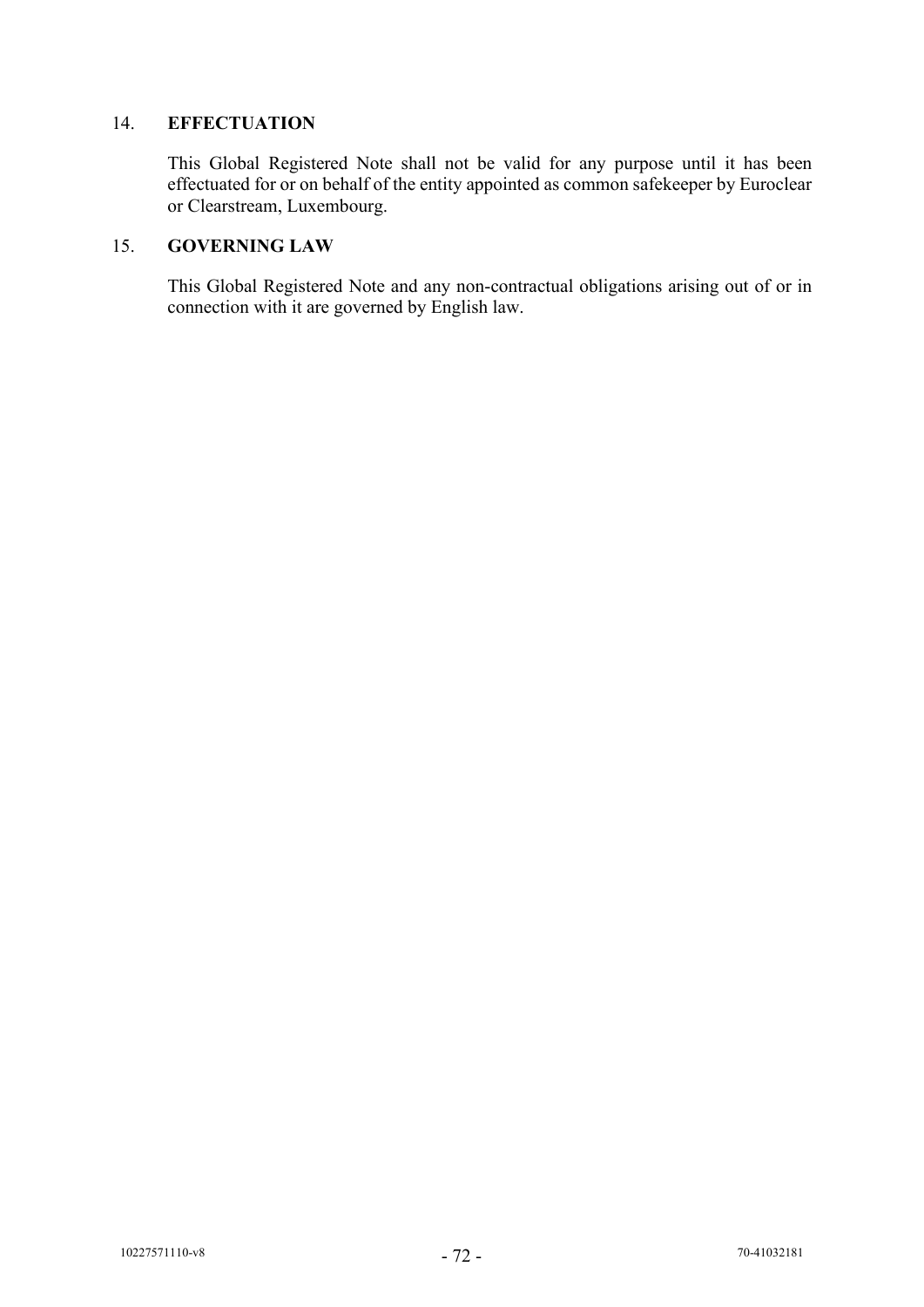### 14. **EFFECTUATION**

This Global Registered Note shall not be valid for any purpose until it has been effectuated for or on behalf of the entity appointed as common safekeeper by Euroclear or Clearstream, Luxembourg.

# 15. **GOVERNING LAW**

This Global Registered Note and any non-contractual obligations arising out of or in connection with it are governed by English law.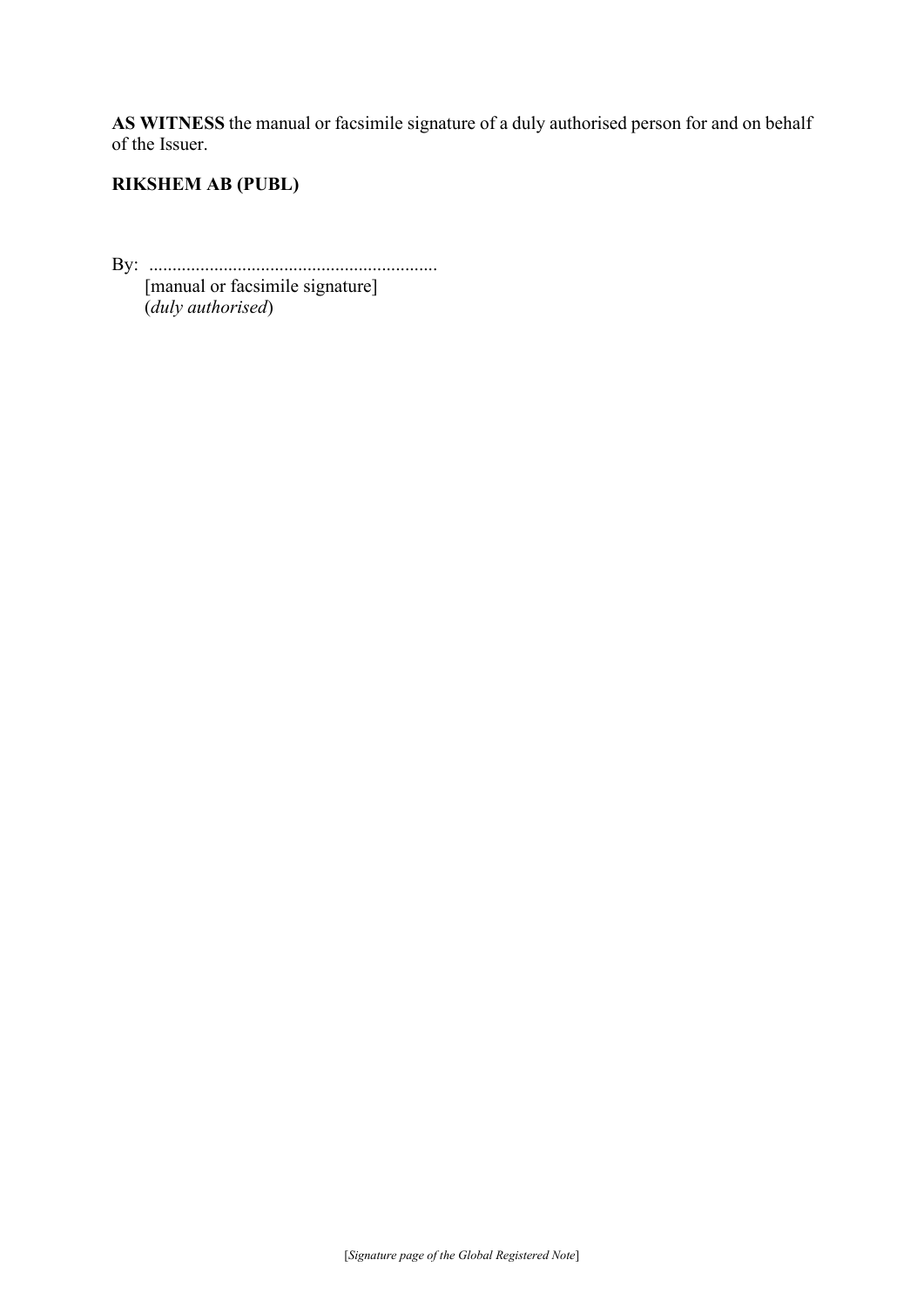**AS WITNESS** the manual or facsimile signature of a duly authorised person for and on behalf of the Issuer.

# **RIKSHEM AB (PUBL)**

By: ..............................................................

[manual or facsimile signature] (*duly authorised*)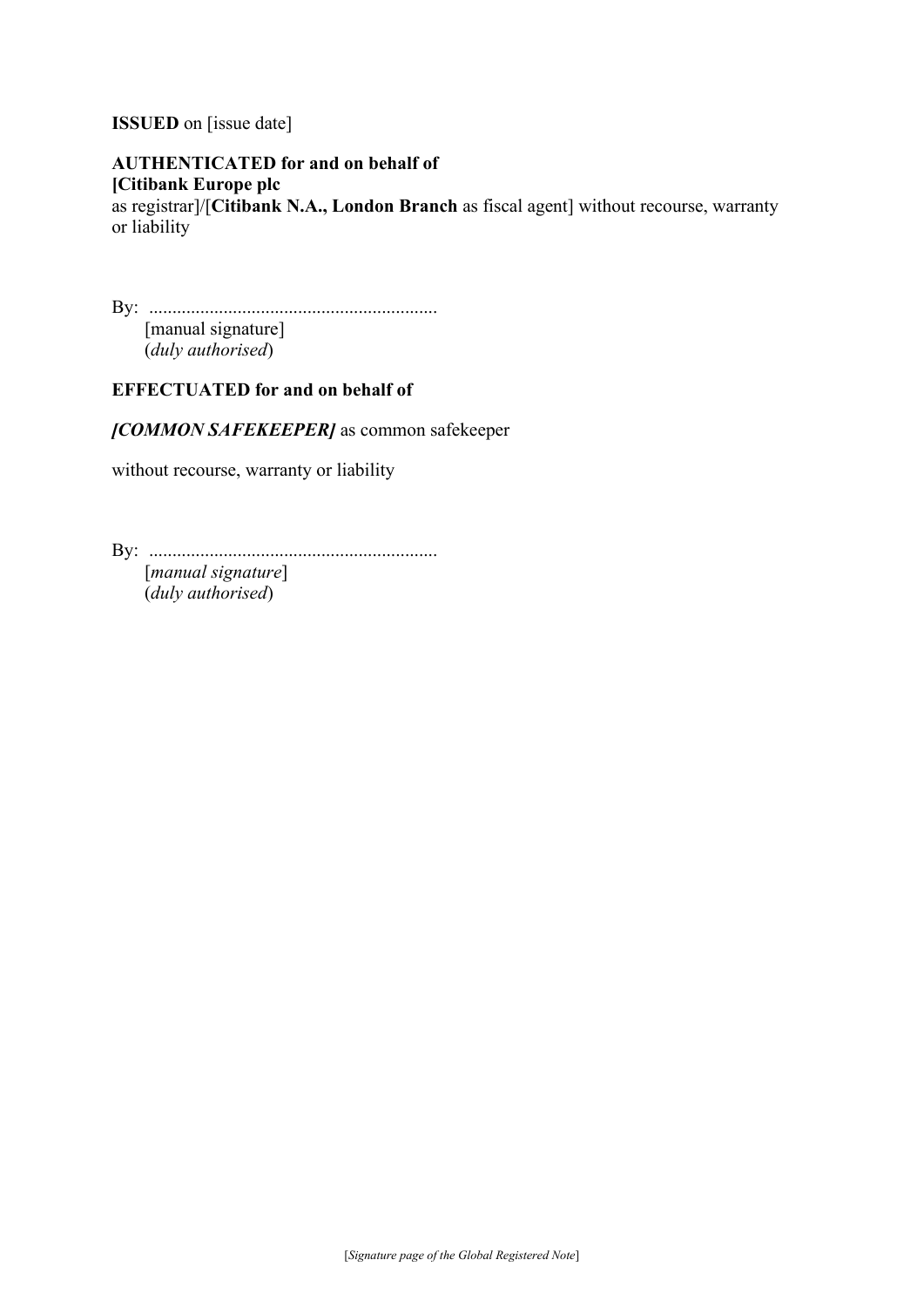**ISSUED** on [issue date]

**AUTHENTICATED for and on behalf of [Citibank Europe plc** as registrar]/[**Citibank N.A., London Branch** as fiscal agent] without recourse, warranty or liability

By: .............................................................. [manual signature] (*duly authorised*)

# **EFFECTUATED for and on behalf of**

*[COMMON SAFEKEEPER]* as common safekeeper

without recourse, warranty or liability

By: ..............................................................

[*manual signature*] (*duly authorised*)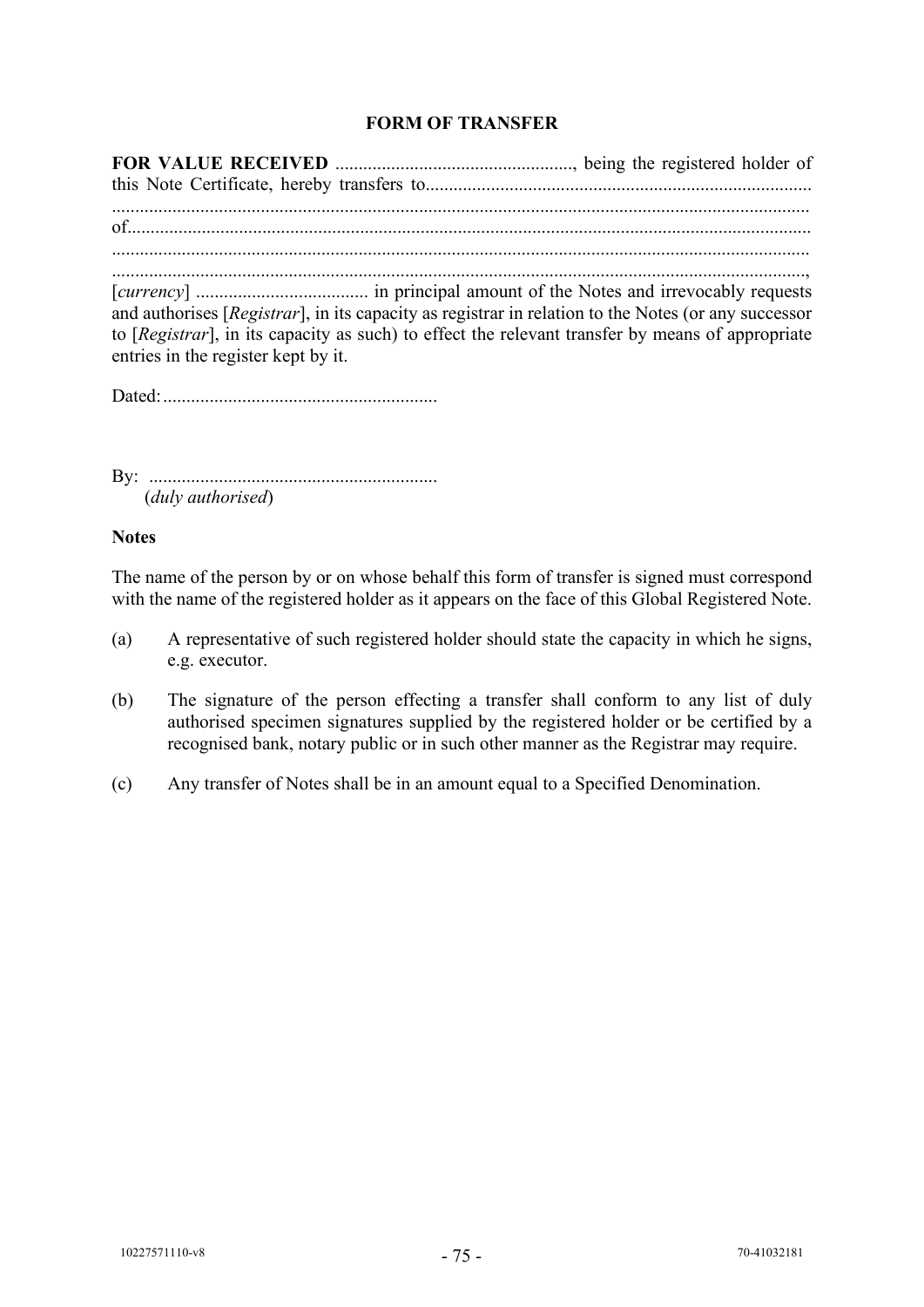# **FORM OF TRANSFER**

**FOR VALUE RECEIVED** ..................................................., being the registered holder of this Note Certificate, hereby transfers to................................................................................... ...................................................................................................................................................... of................................................................................................................................................... ...................................................................................................................................................... ....................................................................................................................................................., [*currency*] ..................................... in principal amount of the Notes and irrevocably requests and authorises [*Registrar*], in its capacity as registrar in relation to the Notes (or any successor to [*Registrar*], in its capacity as such) to effect the relevant transfer by means of appropriate entries in the register kept by it.

Dated:...........................................................

By: .............................................................. (*duly authorised*)

### **Notes**

The name of the person by or on whose behalf this form of transfer is signed must correspond with the name of the registered holder as it appears on the face of this Global Registered Note.

- (a) A representative of such registered holder should state the capacity in which he signs, e.g. executor.
- (b) The signature of the person effecting a transfer shall conform to any list of duly authorised specimen signatures supplied by the registered holder or be certified by a recognised bank, notary public or in such other manner as the Registrar may require.
- (c) Any transfer of Notes shall be in an amount equal to a Specified Denomination.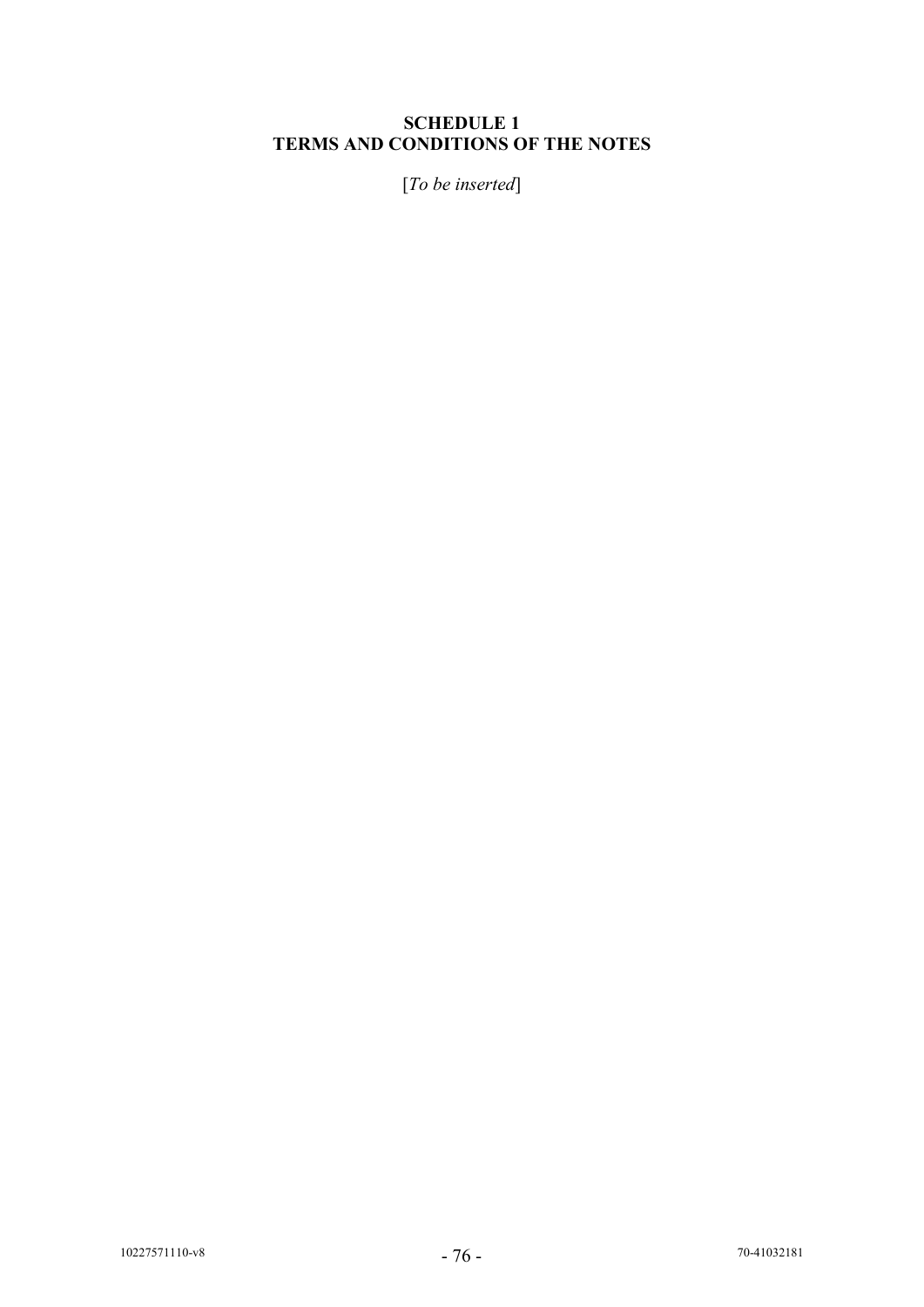# **SCHEDULE 1 TERMS AND CONDITIONS OF THE NOTES**

[*To be inserted*]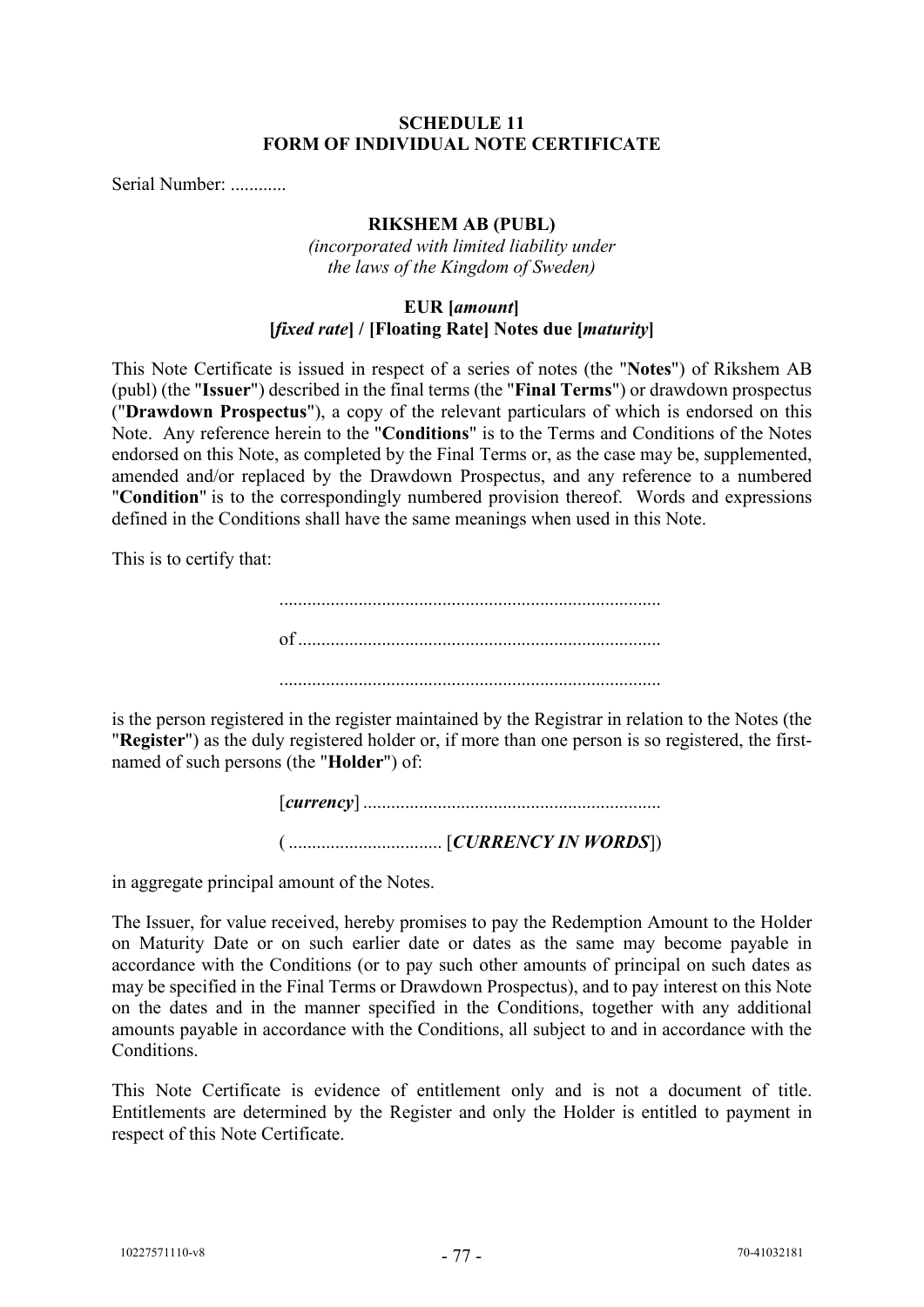### **SCHEDULE 11 FORM OF INDIVIDUAL NOTE CERTIFICATE**

Serial Number: ............

#### **RIKSHEM AB (PUBL)**

*(incorporated with limited liability under the laws of the Kingdom of Sweden)*

# **EUR [***amount***] [***fixed rate***] / [Floating Rate] Notes due [***maturity***]**

This Note Certificate is issued in respect of a series of notes (the "**Notes**") of Rikshem AB (publ) (the "**Issuer**") described in the final terms (the "**Final Terms**") or drawdown prospectus ("**Drawdown Prospectus**"), a copy of the relevant particulars of which is endorsed on this Note. Any reference herein to the "**Conditions**" is to the Terms and Conditions of the Notes endorsed on this Note, as completed by the Final Terms or, as the case may be, supplemented, amended and/or replaced by the Drawdown Prospectus, and any reference to a numbered "**Condition**" is to the correspondingly numbered provision thereof. Words and expressions defined in the Conditions shall have the same meanings when used in this Note.

This is to certify that:

is the person registered in the register maintained by the Registrar in relation to the Notes (the "**Register**") as the duly registered holder or, if more than one person is so registered, the firstnamed of such persons (the "**Holder**") of:

in aggregate principal amount of the Notes.

The Issuer, for value received, hereby promises to pay the Redemption Amount to the Holder on Maturity Date or on such earlier date or dates as the same may become payable in accordance with the Conditions (or to pay such other amounts of principal on such dates as may be specified in the Final Terms or Drawdown Prospectus), and to pay interest on this Note on the dates and in the manner specified in the Conditions, together with any additional amounts payable in accordance with the Conditions, all subject to and in accordance with the Conditions.

This Note Certificate is evidence of entitlement only and is not a document of title. Entitlements are determined by the Register and only the Holder is entitled to payment in respect of this Note Certificate.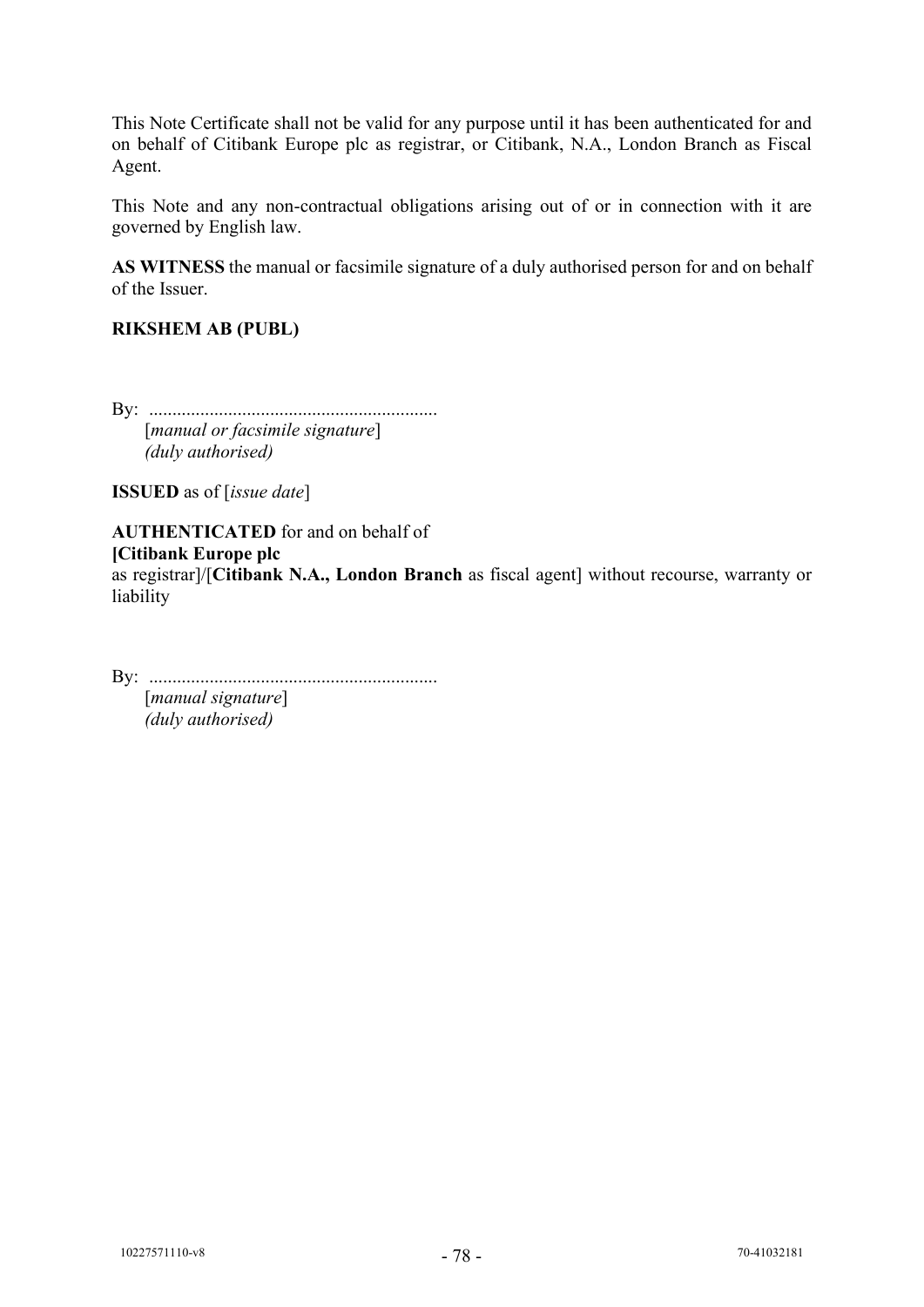This Note Certificate shall not be valid for any purpose until it has been authenticated for and on behalf of Citibank Europe plc as registrar, or Citibank, N.A., London Branch as Fiscal Agent.

This Note and any non-contractual obligations arising out of or in connection with it are governed by English law.

**AS WITNESS** the manual or facsimile signature of a duly authorised person for and on behalf of the Issuer.

# **RIKSHEM AB (PUBL)**

By: .............................................................. [*manual or facsimile signature*]

*(duly authorised)*

**ISSUED** as of [*issue date*]

**AUTHENTICATED** for and on behalf of **[Citibank Europe plc**

as registrar]/[**Citibank N.A., London Branch** as fiscal agent] without recourse, warranty or liability

By: .............................................................. [*manual signature*] *(duly authorised)*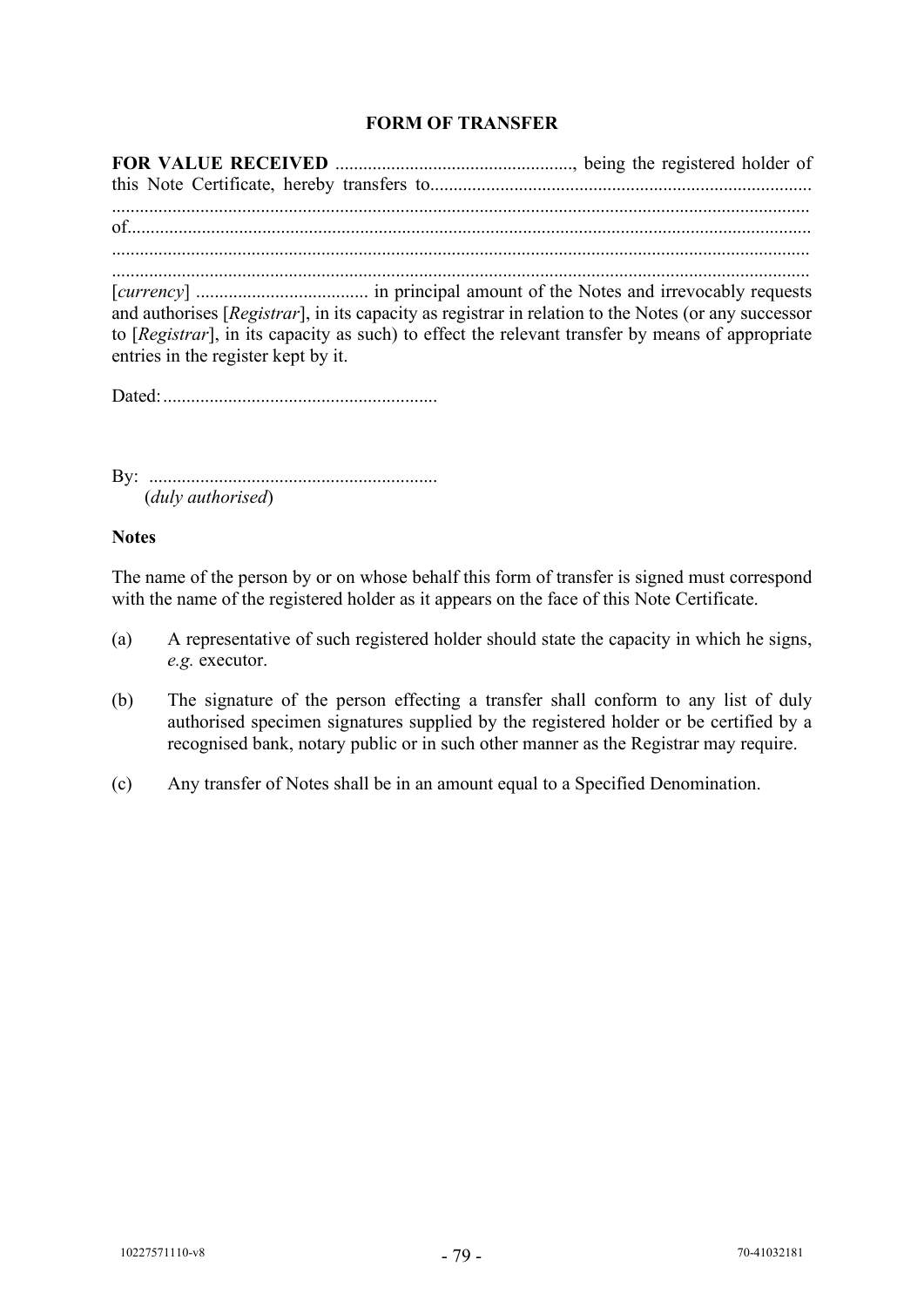# **FORM OF TRANSFER**

**FOR VALUE RECEIVED** ..................................................., being the registered holder of this Note Certificate, hereby transfers to.................................................................................. ...................................................................................................................................................... of................................................................................................................................................... ...................................................................................................................................................... ...................................................................................................................................................... [*currency*] ..................................... in principal amount of the Notes and irrevocably requests and authorises [*Registrar*], in its capacity as registrar in relation to the Notes (or any successor to [*Registrar*], in its capacity as such) to effect the relevant transfer by means of appropriate entries in the register kept by it.

Dated:...........................................................

By: .............................................................. (*duly authorised*)

#### **Notes**

The name of the person by or on whose behalf this form of transfer is signed must correspond with the name of the registered holder as it appears on the face of this Note Certificate.

- (a) A representative of such registered holder should state the capacity in which he signs, *e.g.* executor.
- (b) The signature of the person effecting a transfer shall conform to any list of duly authorised specimen signatures supplied by the registered holder or be certified by a recognised bank, notary public or in such other manner as the Registrar may require.
- (c) Any transfer of Notes shall be in an amount equal to a Specified Denomination.